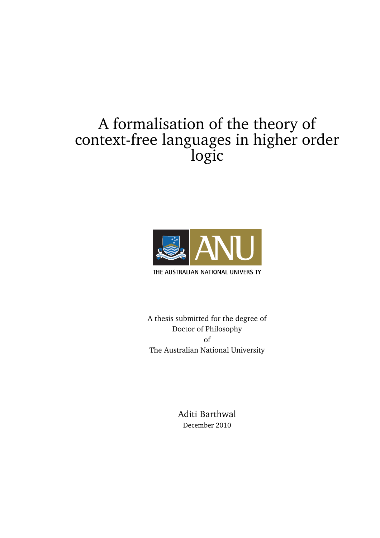# A formalisation of the theory of context-free languages in higher order logic



THE AUSTRALIAN NATIONAL UNIVERSITY

A thesis submitted for the degree of Doctor of Philosophy of The Australian National University

> Aditi Barthwal December 2010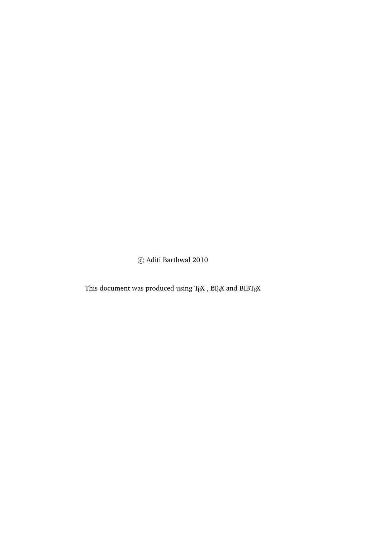c Aditi Barthwal 2010

This document was produced using  $\text{Tr} \text{X}$  ,  $\text{E}\text{Tr} \text{X}$  and  $\text{B} \text{I}\text{B} \text{Tr} \text{X}$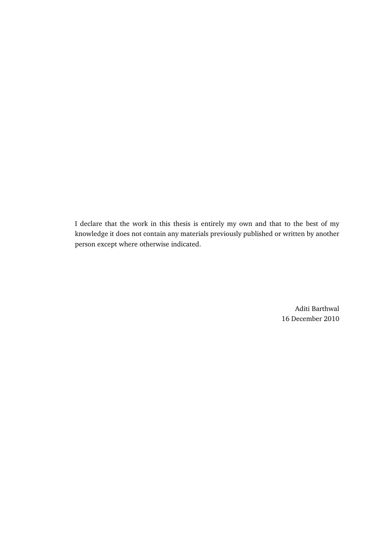I declare that the work in this thesis is entirely my own and that to the best of my knowledge it does not contain any materials previously published or written by another person except where otherwise indicated.

> Aditi Barthwal 16 December 2010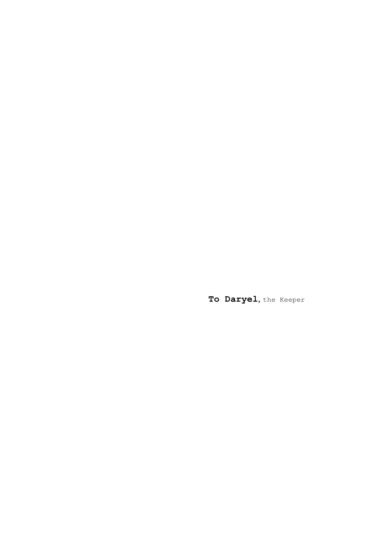**To Daryel**, the Keeper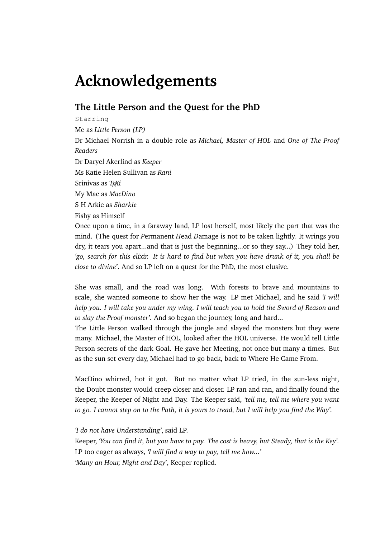# **Acknowledgements**

#### **The Little Person and the Quest for the PhD**

Starring Me as *Little Person (LP)* Dr Michael Norrish in a double role as *Michael, Master of HOL* and *One of The Proof Readers* Dr Daryel Akerlind as *Keeper* Ms Katie Helen Sullivan as *Rani* Srinivas as *TEXi* My Mac as *MacDino* S H Arkie as *Sharkie* Fishy as Himself Once upon a time, in a faraway land, LP lost herself, most likely the part that was the mind. (The quest for *P*ermanent *H*ead *D*amage is not to be taken lightly. It wrings you dry, it tears you apart...and that is just the beginning...or so they say...) They told her,

*close to divine'*. And so LP left on a quest for the PhD, the most elusive. She was small, and the road was long. With forests to brave and mountains to scale, she wanted someone to show her the way. LP met Michael, and he said *'I will help you. I will take you under my wing. I will teach you to hold the Sword of Reason and*

*'go, search for this elixir. It is hard to find but when you have drunk of it, you shall be*

*to slay the Proof monster'.* And so began the journey, long and hard... The Little Person walked through the jungle and slayed the monsters but they were

many. Michael, the Master of HOL, looked after the HOL universe. He would tell Little Person secrets of the dark Goal. He gave her Meeting, not once but many a times. But as the sun set every day, Michael had to go back, back to Where He Came From.

MacDino whirred, hot it got. But no matter what LP tried, in the sun-less night, the Doubt monster would creep closer and closer. LP ran and ran, and finally found the Keeper, the Keeper of Night and Day. The Keeper said, *'tell me, tell me where you want to go. I cannot step on to the Path, it is yours to tread, but I will help you find the Way'.*

#### *'I do not have Understanding'*, said LP.

Keeper, *'You can find it, but you have to pay. The cost is heavy, but Steady, that is the Key'.* LP too eager as always, *'I will find a way to pay, tell me how...' 'Many an Hour, Night and Day*', Keeper replied.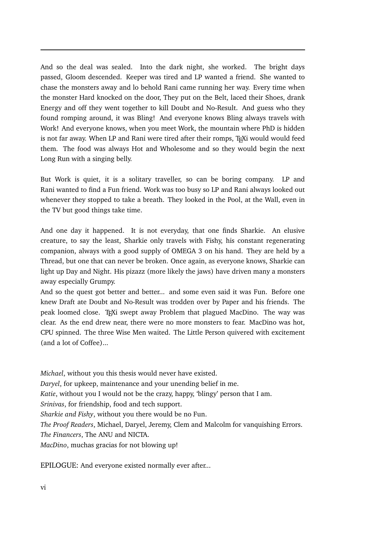And so the deal was sealed. Into the dark night, she worked. The bright days passed, Gloom descended. Keeper was tired and LP wanted a friend. She wanted to chase the monsters away and lo behold Rani came running her way. Every time when the monster Hard knocked on the door, They put on the Belt, laced their Shoes, drank Energy and off they went together to kill Doubt and No-Result. And guess who they found romping around, it was Bling! And everyone knows Bling always travels with Work! And everyone knows, when you meet Work, the mountain where PhD is hidden is not far away. When LP and Rani were tired after their romps, TEXi would would feed them. The food was always Hot and Wholesome and so they would begin the next Long Run with a singing belly.

But Work is quiet, it is a solitary traveller, so can be boring company. LP and Rani wanted to find a Fun friend. Work was too busy so LP and Rani always looked out whenever they stopped to take a breath. They looked in the Pool, at the Wall, even in the TV but good things take time.

And one day it happened. It is not everyday, that one finds Sharkie. An elusive creature, to say the least, Sharkie only travels with Fishy, his constant regenerating companion, always with a good supply of OMEGA 3 on his hand. They are held by a Thread, but one that can never be broken. Once again, as everyone knows, Sharkie can light up Day and Night. His pizazz (more likely the jaws) have driven many a monsters away especially Grumpy.

And so the quest got better and better... and some even said it was Fun. Before one knew Draft ate Doubt and No-Result was trodden over by Paper and his friends. The peak loomed close. TEXi swept away Problem that plagued MacDino. The way was clear. As the end drew near, there were no more monsters to fear. MacDino was hot, CPU spinned. The three Wise Men waited. The Little Person quivered with excitement (and a lot of Coffee)...

*Michael*, without you this thesis would never have existed. *Daryel*, for upkeep, maintenance and your unending belief in me.

*Katie*, without you I would not be the crazy, happy, 'blingy' person that I am.

*Srinivas*, for friendship, food and tech support.

*Sharkie and Fishy*, without you there would be no Fun.

*The Proof Readers*, Michael, Daryel, Jeremy, Clem and Malcolm for vanquishing Errors.

*The Financers*, The ANU and NICTA.

*MacDino*, muchas gracias for not blowing up!

EPILOGUE: And everyone existed normally ever after...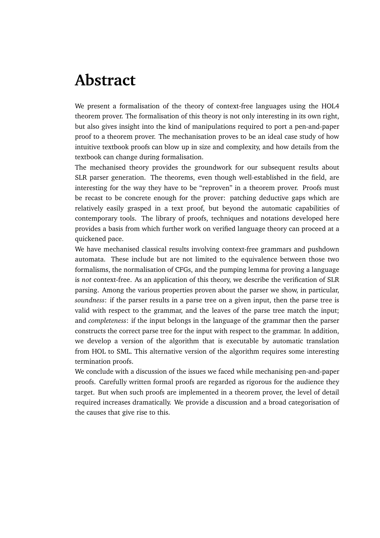# **Abstract**

We present a formalisation of the theory of context-free languages using the HOL4 theorem prover. The formalisation of this theory is not only interesting in its own right, but also gives insight into the kind of manipulations required to port a pen-and-paper proof to a theorem prover. The mechanisation proves to be an ideal case study of how intuitive textbook proofs can blow up in size and complexity, and how details from the textbook can change during formalisation.

The mechanised theory provides the groundwork for our subsequent results about SLR parser generation. The theorems, even though well-established in the field, are interesting for the way they have to be "reproven" in a theorem prover. Proofs must be recast to be concrete enough for the prover: patching deductive gaps which are relatively easily grasped in a text proof, but beyond the automatic capabilities of contemporary tools. The library of proofs, techniques and notations developed here provides a basis from which further work on verified language theory can proceed at a quickened pace.

We have mechanised classical results involving context-free grammars and pushdown automata. These include but are not limited to the equivalence between those two formalisms, the normalisation of CFGs, and the pumping lemma for proving a language is *not* context-free. As an application of this theory, we describe the verification of SLR parsing. Among the various properties proven about the parser we show, in particular, *soundness*: if the parser results in a parse tree on a given input, then the parse tree is valid with respect to the grammar, and the leaves of the parse tree match the input; and *completeness*: if the input belongs in the language of the grammar then the parser constructs the correct parse tree for the input with respect to the grammar. In addition, we develop a version of the algorithm that is executable by automatic translation from HOL to SML. This alternative version of the algorithm requires some interesting termination proofs.

We conclude with a discussion of the issues we faced while mechanising pen-and-paper proofs. Carefully written formal proofs are regarded as rigorous for the audience they target. But when such proofs are implemented in a theorem prover, the level of detail required increases dramatically. We provide a discussion and a broad categorisation of the causes that give rise to this.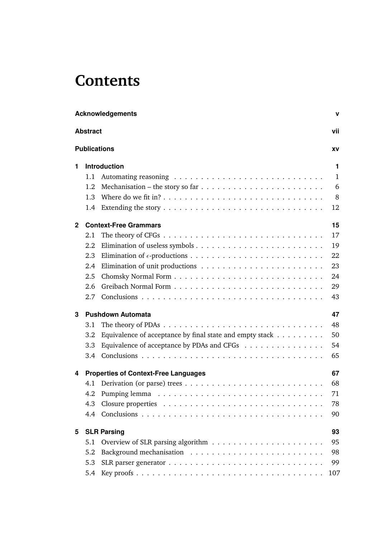# **Contents**

|              | <b>Acknowledgements</b><br>$\mathbf v$ |                                                                                               |  |  |
|--------------|----------------------------------------|-----------------------------------------------------------------------------------------------|--|--|
|              | <b>Abstract</b><br>vii                 |                                                                                               |  |  |
|              | <b>Publications</b>                    | XV                                                                                            |  |  |
| 1.           |                                        | <b>Introduction</b><br>$\mathbf 1$                                                            |  |  |
|              | 1.1                                    | $\mathbf{1}$                                                                                  |  |  |
|              | 1.2                                    | 6                                                                                             |  |  |
|              | 1.3                                    | 8                                                                                             |  |  |
|              | 1.4                                    | Extending the story $\dots \dots \dots \dots \dots \dots \dots \dots \dots \dots \dots$<br>12 |  |  |
| $\mathbf{2}$ |                                        | 15<br><b>Context-Free Grammars</b>                                                            |  |  |
|              | 2.1                                    | 17                                                                                            |  |  |
|              | 2.2                                    | 19                                                                                            |  |  |
|              | 2.3                                    | 22                                                                                            |  |  |
|              | 2.4                                    | 23                                                                                            |  |  |
|              | 2.5                                    | 24                                                                                            |  |  |
|              | 2.6                                    | 29                                                                                            |  |  |
|              | 2.7                                    | 43                                                                                            |  |  |
| 3            |                                        | 47<br><b>Pushdown Automata</b>                                                                |  |  |
|              | 3.1                                    | 48                                                                                            |  |  |
|              | 3.2                                    | Equivalence of acceptance by final state and empty stack $\dots \dots \dots$<br>50            |  |  |
|              | 3.3                                    | Equivalence of acceptance by PDAs and CFGs<br>54                                              |  |  |
|              | 3.4                                    | 65                                                                                            |  |  |
| 4            |                                        | <b>Properties of Context-Free Languages</b><br>67                                             |  |  |
|              | 4.1                                    | 68                                                                                            |  |  |
|              |                                        | 71                                                                                            |  |  |
|              | 4.3                                    | 78                                                                                            |  |  |
|              |                                        | 90                                                                                            |  |  |
| 5            |                                        | <b>SLR Parsing</b><br>93                                                                      |  |  |
|              | 5.1                                    | 95                                                                                            |  |  |
|              | 5.2                                    | 98                                                                                            |  |  |
|              | 5.3                                    | 99                                                                                            |  |  |
|              | 5.4                                    | 107                                                                                           |  |  |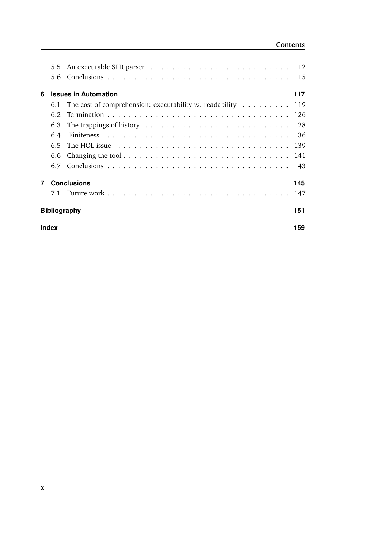#### **Contents**

|                | $5.5^{\circ}$ |                                                                                      |     |
|----------------|---------------|--------------------------------------------------------------------------------------|-----|
|                | 5.6           |                                                                                      |     |
| 6              |               | <b>Issues in Automation</b>                                                          | 117 |
|                |               | 6.1 The cost of comprehension: executability vs. readability $\dots \dots \dots$ 119 |     |
|                | 6.2           |                                                                                      |     |
|                | 6.3           |                                                                                      |     |
|                | 6.4           |                                                                                      |     |
|                | 6.5           |                                                                                      |     |
|                | 6.6           |                                                                                      |     |
|                |               |                                                                                      |     |
| $\overline{7}$ |               | <b>Conclusions</b>                                                                   | 145 |
|                |               |                                                                                      |     |
|                |               | <b>Bibliography</b>                                                                  | 151 |
|                | <b>Index</b>  |                                                                                      | 159 |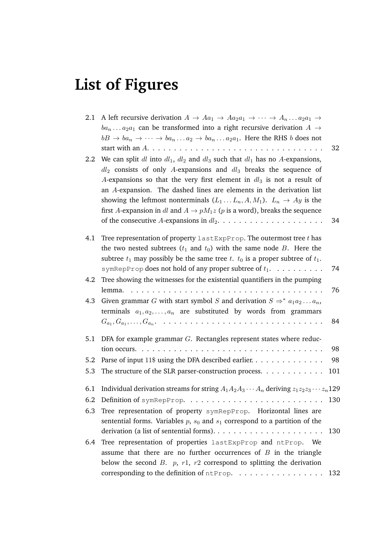# **List of Figures**

| 2.1<br>$2.2\phantom{0}$ | A left recursive derivation $A \to Aa_1 \to Aa_2a_1 \to \cdots \to A_n \dots a_2a_1 \to$<br>$ba_n \dots a_2 a_1$ can be transformed into a right recursive derivation $A \rightarrow$<br>$bB \rightarrow ba_n \rightarrow \cdots \rightarrow ba_n \dots a_2 \rightarrow ba_n \dots a_2 a_1$ . Here the RHS <i>b</i> does not<br>We can split dl into $dl_1$ , $dl_2$ and $dl_3$ such that $dl_1$ has no A-expansions,<br>$dl_2$ consists of only A-expansions and $dl_3$ breaks the sequence of<br>A-expansions so that the very first element in $dl_3$ is not a result of<br>an A-expansion. The dashed lines are elements in the derivation list<br>showing the leftmost nonterminals $(L_1 \dots L_n, A, M_1)$ . $L_n \rightarrow Ay$ is the<br>first A-expansion in dl and $A \rightarrow pM_1z$ (p is a word), breaks the sequence | 32<br>34 |
|-------------------------|------------------------------------------------------------------------------------------------------------------------------------------------------------------------------------------------------------------------------------------------------------------------------------------------------------------------------------------------------------------------------------------------------------------------------------------------------------------------------------------------------------------------------------------------------------------------------------------------------------------------------------------------------------------------------------------------------------------------------------------------------------------------------------------------------------------------------------------|----------|
| 4.1                     | Tree representation of property $l$ ast ExpProp. The outermost tree $t$ has<br>the two nested subtrees $(t_1$ and $t_0$ ) with the same node B. Here the<br>subtree $t_1$ may possibly be the same tree $t$ . $t_0$ is a proper subtree of $t_1$ .                                                                                                                                                                                                                                                                                                                                                                                                                                                                                                                                                                                       |          |
|                         | symRepProp does not hold of any proper subtree of $t_1$ .                                                                                                                                                                                                                                                                                                                                                                                                                                                                                                                                                                                                                                                                                                                                                                                | 74       |
| 4.2                     | Tree showing the witnesses for the existential quantifiers in the pumping                                                                                                                                                                                                                                                                                                                                                                                                                                                                                                                                                                                                                                                                                                                                                                | 76       |
|                         | 4.3 Given grammar G with start symbol S and derivation $S \Rightarrow^* a_1 a_2 \dots a_n$ ,<br>terminals $a_1, a_2, \ldots, a_n$ are substituted by words from grammars<br>$G_{a_1}, G_{a_1}, \ldots, G_{a_n}$ .                                                                                                                                                                                                                                                                                                                                                                                                                                                                                                                                                                                                                        | 84       |
|                         |                                                                                                                                                                                                                                                                                                                                                                                                                                                                                                                                                                                                                                                                                                                                                                                                                                          |          |
| 5.1                     | DFA for example grammar $G$ . Rectangles represent states where reduc-                                                                                                                                                                                                                                                                                                                                                                                                                                                                                                                                                                                                                                                                                                                                                                   |          |
|                         | tion occurs.<br>Parse of input 11\$ using the DFA described earlier.                                                                                                                                                                                                                                                                                                                                                                                                                                                                                                                                                                                                                                                                                                                                                                     | 98       |
| 5.2                     |                                                                                                                                                                                                                                                                                                                                                                                                                                                                                                                                                                                                                                                                                                                                                                                                                                          | 98       |
| 5.3                     | The structure of the SLR parser-construction process. $\dots \dots \dots \dots$                                                                                                                                                                                                                                                                                                                                                                                                                                                                                                                                                                                                                                                                                                                                                          | 101      |
| 6.1                     | Individual derivation streams for string $A_1A_2A_3\cdots A_n$ deriving $z_1z_2z_3\cdots z_n$ 129                                                                                                                                                                                                                                                                                                                                                                                                                                                                                                                                                                                                                                                                                                                                        |          |
| 6.2                     |                                                                                                                                                                                                                                                                                                                                                                                                                                                                                                                                                                                                                                                                                                                                                                                                                                          | 130      |
| 6.3                     | Tree representation of property symRepProp. Horizontal lines are                                                                                                                                                                                                                                                                                                                                                                                                                                                                                                                                                                                                                                                                                                                                                                         |          |
|                         | sentential forms. Variables $p$ , $s_0$ and $s_1$ correspond to a partition of the                                                                                                                                                                                                                                                                                                                                                                                                                                                                                                                                                                                                                                                                                                                                                       |          |
|                         |                                                                                                                                                                                                                                                                                                                                                                                                                                                                                                                                                                                                                                                                                                                                                                                                                                          | 130      |
| 6.4                     | Tree representation of properties lastExpProp and ntProp. We                                                                                                                                                                                                                                                                                                                                                                                                                                                                                                                                                                                                                                                                                                                                                                             |          |
|                         | assume that there are no further occurrences of $B$ in the triangle                                                                                                                                                                                                                                                                                                                                                                                                                                                                                                                                                                                                                                                                                                                                                                      |          |
|                         | below the second B. $p$ , $r1$ , $r2$ correspond to splitting the derivation                                                                                                                                                                                                                                                                                                                                                                                                                                                                                                                                                                                                                                                                                                                                                             |          |
|                         | corresponding to the definition of ntProp.                                                                                                                                                                                                                                                                                                                                                                                                                                                                                                                                                                                                                                                                                                                                                                                               | 132      |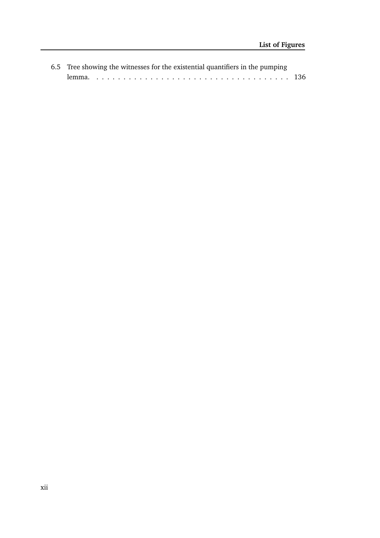| 6.5 Tree showing the witnesses for the existential quantifiers in the pumping |  |
|-------------------------------------------------------------------------------|--|
|                                                                               |  |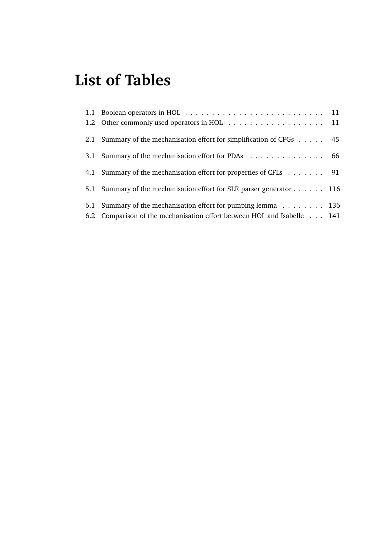# **List of Tables**

| 2.1 Summary of the mechanisation effort for simplification of CFGs 45   |  |
|-------------------------------------------------------------------------|--|
| 3.1 Summary of the mechanisation effort for PDAs 66                     |  |
| 4.1 Summary of the mechanisation effort for properties of CFLs 91       |  |
| 5.1 Summary of the mechanisation effort for SLR parser generator 116    |  |
| 6.1 Summary of the mechanisation effort for pumping lemma 136           |  |
| 6.2 Comparison of the mechanisation effort between HOL and Isabelle 141 |  |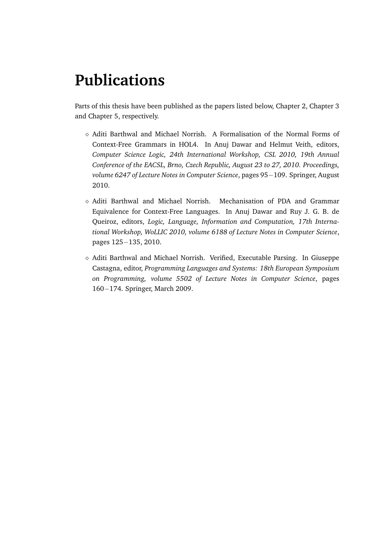# **Publications**

Parts of this thesis have been published as the papers listed below, Chapter 2, Chapter 3 and Chapter 5, respectively.

- ⋄ Aditi Barthwal and Michael Norrish. A Formalisation of the Normal Forms of Context-Free Grammars in HOL4. In Anuj Dawar and Helmut Veith, editors, *Computer Science Logic, 24th International Workshop, CSL 2010, 19th Annual Conference of the EACSL, Brno, Czech Republic, August 23 to 27, 2010. Proceedings, volume 6247 of Lecture Notes in Computer Science*, pages 95−109. Springer, August 2010.
- $\diamond$  Aditi Barthwal and Michael Norrish. Mechanisation of PDA and Grammar Equivalence for Context-Free Languages. In Anuj Dawar and Ruy J. G. B. de Queiroz, editors, *Logic, Language, Information and Computation, 17th International Workshop, WoLLIC 2010, volume 6188 of Lecture Notes in Computer Science*, pages 125−135, 2010.
- ⋄ Aditi Barthwal and Michael Norrish. Verified, Executable Parsing. In Giuseppe Castagna, editor, *Programming Languages and Systems: 18th European Symposium on Programming, volume 5502 of Lecture Notes in Computer Science*, pages 160−174. Springer, March 2009.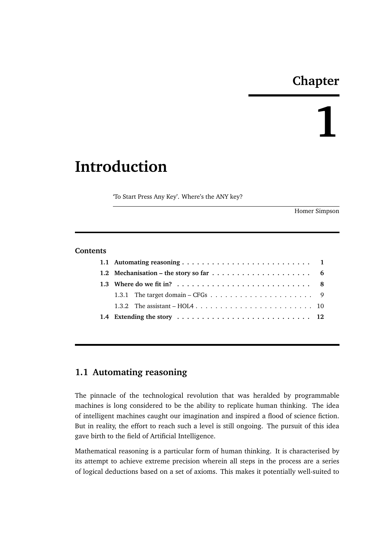## **Chapter**

**1**

# **Introduction**

'To Start Press Any Key'. Where's the ANY key?

Homer Simpson

#### **Contents**

#### **1.1 Automating reasoning**

The pinnacle of the technological revolution that was heralded by programmable machines is long considered to be the ability to replicate human thinking. The idea of intelligent machines caught our imagination and inspired a flood of science fiction. But in reality, the effort to reach such a level is still ongoing. The pursuit of this idea gave birth to the field of Artificial Intelligence.

Mathematical reasoning is a particular form of human thinking. It is characterised by its attempt to achieve extreme precision wherein all steps in the process are a series of logical deductions based on a set of axioms. This makes it potentially well-suited to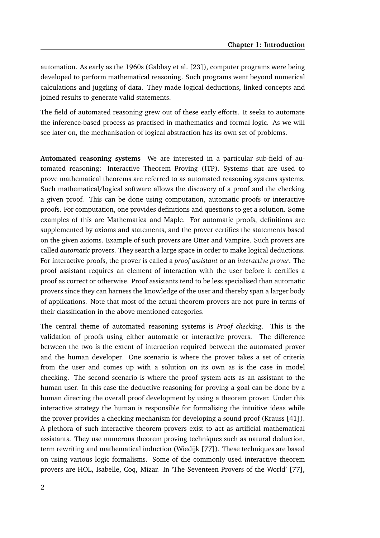automation. As early as the 1960s (Gabbay et al. [23]), computer programs were being developed to perform mathematical reasoning. Such programs went beyond numerical calculations and juggling of data. They made logical deductions, linked concepts and joined results to generate valid statements.

The field of automated reasoning grew out of these early efforts. It seeks to automate the inference-based process as practised in mathematics and formal logic. As we will see later on, the mechanisation of logical abstraction has its own set of problems.

**Automated reasoning systems** We are interested in a particular sub-field of automated reasoning: Interactive Theorem Proving (ITP). Systems that are used to prove mathematical theorems are referred to as automated reasoning systems systems. Such mathematical/logical software allows the discovery of a proof and the checking a given proof. This can be done using computation, automatic proofs or interactive proofs. For computation, one provides definitions and questions to get a solution. Some examples of this are Mathematica and Maple. For automatic proofs, definitions are supplemented by axioms and statements, and the prover certifies the statements based on the given axioms. Example of such provers are Otter and Vampire. Such provers are called *automatic* provers. They search a large space in order to make logical deductions. For interactive proofs, the prover is called a *proof assistant* or an *interactive prover*. The proof assistant requires an element of interaction with the user before it certifies a proof as correct or otherwise. Proof assistants tend to be less specialised than automatic provers since they can harness the knowledge of the user and thereby span a larger body of applications. Note that most of the actual theorem provers are not pure in terms of their classification in the above mentioned categories.

The central theme of automated reasoning systems is *Proof checking*. This is the validation of proofs using either automatic or interactive provers. The difference between the two is the extent of interaction required between the automated prover and the human developer. One scenario is where the prover takes a set of criteria from the user and comes up with a solution on its own as is the case in model checking. The second scenario is where the proof system acts as an assistant to the human user. In this case the deductive reasoning for proving a goal can be done by a human directing the overall proof development by using a theorem prover. Under this interactive strategy the human is responsible for formalising the intuitive ideas while the prover provides a checking mechanism for developing a sound proof (Krauss [41]). A plethora of such interactive theorem provers exist to act as artificial mathematical assistants. They use numerous theorem proving techniques such as natural deduction, term rewriting and mathematical induction (Wiedijk [77]). These techniques are based on using various logic formalisms. Some of the commonly used interactive theorem provers are HOL, Isabelle, Coq, Mizar. In 'The Seventeen Provers of the World' [77],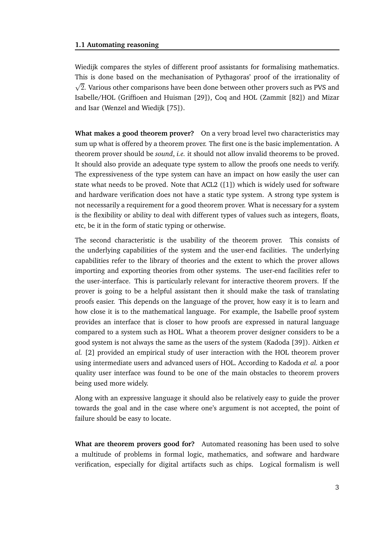#### **1.1 Automating reasoning**

Wiedijk compares the styles of different proof assistants for formalising mathematics. This is done based on the mechanisation of Pythagoras' proof of the irrationality of √ 2. Various other comparisons have been done between other provers such as PVS and Isabelle/HOL (Griffioen and Huisman [29]), Coq and HOL (Zammit [82]) and Mizar and Isar (Wenzel and Wiedijk [75]).

**What makes a good theorem prover?** On a very broad level two characteristics may sum up what is offered by a theorem prover. The first one is the basic implementation. A theorem prover should be *sound*, *i.e.* it should not allow invalid theorems to be proved. It should also provide an adequate type system to allow the proofs one needs to verify. The expressiveness of the type system can have an impact on how easily the user can state what needs to be proved. Note that ACL2 ([1]) which is widely used for software and hardware verification does not have a static type system. A strong type system is not necessarily a requirement for a good theorem prover. What is necessary for a system is the flexibility or ability to deal with different types of values such as integers, floats, etc, be it in the form of static typing or otherwise.

The second characteristic is the usability of the theorem prover. This consists of the underlying capabilities of the system and the user-end facilities. The underlying capabilities refer to the library of theories and the extent to which the prover allows importing and exporting theories from other systems. The user-end facilities refer to the user-interface. This is particularly relevant for interactive theorem provers. If the prover is going to be a helpful assistant then it should make the task of translating proofs easier. This depends on the language of the prover, how easy it is to learn and how close it is to the mathematical language. For example, the Isabelle proof system provides an interface that is closer to how proofs are expressed in natural language compared to a system such as HOL. What a theorem prover designer considers to be a good system is not always the same as the users of the system (Kadoda [39]). Aitken *et al.* [2] provided an empirical study of user interaction with the HOL theorem prover using intermediate users and advanced users of HOL. According to Kadoda *et al.* a poor quality user interface was found to be one of the main obstacles to theorem provers being used more widely.

Along with an expressive language it should also be relatively easy to guide the prover towards the goal and in the case where one's argument is not accepted, the point of failure should be easy to locate.

**What are theorem provers good for?** Automated reasoning has been used to solve a multitude of problems in formal logic, mathematics, and software and hardware verification, especially for digital artifacts such as chips. Logical formalism is well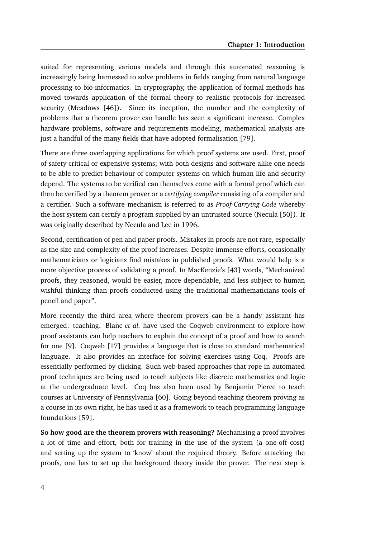suited for representing various models and through this automated reasoning is increasingly being harnessed to solve problems in fields ranging from natural language processing to bio-informatics. In cryptography, the application of formal methods has moved towards application of the formal theory to realistic protocols for increased security (Meadows [46]). Since its inception, the number and the complexity of problems that a theorem prover can handle has seen a significant increase. Complex hardware problems, software and requirements modeling, mathematical analysis are just a handful of the many fields that have adopted formalisation [79].

There are three overlapping applications for which proof systems are used. First, proof of safety critical or expensive systems; with both designs and software alike one needs to be able to predict behaviour of computer systems on which human life and security depend. The systems to be verified can themselves come with a formal proof which can then be verified by a theorem prover or a *certifying compiler* consisting of a compiler and a certifier. Such a software mechanism is referred to as *Proof-Carrying Code* whereby the host system can certify a program supplied by an untrusted source (Necula [50]). It was originally described by Necula and Lee in 1996.

Second, certification of pen and paper proofs. Mistakes in proofs are not rare, especially as the size and complexity of the proof increases. Despite immense efforts, occasionally mathematicians or logicians find mistakes in published proofs. What would help is a more objective process of validating a proof. In MacKenzie's [43] words, "Mechanized proofs, they reasoned, would be easier, more dependable, and less subject to human wishful thinking than proofs conducted using the traditional mathematicians tools of pencil and paper".

More recently the third area where theorem provers can be a handy assistant has emerged: teaching. Blanc *et al.* have used the Coqweb environment to explore how proof assistants can help teachers to explain the concept of a proof and how to search for one [9]. Coqweb [17] provides a language that is close to standard mathematical language. It also provides an interface for solving exercises using Coq. Proofs are essentially performed by clicking. Such web-based approaches that rope in automated proof techniques are being used to teach subjects like discrete mathematics and logic at the undergraduate level. Coq has also been used by Benjamin Pierce to teach courses at University of Pennsylvania [60]. Going beyond teaching theorem proving as a course in its own right, he has used it as a framework to teach programming language foundations [59].

**So how good are the theorem provers with reasoning?** Mechanising a proof involves a lot of time and effort, both for training in the use of the system (a one-off cost) and setting up the system to 'know' about the required theory. Before attacking the proofs, one has to set up the background theory inside the prover. The next step is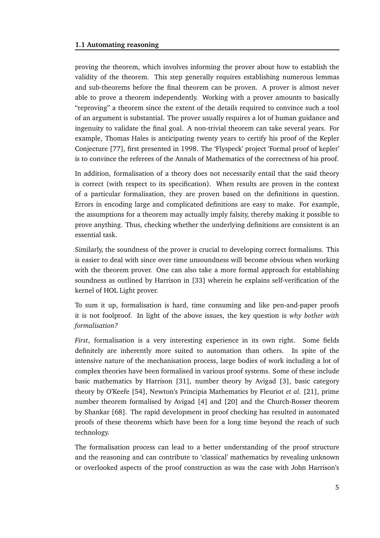proving the theorem, which involves informing the prover about how to establish the validity of the theorem. This step generally requires establishing numerous lemmas and sub-theorems before the final theorem can be proven. A prover is almost never able to prove a theorem independently. Working with a prover amounts to basically "reproving" a theorem since the extent of the details required to convince such a tool of an argument is substantial. The prover usually requires a lot of human guidance and ingenuity to validate the final goal. A non-trivial theorem can take several years. For example, Thomas Hales is anticipating twenty years to certify his proof of the Kepler Conjecture [77], first presented in 1998. The 'Flyspeck' project 'Formal proof of kepler' is to convince the referees of the Annals of Mathematics of the correctness of his proof.

In addition, formalisation of a theory does not necessarily entail that the said theory is correct (with respect to its specification). When results are proven in the context of a particular formalisation, they are proven based on the definitions in question. Errors in encoding large and complicated definitions are easy to make. For example, the assumptions for a theorem may actually imply falsity, thereby making it possible to prove anything. Thus, checking whether the underlying definitions are consistent is an essential task.

Similarly, the soundness of the prover is crucial to developing correct formalisms. This is easier to deal with since over time unsoundness will become obvious when working with the theorem prover. One can also take a more formal approach for establishing soundness as outlined by Harrison in [33] wherein he explains self-verification of the kernel of HOL Light prover.

To sum it up, formalisation is hard, time consuming and like pen-and-paper proofs it is not foolproof. In light of the above issues, the key question is *why bother with formalisation?*

*First*, formalisation is a very interesting experience in its own right. Some fields definitely are inherently more suited to automation than others. In spite of the intensive nature of the mechanisation process, large bodies of work including a lot of complex theories have been formalised in various proof systems. Some of these include basic mathematics by Harrison [31], number theory by Avigad [3], basic category theory by O'Keefe [54], Newton's Principia Mathematics by Fleuriot *et al.* [21], prime number theorem formalised by Avigad [4] and [20] and the Church-Rosser theorem by Shankar [68]. The rapid development in proof checking has resulted in automated proofs of these theorems which have been for a long time beyond the reach of such technology.

The formalisation process can lead to a better understanding of the proof structure and the reasoning and can contribute to 'classical' mathematics by revealing unknown or overlooked aspects of the proof construction as was the case with John Harrison's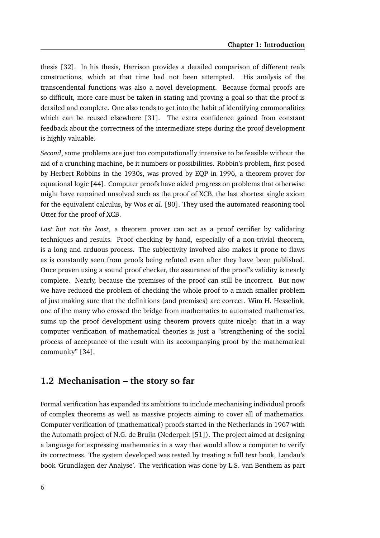thesis [32]. In his thesis, Harrison provides a detailed comparison of different reals constructions, which at that time had not been attempted. His analysis of the transcendental functions was also a novel development. Because formal proofs are so difficult, more care must be taken in stating and proving a goal so that the proof is detailed and complete. One also tends to get into the habit of identifying commonalities which can be reused elsewhere [31]. The extra confidence gained from constant feedback about the correctness of the intermediate steps during the proof development is highly valuable.

*Second*, some problems are just too computationally intensive to be feasible without the aid of a crunching machine, be it numbers or possibilities. Robbin's problem, first posed by Herbert Robbins in the 1930s, was proved by EQP in 1996, a theorem prover for equational logic [44]. Computer proofs have aided progress on problems that otherwise might have remained unsolved such as the proof of XCB, the last shortest single axiom for the equivalent calculus, by Wos *et al.* [80]. They used the automated reasoning tool Otter for the proof of XCB.

*Last but not the least*, a theorem prover can act as a proof certifier by validating techniques and results. Proof checking by hand, especially of a non-trivial theorem, is a long and arduous process. The subjectivity involved also makes it prone to flaws as is constantly seen from proofs being refuted even after they have been published. Once proven using a sound proof checker, the assurance of the proof's validity is nearly complete. Nearly, because the premises of the proof can still be incorrect. But now we have reduced the problem of checking the whole proof to a much smaller problem of just making sure that the definitions (and premises) are correct. Wim H. Hesselink, one of the many who crossed the bridge from mathematics to automated mathematics, sums up the proof development using theorem provers quite nicely: that in a way computer verification of mathematical theories is just a "strengthening of the social process of acceptance of the result with its accompanying proof by the mathematical community" [34].

#### **1.2 Mechanisation – the story so far**

Formal verification has expanded its ambitions to include mechanising individual proofs of complex theorems as well as massive projects aiming to cover all of mathematics. Computer verification of (mathematical) proofs started in the Netherlands in 1967 with the Automath project of N.G. de Bruijn (Nederpelt [51]). The project aimed at designing a language for expressing mathematics in a way that would allow a computer to verify its correctness. The system developed was tested by treating a full text book, Landau's book 'Grundlagen der Analyse'. The verification was done by L.S. van Benthem as part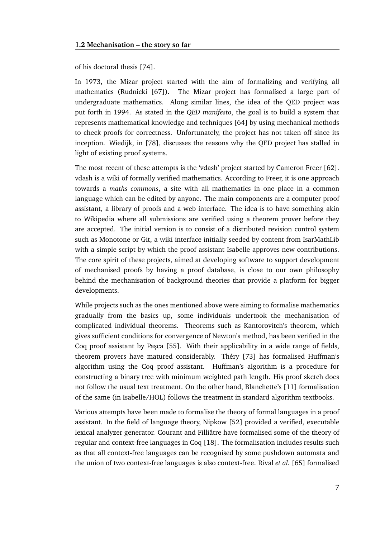of his doctoral thesis [74].

In 1973, the Mizar project started with the aim of formalizing and verifying all mathematics (Rudnicki [67]). The Mizar project has formalised a large part of undergraduate mathematics. Along similar lines, the idea of the QED project was put forth in 1994. As stated in the *QED manifesto*, the goal is to build a system that represents mathematical knowledge and techniques [64] by using mechanical methods to check proofs for correctness. Unfortunately, the project has not taken off since its inception. Wiedijk, in [78], discusses the reasons why the QED project has stalled in light of existing proof systems.

The most recent of these attempts is the 'vdash' project started by Cameron Freer [62]. vdash is a wiki of formally verified mathematics. According to Freer, it is one approach towards a *maths commons*, a site with all mathematics in one place in a common language which can be edited by anyone. The main components are a computer proof assistant, a library of proofs and a web interface. The idea is to have something akin to Wikipedia where all submissions are verified using a theorem prover before they are accepted. The initial version is to consist of a distributed revision control system such as Monotone or Git, a wiki interface initially seeded by content from IsarMathLib with a simple script by which the proof assistant Isabelle approves new contributions. The core spirit of these projects, aimed at developing software to support development of mechanised proofs by having a proof database, is close to our own philosophy behind the mechanisation of background theories that provide a platform for bigger developments.

While projects such as the ones mentioned above were aiming to formalise mathematics gradually from the basics up, some individuals undertook the mechanisation of complicated individual theorems. Theorems such as Kantorovitch's theorem, which gives sufficient conditions for convergence of Newton's method, has been verified in the Coq proof assistant by Pasca [55]. With their applicability in a wide range of fields, theorem provers have matured considerably. Théry [73] has formalised Huffman's algorithm using the Coq proof assistant. Huffman's algorithm is a procedure for constructing a binary tree with minimum weighted path length. His proof sketch does not follow the usual text treatment. On the other hand, Blanchette's [11] formalisation of the same (in Isabelle/HOL) follows the treatment in standard algorithm textbooks.

Various attempts have been made to formalise the theory of formal languages in a proof assistant. In the field of language theory, Nipkow [52] provided a verified, executable lexical analyzer generator. Courant and Filliâtre have formalised some of the theory of regular and context-free languages in Coq [18]. The formalisation includes results such as that all context-free languages can be recognised by some pushdown automata and the union of two context-free languages is also context-free. Rival *et al.* [65] formalised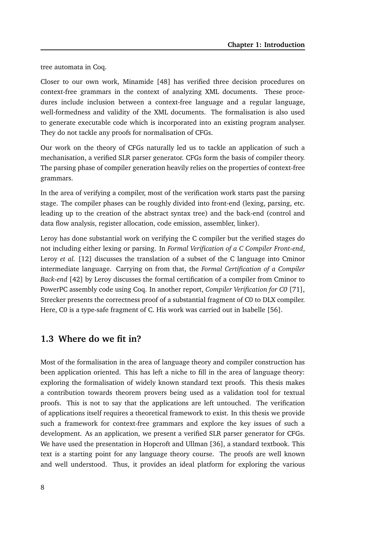tree automata in Coq.

Closer to our own work, Minamide [48] has verified three decision procedures on context-free grammars in the context of analyzing XML documents. These procedures include inclusion between a context-free language and a regular language, well-formedness and validity of the XML documents. The formalisation is also used to generate executable code which is incorporated into an existing program analyser. They do not tackle any proofs for normalisation of CFGs.

Our work on the theory of CFGs naturally led us to tackle an application of such a mechanisation, a verified SLR parser generator. CFGs form the basis of compiler theory. The parsing phase of compiler generation heavily relies on the properties of context-free grammars.

In the area of verifying a compiler, most of the verification work starts past the parsing stage. The compiler phases can be roughly divided into front-end (lexing, parsing, etc. leading up to the creation of the abstract syntax tree) and the back-end (control and data flow analysis, register allocation, code emission, assembler, linker).

Leroy has done substantial work on verifying the C compiler but the verified stages do not including either lexing or parsing. In *Formal Verification of a C Compiler Front-end*, Leroy *et al.* [12] discusses the translation of a subset of the C language into Cminor intermediate language. Carrying on from that, the *Formal Certification of a Compiler Back-end* [42] by Leroy discusses the formal certification of a compiler from Cminor to PowerPC assembly code using Coq. In another report, *Compiler Verification for C0* [71], Strecker presents the correctness proof of a substantial fragment of C0 to DLX compiler. Here, C0 is a type-safe fragment of C. His work was carried out in Isabelle [56].

#### **1.3 Where do we fit in?**

Most of the formalisation in the area of language theory and compiler construction has been application oriented. This has left a niche to fill in the area of language theory: exploring the formalisation of widely known standard text proofs. This thesis makes a contribution towards theorem provers being used as a validation tool for textual proofs. This is not to say that the applications are left untouched. The verification of applications itself requires a theoretical framework to exist. In this thesis we provide such a framework for context-free grammars and explore the key issues of such a development. As an application, we present a verified SLR parser generator for CFGs. We have used the presentation in Hopcroft and Ullman [36], a standard textbook. This text is a starting point for any language theory course. The proofs are well known and well understood. Thus, it provides an ideal platform for exploring the various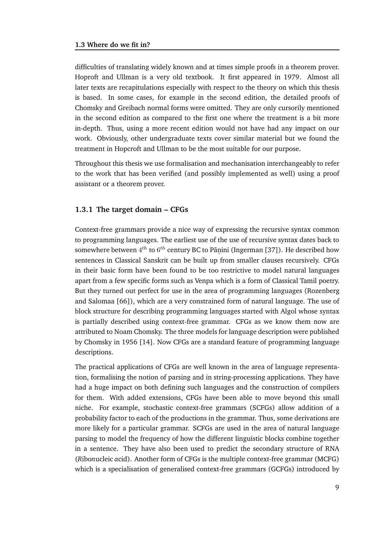difficulties of translating widely known and at times simple proofs in a theorem prover. Hoproft and Ullman is a very old textbook. It first appeared in 1979. Almost all later texts are recapitulations especially with respect to the theory on which this thesis is based. In some cases, for example in the second edition, the detailed proofs of Chomsky and Greibach normal forms were omitted. They are only cursorily mentioned in the second edition as compared to the first one where the treatment is a bit more in-depth. Thus, using a more recent edition would not have had any impact on our work. Obviously, other undergraduate texts cover similar material but we found the treatment in Hopcroft and Ullman to be the most suitable for our purpose.

Throughout this thesis we use formalisation and mechanisation interchangeably to refer to the work that has been verified (and possibly implemented as well) using a proof assistant or a theorem prover.

#### **1.3.1 The target domain – CFGs**

Context-free grammars provide a nice way of expressing the recursive syntax common to programming languages. The earliest use of the use of recursive syntax dates back to somewhere between  $4^{th}$  to  $6^{th}$  century BC to Pãṇini (Ingerman [37]). He described how sentences in Classical Sanskrit can be built up from smaller clauses recursively. CFGs in their basic form have been found to be too restrictive to model natural languages apart from a few specific forms such as Venpa which is a form of Classical Tamil poetry. But they turned out perfect for use in the area of programming languages (Rozenberg and Salomaa [66]), which are a very constrained form of natural language. The use of block structure for describing programming languages started with Algol whose syntax is partially described using context-free grammar. CFGs as we know them now are attributed to Noam Chomsky. The three models for language description were published by Chomsky in 1956 [14]. Now CFGs are a standard feature of programming language descriptions.

The practical applications of CFGs are well known in the area of language representation, formalising the notion of parsing and in string-processing applications. They have had a huge impact on both defining such languages and the construction of compilers for them. With added extensions, CFGs have been able to move beyond this small niche. For example, stochastic context-free grammars (SCFGs) allow addition of a probability factor to each of the productions in the grammar. Thus, some derivations are more likely for a particular grammar. SCFGs are used in the area of natural language parsing to model the frequency of how the different linguistic blocks combine together in a sentence. They have also been used to predict the secondary structure of RNA (*R*ibo*n*ucleic *a*cid). Another form of CFGs is the multiple context-free grammar (MCFG) which is a specialisation of generalised context-free grammars (GCFGs) introduced by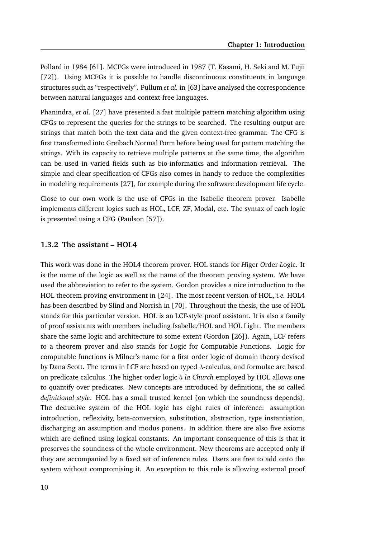Pollard in 1984 [61]. MCFGs were introduced in 1987 (T. Kasami, H. Seki and M. Fujii [72]). Using MCFGs it is possible to handle discontinuous constituents in language structures such as "respectively". Pullum *et al.* in [63] have analysed the correspondence between natural languages and context-free languages.

Phanindra, *et al.* [27] have presented a fast multiple pattern matching algorithm using CFGs to represent the queries for the strings to be searched. The resulting output are strings that match both the text data and the given context-free grammar. The CFG is first transformed into Greibach Normal Form before being used for pattern matching the strings. With its capacity to retrieve multiple patterns at the same time, the algorithm can be used in varied fields such as bio-informatics and information retrieval. The simple and clear specification of CFGs also comes in handy to reduce the complexities in modeling requirements [27], for example during the software development life cycle.

Close to our own work is the use of CFGs in the Isabelle theorem prover. Isabelle implements different logics such as HOL, LCF, ZF, Modal, etc. The syntax of each logic is presented using a CFG (Paulson [57]).

#### **1.3.2 The assistant – HOL4**

This work was done in the HOL4 theorem prover. HOL stands for *H*iger *O*rder *L*ogic. It is the name of the logic as well as the name of the theorem proving system. We have used the abbreviation to refer to the system. Gordon provides a nice introduction to the HOL theorem proving environment in [24]. The most recent version of HOL, *i.e.* HOL4 has been described by Slind and Norrish in [70]. Throughout the thesis, the use of HOL stands for this particular version. HOL is an LCF-style proof assistant. It is also a family of proof assistants with members including Isabelle/HOL and HOL Light. The members share the same logic and architecture to some extent (Gordon [26]). Again, LCF refers to a theorem prover and also stands for *L*ogic for *C*omputable *F*unctions. Logic for computable functions is Milner's name for a first order logic of domain theory devised by Dana Scott. The terms in LCF are based on typed  $\lambda$ -calculus, and formulae are based on predicate calculus. The higher order logic à *la Church* employed by HOL allows one to quantify over predicates. New concepts are introduced by definitions, the so called *definitional style*. HOL has a small trusted kernel (on which the soundness depends). The deductive system of the HOL logic has eight rules of inference: assumption introduction, reflexivity, beta-conversion, substitution, abstraction, type instantiation, discharging an assumption and modus ponens. In addition there are also five axioms which are defined using logical constants. An important consequence of this is that it preserves the soundness of the whole environment. New theorems are accepted only if they are accompanied by a fixed set of inference rules. Users are free to add onto the system without compromising it. An exception to this rule is allowing external proof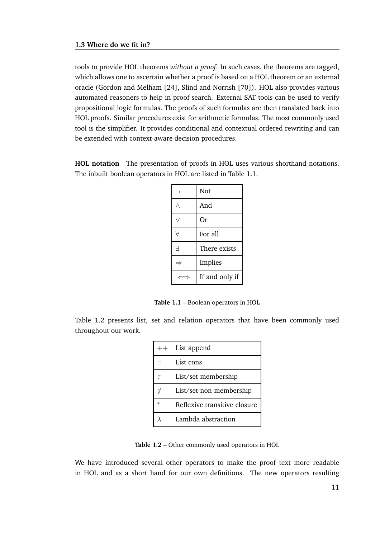tools to provide HOL theorems *without a proof*. In such cases, the theorems are tagged, which allows one to ascertain whether a proof is based on a HOL theorem or an external oracle (Gordon and Melham [24], Slind and Norrish [70]). HOL also provides various automated reasoners to help in proof search. External SAT tools can be used to verify propositional logic formulas. The proofs of such formulas are then translated back into HOL proofs. Similar procedures exist for arithmetic formulas. The most commonly used tool is the simplifier. It provides conditional and contextual ordered rewriting and can be extended with context-aware decision procedures.

**HOL notation** The presentation of proofs in HOL uses various shorthand notations. The inbuilt boolean operators in HOL are listed in Table 1.1.

|   | Not            |
|---|----------------|
|   | And            |
|   | Or             |
|   | For all        |
| 극 | There exists   |
|   | Implies        |
|   | If and only if |

**Table 1.1** – Boolean operators in HOL

Table 1.2 presents list, set and relation operators that have been commonly used throughout our work.

| $++$   | List append                  |
|--------|------------------------------|
|        | List cons                    |
| $\in$  | List/set membership          |
| ∉      | List/set non-membership      |
| $\ast$ | Reflexive transitive closure |
|        | Lambda abstraction           |

**Table 1.2** – Other commonly used operators in HOL

We have introduced several other operators to make the proof text more readable in HOL and as a short hand for our own definitions. The new operators resulting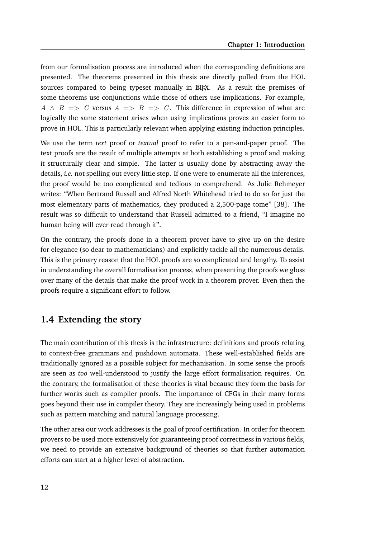from our formalisation process are introduced when the corresponding definitions are presented. The theorems presented in this thesis are directly pulled from the HOL sources compared to being typeset manually in  $\mathbb{F} F F X$ . As a result the premises of some theorems use conjunctions while those of others use implications. For example,  $A \wedge B \implies C$  versus  $A \implies B \implies C$ . This difference in expression of what are logically the same statement arises when using implications proves an easier form to prove in HOL. This is particularly relevant when applying existing induction principles.

We use the term *text* proof or *textual* proof to refer to a pen-and-paper proof. The text proofs are the result of multiple attempts at both establishing a proof and making it structurally clear and simple. The latter is usually done by abstracting away the details, *i.e.* not spelling out every little step. If one were to enumerate all the inferences, the proof would be too complicated and tedious to comprehend. As Julie Rehmeyer writes: "When Bertrand Russell and Alfred North Whitehead tried to do so for just the most elementary parts of mathematics, they produced a 2,500-page tome" [38]. The result was so difficult to understand that Russell admitted to a friend, "I imagine no human being will ever read through it".

On the contrary, the proofs done in a theorem prover have to give up on the desire for elegance (so dear to mathematicians) and explicitly tackle all the numerous details. This is the primary reason that the HOL proofs are so complicated and lengthy. To assist in understanding the overall formalisation process, when presenting the proofs we gloss over many of the details that make the proof work in a theorem prover. Even then the proofs require a significant effort to follow.

#### **1.4 Extending the story**

The main contribution of this thesis is the infrastructure: definitions and proofs relating to context-free grammars and pushdown automata. These well-established fields are traditionally ignored as a possible subject for mechanisation. In some sense the proofs are seen as *too* well-understood to justify the large effort formalisation requires. On the contrary, the formalisation of these theories is vital because they form the basis for further works such as compiler proofs. The importance of CFGs in their many forms goes beyond their use in compiler theory. They are increasingly being used in problems such as pattern matching and natural language processing.

The other area our work addresses is the goal of proof certification. In order for theorem provers to be used more extensively for guaranteeing proof correctness in various fields, we need to provide an extensive background of theories so that further automation efforts can start at a higher level of abstraction.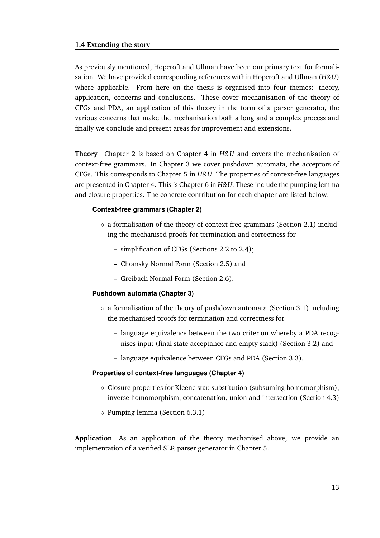As previously mentioned, Hopcroft and Ullman have been our primary text for formalisation. We have provided corresponding references within Hopcroft and Ullman (*H&U*) where applicable. From here on the thesis is organised into four themes: theory, application, concerns and conclusions. These cover mechanisation of the theory of CFGs and PDA, an application of this theory in the form of a parser generator, the various concerns that make the mechanisation both a long and a complex process and finally we conclude and present areas for improvement and extensions.

**Theory** Chapter 2 is based on Chapter 4 in *H&U* and covers the mechanisation of context-free grammars. In Chapter 3 we cover pushdown automata, the acceptors of CFGs. This corresponds to Chapter 5 in *H&U*. The properties of context-free languages are presented in Chapter 4. This is Chapter 6 in *H&U*. These include the pumping lemma and closure properties. The concrete contribution for each chapter are listed below.

#### **Context-free grammars (Chapter 2)**

- $\Diamond$  a formalisation of the theory of context-free grammars (Section 2.1) including the mechanised proofs for termination and correctness for
	- **–** simplification of CFGs (Sections 2.2 to 2.4);
	- **–** Chomsky Normal Form (Section 2.5) and
	- **–** Greibach Normal Form (Section 2.6).

#### **Pushdown automata (Chapter 3)**

- $\Diamond$  a formalisation of the theory of pushdown automata (Section 3.1) including the mechanised proofs for termination and correctness for
	- **–** language equivalence between the two criterion whereby a PDA recognises input (final state acceptance and empty stack) (Section 3.2) and
	- **–** language equivalence between CFGs and PDA (Section 3.3).

#### **Properties of context-free languages (Chapter 4)**

- $\Diamond$  Closure properties for Kleene star, substitution (subsuming homomorphism), inverse homomorphism, concatenation, union and intersection (Section 4.3)
- ⋄ Pumping lemma (Section 6.3.1)

**Application** As an application of the theory mechanised above, we provide an implementation of a verified SLR parser generator in Chapter 5.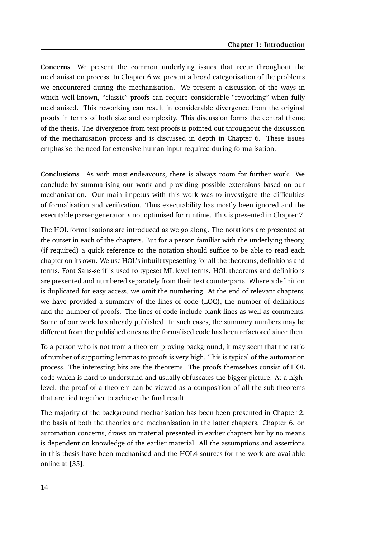**Concerns** We present the common underlying issues that recur throughout the mechanisation process. In Chapter 6 we present a broad categorisation of the problems we encountered during the mechanisation. We present a discussion of the ways in which well-known, "classic" proofs can require considerable "reworking" when fully mechanised. This reworking can result in considerable divergence from the original proofs in terms of both size and complexity. This discussion forms the central theme of the thesis. The divergence from text proofs is pointed out throughout the discussion of the mechanisation process and is discussed in depth in Chapter 6. These issues emphasise the need for extensive human input required during formalisation.

**Conclusions** As with most endeavours, there is always room for further work. We conclude by summarising our work and providing possible extensions based on our mechanisation. Our main impetus with this work was to investigate the difficulties of formalisation and verification. Thus executability has mostly been ignored and the executable parser generator is not optimised for runtime. This is presented in Chapter 7.

The HOL formalisations are introduced as we go along. The notations are presented at the outset in each of the chapters. But for a person familiar with the underlying theory, (if required) a quick reference to the notation should suffice to be able to read each chapter on its own. We use HOL's inbuilt typesetting for all the theorems, definitions and terms. Font Sans-serif is used to typeset ML level terms. HOL theorems and definitions are presented and numbered separately from their text counterparts. Where a definition is duplicated for easy access, we omit the numbering. At the end of relevant chapters, we have provided a summary of the lines of code (LOC), the number of definitions and the number of proofs. The lines of code include blank lines as well as comments. Some of our work has already published. In such cases, the summary numbers may be different from the published ones as the formalised code has been refactored since then.

To a person who is not from a theorem proving background, it may seem that the ratio of number of supporting lemmas to proofs is very high. This is typical of the automation process. The interesting bits are the theorems. The proofs themselves consist of HOL code which is hard to understand and usually obfuscates the bigger picture. At a highlevel, the proof of a theorem can be viewed as a composition of all the sub-theorems that are tied together to achieve the final result.

The majority of the background mechanisation has been been presented in Chapter 2, the basis of both the theories and mechanisation in the latter chapters. Chapter 6, on automation concerns, draws on material presented in earlier chapters but by no means is dependent on knowledge of the earlier material. All the assumptions and assertions in this thesis have been mechanised and the HOL4 sources for the work are available online at [35].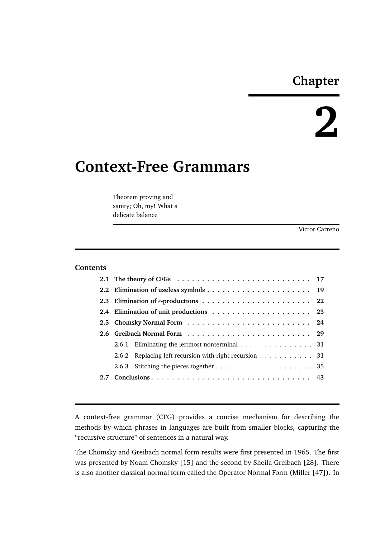## **Chapter**

# **2**

# **Context-Free Grammars**

Theorem proving and sanity; Oh, my! What a delicate balance

Victor Carreno

#### **Contents**

| 2.6.1 Eliminating the leftmost nonterminal $\ldots \ldots \ldots \ldots \ldots$ 31 |
|------------------------------------------------------------------------------------|
| 2.6.2 Replacing left recursion with right recursion 31                             |
|                                                                                    |
|                                                                                    |
|                                                                                    |

A context-free grammar (CFG) provides a concise mechanism for describing the methods by which phrases in languages are built from smaller blocks, capturing the "recursive structure" of sentences in a natural way.

The Chomsky and Greibach normal form results were first presented in 1965. The first was presented by Noam Chomsky [15] and the second by Sheila Greibach [28]. There is also another classical normal form called the Operator Normal Form (Miller [47]). In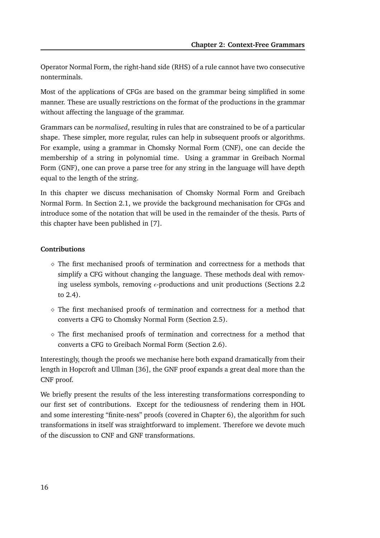Operator Normal Form, the right-hand side (RHS) of a rule cannot have two consecutive nonterminals.

Most of the applications of CFGs are based on the grammar being simplified in some manner. These are usually restrictions on the format of the productions in the grammar without affecting the language of the grammar.

Grammars can be *normalised*, resulting in rules that are constrained to be of a particular shape. These simpler, more regular, rules can help in subsequent proofs or algorithms. For example, using a grammar in Chomsky Normal Form (CNF), one can decide the membership of a string in polynomial time. Using a grammar in Greibach Normal Form (GNF), one can prove a parse tree for any string in the language will have depth equal to the length of the string.

In this chapter we discuss mechanisation of Chomsky Normal Form and Greibach Normal Form. In Section 2.1, we provide the background mechanisation for CFGs and introduce some of the notation that will be used in the remainder of the thesis. Parts of this chapter have been published in [7].

#### **Contributions**

- $\diamond$  The first mechanised proofs of termination and correctness for a methods that simplify a CFG without changing the language. These methods deal with removing useless symbols, removing  $\epsilon$ -productions and unit productions (Sections 2.2) to 2.4).
- $\diamond$  The first mechanised proofs of termination and correctness for a method that converts a CFG to Chomsky Normal Form (Section 2.5).
- ⋄ The first mechanised proofs of termination and correctness for a method that converts a CFG to Greibach Normal Form (Section 2.6).

Interestingly, though the proofs we mechanise here both expand dramatically from their length in Hopcroft and Ullman [36], the GNF proof expands a great deal more than the CNF proof.

We briefly present the results of the less interesting transformations corresponding to our first set of contributions. Except for the tediousness of rendering them in HOL and some interesting "finite-ness" proofs (covered in Chapter 6), the algorithm for such transformations in itself was straightforward to implement. Therefore we devote much of the discussion to CNF and GNF transformations.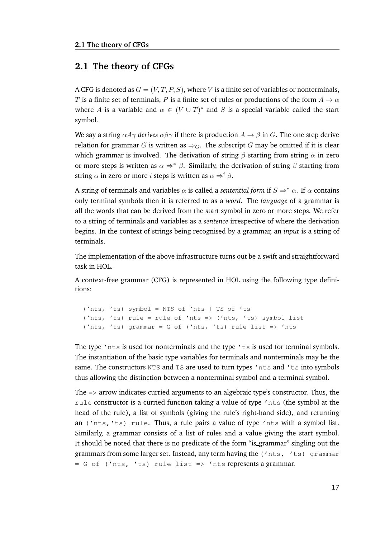#### **2.1 The theory of CFGs**

A CFG is denoted as  $G = (V, T, P, S)$ , where V is a finite set of variables or nonterminals, T is a finite set of terminals, P is a finite set of rules or productions of the form  $A \to \alpha$ where A is a variable and  $\alpha \in (V \cup T)^*$  and S is a special variable called the start symbol.

We say a string  $\alpha A\gamma$  *derives*  $\alpha\beta\gamma$  if there is production  $A \rightarrow \beta$  in G. The one step derive relation for grammar G is written as  $\Rightarrow_G$ . The subscript G may be omitted if it is clear which grammar is involved. The derivation of string  $\beta$  starting from string  $\alpha$  in zero or more steps is written as  $\alpha \Rightarrow^* \beta$ . Similarly, the derivation of string  $\beta$  starting from string  $\alpha$  in zero or more *i* steps is written as  $\alpha \Rightarrow^{i} \beta$ .

A string of terminals and variables  $\alpha$  is called a *sentential form* if  $S \Rightarrow^* \alpha$ . If  $\alpha$  contains only terminal symbols then it is referred to as a *word*. The *language* of a grammar is all the words that can be derived from the start symbol in zero or more steps. We refer to a string of terminals and variables as a *sentence* irrespective of where the derivation begins. In the context of strings being recognised by a grammar, an *input* is a string of terminals.

The implementation of the above infrastructure turns out be a swift and straightforward task in HOL.

A context-free grammar (CFG) is represented in HOL using the following type definitions:

```
('nts, 'ts) symbol = NTS of 'nts | TS of 'ts
('nts, 'ts) rule = rule of 'nts => ('nts, 'ts) symbol list
('nts, 'ts) grammar = G of ('nts, 'ts) rule list => 'nts
```
The type  $'$ nts is used for nonterminals and the type  $'$ ts is used for terminal symbols. The instantiation of the basic type variables for terminals and nonterminals may be the same. The constructors NTS and TS are used to turn types 'nts and 'ts into symbols thus allowing the distinction between a nonterminal symbol and a terminal symbol.

The => arrow indicates curried arguments to an algebraic type's constructor. Thus, the rule constructor is a curried function taking a value of type 'nts (the symbol at the head of the rule), a list of symbols (giving the rule's right-hand side), and returning an ('nts,'ts) rule. Thus, a rule pairs a value of type 'nts with a symbol list. Similarly, a grammar consists of a list of rules and a value giving the start symbol. It should be noted that there is no predicate of the form "is grammar" singling out the grammars from some larger set. Instead, any term having the ('nts, 'ts) grammar  $= G \circ f$  ('nts, 'ts) rule list  $\Rightarrow$  'nts represents a grammar.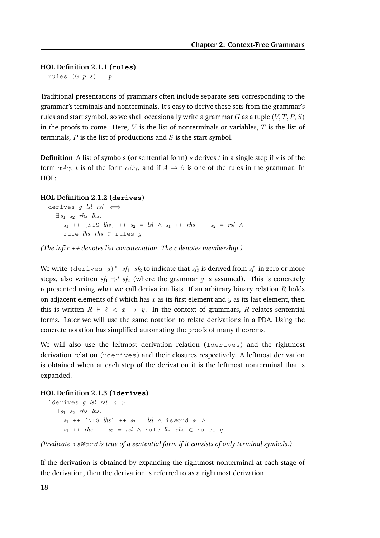**HOL Definition 2.1.1 (rules)**

rules (G  $p s$ ) =  $p$ 

Traditional presentations of grammars often include separate sets corresponding to the grammar's terminals and nonterminals. It's easy to derive these sets from the grammar's rules and start symbol, so we shall occasionally write a grammar  $G$  as a tuple  $(V, T, P, S)$ in the proofs to come. Here,  $V$  is the list of nonterminals or variables,  $T$  is the list of terminals,  $P$  is the list of productions and  $S$  is the start symbol.

**Definition** A list of symbols (or sentential form) s derives t in a single step if s is of the form  $\alpha A\gamma$ , t is of the form  $\alpha\beta\gamma$ , and if  $A \to \beta$  is one of the rules in the grammar. In HOL:

#### **HOL Definition 2.1.2 (derives)**

```
derives g lsl rsl \iff\exists s_1 \ s_2 \ \textit{rhs} \ \textit{lls}.s_1 ++ [NTS lhs] ++ s_2 = lsl \wedge s_1 ++ rhs ++ s_2 = rsl \wedgerule \textit{lns} rhs \in rules g
```
*(The infix ++ denotes list concatenation. The*  $\epsilon$  *denotes membership.)* 

We write (derives  $g)$   $*$   $sf_1$   $sf_2$  to indicate that  $sf_2$  is derived from  $sf_1$  in zero or more steps, also written  $sf_1 \Rightarrow * sf_2$  (where the grammar g is assumed). This is concretely represented using what we call derivation lists. If an arbitrary binary relation  $R$  holds on adjacent elements of  $\ell$  which has  $x$  as its first element and  $y$  as its last element, then this is written  $R \vdash \ell \prec x \rightarrow y$ . In the context of grammars, R relates sentential forms. Later we will use the same notation to relate derivations in a PDA. Using the concrete notation has simplified automating the proofs of many theorems.

We will also use the leftmost derivation relation (lderives) and the rightmost derivation relation (rderives) and their closures respectively. A leftmost derivation is obtained when at each step of the derivation it is the leftmost nonterminal that is expanded.

#### **HOL Definition 2.1.3 (lderives)**

lderives *q lsl*  $rsl \iff$  $\exists s_1 \ s_2 \ \textit{rhs} \ \textit{lls}.$  $s_1$  ++ [NTS  $lhs$ ] ++  $s_2$  =  $lsl$   $\wedge$  isWord  $s_1$   $\wedge$  $s_1$  ++  $rhs$  ++  $s_2$  =  $rsl$   $\land$  rule  $lhs$   $rhs$   $\in$  rules  $g$ 

*(Predicate* isWord *is true of a sentential form if it consists of only terminal symbols.)*

If the derivation is obtained by expanding the rightmost nonterminal at each stage of the derivation, then the derivation is referred to as a rightmost derivation.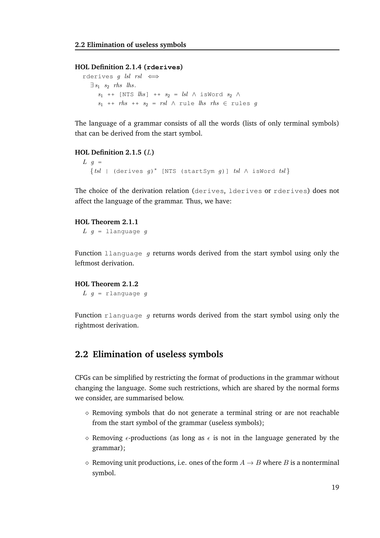#### **HOL Definition 2.1.4 (rderives)**

rderives g lsl rsl  $\iff$  $\exists s_1 \ s_2 \ \textit{rhs} \ \textit{lls}.$  $s_1$  ++ [NTS  $lhs$ ] ++  $s_2$  =  $\textit{lsl}$   $\wedge$  isWord  $s_2$   $\wedge$  $s_1$  ++ rhs ++  $s_2$  = rsl  $\land$  rule lhs rhs  $\in$  rules g

The language of a grammar consists of all the words (lists of only terminal symbols) that can be derived from the start symbol.

#### **HOL Definition 2.1.5 (**L**)**  $L$  g =  $\{tsl \mid (derives g)^* \text{ [NTS (startSym g)] }tsl \wedge isWord tsl\}$

The choice of the derivation relation (derives, lderives or rderives) does not affect the language of the grammar. Thus, we have:

#### **HOL Theorem 2.1.1**

 $L$   $g$  = llanguage  $g$ 

Function llanguage q returns words derived from the start symbol using only the leftmost derivation.

```
HOL Theorem 2.1.2
```
 $L$   $g$  = rlanguage  $g$ 

Function rlanguage q returns words derived from the start symbol using only the rightmost derivation.

#### **2.2 Elimination of useless symbols**

CFGs can be simplified by restricting the format of productions in the grammar without changing the language. Some such restrictions, which are shared by the normal forms we consider, are summarised below.

- $\diamond$  Removing symbols that do not generate a terminal string or are not reachable from the start symbol of the grammar (useless symbols);
- $\diamond$  Removing  $\epsilon$ -productions (as long as  $\epsilon$  is not in the language generated by the grammar);
- $\Diamond$  Removing unit productions, i.e. ones of the form  $A \rightarrow B$  where B is a nonterminal symbol.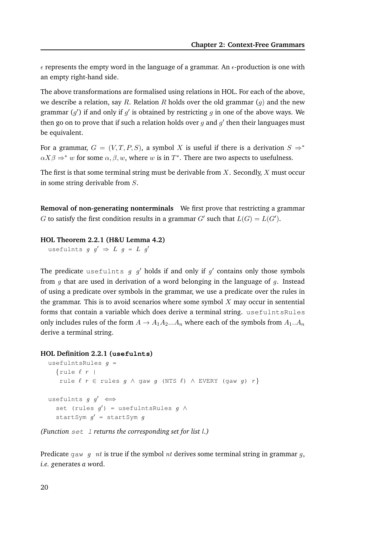$\epsilon$  represents the empty word in the language of a grammar. An  $\epsilon$ -production is one with an empty right-hand side.

The above transformations are formalised using relations in HOL. For each of the above, we describe a relation, say R. Relation R holds over the old grammar  $(q)$  and the new grammar  $(g')$  if and only if  $g'$  is obtained by restricting  $g$  in one of the above ways. We then go on to prove that if such a relation holds over  $g$  and  $g^\prime$  then their languages must be equivalent.

For a grammar,  $G = (V, T, P, S)$ , a symbol X is useful if there is a derivation  $S \Rightarrow^*$  $\alpha X\beta \Rightarrow^* w$  for some  $\alpha, \beta, w$ , where w is in  $T^*$ . There are two aspects to usefulness.

The first is that some terminal string must be derivable from  $X$ . Secondly,  $X$  must occur in some string derivable from S.

**Removal of non-generating nonterminals** We first prove that restricting a grammar G to satisfy the first condition results in a grammar G' such that  $L(G) = L(G')$ .

#### **HOL Theorem 2.2.1 (H&U Lemma 4.2)**

usefulnts  $g \, g' \Rightarrow L \, g = L \, g'$ 

The predicate usefulnts  $g \left| g' \right\rangle$  holds if and only if  $g'$  contains only those symbols from q that are used in derivation of a word belonging in the language of q. Instead of using a predicate over symbols in the grammar, we use a predicate over the rules in the grammar. This is to avoid scenarios where some symbol  $X$  may occur in sentential forms that contain a variable which does derive a terminal string. usefulntsRules only includes rules of the form  $A \to A_1 A_2 ... A_n$  where each of the symbols from  $A_1 ... A_n$ derive a terminal string.

#### **HOL Definition 2.2.1 (usefulnts)**

```
usefulntsRules q =\{rule \ l r \}rule \ell r \in rules g \wedge gaw g (NTS \ell) \wedge EVERY (gaw g) r}
usefulnts g \, g' \iffset (rules g') = usefulntsRules g \wedgestartSym g' = startSym g
```
*(Function* set l *returns the corresponding set for list* l*.)*

Predicate gaw q nt is true if the symbol nt derives some terminal string in grammar q, *i.e. g*enerates *a w*ord.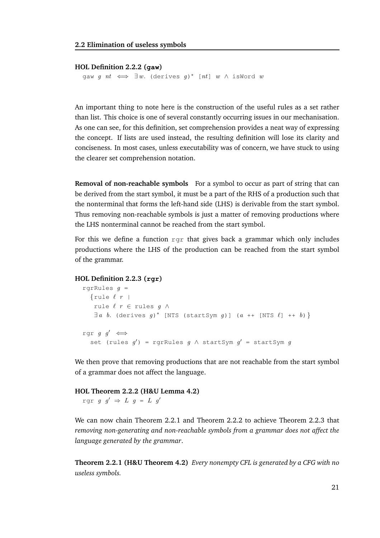#### **HOL Definition 2.2.2 (gaw)**

gaw  $g$   $nt \iff \exists w$ . (derives  $g)^*$  [ $nt$ ]  $w$   $\wedge$  isWord  $w$ 

An important thing to note here is the construction of the useful rules as a set rather than list. This choice is one of several constantly occurring issues in our mechanisation. As one can see, for this definition, set comprehension provides a neat way of expressing the concept. If lists are used instead, the resulting definition will lose its clarity and conciseness. In most cases, unless executability was of concern, we have stuck to using the clearer set comprehension notation.

**Removal of non-reachable symbols** For a symbol to occur as part of string that can be derived from the start symbol, it must be a part of the RHS of a production such that the nonterminal that forms the left-hand side (LHS) is derivable from the start symbol. Thus removing non-reachable symbols is just a matter of removing productions where the LHS nonterminal cannot be reached from the start symbol.

For this we define a function  $r \notin \mathcal{F}$  that gives back a grammar which only includes productions where the LHS of the production can be reached from the start symbol of the grammar.

#### **HOL Definition 2.2.3 (rgr)**

```
rgrRules g =\{rule \ l r \}rule \ell r ∈ rules g \wedge\exists a \ b. (derives g)<sup>*</sup> [NTS (startSym g)] (a ++ [NTS \ell] ++ b) }
rgr g g' \iffset (rules g') = rgrRules g \wedge startSym g' = startSym g
```
We then prove that removing productions that are not reachable from the start symbol of a grammar does not affect the language.

#### **HOL Theorem 2.2.2 (H&U Lemma 4.2)**

rgr  $g \circ g' \Rightarrow L \circ g = L \circ g'$ 

We can now chain Theorem 2.2.1 and Theorem 2.2.2 to achieve Theorem 2.2.3 that *removing non-generating and non-reachable symbols from a grammar does not affect the language generated by the grammar*.

**Theorem 2.2.1 (H&U Theorem 4.2)** *Every nonempty CFL is generated by a CFG with no useless symbols.*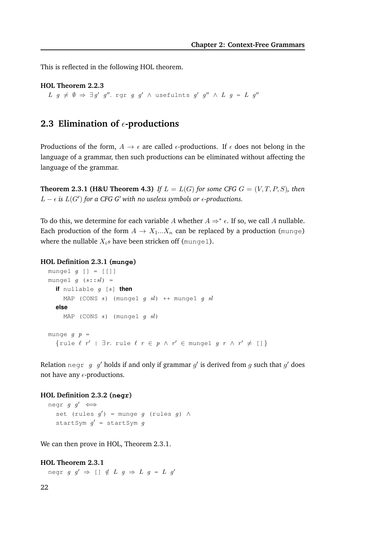This is reflected in the following HOL theorem.

**HOL Theorem 2.2.3**  $L$   $g \neq \emptyset \Rightarrow \exists g'$   $g''$ . rgr  $g$   $g'$   $\wedge$  usefulnts  $g'$   $g''$   $\wedge$   $L$   $g = L$   $g''$ 

# **2.3 Elimination of**  $\epsilon$ **-productions**

Productions of the form,  $A \rightarrow \epsilon$  are called  $\epsilon$ -productions. If  $\epsilon$  does not belong in the language of a grammar, then such productions can be eliminated without affecting the language of the grammar.

**Theorem 2.3.1 (H&U Theorem 4.3)** *If*  $L = L(G)$  *for some CFG*  $G = (V, T, P, S)$ *, then*  $L - \epsilon$  *is*  $L(G')$  for a CFG G' with no useless symbols or  $\epsilon$ -productions.

To do this, we determine for each variable A whether  $A \Rightarrow^* \epsilon$ . If so, we call A nullable. Each production of the form  $A \to X_1...X_n$  can be replaced by a production (munge) where the nullable  $X_i$ s have been stricken off (munge1).

#### **HOL Definition 2.3.1 (munge)**

```
munge1 g [] = [[]]
munge1 g (s::sl) =
  if nullable g [s] then
     MAP (CONS s) (mungel g sl) ++ mungel g slelse
     MAP (CONS s) (mungel g sl)
munge g p ={rule \ell r' | \exists r. rule \ell r \in p \land r' \in \mathbb{R} mungel g r \land r' \neq \lceil \frac{1}{r} \rceil
```
Relation  $\deg_{\Gamma} g_g$  holds if and only if grammar  $g'$  is derived from  $g$  such that  $g'$  does not have any  $\epsilon$ -productions.

#### **HOL Definition 2.3.2 (negr)**

```
negr g \, g' \iffset (rules g') = munge g (rules g) \wedgestartSym g' = startSym g
```
We can then prove in HOL, Theorem 2.3.1.

#### **HOL Theorem 2.3.1**

negr  $g \circ g' \Rightarrow [ \ ] \notin L \ g \Rightarrow L \ g = L \ g'$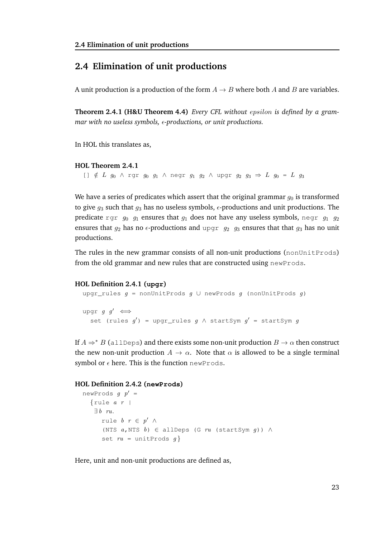# **2.4 Elimination of unit productions**

A unit production is a production of the form  $A \rightarrow B$  where both A and B are variables.

**Theorem 2.4.1 (H&U Theorem 4.4)** *Every CFL without* epsilon *is defined by a grammar with no useless symbols,*  $\epsilon$ *-productions, or unit productions.* 

In HOL this translates as,

#### **HOL Theorem 2.4.1**

```
[] \notin L g_0 \wedge rgr g_0 g_1 \wedge negr g_1 g_2 \wedge upgr g_2 g_3 \Rightarrow L g_0 = L g_3
```
We have a series of predicates which assert that the original grammar  $q_0$  is transformed to give  $g_3$  such that  $g_3$  has no useless symbols,  $\epsilon$ -productions and unit productions. The predicate rgr  $g_0$   $g_1$  ensures that  $g_1$  does not have any useless symbols, negr  $g_1$   $g_2$ ensures that  $q_2$  has no  $\epsilon$ -productions and upgr  $q_2$  g<sub>3</sub> ensures that that  $q_3$  has no unit productions.

The rules in the new grammar consists of all non-unit productions (nonUnitProds) from the old grammar and new rules that are constructed using newProds.

#### **HOL Definition 2.4.1 (upgr)**

```
upgr_rules g = nonUnitProds g \cup newProds g (nonUnitProds g)
upgr g \, g' \iffset (rules g') = upgr_rules g \wedge startSym g' = startSym g
```
If  $A \Rightarrow^* B$  (allDeps) and there exists some non-unit production  $B \to \alpha$  then construct the new non-unit production  $A \rightarrow \alpha$ . Note that  $\alpha$  is allowed to be a single terminal symbol or  $\epsilon$  here. This is the function newProds.

#### **HOL Definition 2.4.2 (newProds)**

```
newProds g p' ={rule a r |
   \exists b ru.
      rule b \rvert r \rvert \in p' \wedge(NTS a, NTS b) ∈ allDeps (G ru (startSym g)) ∧
      set ru = unitProds g}
```
Here, unit and non-unit productions are defined as,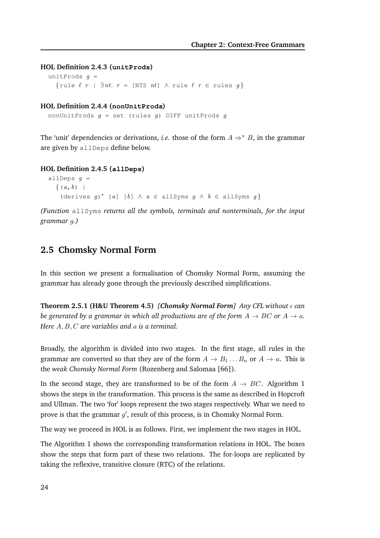```
HOL Definition 2.4.3 (unitProds)
```

```
unitProds g ={rule \ell r | \exists nt. r = [NTS nt] \land rule \ell r \in rules q}
```
#### **HOL Definition 2.4.4 (nonUnitProds)**

```
nonUnitProds q = set (rules q) DIFF unitProds q
```
The 'unit' dependencies or derivations, *i.e.* those of the form  $A \Rightarrow^* B$ , in the grammar are given by allDeps define below.

#### **HOL Definition 2.4.5 (allDeps)**

```
allDeps g =\{(a,b)(derives g)* [a] [b] \wedge a \in allSyms g \wedge b \in allSyms g}
```
*(Function* allSyms *returns all the symbols, terminals and nonterminals, for the input grammar* g*.)*

# **2.5 Chomsky Normal Form**

In this section we present a formalisation of Chomsky Normal Form, assuming the grammar has already gone through the previously described simplifications.

```
Theorem 2.5.1 (H&U Theorem 4.5) [Chomsky Normal Form] Any CFL without \epsilon can
be generated by a grammar in which all productions are of the form A \rightarrow BC or A \rightarrow a.
Here A, B, C are variables and a is a terminal.
```
Broadly, the algorithm is divided into two stages. In the first stage, all rules in the grammar are converted so that they are of the form  $A \to B_1 \dots B_n$  or  $A \to a$ . This is the *weak Chomsky Normal Form* (Rozenberg and Salomaa [66]).

In the second stage, they are transformed to be of the form  $A \rightarrow BC$ . Algorithm 1 shows the steps in the transformation. This process is the same as described in Hopcroft and Ullman. The two 'for' loops represent the two stages respectively. What we need to prove is that the grammar  $g'$ , result of this process, is in Chomsky Normal Form.

The way we proceed in HOL is as follows. First, we implement the two stages in HOL.

The Algorithm 1 shows the corresponding transformation relations in HOL. The boxes show the steps that form part of these two relations. The for-loops are replicated by taking the reflexive, transitive closure (RTC) of the relations.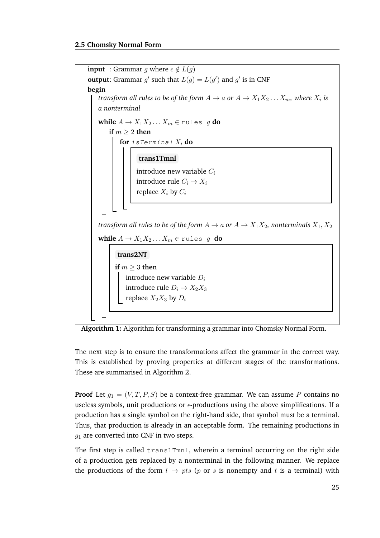



The next step is to ensure the transformations affect the grammar in the correct way. This is established by proving properties at different stages of the transformations. These are summarised in Algorithm 2.

**Proof** Let  $g_1 = (V, T, P, S)$  be a context-free grammar. We can assume P contains no useless symbols, unit productions or  $\epsilon$ -productions using the above simplifications. If a production has a single symbol on the right-hand side, that symbol must be a terminal. Thus, that production is already in an acceptable form. The remaining productions in  $q_1$  are converted into CNF in two steps.

The first step is called trans1Tmn1, wherein a terminal occurring on the right side of a production gets replaced by a nonterminal in the following manner. We replace the productions of the form  $l \rightarrow pts$  (p or s is nonempty and t is a terminal) with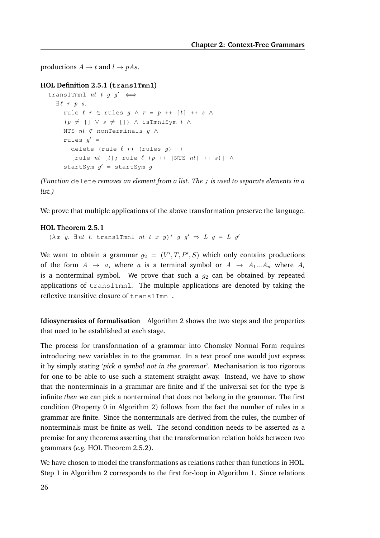productions  $A \rightarrow t$  and  $l \rightarrow pAs$ .

```
HOL Definition 2.5.1 (trans1Tmnl)
```

```
trans1Tmnl nt t g q' \iff\exists \ell \; r \; p \; s.rule \ell r \in rules q \wedge r = p + |t| + s \wedge(p \neq [ ] \vee s \neq [ ] ) \wedge isTmnlSym t \wedgeNTS nt \notin nonTerminals q \wedgerules g' =delete (rule \ell r) (rules q) ++
        [rule nt [t]; rule \ell (p ++ [NTS nt] ++ s)] \wedgestartSym g' = startSym g
```
*(Function* delete *removes an element from a list. The* ; *is used to separate elements in a list.)*

We prove that multiple applications of the above transformation preserve the language.

#### **HOL Theorem 2.5.1**

( $\lambda x$  y.  $\exists nt$  t. trans1Tmnl nt t x y)\* g g'  $\Rightarrow$  L g = L g'

We want to obtain a grammar  $g_2 = (V', T, P', S)$  which only contains productions of the form  $A \rightarrow a$ , where a is a terminal symbol or  $A \rightarrow A_1...A_n$  where  $A_i$ is a nonterminal symbol. We prove that such a  $g_2$  can be obtained by repeated applications of trans1Tmnl. The multiple applications are denoted by taking the reflexive transitive closure of trans1Tmnl.

**Idiosyncrasies of formalisation** Algorithm 2 shows the two steps and the properties that need to be established at each stage.

The process for transformation of a grammar into Chomsky Normal Form requires introducing new variables in to the grammar. In a text proof one would just express it by simply stating '*pick a symbol not in the grammar*'. Mechanisation is too rigorous for one to be able to use such a statement straight away. Instead, we have to show that the nonterminals in a grammar are finite and if the universal set for the type is infinite *then* we can pick a nonterminal that does not belong in the grammar. The first condition (Property 0 in Algorithm 2) follows from the fact the number of rules in a grammar are finite. Since the nonterminals are derived from the rules, the number of nonterminals must be finite as well. The second condition needs to be asserted as a premise for any theorems asserting that the transformation relation holds between two grammars (*e.g.* HOL Theorem 2.5.2).

We have chosen to model the transformations as relations rather than functions in HOL. Step 1 in Algorithm 2 corresponds to the first for-loop in Algorithm 1. Since relations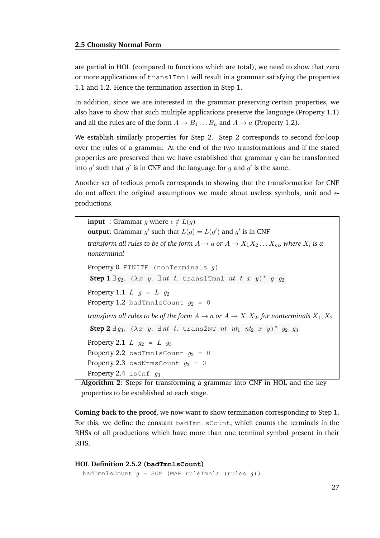are partial in HOL (compared to functions which are total), we need to show that zero or more applications of  $\text{trans1Tm1}$  will result in a grammar satisfying the properties 1.1 and 1.2. Hence the termination assertion in Step 1.

In addition, since we are interested in the grammar preserving certain properties, we also have to show that such multiple applications preserve the language (Property 1.1) and all the rules are of the form  $A \rightarrow B_1 \dots B_n$  and  $A \rightarrow a$  (Property 1.2).

We establish similarly properties for Step 2. Step 2 corresponds to second for-loop over the rules of a grammar. At the end of the two transformations and if the stated properties are preserved then we have established that grammar  $q$  can be transformed into  $g'$  such that  $g'$  is in CNF and the language for  $g$  and  $g'$  is the same.

Another set of tedious proofs corresponds to showing that the transformation for CNF do not affect the original assumptions we made about useless symbols, unit and  $\epsilon$ productions.

**input** : Grammar q where  $\epsilon \notin L(q)$ **output:** Grammar g' such that  $L(g) = L(g')$  and g' is in CNF *transform all rules to be of the form*  $A \rightarrow a$  *or*  $A \rightarrow X_1 X_2 \ldots X_m$ *, where*  $X_i$  *is a nonterminal* Property  $0$  FINITE (nonTerminals  $q$ ) **Step 1**  $\exists g_2$ . ( $\lambda x$  y.  $\exists nt$  t. trans1Tmnl nt t x y)\* g  $g_2$ Property 1.1  $L$   $g = L g_2$ Property 1.2 badTmnlsCount  $g_2 = 0$ *transform all rules to be of the form*  $A \rightarrow a$  *or*  $A \rightarrow X_1 X_2$ *, for nonterminals*  $X_1, X_2$ **Step 2**  $\exists g_3$ . ( $\lambda x$  y.  $\exists nt$  t. trans2NT nt nt<sub>1</sub> nt<sub>2</sub> x y)\*  $g_2$   $g_3$ Property 2.1  $L$   $g_2 = L$   $g_3$ Property 2.2 badTmnlsCount  $q_3 = 0$ Property 2.3 badNtmsCount  $q_3 = 0$ Property 2.4 isCnf  $q_3$ 

**Algorithm 2:** Steps for transforming a grammar into CNF in HOL and the key properties to be established at each stage.

**Coming back to the proof**, we now want to show termination corresponding to Step 1. For this, we define the constant badTmnlsCount, which counts the terminals in the RHSs of all productions which have more than one terminal symbol present in their RHS.

#### **HOL Definition 2.5.2 (badTmnlsCount)**

```
badTmnlsCount g = SUM (MAP ruleTmnls (rules g))
```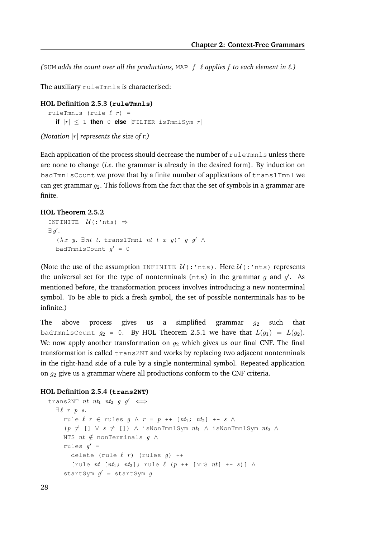*(*SUM *adds the count over all the productions,* MAP f ℓ *applies* f *to each element in* ℓ*.)*

The auxiliary ruleTmnls is characterised:

```
HOL Definition 2.5.3 (ruleTmnls)
  ruleTmnls (rule \ell r) =
    if |r| \leq 1 then 0 else | FILTER is TmnlSym r|
```
*(Notation* |r| *represents the size of r.)*

Each application of the process should decrease the number of ruleTmnls unless there are none to change (*i.e.* the grammar is already in the desired form). By induction on badTmnlsCount we prove that by a finite number of applications of trans1Tmnl we can get grammar  $g_2$ . This follows from the fact that the set of symbols in a grammar are finite.

#### **HOL Theorem 2.5.2**

```
INFINITE \mathcal{U}(:'nts) \Rightarrow\exists g'.(\lambda x \ y. \ \exists nt \ t. \ \text{trans1Tmm1} \ nt \ t \ x \ y)^* \ g \ g' \ \wedgebadTmnlsCount g' = 0
```
(Note the use of the assumption INFINITE  $\mathcal{U}$ (:'nts). Here  $\mathcal{U}$ (:'nts) represents the universal set for the type of nonterminals ( $nts$ ) in the grammar  $g$  and  $g'$ . As mentioned before, the transformation process involves introducing a new nonterminal symbol. To be able to pick a fresh symbol, the set of possible nonterminals has to be infinite.)

The above process gives us a simplified grammar  $q_2$  such that badTmnlsCount  $g_2 = 0$ . By HOL Theorem 2.5.1 we have that  $L(g_1) = L(g_2)$ . We now apply another transformation on  $g_2$  which gives us our final CNF. The final transformation is called  $trans2NT$  and works by replacing two adjacent nonterminals in the right-hand side of a rule by a single nonterminal symbol. Repeated application on  $g_2$  give us a grammar where all productions conform to the CNF criteria.

#### **HOL Definition 2.5.4 (trans2NT)**

```
trans2NT nt nt<sub>1</sub> nt<sub>2</sub> g g' \iff\exists \ell \; r \; p \; s.rule \ell r \in rules g \wedge r = p ++ [nt_1; nt_2] ++ s \wedge(p \neq [] \lor s \neq []) ∧ isNonTmnlSym nt_1 ∧ isNonTmnlSym nt_2 ∧
     NTS nt \notin nonTerminals q \wedgerules g' =delete (rule \ell r) (rules q) ++
        [rule nt [nt_1; nt_2]; rule \ell (p ++ [NTS nt] ++ s)] \wedgestartSym g' = startSym g
```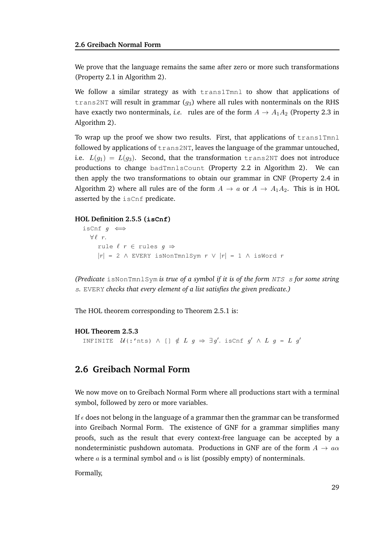We prove that the language remains the same after zero or more such transformations (Property 2.1 in Algorithm 2).

We follow a similar strategy as with  $t$  rans1Tmnl to show that applications of trans2NT will result in grammar  $(q_3)$  where all rules with nonterminals on the RHS have exactly two nonterminals, *i.e.* rules are of the form  $A \rightarrow A_1 A_2$  (Property 2.3 in Algorithm 2).

To wrap up the proof we show two results. First, that applications of  $\text{trans1Tmm}$ followed by applications of  $trans2NT$ , leaves the language of the grammar untouched, i.e.  $L(q_1) = L(q_3)$ . Second, that the transformation trans2NT does not introduce productions to change badTmnlsCount (Property 2.2 in Algorithm 2). We can then apply the two transformations to obtain our grammar in CNF (Property 2.4 in Algorithm 2) where all rules are of the form  $A \rightarrow a$  or  $A \rightarrow A_1A_2$ . This is in HOL asserted by the isCnf predicate.

#### **HOL Definition 2.5.5 (isCnf)**

```
isCnf g \iff\forall \ell \ r.rule \ell r \in rules g \Rightarrow|r| = 2 \triangle EVERY isNonTmnlSym r \vee |r| = 1 \triangle isWord r
```
*(Predicate* isNonTmnlSym *is true of a symbol if it is of the form* NTS s *for some string* s*.* EVERY *checks that every element of a list satisfies the given predicate.)*

The HOL theorem corresponding to Theorem 2.5.1 is:

#### **HOL Theorem 2.5.3**

INFINITE  $\mathcal{U}$  (:'nts)  $\wedge$  []  $\notin L$   $g \Rightarrow \exists g'.$  is Cnf  $g' \wedge L$   $g = L$   $g'$ 

# **2.6 Greibach Normal Form**

We now move on to Greibach Normal Form where all productions start with a terminal symbol, followed by zero or more variables.

If  $\epsilon$  does not belong in the language of a grammar then the grammar can be transformed into Greibach Normal Form. The existence of GNF for a grammar simplifies many proofs, such as the result that every context-free language can be accepted by a nondeterministic pushdown automata. Productions in GNF are of the form  $A \rightarrow a\alpha$ where a is a terminal symbol and  $\alpha$  is list (possibly empty) of nonterminals.

Formally,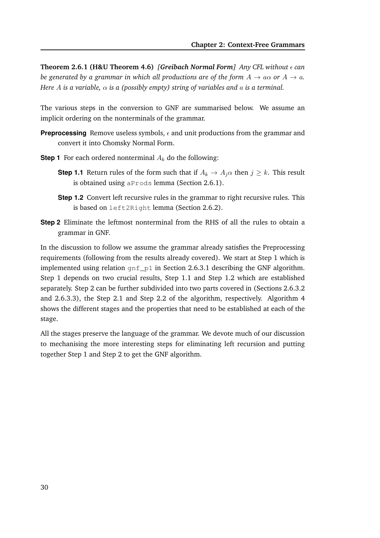**Theorem 2.6.1 (H&U Theorem 4.6)** *[Greibach Normal Form] Any CFL without*  $\epsilon$  *can be generated by a grammar in which all productions are of the form*  $A \rightarrow a\alpha$  *or*  $A \rightarrow a$ *. Here* A *is a variable,* α *is a (possibly empty) string of variables and* a *is a terminal.*

The various steps in the conversion to GNF are summarised below. We assume an implicit ordering on the nonterminals of the grammar.

- **Preprocessing** Remove useless symbols,  $\epsilon$  and unit productions from the grammar and convert it into Chomsky Normal Form.
- **Step 1** For each ordered nonterminal  $A_k$  do the following:
	- **Step 1.1** Return rules of the form such that if  $A_k \to A_j \alpha$  then  $j \geq k$ . This result is obtained using aProds lemma (Section 2.6.1).
	- **Step 1.2** Convert left recursive rules in the grammar to right recursive rules. This is based on left2Right lemma (Section 2.6.2).
- **Step 2** Eliminate the leftmost nonterminal from the RHS of all the rules to obtain a grammar in GNF.

In the discussion to follow we assume the grammar already satisfies the Preprocessing requirements (following from the results already covered). We start at Step 1 which is implemented using relation  $\varphi_1 f_p1$  in Section 2.6.3.1 describing the GNF algorithm. Step 1 depends on two crucial results, Step 1.1 and Step 1.2 which are established separately. Step 2 can be further subdivided into two parts covered in (Sections 2.6.3.2 and 2.6.3.3), the Step 2.1 and Step 2.2 of the algorithm, respectively. Algorithm 4 shows the different stages and the properties that need to be established at each of the stage.

All the stages preserve the language of the grammar. We devote much of our discussion to mechanising the more interesting steps for eliminating left recursion and putting together Step 1 and Step 2 to get the GNF algorithm.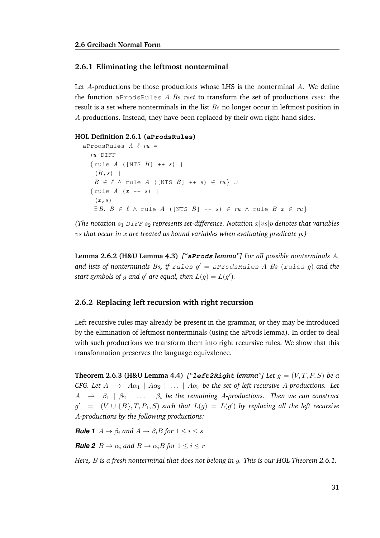# **2.6.1 Eliminating the leftmost nonterminal**

Let  $A$ -productions be those productions whose LHS is the nonterminal  $A$ . We define the function aprods Rules A Bs rset to transform the set of productions rset: the result is a set where nonterminals in the list Bs no longer occur in leftmost position in A-productions. Instead, they have been replaced by their own right-hand sides.

## **HOL Definition 2.6.1 (aProdsRules)**

```
aProdsRules A \ell ru =ru DIFF
  \{rule A (\text{INTS } B) ++ s) \}(B, s) |
   B \in \ell \wedge rule A ([NTS B] ++ s) \in \ell \vee\{rule A(x ++ s) |(x, s) |
   \exists B. B \in \ell \land rule A ([NTS B] ++ s) \in ru \land rule B x \in ru}
```
*(The notation*  $s_1$  *DIFF*  $s_2$  *represents set-difference. Notation*  $x|vs|p$  *denotes that variables* vs *that occur in* x *are treated as bound variables when evaluating predicate* p*.)*

**Lemma 2.6.2 (H&U Lemma 4.3)** *["***aProds** *lemma"] For all possible nonterminals* A*, and lists of nonterminals* Bs*, if* rules g ′ = aProdsRules A Bs (rules g) *and the start symbols of g and g' are equal, then*  $L(g) = L(g')$ .

## **2.6.2 Replacing left recursion with right recursion**

Left recursive rules may already be present in the grammar, or they may be introduced by the elimination of leftmost nonterminals (using the aProds lemma). In order to deal with such productions we transform them into right recursive rules. We show that this transformation preserves the language equivalence.

**Theorem 2.6.3 (H&U Lemma 4.4)** ["**left2Right** *lemma"*] Let  $g = (V, T, P, S)$  be a *CFG. Let*  $A \rightarrow A\alpha_1 \mid A\alpha_2 \mid ... \mid A\alpha_r$  *be the set of left recursive* A-productions. Let  $A \rightarrow \beta_1 \mid \beta_2 \mid \ldots \mid \beta_s$  be the remaining A-productions. Then we can construct  $g' = (V \cup \{B\}, T, P_1, S)$  such that  $L(g) = L(g')$  by replacing all the left recursive A*-productions by the following productions:*

**Rule 1**  $A \rightarrow \beta_i$  and  $A \rightarrow \beta_i B$  for  $1 \leq i \leq s$ 

**Rule 2**  $B \to \alpha_i$  and  $B \to \alpha_i B$  for  $1 \leq i \leq r$ 

*Here,* B *is a fresh nonterminal that does not belong in* g*. This is our HOL Theorem 2.6.1.*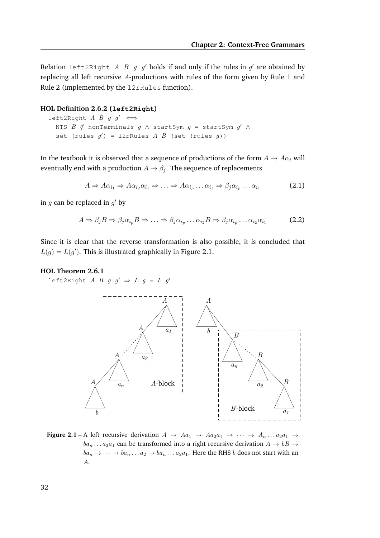Relation left2Right A B g g' holds if and only if the rules in  $g'$  are obtained by replacing all left recursive A-productions with rules of the form given by Rule 1 and Rule 2 (implemented by the l2rRules function).

#### **HOL Definition 2.6.2 (left2Right)**

```
left2Right A B q q' \iffNTS B \notin nonTerminals g \wedge startSym g = startSym g' \wedgeset (rules g') = 12rRules A B (set (rules g))
```
In the textbook it is observed that a sequence of productions of the form  $A \rightarrow A\alpha_i$  will eventually end with a production  $A \rightarrow \beta_i$ . The sequence of replacements

$$
A \Rightarrow A\alpha_{i_1} \Rightarrow A\alpha_{i_2}\alpha_{i_1} \Rightarrow \dots \Rightarrow A\alpha_{i_p} \dots \alpha_{i_1} \Rightarrow \beta_j \alpha_{i_p} \dots \alpha_{i_1}
$$
 (2.1)

in  $g$  can be replaced in  $g'$  by

$$
A \Rightarrow \beta_j B \Rightarrow \beta_j \alpha_{i_p} B \Rightarrow \dots \Rightarrow \beta_j \alpha_{i_p} \dots \alpha_{i_2} B \Rightarrow \beta_j \alpha_{i_p} \dots \alpha_{i_2} \alpha_{i_1}
$$
 (2.2)

Since it is clear that the reverse transformation is also possible, it is concluded that  $L(g) = L(g')$ . This is illustrated graphically in Figure 2.1.

#### **HOL Theorem 2.6.1**

left2Right *A B g g'*  $\Rightarrow$  *L g = L g'* 



**Figure 2.1** – A left recursive derivation  $A \rightarrow Aa_1 \rightarrow Aa_2a_1 \rightarrow \cdots \rightarrow A_n \dots a_2a_1 \rightarrow$  $ba_n \dots a_2 a_1$  can be transformed into a right recursive derivation  $A \rightarrow bB \rightarrow$  $ba_n \rightarrow \cdots \rightarrow ba_n \dots a_2 \rightarrow ba_n \dots a_2 a_1$ . Here the RHS b does not start with an A.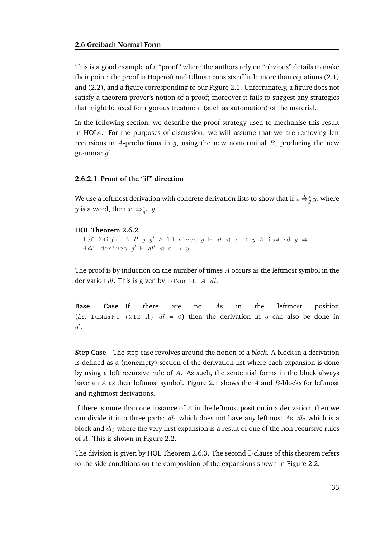This is a good example of a "proof" where the authors rely on "obvious" details to make their point: the proof in Hopcroft and Ullman consists of little more than equations (2.1) and (2.2), and a figure corresponding to our Figure 2.1. Unfortunately, a figure does not satisfy a theorem prover's notion of a proof; moreover it fails to suggest any strategies that might be used for rigorous treatment (such as automation) of the material.

In the following section, we describe the proof strategy used to mechanise this result in HOL4. For the purposes of discussion, we will assume that we are removing left recursions in A-productions in  $g$ , using the new nonterminal  $B$ , producing the new grammar  $g'$ .

# **2.6.2.1 Proof of the "if" direction**

We use a leftmost derivation with concrete derivation lists to show that if  $x\stackrel{l}{\Rightarrow}_g^* y,$  where y is a word, then  $x \Rightarrow_{g'}^* y$ .

#### **HOL Theorem 2.6.2**

left2Right A B g g'  $\land$  lderives g  $\vdash$  dl  $\lhd$  x  $\rightarrow$  y  $\land$  isWord y  $\Rightarrow$  $\exists dl'.$  derives  $g' \vdash dl' \lhd x \rightarrow y$ 

The proof is by induction on the number of times  $A$  occurs as the leftmost symbol in the derivation  $dl$ . This is given by  $ld$ NumNt  $A$   $dl$ .

**Base Case** If there are no As in the leftmost position (*i.e.* ldNumNt (NTS A)  $dl = 0$ ) then the derivation in g can also be done in  $g^{\prime}$ .

**Step Case** The step case revolves around the notion of a *block*. A block in a derivation is defined as a (nonempty) section of the derivation list where each expansion is done by using a left recursive rule of A. As such, the sentential forms in the block always have an A as their leftmost symbol. Figure 2.1 shows the A and B-blocks for leftmost and rightmost derivations.

If there is more than one instance of  $A$  in the leftmost position in a derivation, then we can divide it into three parts:  $dl_1$  which does not have any leftmost As,  $dl_2$  which is a block and  $dl_3$  where the very first expansion is a result of one of the non-recursive rules of A. This is shown in Figure 2.2.

The division is given by HOL Theorem 2.6.3. The second ∃-clause of this theorem refers to the side conditions on the composition of the expansions shown in Figure 2.2.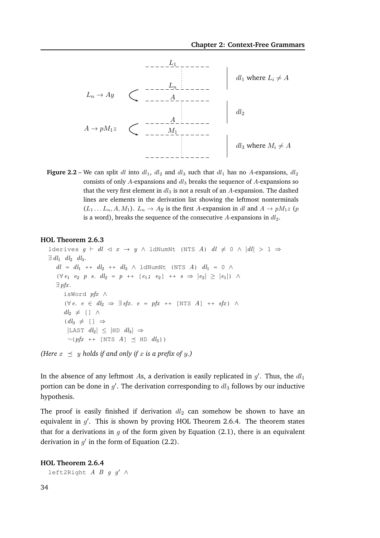

**Figure 2.2** – We can split dl into  $dl_1$ ,  $dl_2$  and  $dl_3$  such that  $dl_1$  has no A-expansions,  $dl_2$ consists of only  $A$ -expansions and  $dl_3$  breaks the sequence of  $A$ -expansions so that the very first element in  $dl_3$  is not a result of an A-expansion. The dashed lines are elements in the derivation list showing the leftmost nonterminals  $(L_1 \dots L_n, A, M_1)$ .  $L_n \to Ay$  is the first A-expansion in dl and  $A \to pM_1z$  (p is a word), breaks the sequence of the consecutive A-expansions in  $dl_2$ .

#### **HOL Theorem 2.6.3**

```
lderives g \vdash dl \lhd x \rightarrow y \landldNumNt (NTS A) dl \neq 0 \land |dl| > 1 \Rightarrow\exists dl_1 \ dl_2 \ dl_3.dl = dl_1 + dl_2 + dl_3 \wedge 1dNumNt (NTS A) dl_1 = 0 \wedge(\forall e_1 \ e_2 \ p \ s. \ d l_2 = p \ + \ [e_1; e_2] \ + \ s \Rightarrow |e_2| \ge |e_1|) \ \wedge\exists pfx.
       isWord pfx ∧
       (\forall e. e \in dl_2 \Rightarrow \exists sfx. e = pfx + [\text{NTS } A] ++ sfx) \landdl_2 \neq [ ] \wedge(dl_3 \neq [ ] \Rightarrow|LAST dl_2| \leq |HD dl_3| \Rightarrow\neg (pfx + [NTS A] \preceq HD d l_3)
```
*(Here*  $x \preceq y$  *holds if and only if* x *is a prefix of y.)* 

In the absence of any leftmost As, a derivation is easily replicated in  $g'$ . Thus, the  $dl_1$ portion can be done in  $g'$ . The derivation corresponding to  $dl_3$  follows by our inductive hypothesis.

The proof is easily finished if derivation  $dl_2$  can somehow be shown to have an equivalent in  $g'$ . This is shown by proving HOL Theorem 2.6.4. The theorem states that for a derivations in  $q$  of the form given by Equation (2.1), there is an equivalent derivation in  $g'$  in the form of Equation (2.2).

#### **HOL Theorem 2.6.4**

left2Right  $A$   $B$   $q$   $q'$   $\wedge$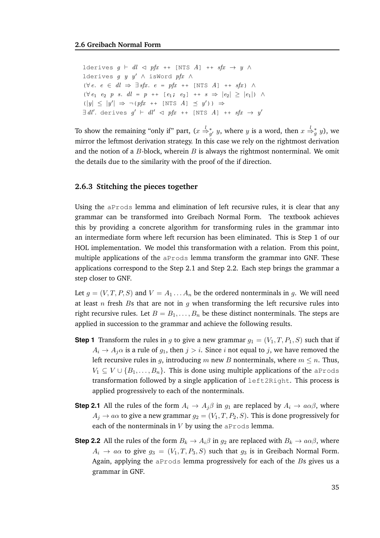lderives  $g \vdash dl \lhd pfx ++[NTS \; A] + f(x \rightarrow y \; \wedge$ lderives g y y'  $\wedge$  isWord pfx  $\wedge$  $(\forall e. e \in dl \Rightarrow \exists sfx. e = pfx + [\text{NTS } A] ++ sfx) \land$  $(\forall e_1 \ e_2 \ p \ s. \ dl = p + [e_1; e_2] + s \Rightarrow |e_2| \ge |e_1|) \ \wedge$  $(|y| \le |y'| \Rightarrow \neg (pfx + \text{[NTS } A] \preceq y')) \Rightarrow$  $\exists dl'.$  derives  $g' \vdash dl' \lhd pfx + \text{[NTS } A] + \text{+} sfx \rightarrow y'$ 

To show the remaining "only if" part,  $(x \stackrel{l}{\Rightarrow}_{g'}^* y,$  where  $y$  is a word, then  $x \stackrel{l}{\Rightarrow}_{g}^* y)$ , we mirror the leftmost derivation strategy. In this case we rely on the rightmost derivation and the notion of a  $B$ -block, wherein  $B$  is always the rightmost nonterminal. We omit the details due to the similarity with the proof of the if direction.

#### **2.6.3 Stitching the pieces together**

Using the aProds lemma and elimination of left recursive rules, it is clear that any grammar can be transformed into Greibach Normal Form. The textbook achieves this by providing a concrete algorithm for transforming rules in the grammar into an intermediate form where left recursion has been eliminated. This is Step 1 of our HOL implementation. We model this transformation with a relation. From this point, multiple applications of the aProds lemma transform the grammar into GNF. These applications correspond to the Step 2.1 and Step 2.2. Each step brings the grammar a step closer to GNF.

Let  $g = (V, T, P, S)$  and  $V = A_1 \dots A_n$  be the ordered nonterminals in g. We will need at least  $n$  fresh Bs that are not in  $q$  when transforming the left recursive rules into right recursive rules. Let  $B = B_1, \ldots, B_n$  be these distinct nonterminals. The steps are applied in succession to the grammar and achieve the following results.

- **Step 1** Transform the rules in g to give a new grammar  $g_1 = (V_1, T, P_1, S)$  such that if  $A_i \rightarrow A_j \alpha$  is a rule of  $g_1$ , then  $j > i$ . Since i not equal to j, we have removed the left recursive rules in g, introducing m new B nonterminals, where  $m \leq n$ . Thus,  $V_1 \subseteq V \cup \{B_1, \ldots, B_n\}$ . This is done using multiple applications of the aProds transformation followed by a single application of left2Right. This process is applied progressively to each of the nonterminals.
- **Step 2.1** All the rules of the form  $A_i \to A_j \beta$  in  $g_1$  are replaced by  $A_i \to a \alpha \beta$ , where  $A_j \rightarrow a\alpha$  to give a new grammar  $g_2 = (V_1, T, P_2, S)$ . This is done progressively for each of the nonterminals in  $V$  by using the aProds lemma.
- **Step 2.2** All the rules of the form  $B_k \to A_i \beta$  in  $g_2$  are replaced with  $B_k \to a \alpha \beta$ , where  $A_i \rightarrow a\alpha$  to give  $g_3 = (V_1, T, P_3, S)$  such that  $g_3$  is in Greibach Normal Form. Again, applying the  $aProds$  lemma progressively for each of the Bs gives us a grammar in GNF.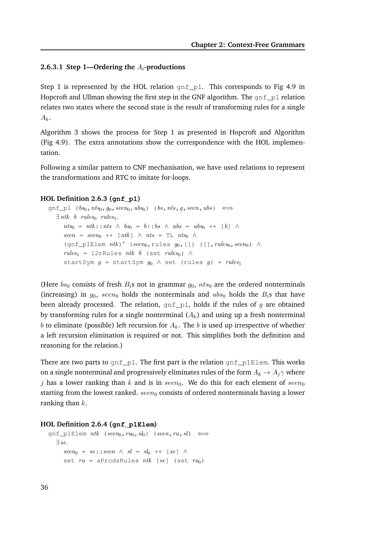#### **2.6.3.1 Step 1—Ordering the** Ai**-productions**

Step 1 is represented by the HOL relation  $\text{gnf}_p1$ . This corresponds to Fig 4.9 in Hopcroft and Ullman showing the first step in the GNF algorithm. The  $qnf$  p1 relation relates two states where the second state is the result of transforming rules for a single  $A_k$ .

Algorithm 3 shows the process for Step 1 as presented in Hopcroft and Algorithm (Fig 4.9). The extra annotations show the correspondence with the HOL implementation.

Following a similar pattern to CNF mechanisation, we have used relations to represent the transformations and RTC to imitate for-loops.

#### **HOL Definition 2.6.3 (gnf\_p1)**

```
gnf_p1 (bs_0,nts_0, g_0,seen_0,ubs_0) (bs,nts, g,seen,ubs) \Leftrightarrow\exists ntk b rules<sub>0</sub> rules<sub>1</sub>.
      nts<sub>0</sub> = ntk::nts \wedge bs<sub>0</sub> = b::bs \wedge ubs = ubs<sub>0</sub> ++ [b] \wedgeseen = seen_0 + [ntk] \wedge nts = TL nts_0 \wedge(gnf_p1Elem nth)* (seen<sub>0</sub>,rules g_0,[]) ([],rules<sub>0</sub>,seen<sub>0</sub>) \wedgerules_1 = 12rRules ntk b (set rules_0) \wedgestartSym g = startSym g_0 \wedge set (rules g) = rules
```
(Here  $bs_0$  consists of fresh  $B_i$ s not in grammar  $g_0$ ,  $nts_0$  are the ordered nonterminals (increasing) in  $g_0$ , seen<sub>0</sub> holds the nonterminals and ubs<sub>0</sub> holds the  $B_i$ s that have been already processed. The relation,  $gnf_p1$ , holds if the rules of g are obtained by transforming rules for a single nonterminal  $(A_k)$  and using up a fresh nonterminal b to eliminate (possible) left recursion for  $A_k$ . The b is used up irrespective of whether a left recursion elimination is required or not. This simplifies both the definition and reasoning for the relation.)

There are two parts to  $gnf$ <sub>-p1</sub>. The first part is the relation  $gnf$ -p1Elem. This works on a single nonterminal and progressively eliminates rules of the form  $A_k \to A_j \gamma$  where j has a lower ranking than k and is in seen<sub>0</sub>. We do this for each element of seen<sub>0</sub> starting from the lowest ranked.  $seen_0$  consists of ordered nonterminals having a lower ranking than  $k$ .

#### **HOL Definition 2.6.4 (gnf\_p1Elem)**

```
\text{gnf\_p1Elem } ntk \text{ (seen}_0,ru_0,sl_0) \text{ (seen,ru,sl)} \iff∃ se.
     seen_0 = se::seen \wedge sl = sl_0 ++ [se] \wedgeset ru = aProdsRules ntk [se] (set ru_0)
```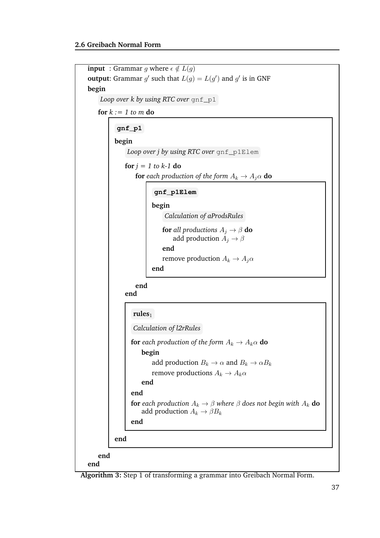

**Algorithm 3:** Step 1 of transforming a grammar into Greibach Normal Form.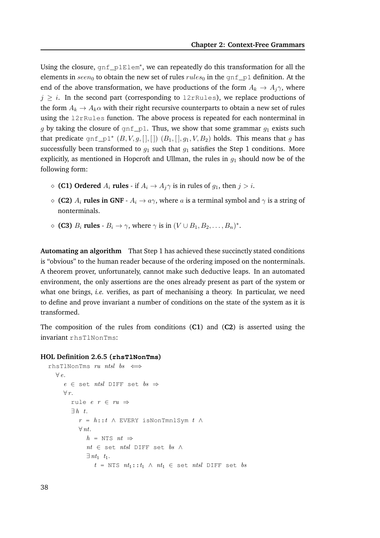Using the closure, gnf\_p1Elem<sup>∗</sup> , we can repeatedly do this transformation for all the elements in  $seen_0$  to obtain the new set of rules  $rules_0$  in the gnf\_p1 definition. At the end of the above transformation, we have productions of the form  $A_k \rightarrow A_i \gamma$ , where  $j \geq i$ . In the second part (corresponding to l2rRules), we replace productions of the form  $A_k \to A_k \alpha$  with their right recursive counterparts to obtain a new set of rules using the l2rRules function. The above process is repeated for each nonterminal in g by taking the closure of  $gnf_p1$ . Thus, we show that some grammar  $g_1$  exists such that predicate gnf\_p1<sup>\*</sup>  $(B, V, g, [] , []$   $(B_1, [] , g_1, V, B_2)$  holds. This means that g has successfully been transformed to  $g_1$  such that  $g_1$  satisfies the Step 1 conditions. More explicitly, as mentioned in Hopcroft and Ullman, the rules in  $g_1$  should now be of the following form:

- ◇ **(C1) Ordered**  $A_i$  **rules** if  $A_i$  →  $A_j$  is in rules of  $g_1$ , then  $j > i$ .
- $\Diamond$  **(C2)**  $A_i$  **rules in GNF**  $A_i \rightarrow a\gamma$ , where a is a terminal symbol and  $\gamma$  is a string of nonterminals.
- $\diamond$  **(C3)**  $B_i$  **rules**  $B_i \to \gamma$ , where  $\gamma$  is in  $(V \cup B_1, B_2, \ldots, B_n)^*$ .

**Automating an algorithm** That Step 1 has achieved these succinctly stated conditions is "obvious" to the human reader because of the ordering imposed on the nonterminals. A theorem prover, unfortunately, cannot make such deductive leaps. In an automated environment, the only assertions are the ones already present as part of the system or what one brings, *i.e.* verifies, as part of mechanising a theory. In particular, we need to define and prove invariant a number of conditions on the state of the system as it is transformed.

The composition of the rules from conditions (**C1**) and (**C2**) is asserted using the invariant rhsTlNonTms:

#### **HOL Definition 2.6.5 (rhsTlNonTms)**

```
rhsTlNonTms ru ntsl bs \iff∀ e.
       e \in \text{set } ntsl \text{ DIFF set } bs \Rightarrow\forall r.
          rule e \rvert r \rvert \rvert r u \rvert \rvert \rvert\exists h \ t.r = h::t \wedge EVERY isNonTmnlSym t \wedge\forall nt.
                  h = NTS nt \Rightarrownt \in set ntsl DIFF set bs \land\exists nt<sub>1</sub> t<sub>1</sub>.
                       t = \text{NTS} nt_1::t_1 \wedge nt_1 \in \text{set} nt_3 DIFF set bs
```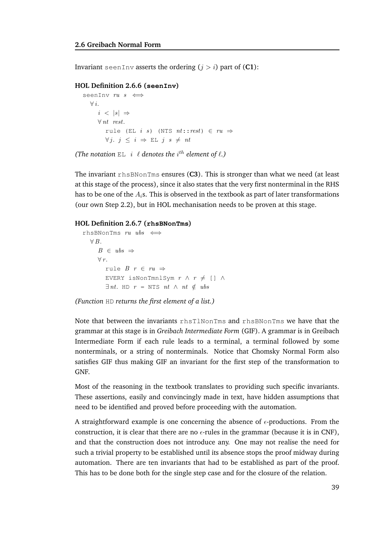Invariant seenInv asserts the ordering  $(j > i)$  part of  $(C1)$ :

#### **HOL Definition 2.6.6 (seenInv)**

```
seenInv ru s \iff\forall i.
       i \leq |s| \Rightarrow\forall nt rest.
           rule (EL i s) (NTS nt::rest) \in ru \Rightarrow\forall i. \, i \leq i \Rightarrow \text{EL } j \, s \neq nt
```

```
(The notation E L i \ell denotes the i<sup>th</sup> element of \ell.)
```
The invariant rhsBNonTms ensures (**C3**). This is stronger than what we need (at least at this stage of the process), since it also states that the very first nonterminal in the RHS has to be one of the  $A_i$ s. This is observed in the textbook as part of later transformations (our own Step 2.2), but in HOL mechanisation needs to be proven at this stage.

#### **HOL Definition 2.6.7 (rhsBNonTms)**

```
rhsBNonTms ru ubs \iff\forall B.B \in ubs \Rightarrow\forall r.
         rule B \rvert r \in ru \RightarrowEVERY isNonTmnlSym r \wedge r \neq \Box \wedge\exists nt. HD r = NTS nt \land nt \notin ubs
```
*(Function* HD *returns the first element of a list.)*

Note that between the invariants rhsTlNonTms and rhsBNonTms we have that the grammar at this stage is in *Greibach Intermediate Form* (GIF). A grammar is in Greibach Intermediate Form if each rule leads to a terminal, a terminal followed by some nonterminals, or a string of nonterminals. Notice that Chomsky Normal Form also satisfies GIF thus making GIF an invariant for the first step of the transformation to GNF.

Most of the reasoning in the textbook translates to providing such specific invariants. These assertions, easily and convincingly made in text, have hidden assumptions that need to be identified and proved before proceeding with the automation.

A straightforward example is one concerning the absence of  $\epsilon$ -productions. From the construction, it is clear that there are no  $\epsilon$ -rules in the grammar (because it is in CNF), and that the construction does not introduce any. One may not realise the need for such a trivial property to be established until its absence stops the proof midway during automation. There are ten invariants that had to be established as part of the proof. This has to be done both for the single step case and for the closure of the relation.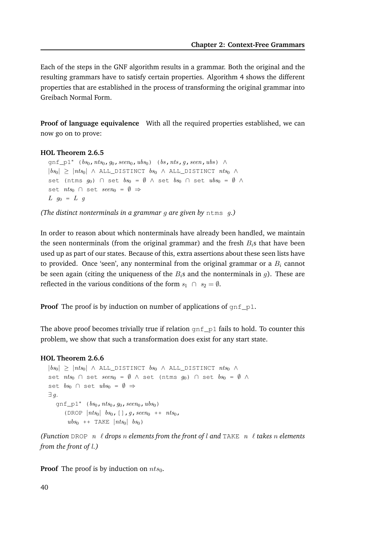Each of the steps in the GNF algorithm results in a grammar. Both the original and the resulting grammars have to satisfy certain properties. Algorithm 4 shows the different properties that are established in the process of transforming the original grammar into Greibach Normal Form.

**Proof of language equivalence** With all the required properties established, we can now go on to prove:

#### **HOL Theorem 2.6.5**

gnf\_p1<sup>∗</sup> (bs<sub>0</sub>, nts<sub>0</sub>, g<sub>0</sub>, seen<sub>0</sub>, ubs<sub>0</sub>) (bs, nts, g, seen, ubs) ∧  $|bs_0| \geq |nts_0|$   $\land$  ALL\_DISTINCT  $bs_0$   $\land$  ALL\_DISTINCT  $nts_0$   $\land$ set (ntms  $q_0$ ) ∩ set  $bs_0 = \emptyset$  ∧ set  $bs_0$  ∩ set  $ubs_0 = \emptyset$  ∧ set  $nts_0 \cap set \: seen_0 = \emptyset \Rightarrow$  $L$   $g_0 = L$  g

*(The distinct nonterminals in a grammar* g *are given by* ntms g*.)*

In order to reason about which nonterminals have already been handled, we maintain the seen nonterminals (from the original grammar) and the fresh  $B_i$ s that have been used up as part of our states. Because of this, extra assertions about these seen lists have to provided. Once 'seen', any nonterminal from the original grammar or a  $B_i$  cannot be seen again (citing the uniqueness of the  $B_i$ s and the nonterminals in q). These are reflected in the various conditions of the form  $s_1 \cap s_2 = \emptyset$ .

**Proof** The proof is by induction on number of applications of  $qnf_p1$ .

The above proof becomes trivially true if relation  $gnf_p1$  fails to hold. To counter this problem, we show that such a transformation does exist for any start state.

#### **HOL Theorem 2.6.6**

```
|bs_0| \geq |nts_0| \land ALL_DISTINCT bs_0 \land ALL_DISTINCT nts_0 \landset nts_0 \cap set \text{ seen}_0 = \emptyset \land set (\text{ntms } q_0) \cap set \text{ } bs_0 = \emptyset \landset bs_0 \cap set ubs_0 = \emptyset \Rightarrow∃ g.
   gnf_p1<sup>*</sup> (bs_0, nts_0, go, seen_0, ubs_0)
       (DROP |nts_0| bs_0, [], g, seen<sub>0</sub> ++ nts_0,
        ubs_0 ++ TAKE |nts_0| bs_0)
```
*(Function* DROP n ℓ *drops* n *elements from the front of* l *and* TAKE n ℓ *takes* n *elements from the front of* l*.)*

**Proof** The proof is by induction on  $nts_0$ .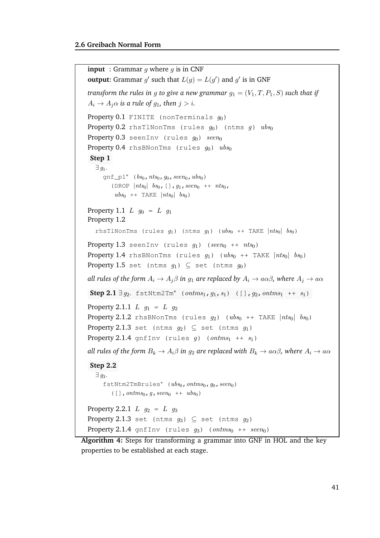```
input : Grammar q where q is in CNF
output: Grammar g' such that L(g) = L(g') and g' is in GNF
transform the rules in g to give a new grammar q_1 = (V_1, T, P_1, S) such that if
A_i \rightarrow A_j \alpha is a rule of g<sub>1</sub>, then j > i.
Property 0.1 FINITE (nonTerminals q_0)
Property 0.2 rhsTlNonTms (rules q_0) (ntms q) ubs_0Property 0.3 seenInv (rules q_0) seen<sub>0</sub>
Property 0.4 rhsBNonTms (rules g_0) ubs_0Step 1
   \exists q_1.
      gnf_p1<sup>∗</sup> (bs_0, nts_0, go, seen_0, ubs_0)
         (DROP |nts_0| bs_0, [], g_1, seen_0 ++ nts_0,
          ubs_0 ++ TAKE |nts_0| bs_0)
Property 1.1 L q_0 = L q_1Property 1.2
   rhsTlNonTms (rules g_1) (ntms g_1) (ubs<sub>0</sub> ++ TAKE |nts_0| bs<sub>0</sub>)
Property 1.3 seenInv (rules g_1) (seen<sub>0</sub> ++ nts<sub>0</sub>)
Property 1.4 rhsBNonTms (rules g_1) (ubs<sub>0</sub> ++ TAKE |nts_0| bs<sub>0</sub>)
Property 1.5 set (ntms q_1) \subseteq set (ntms q_0)
all rules of the form A_i \to A_j \beta in g_1 are replaced by A_i \to a \alpha \beta, where A_j \to a \alphaStep 2.1 \exists g_2. fstNtm2Tm<sup>*</sup> (ontms<sub>1</sub>, g_1, s_1) ([], g_2, ontms<sub>1</sub> ++ s_1)
Property 2.1.1 L_{q_1} = L_{q_2}Property 2.1.2 rhsBNonTms (rules g_2) (ubs<sub>0</sub> ++ TAKE |nts_0| bs<sub>0</sub>)
Property 2.1.3 set (ntms q_2) \subset set (ntms q_1)
Property 2.1.4 gnfInv (rules g) (ontms<sub>1</sub> ++ s<sub>1</sub>)
all rules of the form B_k \to A_i \beta in g_2 are replaced with B_k \to a \alpha \beta, where A_i \to a \alphaStep 2.2
   \exists q_3.
      fstNtm2TmBrules<sup>*</sup> (ubs<sub>0</sub>, ontms<sub>0</sub>, g<sub>0</sub>, seen<sub>0</sub>)
         ([ ] , ontms<sub>0</sub>, g, seen<sub>0</sub> ++ ubs<sub>0</sub>)Property 2.2.1 L q_2 = L q_3Property 2.1.3 set (ntms g_3) \subseteq set (ntms g_2)
Property 2.1.4 gnfInv (rules g_3) (ontms<sub>0</sub> ++ seen<sub>0</sub>)
```
**Algorithm 4:** Steps for transforming a grammar into GNF in HOL and the key properties to be established at each stage.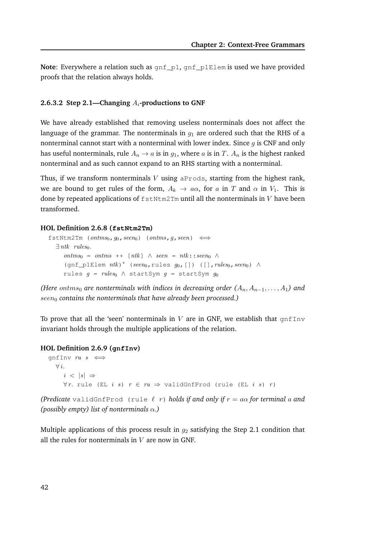**Note**: Everywhere a relation such as gnf\_p1, gnf\_p1Elem is used we have provided proofs that the relation always holds.

#### **2.6.3.2 Step 2.1—Changing** Ai**-productions to GNF**

We have already established that removing useless nonterminals does not affect the language of the grammar. The nonterminals in  $g_1$  are ordered such that the RHS of a nonterminal cannot start with a nonterminal with lower index. Since  $g$  is CNF and only has useful nonterminals, rule  $A_n \to a$  is in  $g_1$ , where a is in T.  $A_n$  is the highest ranked nonterminal and as such cannot expand to an RHS starting with a nonterminal.

Thus, if we transform nonterminals V using  $\alpha$ Prods, starting from the highest rank, we are bound to get rules of the form,  $A_k \to a\alpha$ , for a in T and  $\alpha$  in  $V_1$ . This is done by repeated applications of  $f$ stNtm2Tm until all the nonterminals in  $V$  have been transformed.

#### **HOL Definition 2.6.8 (fstNtm2Tm)**

```
fstNtm2Tm (ontms<sub>0, 90</sub>, seen<sub>0</sub>) (ontms, g, seen) \iff\exists ntk rules<sub>0</sub>.
       \textit{ontms}_0 = \textit{ontms}_{+} + [\textit{ntk}] \land \textit{seen}_{-} = \textit{ntk} : \textit{seen}_{0} \land(gnf_p1Elem nth)* (seen<sub>0</sub>,rules g_0,[]) ([],rules<sub>0</sub>,seen<sub>0</sub>) \wedgerules g = rules_0 \wedge startsym g = startsym g_0
```
*(Here ontms<sub>0</sub> are nonterminals with indices in decreasing order*  $(A_n, A_{n-1}, \ldots, A_1)$  *and*  $seen_0$  contains the nonterminals that have already been processed.)

To prove that all the 'seen' nonterminals in  $V$  are in GNF, we establish that  $gnffInv$ invariant holds through the multiple applications of the relation.

#### **HOL Definition 2.6.9 (gnfInv)**

```
gnfInv ru s \iff\forall i.
     i \leq |s| \Rightarrow∀r. rule (EL i s) r ∈ ru ⇒ validGnfProd (rule (EL i s) r)
```
*(Predicate* validGnfProd (rule  $\ell$  r) *holds if and only if*  $r = a\alpha$  *for terminal* a and *(possibly empty) list of nonterminals* α*.)*

Multiple applications of this process result in  $q_2$  satisfying the Step 2.1 condition that all the rules for nonterminals in  $V$  are now in GNF.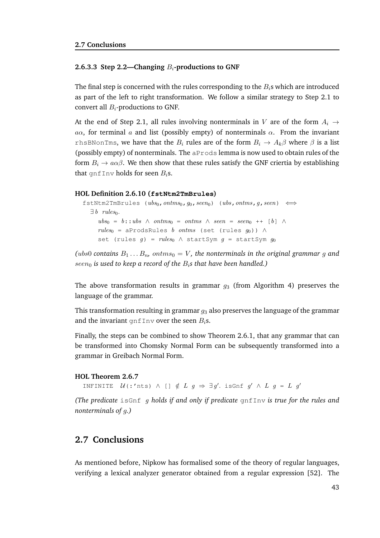#### **2.6.3.3 Step 2.2—Changing** Bi**-productions to GNF**

The final step is concerned with the rules corresponding to the  $B_i$ s which are introduced as part of the left to right transformation. We follow a similar strategy to Step 2.1 to convert all  $B_i$ -productions to GNF.

At the end of Step 2.1, all rules involving nonterminals in V are of the form  $A_i \rightarrow$  $a\alpha$ , for terminal a and list (possibly empty) of nonterminals  $\alpha$ . From the invariant rhsBNonTms, we have that the  $B_i$  rules are of the form  $B_i \to A_k \beta$  where  $\beta$  is a list (possibly empty) of nonterminals. The aProds lemma is now used to obtain rules of the form  $B_i \rightarrow a\alpha\beta$ . We then show that these rules satisfy the GNF criertia by establishing that gnfInv holds for seen  $B_i$ s.

#### **HOL Definition 2.6.10 (fstNtm2TmBrules)**

```
fstNtm2TmBrules (ubs_0, ontms_0, g_0, seen) (ubs, ontms, g, seen) \Leftrightarrow\exists b \ rules_0.
     ubs_0 = b::ubs \wedge ontms_0 = ontms \wedge seen = seen_0 ++ [b] \wedgerules_0 = aProdsRules b ontms (set (rules g_0)) ∧
     set (rules g) = rules \wedge startSym g = startSym g_0
```
*(ubs0 contains*  $B_1 \ldots B_n$ , ontms<sub>0</sub> = V, the nonterminals in the original grammar g and  $seen<sub>0</sub>$  *is used to keep a record of the*  $B<sub>i</sub>$ *s that have been handled.*)

The above transformation results in grammar  $g_3$  (from Algorithm 4) preserves the language of the grammar.

This transformation resulting in grammar  $g_3$  also preserves the language of the grammar and the invariant gnfInv over the seen  $B_i$ s.

Finally, the steps can be combined to show Theorem 2.6.1, that any grammar that can be transformed into Chomsky Normal Form can be subsequently transformed into a grammar in Greibach Normal Form.

#### **HOL Theorem 2.6.7**

INFINITE  $\mathcal{U}$  (:'nts)  $\wedge$  []  $\notin L$   $g \Rightarrow \exists g'.$  is Gnf  $g' \wedge L$   $g = L$   $g'$ 

*(The predicate* isGnf g *holds if and only if predicate* gnfInv *is true for the rules and nonterminals of* g*.)*

# **2.7 Conclusions**

As mentioned before, Nipkow has formalised some of the theory of regular languages, verifying a lexical analyzer generator obtained from a regular expression [52]. The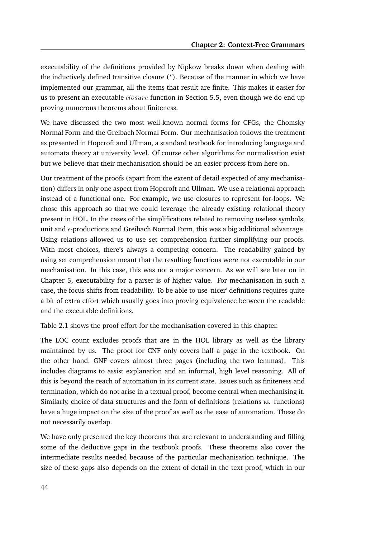executability of the definitions provided by Nipkow breaks down when dealing with the inductively defined transitive closure (<sup>∗</sup> ). Because of the manner in which we have implemented our grammar, all the items that result are finite. This makes it easier for us to present an executable *closure* function in Section 5.5, even though we do end up proving numerous theorems about finiteness.

We have discussed the two most well-known normal forms for CFGs, the Chomsky Normal Form and the Greibach Normal Form. Our mechanisation follows the treatment as presented in Hopcroft and Ullman, a standard textbook for introducing language and automata theory at university level. Of course other algorithms for normalisation exist but we believe that their mechanisation should be an easier process from here on.

Our treatment of the proofs (apart from the extent of detail expected of any mechanisation) differs in only one aspect from Hopcroft and Ullman. We use a relational approach instead of a functional one. For example, we use closures to represent for-loops. We chose this approach so that we could leverage the already existing relational theory present in HOL. In the cases of the simplifications related to removing useless symbols, unit and  $\epsilon$ -productions and Greibach Normal Form, this was a big additional advantage. Using relations allowed us to use set comprehension further simplifying our proofs. With most choices, there's always a competing concern. The readability gained by using set comprehension meant that the resulting functions were not executable in our mechanisation. In this case, this was not a major concern. As we will see later on in Chapter 5, executability for a parser is of higher value. For mechanisation in such a case, the focus shifts from readability. To be able to use 'nicer' definitions requires quite a bit of extra effort which usually goes into proving equivalence between the readable and the executable definitions.

Table 2.1 shows the proof effort for the mechanisation covered in this chapter.

The LOC count excludes proofs that are in the HOL library as well as the library maintained by us. The proof for CNF only covers half a page in the textbook. On the other hand, GNF covers almost three pages (including the two lemmas). This includes diagrams to assist explanation and an informal, high level reasoning. All of this is beyond the reach of automation in its current state. Issues such as finiteness and termination, which do not arise in a textual proof, become central when mechanising it. Similarly, choice of data structures and the form of definitions (relations *vs.* functions) have a huge impact on the size of the proof as well as the ease of automation. These do not necessarily overlap.

We have only presented the key theorems that are relevant to understanding and filling some of the deductive gaps in the textbook proofs. These theorems also cover the intermediate results needed because of the particular mechanisation technique. The size of these gaps also depends on the extent of detail in the text proof, which in our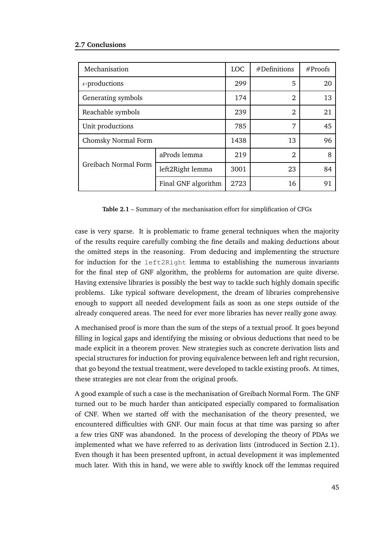| Mechanisation           |                     | <b>LOC</b> | #Definitions   | #Proofs |
|-------------------------|---------------------|------------|----------------|---------|
| $\epsilon$ -productions |                     | 299        | 5              | 20      |
| Generating symbols      |                     | 174        | $\overline{2}$ | 13      |
| Reachable symbols       |                     | 239        | $\overline{2}$ | 21      |
| Unit productions        |                     | 785        | 7              | 45      |
| Chomsky Normal Form     |                     | 1438       | 13             | 96      |
| Greibach Normal Form    | aProds lemma        | 219        | $\overline{2}$ | 8       |
|                         | left2Right lemma    | 3001       | 23             | 84      |
|                         | Final GNF algorithm | 2723       | 16             | 91      |

**Table 2.1** – Summary of the mechanisation effort for simplification of CFGs

case is very sparse. It is problematic to frame general techniques when the majority of the results require carefully combing the fine details and making deductions about the omitted steps in the reasoning. From deducing and implementing the structure for induction for the left2Right lemma to establishing the numerous invariants for the final step of GNF algorithm, the problems for automation are quite diverse. Having extensive libraries is possibly the best way to tackle such highly domain specific problems. Like typical software development, the dream of libraries comprehensive enough to support all needed development fails as soon as one steps outside of the already conquered areas. The need for ever more libraries has never really gone away.

A mechanised proof is more than the sum of the steps of a textual proof. It goes beyond filling in logical gaps and identifying the missing or obvious deductions that need to be made explicit in a theorem prover. New strategies such as concrete derivation lists and special structures for induction for proving equivalence between left and right recursion, that go beyond the textual treatment, were developed to tackle existing proofs. At times, these strategies are not clear from the original proofs.

A good example of such a case is the mechanisation of Greibach Normal Form. The GNF turned out to be much harder than anticipated especially compared to formalisation of CNF. When we started off with the mechanisation of the theory presented, we encountered difficulties with GNF. Our main focus at that time was parsing so after a few tries GNF was abandoned. In the process of developing the theory of PDAs we implemented what we have referred to as derivation lists (introduced in Section 2.1). Even though it has been presented upfront, in actual development it was implemented much later. With this in hand, we were able to swiftly knock off the lemmas required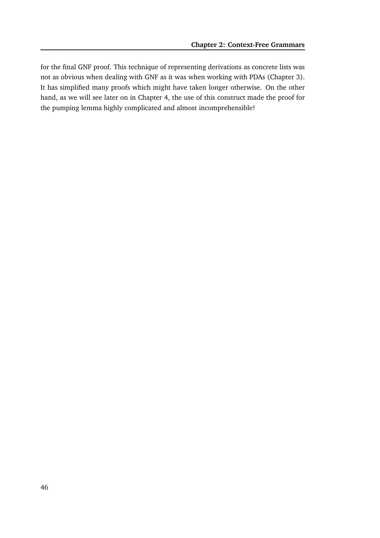for the final GNF proof. This technique of representing derivations as concrete lists was not as obvious when dealing with GNF as it was when working with PDAs (Chapter 3). It has simplified many proofs which might have taken longer otherwise. On the other hand, as we will see later on in Chapter 4, the use of this construct made the proof for the pumping lemma highly complicated and almost incomprehensible!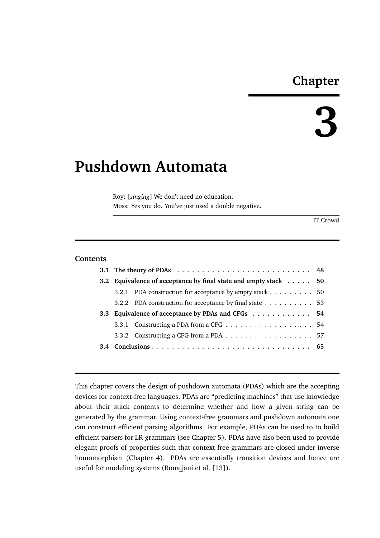# **Chapter**

# **3**

# **Pushdown Automata**

Roy: [*singing*] We don't need no education. Moss: Yes you do. You've just used a double negative.

IT Crowd

# **Contents**

| 3.2 Equivalence of acceptance by final state and empty stack 50 |                                                         |  |  |  |
|-----------------------------------------------------------------|---------------------------------------------------------|--|--|--|
|                                                                 | 3.2.1 PDA construction for acceptance by empty stack 50 |  |  |  |
|                                                                 | 3.2.2 PDA construction for acceptance by final state 53 |  |  |  |
|                                                                 | 3.3 Equivalence of acceptance by PDAs and CFGs 54       |  |  |  |
|                                                                 |                                                         |  |  |  |
|                                                                 |                                                         |  |  |  |
|                                                                 |                                                         |  |  |  |
|                                                                 |                                                         |  |  |  |

This chapter covers the design of pushdown automata (PDAs) which are the accepting devices for context-free languages. PDAs are "predicting machines" that use knowledge about their stack contents to determine whether and how a given string can be generated by the grammar. Using context-free grammars and pushdown automata one can construct efficient parsing algorithms. For example, PDAs can be used to to build efficient parsers for LR grammars (see Chapter 5). PDAs have also been used to provide elegant proofs of properties such that context-free grammars are closed under inverse homomorphism (Chapter 4). PDAs are essentially transition devices and hence are useful for modeling systems (Bouajjani et al. [13]).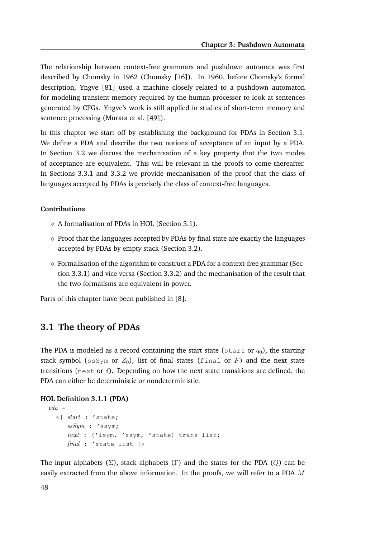The relationship between context-free grammars and pushdown automata was first described by Chomsky in 1962 (Chomsky [16]). In 1960, before Chomsky's formal description, Yngve [81] used a machine closely related to a pushdown automaton for modeling transient memory required by the human processor to look at sentences generated by CFGs. Yngve's work is still applied in studies of short-term memory and sentence processing (Murata et al. [49]).

In this chapter we start off by establishing the background for PDAs in Section 3.1. We define a PDA and describe the two notions of acceptance of an input by a PDA. In Section 3.2 we discuss the mechanisation of a key property that the two modes of acceptance are equivalent. This will be relevant in the proofs to come thereafter. In Sections 3.3.1 and 3.3.2 we provide mechanisation of the proof that the class of languages accepted by PDAs is precisely the class of context-free languages.

#### **Contributions**

- $\diamond$  A formalisation of PDAs in HOL (Section 3.1).
- $\diamond$  Proof that the languages accepted by PDAs by final state are exactly the languages accepted by PDAs by empty stack (Section 3.2).
- $\diamond$  Formalisation of the algorithm to construct a PDA for a context-free grammar (Section 3.3.1) and vice versa (Section 3.3.2) and the mechanisation of the result that the two formalisms are equivalent in power.

Parts of this chapter have been published in [8].

# **3.1 The theory of PDAs**

The PDA is modeled as a record containing the start state (start or  $q_0$ ), the starting stack symbol ( $ssSym$  or  $Z_0$ ), list of final states (final or F) and the next state transitions (next or  $\delta$ ). Depending on how the next state transitions are defined, the PDA can either be deterministic or nondeterministic.

#### **HOL Definition 3.1.1 (PDA)**

```
pda =<| start : 'state;
     ssSym : 'ssym;
     next : ('isym, 'ssym, 'state) trans list;
     final : 'state list |>
```
The input alphabets ( $\Sigma$ ), stack alphabets (Γ) and the states for the PDA (Q) can be easily extracted from the above information. In the proofs, we will refer to a PDA  $M$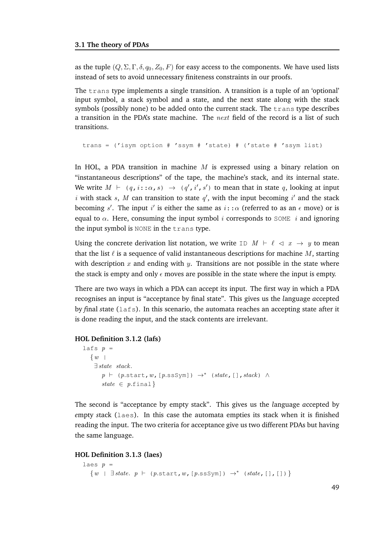as the tuple  $(Q, \Sigma, \Gamma, \delta, q_0, Z_0, F)$  for easy access to the components. We have used lists instead of sets to avoid unnecessary finiteness constraints in our proofs.

The trans type implements a single transition. A transition is a tuple of an 'optional' input symbol, a stack symbol and a state, and the next state along with the stack symbols (possibly none) to be added onto the current stack. The  $trans$  type describes a transition in the PDA's state machine. The next field of the record is a list of such transitions.

```
trans = ('isym option # 'ssym # 'state) # ('state # 'ssym list)
```
In HOL, a PDA transition in machine  $M$  is expressed using a binary relation on "instantaneous descriptions" of the tape, the machine's stack, and its internal state. We write  $M \vdash (q, i : \alpha, s) \rightarrow (q', i', s')$  to mean that in state q, looking at input i with stack s, M can transition to state  $q'$ , with the input becoming i' and the stack becoming s'. The input i is either the same as  $i::\alpha$  (referred to as an  $\epsilon$  move) or is equal to  $\alpha$ . Here, consuming the input symbol *i* corresponds to SOME *i* and ignoring the input symbol is NONE in the trans type.

Using the concrete derivation list notation, we write ID  $M \vdash \ell \prec x \rightarrow y$  to mean that the list  $\ell$  is a sequence of valid instantaneous descriptions for machine M, starting with description x and ending with y. Transitions are not possible in the state where the stack is empty and only  $\epsilon$  moves are possible in the state where the input is empty.

There are two ways in which a PDA can accept its input. The first way in which a PDA recognises an input is "acceptance by final state". This gives us the *l*anguage *a*ccepted by *f*inal *s*tate (lafs). In this scenario, the automata reaches an accepting state after it is done reading the input, and the stack contents are irrelevant.

#### **HOL Definition 3.1.2 (lafs)**

```
lafs p =\{w|
    ∃ state stack.
       p \vdash (p.start, w, [p.sssym]) \rightarrow^* (state, [], stack) \wedgestate \in p.final}
```
The second is "acceptance by empty stack". This gives us the *l*anguage *a*ccepted by *e*mpty *s*tack (laes). In this case the automata empties its stack when it is finished reading the input. The two criteria for acceptance give us two different PDAs but having the same language.

#### **HOL Definition 3.1.3 (laes)**

```
laes p =\{w \mid \exists state. p \vdash (p.start, w, [p.sssym]) \rightarrow^* (state, [], [])\}
```
49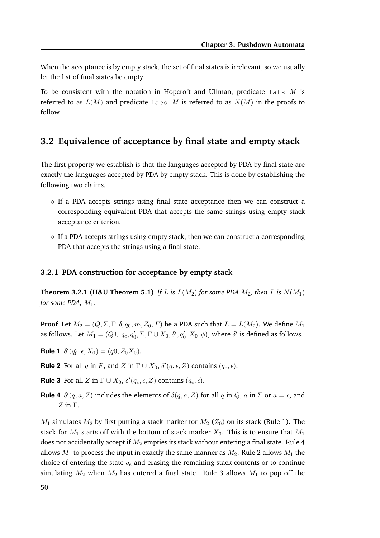When the acceptance is by empty stack, the set of final states is irrelevant, so we usually let the list of final states be empty.

To be consistent with the notation in Hopcroft and Ullman, predicate  $l$  afs M is referred to as  $L(M)$  and predicate laes M is referred to as  $N(M)$  in the proofs to follow.

# **3.2 Equivalence of acceptance by final state and empty stack**

The first property we establish is that the languages accepted by PDA by final state are exactly the languages accepted by PDA by empty stack. This is done by establishing the following two claims.

- $\Diamond$  If a PDA accepts strings using final state acceptance then we can construct a corresponding equivalent PDA that accepts the same strings using empty stack acceptance criterion.
- $\Diamond$  If a PDA accepts strings using empty stack, then we can construct a corresponding PDA that accepts the strings using a final state.

# **3.2.1 PDA construction for acceptance by empty stack**

**Theorem 3.2.1 (H&U Theorem 5.1)** *If L* is  $L(M_2)$  *for some PDA*  $M_2$ *, then L* is  $N(M_1)$ *for some PDA,*  $M_1$ .

**Proof** Let  $M_2 = (Q, \Sigma, \Gamma, \delta, q_0, m, Z_0, F)$  be a PDA such that  $L = L(M_2)$ . We define  $M_1$ as follows. Let  $M_1=(Q\cup q_e,q'_0,\Sigma,\Gamma\cup X_0,\delta',q'_0,X_0,\phi)$ , where  $\delta'$  is defined as follows.

**Rule 1**  $\delta'(q'_0, \epsilon, X_0) = (q_0, Z_0X_0)$ .

- **Rule 2** For all q in F, and Z in  $\Gamma \cup X_0$ ,  $\delta'(q, \epsilon, Z)$  contains  $(q_e, \epsilon)$ .
- **Rule 3** For all Z in  $\Gamma \cup X_0$ ,  $\delta'(q_e, \epsilon, Z)$  contains  $(q_e, \epsilon)$ .
- **Rule 4**  $\delta'(q, a, Z)$  includes the elements of  $\delta(q, a, Z)$  for all q in Q, a in  $\Sigma$  or  $a = \epsilon$ , and  $Z$  in Γ.

 $M_1$  simulates  $M_2$  by first putting a stack marker for  $M_2$  ( $Z_0$ ) on its stack (Rule 1). The stack for  $M_1$  starts off with the bottom of stack marker  $X_0$ . This is to ensure that  $M_1$ does not accidentally accept if  $M_2$  empties its stack without entering a final state. Rule 4 allows  $M_1$  to process the input in exactly the same manner as  $M_2$ . Rule 2 allows  $M_1$  the choice of entering the state  $q_e$  and erasing the remaining stack contents or to continue simulating  $M_2$  when  $M_2$  has entered a final state. Rule 3 allows  $M_1$  to pop off the

50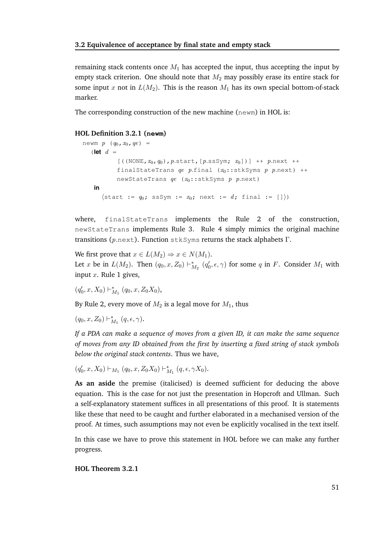remaining stack contents once  $M_1$  has accepted the input, thus accepting the input by empty stack criterion. One should note that  $M_2$  may possibly erase its entire stack for some input x not in  $L(M_2)$ . This is the reason  $M_1$  has its own special bottom-of-stack marker.

The corresponding construction of the new machine (newm) in HOL is:

#### **HOL Definition 3.2.1 (newm)**

```
newm p (q_0, x_0, qe) =(\text{let } d =[((\text{NONE}, x_0, q_0), p.\text{start}, [p.\text{ssSym}; x_0])] ++ p.next ++
            finalStateTrans qe p.final (x_0::stkSyms p.next) ++
            newStateTrans qe (x_0::stkSyms p p.next)
    in
       \{\text{start} := q_0; \text{ssSym} := x_0; \text{next} := d; \text{final} := []\}
```
where, finalStateTrans implements the Rule 2 of the construction, newStateTrans implements Rule 3. Rule 4 simply mimics the original machine transitions ( $p.next$ ). Function stkSyms returns the stack alphabets  $\Gamma$ .

We first prove that  $x \in L(M_2) \Rightarrow x \in N(M_1)$ . Let x be in  $L(M_2)$ . Then  $(q_0, x, Z_0) \vdash^*_\Lambda$  $M_2$   $(q'_0, \epsilon, \gamma)$  for some q in F. Consider  $M_1$  with input  $x$ . Rule 1 gives,

 $(q_0)$  $'_{0}, x, X_{0}) \vdash^{*}_{\Lambda}$  $_{M_1}^*$   $(q_0, x, Z_0X_0)$ ,

By Rule 2, every move of  $M_2$  is a legal move for  $M_1$ , thus

 $(q_0, x, Z_0) \vdash^*_\Lambda$  $_{M_{1}}^{\ast}\ (q,\epsilon,\gamma).$ 

*If a PDA can make a sequence of moves from a given ID, it can make the same sequence of moves from any ID obtained from the first by inserting a fixed string of stack symbols below the original stack contents*. Thus we have,

```
(q'_0, x, X_0) \vdash_{M_1} (q_0, x, Z_0 X_0) \vdash_N^*_{M_{1}}^{*}\left( q,\epsilon,\gamma X_{0}\right).
```
**As an aside** the premise (italicised) is deemed sufficient for deducing the above equation. This is the case for not just the presentation in Hopcroft and Ullman. Such a self-explanatory statement suffices in all presentations of this proof. It is statements like these that need to be caught and further elaborated in a mechanised version of the proof. At times, such assumptions may not even be explicitly vocalised in the text itself.

In this case we have to prove this statement in HOL before we can make any further progress.

#### **HOL Theorem 3.2.1**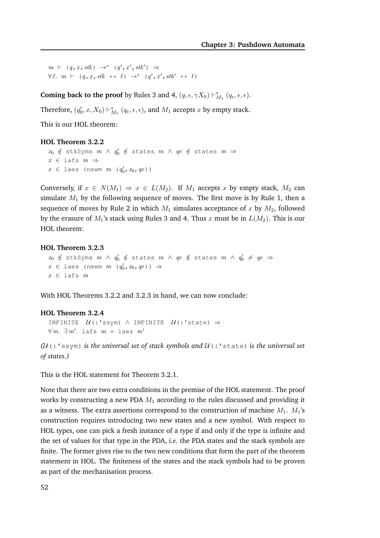$m \vdash (q, x, stk) \rightarrow^* (q', x', stk') \Rightarrow$  $\forall \ell. \quad m \vdash (q, x, stk + \ell) \rightarrow^* (q', x', stk' + \ell)$ 

**Coming back to the proof** by Rules 3 and 4,  $(q, \epsilon, \gamma X_0) \vdash^*_{\Lambda}$  $_{M_{1}}^{*}\left( q_{e},\epsilon,\epsilon\right)$ .

Therefore,  $(q'_0, x, X_0) \vdash^*_{\Lambda}$  $_{M_{1}}^{*}\left( q_{e},\epsilon,\epsilon\right)$ , and  $M_{1}$  accepts  $x$  by empty stack.

This is our HOL theorem:

#### **HOL Theorem 3.2.2**

```
x_0 \notin stkSyms m \wedge q'_0 \notin states m \wedge qe \notin states m \Rightarrowx \in lafs m \Rightarrowx \in \texttt{lass} (newm m \ (q_0', x_0, qe))
```
Conversely, if  $x \in N(M_1) \Rightarrow x \in L(M_2)$ . If  $M_1$  accepts x by empty stack,  $M_2$  can simulate  $M_1$  by the following sequence of moves. The first move is by Rule 1, then a sequence of moves by Rule 2 in which  $M_1$  simulates acceptance of x by  $M_2$ , followed by the erasure of  $M_1$ 's stack using Rules 3 and 4. Thus x must be in  $L(M_2)$ . This is our HOL theorem:

#### **HOL Theorem 3.2.3**

 $x_0$   $\notin$  stkSyms  $m$   $\wedge$   $q'_0$   $\notin$  states  $m$   $\wedge$   $q'_e$   $\notin$  states  $m$   $\wedge$   $q'_0$   $\notin$   $qe$   $\Rightarrow$  $x \in \text{lass}$  (newm  $m \cdot (q'_0, x_0, qe)$ )  $\Rightarrow$  $x \in \texttt{lafs } m$ 

With HOL Theorems 3.2.2 and 3.2.3 in hand, we can now conclude:

#### **HOL Theorem 3.2.4**

```
INFINITE \mathcal{U}(:'ssym) \land INFINITE \mathcal{U}(:'state) \Rightarrow\forall m. \exists m'. lafs m = laes m'
```
*(*U(:'ssym) *is the universal set of stack symbols and* U(:'state) *is the universal set of states.)*

This is the HOL statement for Theorem 3.2.1.

Note that there are two extra conditions in the premise of the HOL statement. The proof works by constructing a new PDA  $M_1$  according to the rules discussed and providing it as a witness. The extra assertions correspond to the construction of machine  $M_1$ .  $M_1$ 's construction requires introducing two new states and a new symbol. With respect to HOL types, one can pick a fresh instance of a type if and only if the type is infinite and the set of values for that type in the PDA, *i.e.* the PDA states and the stack symbols are finite. The former gives rise to the two new conditions that form the part of the theorem statement in HOL. The finiteness of the states and the stack symbols had to be proven as part of the mechanisation process.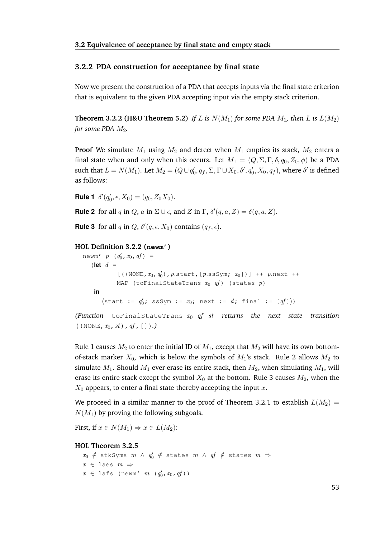#### **3.2.2 PDA construction for acceptance by final state**

Now we present the construction of a PDA that accepts inputs via the final state criterion that is equivalent to the given PDA accepting input via the empty stack criterion.

**Theorem 3.2.2 (H&U Theorem 5.2)** If L is  $N(M_1)$  for some PDA  $M_1$ , then L is  $L(M_2)$ *for some PDA*  $M_2$ *.* 

**Proof** We simulate  $M_1$  using  $M_2$  and detect when  $M_1$  empties its stack,  $M_2$  enters a final state when and only when this occurs. Let  $M_1 = (Q, \Sigma, \Gamma, \delta, q_0, Z_0, \phi)$  be a PDA such that  $L = N(M_1)$ . Let  $M_2 = (Q \cup q'_0, q_f, \Sigma, \Gamma \cup X_0, \delta', q'_0, X_0, q_f)$ , where  $\delta'$  is defined as follows:

**Rule 1**  $\delta'(q_0)$  $Q'_0, \epsilon, X_0) = (q_0, Z_0 X_0).$ 

**Rule 2** for all q in Q, a in  $\Sigma \cup \epsilon$ , and Z in  $\Gamma$ ,  $\delta'(q, a, Z) = \delta(q, a, Z)$ .

**Rule 3** for all q in  $Q$ ,  $\delta'(q, \epsilon, X_0)$  contains  $(q_f, \epsilon)$ .

#### **HOL Definition 3.2.2 (newm')**

```
newm' p \ (q_0', x_0, qf) =(\text{let } d =[((\text{NONE}, x_0, q'_0), p.\text{start}, [p.\text{ssSym}; x_0])] ++ p.next ++
              MAP (toFinalStateTrans x_0 qf) (states p)
      in
         \langle start := q'_0; ssSym := x_0; next := d; final := [qf] \rangle(Function toFinalStateTrans x0 qf st returns the next state transition
```
 $((\text{NONE}, x_0, st), qf, []).)$ 

Rule 1 causes  $M_2$  to enter the initial ID of  $M_1$ , except that  $M_2$  will have its own bottomof-stack marker  $X_0$ , which is below the symbols of  $M_1$ 's stack. Rule 2 allows  $M_2$  to simulate  $M_1$ . Should  $M_1$  ever erase its entire stack, then  $M_2$ , when simulating  $M_1$ , will erase its entire stack except the symbol  $X_0$  at the bottom. Rule 3 causes  $M_2$ , when the  $X_0$  appears, to enter a final state thereby accepting the input x.

We proceed in a similar manner to the proof of Theorem 3.2.1 to establish  $L(M_2)$  =  $N(M_1)$  by proving the following subgoals.

First, if  $x \in N(M_1) \Rightarrow x \in L(M_2)$ :

#### **HOL Theorem 3.2.5**

```
x_0 \notin stkSyms m \wedge q'_0 \notin states m \wedge qf \notin states m \Rightarrowx \in \text{la} are m \Rightarrowx \in \text{lafs} (newm' m \ (q'_0, x_0, qf))
```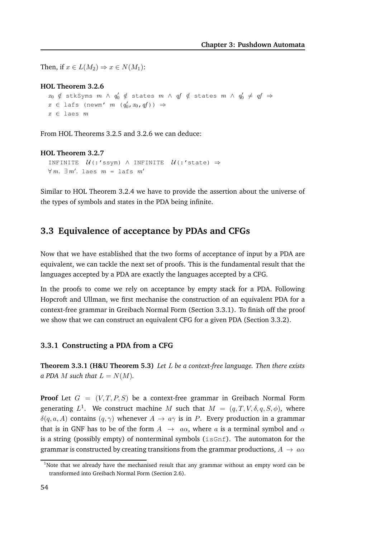Then, if  $x \in L(M_2) \Rightarrow x \in N(M_1)$ :

#### **HOL Theorem 3.2.6**

 $x_0$   $\notin$  stkSyms  $m$   $\wedge$   $q'_0$   $\notin$  states  $m$   $\wedge$   $q'_1$   $\notin$  states  $m$   $\wedge$   $q'_0$   $\notin$   $qf$   $\ni$  $x \in \text{lafs}$  (newm'  $m \cdot (q'_0, x_0, qf)$ )  $\Rightarrow$  $x \in \text{laes } m$ 

From HOL Theorems 3.2.5 and 3.2.6 we can deduce:

#### **HOL Theorem 3.2.7**

```
INFINITE \mathcal{U}(:'ssym) \land INFINITE \mathcal{U}(:'state) \Rightarrow\forall m. \exists m'. \text{ laes } m = \text{ lafs } m'
```
Similar to HOL Theorem 3.2.4 we have to provide the assertion about the universe of the types of symbols and states in the PDA being infinite.

# **3.3 Equivalence of acceptance by PDAs and CFGs**

Now that we have established that the two forms of acceptance of input by a PDA are equivalent, we can tackle the next set of proofs. This is the fundamental result that the languages accepted by a PDA are exactly the languages accepted by a CFG.

In the proofs to come we rely on acceptance by empty stack for a PDA. Following Hopcroft and Ullman, we first mechanise the construction of an equivalent PDA for a context-free grammar in Greibach Normal Form (Section 3.3.1). To finish off the proof we show that we can construct an equivalent CFG for a given PDA (Section 3.3.2).

#### **3.3.1 Constructing a PDA from a CFG**

**Theorem 3.3.1 (H&U Theorem 5.3)** *Let* L *be a context-free language. Then there exists a PDA M such that*  $L = N(M)$ *.* 

**Proof** Let  $G = (V, T, P, S)$  be a context-free grammar in Greibach Normal Form generating  $L^1$ . We construct machine  $M$  such that  $M = (q, T, V, \delta, q, S, \phi)$ , where  $\delta(q, a, A)$  contains  $(q, \gamma)$  whenever  $A \rightarrow a\gamma$  is in P. Every production in a grammar that is in GNF has to be of the form  $A \rightarrow a\alpha$ , where a is a terminal symbol and  $\alpha$ is a string (possibly empty) of nonterminal symbols ( $isGnf$ ). The automaton for the grammar is constructed by creating transitions from the grammar productions,  $A \rightarrow a\alpha$ 

<sup>&</sup>lt;sup>1</sup>Note that we already have the mechanised result that any grammar without an empty word can be transformed into Greibach Normal Form (Section 2.6).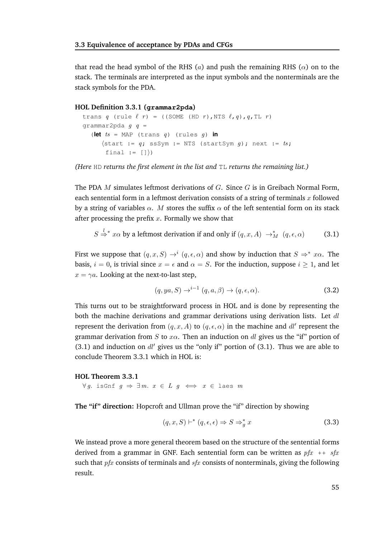that read the head symbol of the RHS (a) and push the remaining RHS ( $\alpha$ ) on to the stack. The terminals are interpreted as the input symbols and the nonterminals are the stack symbols for the PDA.

#### **HOL Definition 3.3.1 (grammar2pda)**

```
trans q (rule \ell r) = ((SOME (HD r), NTS \ell, q), q, TL r)
qrammar2pda q q =
   (let ts = MAP (trans q) (rules q) in
      \{\text{start} := q; \text{ssSym} := \text{NTS} \text{ (startsym } g); \text{next} := ts;final := (1))
```
*(Here* HD *returns the first element in the list and* TL *returns the remaining list.)*

The PDA  $M$  simulates leftmost derivations of  $G$ . Since  $G$  is in Greibach Normal Form, each sentential form in a leftmost derivation consists of a string of terminals  $x$  followed by a string of variables  $\alpha$ . M stores the suffix  $\alpha$  of the left sentential form on its stack after processing the prefix  $x$ . Formally we show that

$$
S \stackrel{l}{\Rightarrow}^* x\alpha \text{ by a leftmost derivation if and only if } (q, x, A) \rightarrow_M^* (q, \epsilon, \alpha) \tag{3.1}
$$

First we suppose that  $(q, x, S) \rightarrow^{i} (q, \epsilon, \alpha)$  and show by induction that  $S \Rightarrow^{*} x\alpha$ . The basis,  $i = 0$ , is trivial since  $x = \epsilon$  and  $\alpha = S$ . For the induction, suppose  $i \ge 1$ , and let  $x = \gamma a$ . Looking at the next-to-last step,

$$
(q, ya, S) \rightarrow^{i-1} (q, a, \beta) \rightarrow (q, \epsilon, \alpha).
$$
 (3.2)

This turns out to be straightforward process in HOL and is done by representing the both the machine derivations and grammar derivations using derivation lists. Let  $dl$ represent the derivation from  $(q, x, A)$  to  $(q, \epsilon, \alpha)$  in the machine and  $dl'$  represent the grammar derivation from S to  $x\alpha$ . Then an induction on dl gives us the "if" portion of (3.1) and induction on  $dl'$  gives us the "only if" portion of (3.1). Thus we are able to conclude Theorem 3.3.1 which in HOL is:

#### **HOL Theorem 3.3.1**

 $\forall g.$  isGnf  $g$  ⇒  $\exists m.$   $x \in L$   $g$   $\iff x \in$  laes  $m$ 

**The "if" direction:** Hopcroft and Ullman prove the "if" direction by showing

$$
(q, x, S) \vdash^* (q, \epsilon, \epsilon) \Rightarrow S \Rightarrow_g^* x \tag{3.3}
$$

We instead prove a more general theorem based on the structure of the sentential forms derived from a grammar in GNF. Each sentential form can be written as  $pfx + + sfx$ such that  $pfx$  consists of terminals and  $sfx$  consists of nonterminals, giving the following result.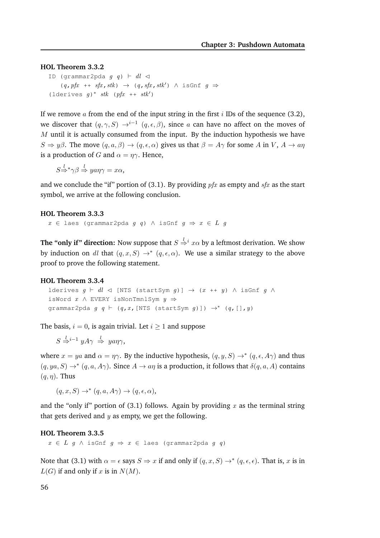#### **HOL Theorem 3.3.2**

ID (grammar2pda  $g$  q)  $\vdash$  dl  $\lhd$  $(q, pfx + fxfx, stk) \rightarrow (q, sfx, stk') \land isGnf g \Rightarrow$ (lderives  $g$ )\* stk (pfx ++ stk')

If we remove a from the end of the input string in the first  $i$  IDs of the sequence (3.2), we discover that  $(q, \gamma, S) \rightarrow^{i-1} (q, \epsilon, \beta)$ , since a can have no affect on the moves of  $M$  until it is actually consumed from the input. By the induction hypothesis we have  $S \Rightarrow y\beta$ . The move  $(q, a, \beta) \rightarrow (q, \epsilon, \alpha)$  gives us that  $\beta = A\gamma$  for some A in V,  $A \rightarrow a\eta$ is a production of G and  $\alpha = \eta \gamma$ . Hence,

 $S \stackrel{l}{\Rightarrow} {}^*\gamma \beta \stackrel{l}{\Rightarrow} \text{y} a \eta \gamma = x \alpha,$ 

and we conclude the "if" portion of (3.1). By providing  $pfx$  as empty and  $sfx$  as the start symbol, we arrive at the following conclusion.

#### **HOL Theorem 3.3.3**

 $x \in$  laes (grammar2pda g q) ∧ isGnf  $g \Rightarrow x \in L$  g

**The "only if" direction:** Now suppose that  $S \stackrel{l}{\Rightarrow}{}^{i}x\alpha$  by a leftmost derivation. We show by induction on dl that  $(q, x, S) \rightarrow^* (q, \epsilon, \alpha)$ . We use a similar strategy to the above proof to prove the following statement.

#### **HOL Theorem 3.3.4**

lderives  $g \vdash dl \lhd$  [NTS (startSym  $g$ )]  $\rightarrow$  (x ++ y)  $\land$  isGnf  $g \land$ isWord  $x \wedge$  EVERY isNonTmnlSym  $y \Rightarrow$ grammar2pda  $g \neq (q, x, [NTS (startsym g)]) \rightarrow^* (q, [] , y)$ 

The basis,  $i = 0$ , is again trivial. Let  $i \geq 1$  and suppose

 $S \stackrel{l}{\Rightarrow}{}^{i-1} y A \gamma \stackrel{l}{\Rightarrow} y a \eta \gamma,$ 

where  $x = ya$  and  $\alpha = \eta \gamma$ . By the inductive hypothesis,  $(q, y, S) \rightarrow^* (q, \epsilon, A\gamma)$  and thus  $(q, ya, S) \rightarrow^* (q, a, A\gamma)$ . Since  $A \rightarrow a\eta$  is a production, it follows that  $\delta(q, a, A)$  contains  $(q, \eta)$ . Thus

 $(q, x, S) \rightarrow^* (q, a, A\gamma) \rightarrow (q, \epsilon, \alpha),$ 

and the "only if" portion of (3.1) follows. Again by providing  $x$  as the terminal string that gets derived and  $y$  as empty, we get the following.

#### **HOL Theorem 3.3.5**

 $x \in L$  g  $\wedge$  isGnf  $g \Rightarrow x \in \text{la}$  (grammar2pda g q)

Note that (3.1) with  $\alpha = \epsilon$  says  $S \Rightarrow x$  if and only if  $(q, x, S) \rightarrow^* (q, \epsilon, \epsilon)$ . That is, x is in  $L(G)$  if and only if x is in  $N(M)$ .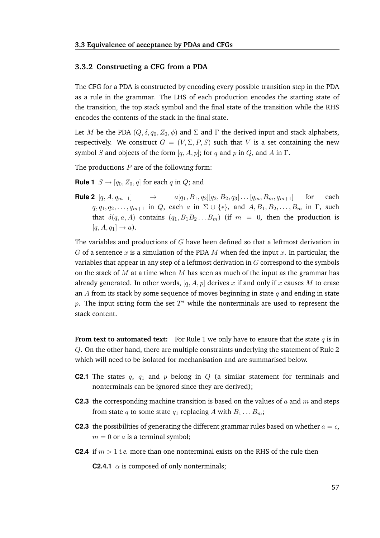#### **3.3.2 Constructing a CFG from a PDA**

The CFG for a PDA is constructed by encoding every possible transition step in the PDA as a rule in the grammar. The LHS of each production encodes the starting state of the transition, the top stack symbol and the final state of the transition while the RHS encodes the contents of the stack in the final state.

Let M be the PDA  $(Q, \delta, q_0, Z_0, \phi)$  and  $\Sigma$  and  $\Gamma$  the derived input and stack alphabets, respectively. We construct  $G = (V, \Sigma, P, S)$  such that V is a set containing the new symbol S and objects of the form  $[q, A, p]$ ; for q and p in Q, and A in  $\Gamma$ .

The productions  $P$  are of the following form:

**Rule 1**  $S \rightarrow [q_0, Z_0, q]$  for each q in Q; and

**Rule 2**  $[q, A, q_{m+1}]$   $\rightarrow$   $a[q_1, B_1, q_2][q_2, B_2, q_3] \dots [q_m, B_m, q_{m+1}]$  for each  $q, q_1, q_2, \ldots, q_{m+1}$  in Q, each a in  $\Sigma \cup \{\epsilon\}$ , and  $A, B_1, B_2, \ldots, B_m$  in  $\Gamma$ , such that  $\delta(q, a, A)$  contains  $(q_1, B_1 B_2 ... B_m)$  (if  $m = 0$ , then the production is  $[q, A, q_1] \rightarrow a$ .

The variables and productions of  $G$  have been defined so that a leftmost derivation in G of a sentence x is a simulation of the PDA M when fed the input x. In particular, the variables that appear in any step of a leftmost derivation in  $G$  correspond to the symbols on the stack of  $M$  at a time when  $M$  has seen as much of the input as the grammar has already generated. In other words, [q, A, p] derives x if and only if x causes M to erase an  $\Lambda$  from its stack by some sequence of moves beginning in state  $q$  and ending in state p. The input string form the set  $T^*$  while the nonterminals are used to represent the stack content.

**From text to automated text:** For Rule 1 we only have to ensure that the state  $q$  is in Q. On the other hand, there are multiple constraints underlying the statement of Rule 2 which will need to be isolated for mechanisation and are summarised below.

- **C2.1** The states  $q$ ,  $q_1$  and  $p$  belong in  $Q$  (a similar statement for terminals and nonterminals can be ignored since they are derived);
- **C2.3** the corresponding machine transition is based on the values of  $a$  and  $m$  and steps from state q to some state  $q_1$  replacing A with  $B_1 \ldots B_m$ ;
- **C2.3** the possibilities of generating the different grammar rules based on whether  $a = \epsilon$ ,  $m = 0$  or a is a terminal symbol;
- **C2.4** if  $m > 1$  *i.e.* more than one nonterminal exists on the RHS of the rule then

**C2.4.1**  $\alpha$  is composed of only nonterminals;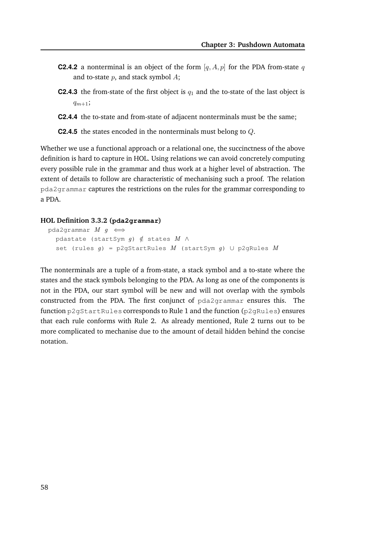- **C2.4.2** a nonterminal is an object of the form  $[q, A, p]$  for the PDA from-state q and to-state  $p$ , and stack symbol  $A$ ;
- **C2.4.3** the from-state of the first object is  $q_1$  and the to-state of the last object is  $q_{m+1}$ ;
- **C2.4.4** the to-state and from-state of adjacent nonterminals must be the same;

**C2.4.5** the states encoded in the nonterminals must belong to Q.

Whether we use a functional approach or a relational one, the succinctness of the above definition is hard to capture in HOL. Using relations we can avoid concretely computing every possible rule in the grammar and thus work at a higher level of abstraction. The extent of details to follow are characteristic of mechanising such a proof. The relation pda2grammar captures the restrictions on the rules for the grammar corresponding to a PDA.

#### **HOL Definition 3.3.2 (pda2grammar)**

```
pda2grammar M g \iffpdastate (startSym g) \notin states M \wedgeset (rules g) = p2gStartRules M (startSym g) \cup p2gRules M
```
The nonterminals are a tuple of a from-state, a stack symbol and a to-state where the states and the stack symbols belonging to the PDA. As long as one of the components is not in the PDA, our start symbol will be new and will not overlap with the symbols constructed from the PDA. The first conjunct of pda2grammar ensures this. The function p2gStartRules corresponds to Rule 1 and the function (p2gRules) ensures that each rule conforms with Rule 2. As already mentioned, Rule 2 turns out to be more complicated to mechanise due to the amount of detail hidden behind the concise notation.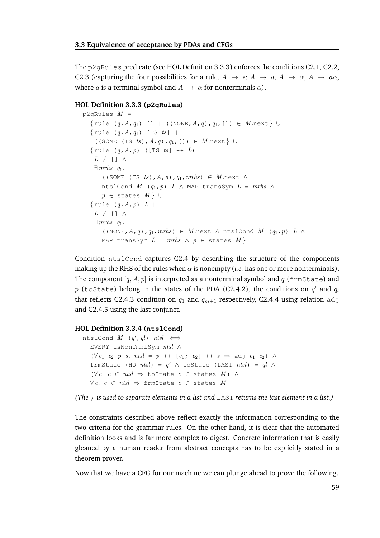The  $p2qRules$  predicate (see HOL Definition 3.3.3) enforces the conditions C2.1, C2.2, C2.3 (capturing the four possibilities for a rule,  $A \rightarrow \epsilon$ ;  $A \rightarrow a$ ,  $A \rightarrow \alpha$ ,  $A \rightarrow a\alpha$ , where *a* is a terminal symbol and  $A \rightarrow \alpha$  for nonterminals  $\alpha$ ).

#### **HOL Definition 3.3.3 (p2gRules)**

```
p2qRules M =\{rule (q, A, q_1) [ ] | ((NONE, A, q), q_1, [] ) \in M.next \} \cup{rule (q, A, q_1) [TS ts] |
    ((SOME (TS ts), A, q), q_1, []) \in M.next \} ∪
  {rule (q, A, p) ([TS ts] ++ L) |
   L \neq \lceil \rceil \wedge\exists mrhs q1.
       ((SOME (TS ts), A, q), q_1, mrhs) \in M.next \wedgentslCond M (q_1, p) L \wedge MAP transSym L = mrhs \wedgep \in states M \} \cup\{rule (q, A, p) L\}L \neq \lceil \rceil \wedge\exists mrhs q_1.
       ((NONE, A,q),q_1, mrhs) \in M .next \wedge ntslCond M (q_1, p) L \wedgeMAP transSym L = mrhs \wedge p \in states M}
```
Condition ntslCond captures C2.4 by describing the structure of the components making up the RHS of the rules when  $\alpha$  is nonempty (*i.e.* has one or more nonterminals). The component  $[q, A, p]$  is interpreted as a nonterminal symbol and q (frmState) and  $p$  (toState) belong in the states of the PDA (C2.4.2), the conditions on  $q^\prime$  and  $q_l$ that reflects C2.4.3 condition on  $q_1$  and  $q_{m+1}$  respectively, C2.4.4 using relation adj and C2.4.5 using the last conjunct.

#### **HOL Definition 3.3.4 (ntslCond)**

```
ntslCond M (q',ql) ntsl \iffEVERY isNonTmnlSym ntsl ∧
  (∀ e_1 e_2 p s. ntsl = p ++ [e_1; e_2] ++ s ⇒ adj e_1 e_2) ∧frmState (HD ntsl) = q' \wedge toState (LAST ntsl) = ql \wedge(\forall e. e \in ntsl \Rightarrow toState e \in states M) ∧
  ∀e, e ∈ ntsl ⇒ \text{frmState } e ∈ \text{states } M
```
*(The* ; *is used to separate elements in a list and* LAST *returns the last element in a list.)*

The constraints described above reflect exactly the information corresponding to the two criteria for the grammar rules. On the other hand, it is clear that the automated definition looks and is far more complex to digest. Concrete information that is easily gleaned by a human reader from abstract concepts has to be explicitly stated in a theorem prover.

Now that we have a CFG for our machine we can plunge ahead to prove the following.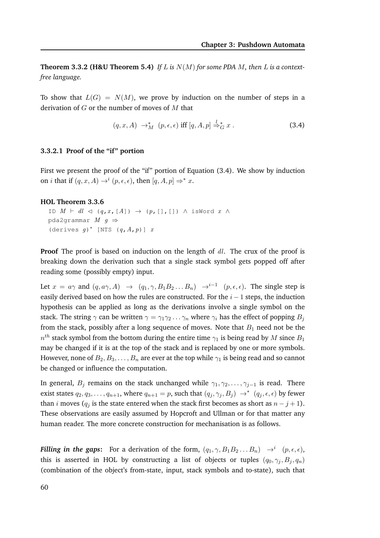**Theorem 3.3.2 (H&U Theorem 5.4)** If L is  $N(M)$  for some PDA M, then L is a context*free language.*

To show that  $L(G) = N(M)$ , we prove by induction on the number of steps in a derivation of  $G$  or the number of moves of  $M$  that

$$
(q, x, A) \rightarrow_M^* (p, \epsilon, \epsilon) \text{ iff } [q, A, p] \stackrel{l}{\Rightarrow_G^*} x . \tag{3.4}
$$

#### **3.3.2.1 Proof of the "if" portion**

First we present the proof of the "if" portion of Equation (3.4). We show by induction on *i* that if  $(q, x, A) \rightarrow^{i} (p, \epsilon, \epsilon)$ , then  $[q, A, p] \Rightarrow^{*} x$ .

#### **HOL Theorem 3.3.6**

```
ID M \vdash dl \lhd (q, x, [A]) \rightarrow (p, [], []) \land isWord x \landpda2grammar M q \Rightarrow(derives g)* [NTS (q, A, p)] x
```
**Proof** The proof is based on induction on the length of dl. The crux of the proof is breaking down the derivation such that a single stack symbol gets popped off after reading some (possibly empty) input.

Let  $x = a\gamma$  and  $(q, a\gamma, A) \rightarrow (q_1, \gamma, B_1 B_2 ... B_n) \rightarrow i^{-1} (p, \epsilon, \epsilon)$ . The single step is easily derived based on how the rules are constructed. For the  $i - 1$  steps, the induction hypothesis can be applied as long as the derivations involve a single symbol on the stack. The string  $\gamma$  can be written  $\gamma = \gamma_1 \gamma_2 \dots \gamma_n$  where  $\gamma_i$  has the effect of popping  $B_j$ from the stack, possibly after a long sequence of moves. Note that  $B_1$  need not be the  $n^{th}$  stack symbol from the bottom during the entire time  $\gamma_1$  is being read by  $M$  since  $B_1$ may be changed if it is at the top of the stack and is replaced by one or more symbols. However, none of  $B_2, B_3, \ldots, B_n$  are ever at the top while  $\gamma_1$  is being read and so cannot be changed or influence the computation.

In general,  $B_j$  remains on the stack unchanged while  $\gamma_1, \gamma_2, \ldots, \gamma_{j-1}$  is read. There exist states  $q_2, q_3, \ldots, q_{n+1}$ , where  $q_{n+1} = p$ , such that  $(q_j, \gamma_j, B_j) \rightarrow^* (q_j, \epsilon, \epsilon)$  by fewer than *i* moves ( $q_i$  is the state entered when the stack first becomes as short as  $n - j + 1$ ). These observations are easily assumed by Hopcroft and Ullman or for that matter any human reader. The more concrete construction for mechanisation is as follows.

*Filling in the gaps*: For a derivation of the form,  $(q_1, \gamma, B_1 B_2 \dots B_n) \rightarrow^{i} (p, \epsilon, \epsilon)$ , this is asserted in HOL by constructing a list of objects or tuples  $(q_0, \gamma_i, B_i, q_n)$ (combination of the object's from-state, input, stack symbols and to-state), such that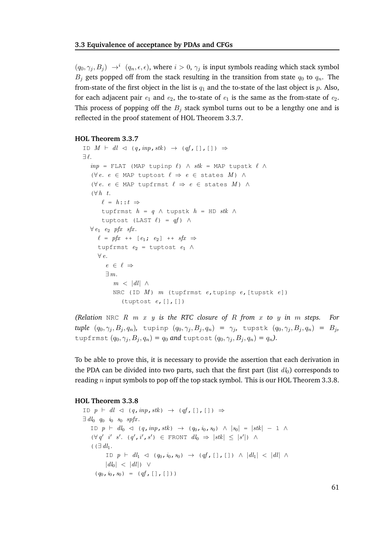$(q_0, \gamma_j, B_j) \rightarrow^i (q_n, \epsilon, \epsilon)$ , where  $i > 0$ ,  $\gamma_j$  is input symbols reading which stack symbol  $B_i$  gets popped off from the stack resulting in the transition from state  $q_0$  to  $q_n$ . The from-state of the first object in the list is  $q_1$  and the to-state of the last object is p. Also, for each adjacent pair  $e_1$  and  $e_2$ , the to-state of  $e_1$  is the same as the from-state of  $e_2$ . This process of popping off the  $B_i$  stack symbol turns out to be a lengthy one and is reflected in the proof statement of HOL Theorem 3.3.7.

#### **HOL Theorem 3.3.7**

```
ID M \vdash dl \triangleleft (q, inp, stk) \rightarrow (qf, [] , [] ) \Rightarrow∃ ℓ.
   inp = FLAT (MAP tupinp \ell) \wedge stk = MAP tupstk \ell \wedge(\forall e. e \in \text{MAP} tuptost \ell \Rightarrow e \in \text{states } M) \wedge(\forall e. e \in \text{MAP} tupfrmst \ell \Rightarrow e \in \text{states } M) \wedge(\forall h \ t.\ell = h : : t \Rightarrowtupfrmst h = q \wedge tupstk h = HD stk \wedgetuptost (LAST \ell) = qf) \wedge\forall e_1 e<sub>2</sub> pfx sfx.
      \ell = pfx + [e_1; e_2] + sfx \Rightarrowtupfrmst e_2 = tuptost e_1 \wedge\forall e.
         e \in \ell \Rightarrow∃ m.
             m < |dl| \wedgeNRC (ID M) m (tupfrmst e, tupinp e, [tupstk e])
                 (tuptost e, [], [])
```
*(Relation* NRC R m x y *is the RTC closure of* R *from* x *to* y *in* m *steps. For tuple*  $(q_0, \gamma_j, B_j, q_n)$ , tupinp  $(q_0, \gamma_j, B_j, q_n) = \gamma_j$ , tupstk  $(q_0, \gamma_j, B_j, q_n) = B_j$ , tupfrmst  $(q_0, \gamma_i, B_j, q_n) = q_0$  and tuptost  $(q_0, \gamma_j, B_j, q_n) = q_n$ ).

To be able to prove this, it is necessary to provide the assertion that each derivation in the PDA can be divided into two parts, such that the first part (list  $d_0$ ) corresponds to reading  $n$  input symbols to pop off the top stack symbol. This is our HOL Theorem 3.3.8.

#### **HOL Theorem 3.3.8**

ID  $p \vdash dl \lhd (q, inp, stk) \rightarrow (qf, [] , [] ) \Rightarrow$  $\exists dl_0$  q io so spfx. ID  $p$  ⊢  $dl_0$  ⊲ (q, inp, stk) → (q<sub>0</sub>, i<sub>0</sub>, s<sub>0</sub>) ∧ |s<sub>0</sub>| = |stk| – 1 ∧  $(\forall q' \ i' \ s'. \ (q', i', s') \in \text{FRONT} \ dl_0 \ \Rightarrow \ |stk| \ \leq \ |s'|) \ \land$  $($  ( $\exists$  dl<sub>1</sub>. ID  $p$  ⊢  $dl_1$   $\lhd$  ( $q_0$ ,  $i_0$ ,  $s_0$ )  $\rightarrow$  (qf, [], [])  $\land$   $|dl_1|$   $\lt$   $|dl|$   $\land$  $|dl_0| < |dl|$ ) ∨  $(q_0, i_0, s_0) = (qf, [], [])$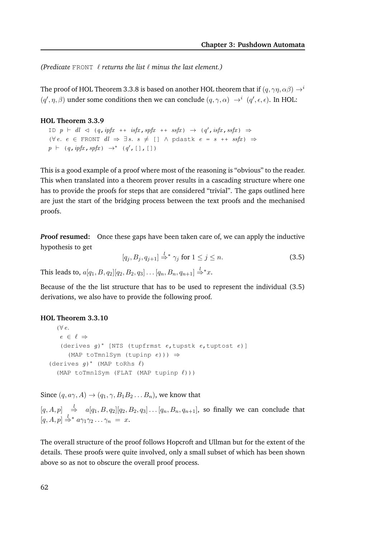*(Predicate* FRONT ℓ *returns the list* ℓ *minus the last element.)*

The proof of HOL Theorem 3.3.8 is based on another HOL theorem that if  $(q, \gamma\eta, \alpha\beta) \rightarrow i$  $(q', \eta, \beta)$  under some conditions then we can conclude  $(q, \gamma, \alpha) \rightarrow^i (q', \epsilon, \epsilon)$ . In HOL:

#### **HOL Theorem 3.3.9**

ID  $p$   $\vdash$  dl  $\lhd$  (q, ipfx ++ isfx, spfx ++ ssfx)  $\rightarrow$  (q', isfx, ssfx)  $\Rightarrow$ (∀e. e ∈ FRONT  $dl \Rightarrow \exists s. s \neq [] \land pdast k e = s + + ssfx$ ) ⇒  $p \vdash (q, ipfx, spfx) \rightarrow^* (q', [], [])$ 

This is a good example of a proof where most of the reasoning is "obvious" to the reader. This when translated into a theorem prover results in a cascading structure where one has to provide the proofs for steps that are considered "trivial". The gaps outlined here are just the start of the bridging process between the text proofs and the mechanised proofs.

*P***roof resumed:** Once these gaps have been taken care of, we can apply the inductive hypothesis to get

$$
[q_j, B_j, q_{j+1}] \stackrel{l}{\Rightarrow}^* \gamma_j \text{ for } 1 \le j \le n. \tag{3.5}
$$

This leads to,  $a[q_1, B, q_2][q_2, B_2, q_3] \ldots [q_n, B_n, q_{n+1}] \stackrel{l}{\Rightarrow} x.$ 

Because of the the list structure that has to be used to represent the individual (3.5) derivations, we also have to provide the following proof.

#### **HOL Theorem 3.3.10**

```
(∀ e.e \in \ell \Rightarrow(derives g)
∗ [NTS (tupfrmst e,tupstk e,tuptost e)]
      (MAP toTmnlSym (tupinp e))) \Rightarrow(derives g)* (MAP toRhs \ell)
  (MAP toTmnlSym (FLAT (MAP tupinp ℓ)))
```
Since  $(q, a\gamma, A) \rightarrow (q_1, \gamma, B_1 B_2 \dots B_n)$ , we know that

 $[q, A, p] \stackrel{k}{\Rightarrow} a[q_1, B, q_2][q_2, B_2, q_3] \dots [q_n, B_n, q_{n+1}],$  so finally we can conclude that  $[q, A, p] \stackrel{l}{\Rightarrow}^* a \gamma_1 \gamma_2 \ldots \gamma_n = x.$ 

The overall structure of the proof follows Hopcroft and Ullman but for the extent of the details. These proofs were quite involved, only a small subset of which has been shown above so as not to obscure the overall proof process.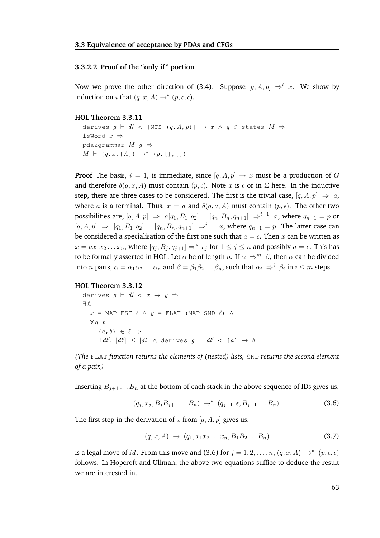#### **3.3.2.2 Proof of the "only if" portion**

Now we prove the other direction of (3.4). Suppose  $[q, A, p] \Rightarrow^{i} x$ . We show by induction on *i* that  $(q, x, A) \rightarrow^* (p, \epsilon, \epsilon)$ .

#### **HOL Theorem 3.3.11**

derives  $q \vdash dl \lhd$  [NTS  $(q, A, p)$ ]  $\rightarrow x \land q \in$  states  $M \Rightarrow$ isWord x ⇒ pda2qrammar  $M$   $q \Rightarrow$  $M \vdash (q, x, [A]) \rightarrow^* (p, [] , []$ 

**Proof** The basis,  $i = 1$ , is immediate, since  $[q, A, p] \rightarrow x$  must be a production of G and therefore  $\delta(q, x, A)$  must contain  $(p, \epsilon)$ . Note x is  $\epsilon$  or in  $\Sigma$  here. In the inductive step, there are three cases to be considered. The first is the trivial case,  $[q, A, p] \Rightarrow a$ , where a is a terminal. Thus,  $x = a$  and  $\delta(q, a, A)$  must contain  $(p, \epsilon)$ . The other two possibilities are,  $[q, A, p] \Rightarrow a[q_1, B_1, q_2] \dots [q_n, B_n, q_{n+1}] \Rightarrow^{i-1} x$ , where  $q_{n+1} = p$  or  $[q, A, p] \Rightarrow [q_1, B_1, q_2] \dots [q_n, B_n, q_{n+1}] \Rightarrow i^{-1} x$ , where  $q_{n+1} = p$ . The latter case can be considered a specialisation of the first one such that  $a = \epsilon$ . Then x can be written as  $x = ax_1x_2...x_n$ , where  $[q_j, B_j, q_{j+1}] \Rightarrow^* x_j$  for  $1 \le j \le n$  and possibly  $a = \epsilon$ . This has to be formally asserted in HOL. Let  $\alpha$  be of length n. If  $\alpha \Rightarrow^m \beta$ , then  $\alpha$  can be divided into *n* parts,  $\alpha = \alpha_1 \alpha_2 \dots \alpha_n$  and  $\beta = \beta_1 \beta_2 \dots \beta_n$ , such that  $\alpha_i \Rightarrow^i \beta_i$  in  $i \leq m$  steps.

#### **HOL Theorem 3.3.12**

derives  $g \vdash dl \lhd x \rightarrow y \Rightarrow$  $\exists \ell$ .  $x = \text{MAP FST} \ell \wedge y = \text{FLAT} \text{ (MAP SND } \ell \text{ ) } \wedge$  $\forall a \; b.$  $(a, b) \in \ell \Rightarrow$  $\exists dl'. \vert dl' \vert \leq \vert dl \vert \wedge$  derives  $g \vdash dl' \lhd [a] \rightarrow b$ 

*(The* FLAT *function returns the elements of (nested) lists,* SND *returns the second element of a pair.)*

Inserting  $B_{j+1} \ldots B_n$  at the bottom of each stack in the above sequence of IDs gives us,

$$
(q_j, x_j, B_j B_{j+1} \dots B_n) \to^* (q_{j+1}, \epsilon, B_{j+1} \dots B_n).
$$
 (3.6)

The first step in the derivation of x from  $[q, A, p]$  gives us,

$$
(q, x, A) \rightarrow (q_1, x_1 x_2 \dots x_n, B_1 B_2 \dots B_n)
$$
\n(3.7)

is a legal move of M. From this move and (3.6) for  $j = 1, 2, ..., n$ ,  $(q, x, A) \rightarrow^* (p, \epsilon, \epsilon)$ follows. In Hopcroft and Ullman, the above two equations suffice to deduce the result we are interested in.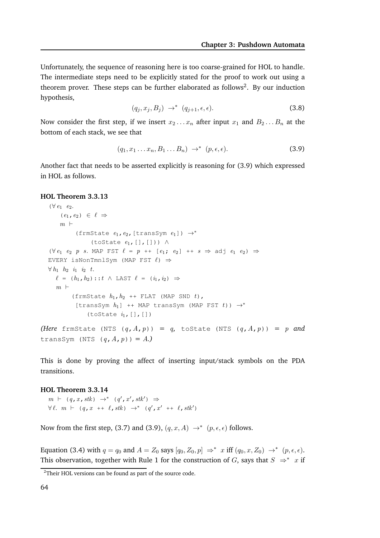Unfortunately, the sequence of reasoning here is too coarse-grained for HOL to handle. The intermediate steps need to be explicitly stated for the proof to work out using a theorem prover. These steps can be further elaborated as follows<sup>2</sup>. By our induction hypothesis,

$$
(q_j, x_j, B_j) \rightarrow^* (q_{j+1}, \epsilon, \epsilon).
$$
 (3.8)

Now consider the first step, if we insert  $x_2 \ldots x_n$  after input  $x_1$  and  $B_2 \ldots B_n$  at the bottom of each stack, we see that

$$
(q_1, x_1 \ldots x_n, B_1 \ldots B_n) \rightarrow^* (p, \epsilon, \epsilon).
$$
 (3.9)

Another fact that needs to be asserted explicitly is reasoning for (3.9) which expressed in HOL as follows.

#### **HOL Theorem 3.3.13**

```
(\forall e_1 \quad e_2).
        (e_1, e_2) \in \ell \Rightarrowm +(frmState e_1, e_2, [transSym e_1]) \rightarrow^*(toState e_1, [], [])) \wedge(\forall e_1 \ e_2 \ p \ s. \ \text{MAP EST } \ell = p \ + \ [\ e_1; \ e_2] \ + \ s \Rightarrow \text{adj } \ e_1 \ e_2) \RightarrowEVERY isNonTmnlSym (MAP FST \ell) \Rightarrow\forall h_1 \quad h_2 \quad i_1 \quad i_2 \quad t.\ell = (h_1, h_2) :: t \wedge \text{ LAST } \ell = (i_1, i_2) \Rightarrowm +(frmState h_1, h_2 ++ FLAT (MAP SND t),
              [transSym h_1] ++ MAP transSym (MAP FST t)) \rightarrow^*(toState i_1, [], [])
(Here frmState (NTS (q, A, p)) = q, toState (NTS (q, A, p)) = p and
transSym (NTS (q, A, p)) = A.)
```
This is done by proving the affect of inserting input/stack symbols on the PDA transitions.

#### **HOL Theorem 3.3.14**

 $m \vdash (q, x, stk) \rightarrow^* (q', x', stk') \Rightarrow$  $\forall \ell. \quad m \vdash (q, x \dasharrow \ell, stk) \rightarrow^* (q', x' \dasharrow \ell, stk')$ 

Now from the first step, (3.7) and (3.9),  $(q, x, A) \rightarrow^* (p, \epsilon, \epsilon)$  follows.

Equation (3.4) with  $q = q_0$  and  $A = Z_0$  says  $[q_0, Z_0, p] \Rightarrow^* x$  iff  $(q_0, x, Z_0) \rightarrow^* (p, \epsilon, \epsilon)$ . This observation, together with Rule 1 for the construction of G, says that  $S \Rightarrow^* x$  if

 $2$ Their HOL versions can be found as part of the source code.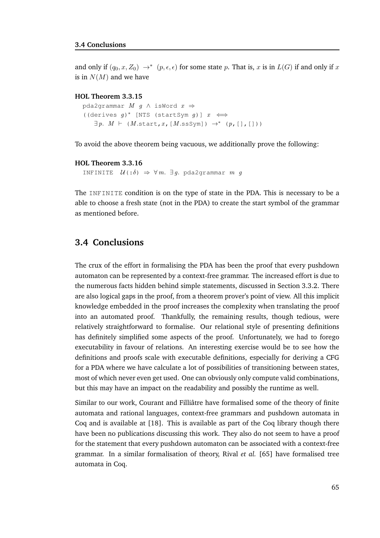and only if  $(q_0, x, Z_0) \rightarrow^* (p, \epsilon, \epsilon)$  for some state p. That is, x is in  $L(G)$  if and only if x is in  $N(M)$  and we have

#### **HOL Theorem 3.3.15**

```
pda2grammar M g \land isWord x \Rightarrow((derives g)* [NTS (startSym g)] x \iff\exists p. M \vdash (M.start, x, [M.sssym]) \rightarrow^* (p, [], []
```
To avoid the above theorem being vacuous, we additionally prove the following:

#### **HOL Theorem 3.3.16**

```
INFINITE \mathcal{U}(\cdot;\delta) \Rightarrow \forall m. \exists g. pda2grammar m \ g
```
The INFINITE condition is on the type of state in the PDA. This is necessary to be a able to choose a fresh state (not in the PDA) to create the start symbol of the grammar as mentioned before.

#### **3.4 Conclusions**

The crux of the effort in formalising the PDA has been the proof that every pushdown automaton can be represented by a context-free grammar. The increased effort is due to the numerous facts hidden behind simple statements, discussed in Section 3.3.2. There are also logical gaps in the proof, from a theorem prover's point of view. All this implicit knowledge embedded in the proof increases the complexity when translating the proof into an automated proof. Thankfully, the remaining results, though tedious, were relatively straightforward to formalise. Our relational style of presenting definitions has definitely simplified some aspects of the proof. Unfortunately, we had to forego executability in favour of relations. An interesting exercise would be to see how the definitions and proofs scale with executable definitions, especially for deriving a CFG for a PDA where we have calculate a lot of possibilities of transitioning between states, most of which never even get used. One can obviously only compute valid combinations, but this may have an impact on the readability and possibly the runtime as well.

Similar to our work, Courant and Filliâtre have formalised some of the theory of finite automata and rational languages, context-free grammars and pushdown automata in Coq and is available at [18]. This is available as part of the Coq library though there have been no publications discussing this work. They also do not seem to have a proof for the statement that every pushdown automaton can be associated with a context-free grammar. In a similar formalisation of theory, Rival *et al.* [65] have formalised tree automata in Coq.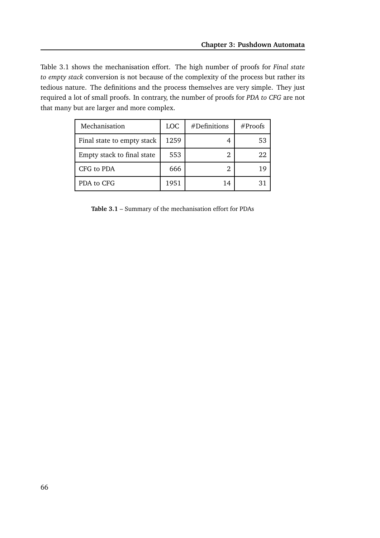Table 3.1 shows the mechanisation effort. The high number of proofs for *Final state to empty stack* conversion is not because of the complexity of the process but rather its tedious nature. The definitions and the process themselves are very simple. They just required a lot of small proofs. In contrary, the number of proofs for *PDA to CFG* are not that many but are larger and more complex.

| Mechanisation              | <b>LOC</b> | #Definitions | #Proofs |
|----------------------------|------------|--------------|---------|
| Final state to empty stack | 1259       |              | 53      |
| Empty stack to final state | 553        |              | 22      |
| CFG to PDA                 | 666        |              | 1 Q     |
| PDA to CFG                 | 1951       | 14           |         |

**Table 3.1** – Summary of the mechanisation effort for PDAs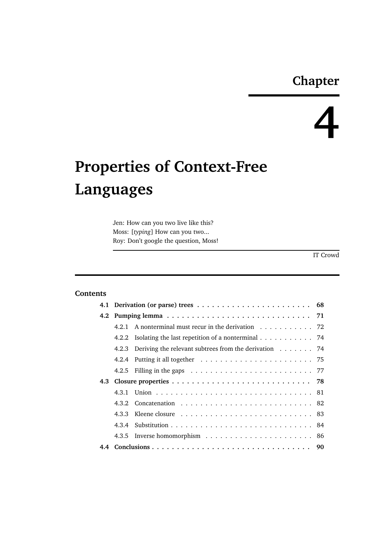### **Chapter**

# **4**

## **Properties of Context-Free Languages**

Jen: How can you two live like this? Moss: [*typing*] How can you two... Roy: Don't google the question, Moss!

IT Crowd

#### **Contents**

|  | 4.2.1 A nonterminal must recur in the derivation 72                                               |  |  |  |
|--|---------------------------------------------------------------------------------------------------|--|--|--|
|  | 4.2.2 Isolating the last repetition of a nonterminal 74                                           |  |  |  |
|  | 4.2.3 Deriving the relevant subtrees from the derivation 74                                       |  |  |  |
|  |                                                                                                   |  |  |  |
|  | 4.2.5 Filling in the gaps $\ldots \ldots \ldots \ldots \ldots \ldots \ldots \ldots \ldots \ldots$ |  |  |  |
|  |                                                                                                   |  |  |  |
|  |                                                                                                   |  |  |  |
|  |                                                                                                   |  |  |  |
|  |                                                                                                   |  |  |  |
|  |                                                                                                   |  |  |  |
|  |                                                                                                   |  |  |  |
|  |                                                                                                   |  |  |  |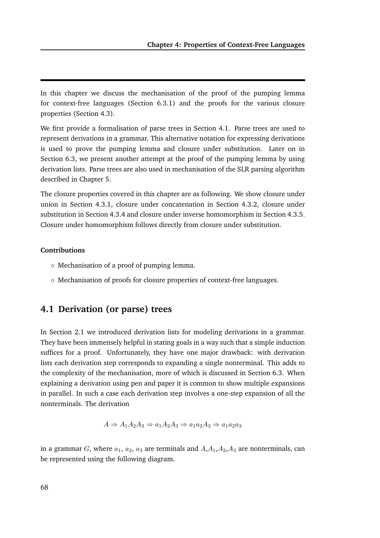In this chapter we discuss the mechanisation of the proof of the pumping lemma for context-free languages (Section 6.3.1) and the proofs for the various closure properties (Section 4.3).

We first provide a formalisation of parse trees in Section 4.1. Parse trees are used to represent derivations in a grammar. This alternative notation for expressing derivations is used to prove the pumping lemma and closure under substitution. Later on in Section 6.3, we present another attempt at the proof of the pumping lemma by using derivation lists. Parse trees are also used in mechanisation of the SLR parsing algorithm described in Chapter 5.

The closure properties covered in this chapter are as following. We show closure under union in Section 4.3.1, closure under concatenation in Section 4.3.2, closure under substitution in Section 4.3.4 and closure under inverse homomorphism in Section 4.3.5. Closure under homomorphism follows directly from closure under substitution.

#### **Contributions**

- $\diamond$  Mechanisation of a proof of pumping lemma.
- $\diamond$  Mechanisation of proofs for closure properties of context-free languages.

#### **4.1 Derivation (or parse) trees**

In Section 2.1 we introduced derivation lists for modeling derivations in a grammar. They have been immensely helpful in stating goals in a way such that a simple induction suffices for a proof. Unfortunately, they have one major drawback: with derivation lists each derivation step corresponds to expanding a single nonterminal. This adds to the complexity of the mechanisation, more of which is discussed in Section 6.3. When explaining a derivation using pen and paper it is common to show multiple expansions in parallel. In such a case each derivation step involves a one-step expansion of all the nonterminals. The derivation

$$
A \Rightarrow A_1 A_2 A_3 \Rightarrow a_1 A_2 A_3 \Rightarrow a_1 a_2 A_3 \Rightarrow a_1 a_2 a_3
$$

in a grammar G, where  $a_1, a_2, a_3$  are terminals and  $A, A_1, A_2, A_3$  are nonterminals, can be represented using the following diagram.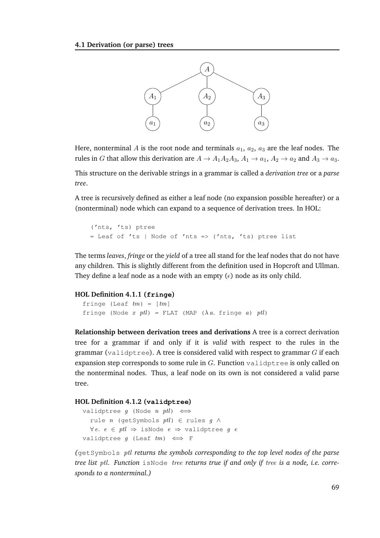

Here, nonterminal A is the root node and terminals  $a_1$ ,  $a_2$ ,  $a_3$  are the leaf nodes. The rules in G that allow this derivation are  $A \to A_1 A_2 A_3$ ,  $A_1 \to a_1$ ,  $A_2 \to a_2$  and  $A_3 \to a_3$ .

This structure on the derivable strings in a grammar is called a *derivation tree* or a *parse tree*.

A tree is recursively defined as either a leaf node (no expansion possible hereafter) or a (nonterminal) node which can expand to a sequence of derivation trees. In HOL:

```
('nts, 'ts) ptree
= Leaf of 'ts | Node of 'nts => ('nts, 'ts) ptree list
```
The terms *leaves*, *fringe* or the *yield* of a tree all stand for the leaf nodes that do not have any children. This is slightly different from the definition used in Hopcroft and Ullman. They define a leaf node as a node with an empty  $(\epsilon)$  node as its only child.

#### **HOL Definition 4.1.1 (fringe)**

```
fringe (Leaf tm) = [tm]fringe (Node x ptl) = FLAT (MAP (\lambda a. fringe a) ptl)
```
**Relationship between derivation trees and derivations** A tree is a correct derivation tree for a grammar if and only if it is *valid* with respect to the rules in the grammar (validptree). A tree is considered valid with respect to grammar  $G$  if each expansion step corresponds to some rule in  $G$ . Function validptree is only called on the nonterminal nodes. Thus, a leaf node on its own is not considered a valid parse tree.

#### **HOL Definition 4.1.2 (validptree)**

```
validptree q (Node n ptl) \iffrule n (getSymbols ptl) ∈ rules g \wedge∀e. e ∈ ptl ⇒ isNode e ⇒ validptree g evalidptree q (Leaf tm) \iff F
```
*(*getSymbols ptl *returns the symbols corresponding to the top level nodes of the parse tree list* ptl*. Function* isNode tree *returns true if and only if* tree *is a node, i.e. corresponds to a nonterminal.)*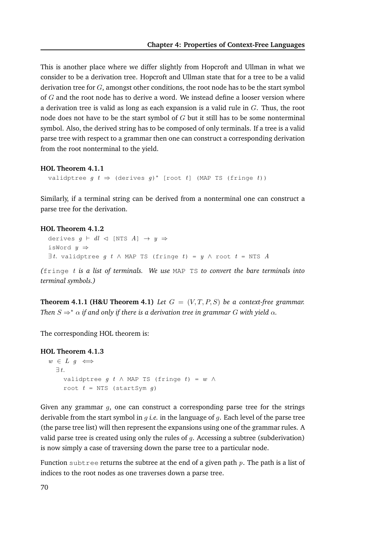This is another place where we differ slightly from Hopcroft and Ullman in what we consider to be a derivation tree. Hopcroft and Ullman state that for a tree to be a valid derivation tree for  $G$ , amongst other conditions, the root node has to be the start symbol of  $G$  and the root node has to derive a word. We instead define a looser version where a derivation tree is valid as long as each expansion is a valid rule in  $G$ . Thus, the root node does not have to be the start symbol of  $G$  but it still has to be some nonterminal symbol. Also, the derived string has to be composed of only terminals. If a tree is a valid parse tree with respect to a grammar then one can construct a corresponding derivation from the root nonterminal to the yield.

#### **HOL Theorem 4.1.1**

validptree  $g \t t \Rightarrow$  (derives  $g)$ <sup>\*</sup> [root  $t$ ] (MAP TS (fringe  $t$ ))

Similarly, if a terminal string can be derived from a nonterminal one can construct a parse tree for the derivation.

#### **HOL Theorem 4.1.2**

```
derives g \vdash dl \lhd [NTS A] \rightarrow y \RightarrowisWord y \Rightarrow\exists t. validptree g t \wedge MAP TS (fringe t) = y \wedge root t = NTS A
```
*(*fringe t *is a list of terminals. We use* MAP TS *to convert the bare terminals into terminal symbols.)*

**Theorem 4.1.1 (H&U Theorem 4.1)** Let  $G = (V, T, P, S)$  be a context-free grammar. *Then*  $S \Rightarrow^* \alpha$  *if and only if there is a derivation tree in grammar G with yield*  $\alpha$ *.* 

The corresponding HOL theorem is:

#### **HOL Theorem 4.1.3**  $w \in L \quad q \iff$ ∃ t. validptree  $g$   $t \wedge$  MAP TS (fringe  $t$ ) =  $w \wedge$ root  $t = NTS$  (startSym q)

Given any grammar  $q$ , one can construct a corresponding parse tree for the strings derivable from the start symbol in  $q$  *i.e.* in the language of  $q$ . Each level of the parse tree (the parse tree list) will then represent the expansions using one of the grammar rules. A valid parse tree is created using only the rules of  $q$ . Accessing a subtree (subderivation) is now simply a case of traversing down the parse tree to a particular node.

Function subtree returns the subtree at the end of a given path  $p$ . The path is a list of indices to the root nodes as one traverses down a parse tree.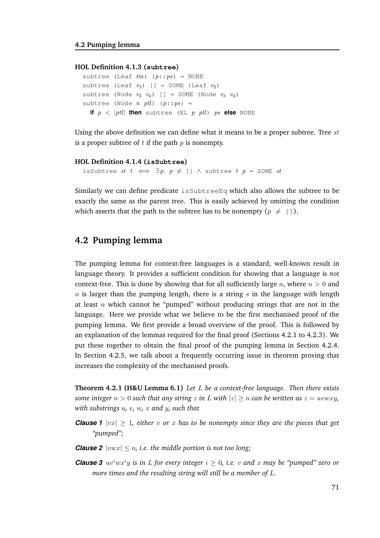#### **HOL Definition 4.1.3 (subtree)**

```
subtree (Leaf tm) (p::ps) = NONE
subtree (Leaf v_2) [] = SOME (Leaf v_2)
subtree (Node v_3 v_4) [] = SOME (Node v_3 v_4)
subtree (Node n ptl) (p::ps) =
  if p \, \langle \, \vert \, \textit{ptl} \vert then subtree (EL p \, \textit{ptl}) \textit{ps} else NONE
```
Using the above definition we can define what it means to be a proper subtree. Tree  $st$ is a proper subtree of  $t$  if the path  $p$  is nonempty.

#### **HOL Definition 4.1.4 (isSubtree)**

isSubtree st  $t \iff \exists p. p \neq [] \land$  subtree  $t p =$  SOME st

Similarly we can define predicate isSubtreeEq which also allows the subtree to be exactly the same as the parent tree. This is easily achieved by omitting the condition which asserts that the path to the subtree has to be nonempty ( $p \neq [ ]$ ).

#### **4.2 Pumping lemma**

The pumping lemma for context-free languages is a standard, well-known result in language theory. It provides a sufficient condition for showing that a language is *not* context-free. This is done by showing that for all sufficiently large n, where  $n > 0$  and  $n$  is larger than the pumping length, there is a string s in the language with length at least n which cannot be "pumped" without producing strings that are not in the language. Here we provide what we believe to be the first mechanised proof of the pumping lemma. We first provide a broad overview of the proof. This is followed by an explanation of the lemmas required for the final proof (Sections 4.2.1 to 4.2.3). We put these together to obtain the final proof of the pumping lemma in Section 4.2.4. In Section 4.2.5, we talk about a frequently occurring issue in theorem proving that increases the complexity of the mechanised proofs.

**Theorem 4.2.1 (H&U Lemma 6.1)** *Let* L *be a context-free language. Then there exists some integer*  $n > 0$  *such that any string* z *in* L *with*  $|z| \geq n$  *can be written as*  $z = uvwxy$ , *with substrings* u*,* v*,* w*,* x *and* y*, such that*

- **Clause 1**  $|vx| > 1$ , either v or x has to be nonempty since they are the pieces that get *"pumped";*
- *Clause 2*  $|vwx| \le n$ , *i.e. the middle portion is not too long*;
- *Clause 3*  $uv^iwx^iy$  *is in* L for every integer  $i \geq 0$ , *i.e.* v and x may be "pumped" zero or *more times and the resulting string will still be a member of* L*.*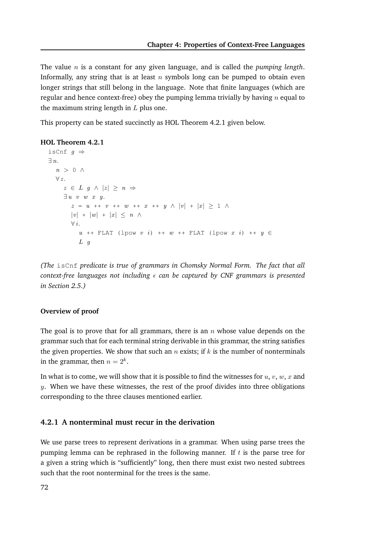The value n is a constant for any given language, and is called the *pumping length*. Informally, any string that is at least  $n$  symbols long can be pumped to obtain even longer strings that still belong in the language. Note that finite languages (which are regular and hence context-free) obey the pumping lemma trivially by having  $n$  equal to the maximum string length in  $L$  plus one.

This property can be stated succinctly as HOL Theorem 4.2.1 given below.

#### **HOL Theorem 4.2.1**

```
isCnf q \Rightarrow∃ n.
  n > 0 \land\forall z.z \in L q \wedge |z| > n \Rightarrow\exists u \ v \ w \ x \ y.z = u + v + w + w + x + y \wedge |v| + |x| \geq 1 \wedge|v| + |w| + |x| \leq n \wedge\forall i.
           u ++ FLAT (lpow v i) ++ w ++ FLAT (lpow x i) ++ y \inL g
```
*(The* isCnf *predicate is true of grammars in Chomsky Normal Form. The fact that all context-free languages not including*  $\epsilon$  *can be captured by CNF grammars is presented in Section 2.5.)*

#### **Overview of proof**

The goal is to prove that for all grammars, there is an  $n$  whose value depends on the grammar such that for each terminal string derivable in this grammar, the string satisfies the given properties. We show that such an n exists; if k is the number of nonterminals in the grammar, then  $n=2^k$ .

In what is to come, we will show that it is possible to find the witnesses for  $u, v, w, x$  and  $y$ . When we have these witnesses, the rest of the proof divides into three obligations corresponding to the three clauses mentioned earlier.

#### **4.2.1 A nonterminal must recur in the derivation**

We use parse trees to represent derivations in a grammar. When using parse trees the pumping lemma can be rephrased in the following manner. If  $t$  is the parse tree for a given a string which is "sufficiently" long, then there must exist two nested subtrees such that the root nonterminal for the trees is the same.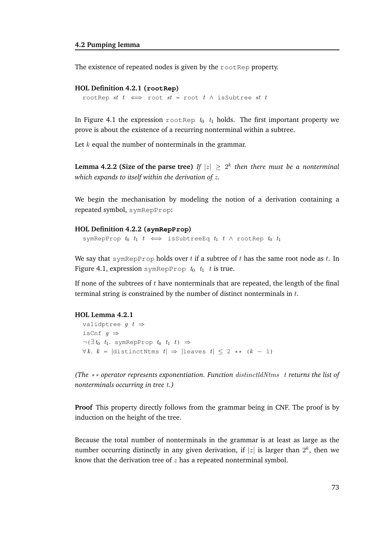#### **4.2 Pumping lemma**

The existence of repeated nodes is given by the rootRep property.

#### **HOL Definition 4.2.1 (rootRep)**

```
rootRep st t \iff root st = root t \wedge isSubtree st t
```
In Figure 4.1 the expression rootRep  $t_0$   $t_1$  holds. The first important property we prove is about the existence of a recurring nonterminal within a subtree.

Let  $k$  equal the number of nonterminals in the grammar.

**Lemma 4.2.2 (Size of the parse tree)** If  $|z| \ge 2^k$  then there must be a nonterminal *which expands to itself within the derivation of* z*.*

We begin the mechanisation by modeling the notion of a derivation containing a repeated symbol, symRepProp:

#### **HOL Definition 4.2.2 (symRepProp)**

```
symRepProp t_0 t_1 t \iff isSubtreeEq t_1 t \land rootRep t_0 t_1
```
We say that symRepProp holds over t if a subtree of t has the same root node as t. In Figure 4.1, expression symRepProp  $t_0$   $t_1$  t is true.

If none of the subtrees of  $t$  have nonterminals that are repeated, the length of the final terminal string is constrained by the number of distinct nonterminals in  $t$ .

#### **HOL Lemma 4.2.1**

```
validptree q \t \RightarrowisCnf q \Rightarrow\neg \Box t_0 t<sub>1</sub>. symRepProp t<sub>0</sub> t<sub>1</sub> t) \Rightarrow\forall k. k = |distinctNtms t \Rightarrow |leaves t \leq 2 \leftrightarrow (k - 1)
```
*(The* \*\* *operator represents exponentiation. Function* distinctldNtms t *returns the list of nonterminals occurring in tree* t*.)*

**Proof** This property directly follows from the grammar being in CNF. The proof is by induction on the height of the tree.

Because the total number of nonterminals in the grammar is at least as large as the number occurring distinctly in any given derivation, if  $|z|$  is larger than  $2^k$ , then we know that the derivation tree of  $z$  has a repeated nonterminal symbol.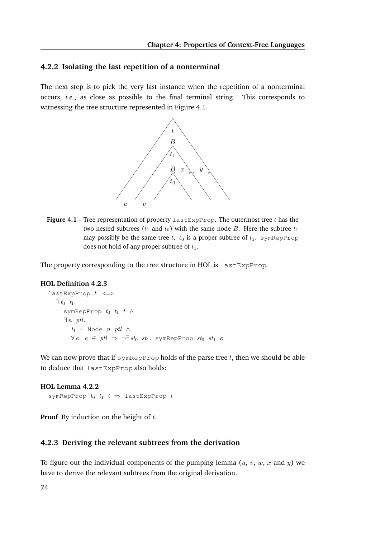#### **4.2.2 Isolating the last repetition of a nonterminal**

The next step is to pick the very last instance when the repetition of a nonterminal occurs, *i.e.*, as close as possible to the final terminal string. This corresponds to witnessing the tree structure represented in Figure 4.1.



**Figure 4.1** – Tree representation of property  $\text{lastExpProp.}$  The outermost tree t has the two nested subtrees ( $t_1$  and  $t_0$ ) with the same node B. Here the subtree  $t_1$ may possibly be the same tree t.  $t_0$  is a proper subtree of  $t_1$ . symRepProp does not hold of any proper subtree of  $t_1$ .

The property corresponding to the tree structure in HOL is lastExpProp.

#### **HOL Definition 4.2.3**

```
lastExpProp t \iff\exists t_0 \quad t_1.symRepProp t_0 t_1 t \wedge\exists n \text{ ptl.}t_1 = Node n ptl \wedge∀ e. e ∈ ptl ⇒ ¬∃ st<sub>0</sub> st<sub>1</sub>. symRepProp st<sub>0</sub> st<sub>1</sub> e
```
We can now prove that if symRepProp holds of the parse tree  $t$ , then we should be able to deduce that lastExpProp also holds:

#### **HOL Lemma 4.2.2**

symRepProp  $t_0$   $t_1$   $t \Rightarrow$  lastExpProp  $t$ 

**Proof** By induction on the height of t.

#### **4.2.3 Deriving the relevant subtrees from the derivation**

To figure out the individual components of the pumping lemma  $(u, v, w, x$  and y) we have to derive the relevant subtrees from the original derivation.

74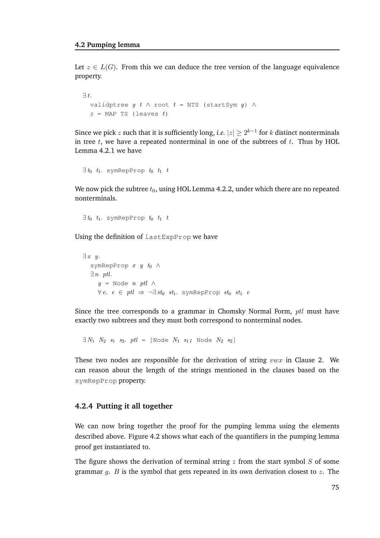Let  $z \in L(G)$ . From this we can deduce the tree version of the language equivalence property.

```
\exists t.
  validptree g t \wedge root t = NTS (startSym g) \wedgez = \text{MAP} TS (leaves t)
```
Since we pick  $z$  such that it is sufficiently long, *i.e.*  $|z| \geq 2^{k-1}$  for  $k$  distinct nonterminals in tree  $t$ , we have a repeated nonterminal in one of the subtrees of  $t$ . Thus by HOL Lemma 4.2.1 we have

 $\exists t_0$   $t_1$ . symRepProp  $t_0$   $t_1$   $t_2$ 

We now pick the subtree  $t_0$ , using HOL Lemma 4.2.2, under which there are no repeated nonterminals.

 $\exists t_0$   $t_1$ . symRepProp  $t_0$   $t_1$   $t_2$ 

Using the definition of lastExpProp we have

```
\exists x \; y.symRepProp x \, y \, t_0 \wedge\exists n \text{ ptl.}y = Node n ptl \wedge\forall e. e \in ptl \Rightarrow \neg \exists st_0 \ st_1. symRepProp st_0 \ st_1 e
```
Since the tree corresponds to a grammar in Chomsky Normal Form, ptl must have exactly two subtrees and they must both correspond to nonterminal nodes.

 $\exists N_1 \ N_2 \ s_1 \ s_2 \ ntl =$  [Node  $N_1 \ s_1$ ; Node  $N_2 \ s_2$ ]

These two nodes are responsible for the derivation of string  $vwx$  in Clause 2. We can reason about the length of the strings mentioned in the clauses based on the symRepProp property.

#### **4.2.4 Putting it all together**

We can now bring together the proof for the pumping lemma using the elements described above. Figure 4.2 shows what each of the quantifiers in the pumping lemma proof get instantiated to.

The figure shows the derivation of terminal string  $z$  from the start symbol  $S$  of some grammar  $q$ .  $B$  is the symbol that gets repeated in its own derivation closest to  $z$ . The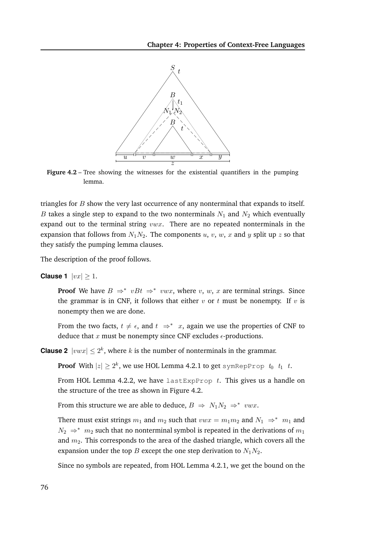

**Figure 4.2** – Tree showing the witnesses for the existential quantifiers in the pumping lemma.

triangles for  $B$  show the very last occurrence of any nonterminal that expands to itself. B takes a single step to expand to the two nonterminals  $N_1$  and  $N_2$  which eventually expand out to the terminal string  $vwx$ . There are no repeated nonterminals in the expansion that follows from  $N_1N_2$ . The components u, v, w, x and y split up z so that they satisfy the pumping lemma clauses.

The description of the proof follows.

**Clause 1**  $|vx| \geq 1$ .

**Proof** We have  $B \Rightarrow^* vBt \Rightarrow^* vwx$ , where v, w, x are terminal strings. Since the grammar is in CNF, it follows that either  $v$  or  $t$  must be nonempty. If  $v$  is nonempty then we are done.

From the two facts,  $t \neq \epsilon$ , and  $t \Rightarrow^* x$ , again we use the properties of CNF to deduce that x must be nonempty since CNF excludes  $\epsilon$ -productions.

**Clause 2**  $|vwx| \leq 2^k$ , where k is the number of nonterminals in the grammar.

**Proof** With  $|z| \ge 2^k$ , we use HOL Lemma 4.2.1 to get symRepProp  $t_0$   $t_1$   $t$ .

From HOL Lemma 4.2.2, we have lastExpProp  $t$ . This gives us a handle on the structure of the tree as shown in Figure 4.2.

From this structure we are able to deduce,  $B \Rightarrow N_1 N_2 \Rightarrow^* vwx$ .

There must exist strings  $m_1$  and  $m_2$  such that  $vwx = m_1m_2$  and  $N_1 \Rightarrow^* m_1$  and  $N_2 \Rightarrow^* m_2$  such that no nonterminal symbol is repeated in the derivations of  $m_1$ and  $m_2$ . This corresponds to the area of the dashed triangle, which covers all the expansion under the top B except the one step derivation to  $N_1N_2$ .

Since no symbols are repeated, from HOL Lemma 4.2.1, we get the bound on the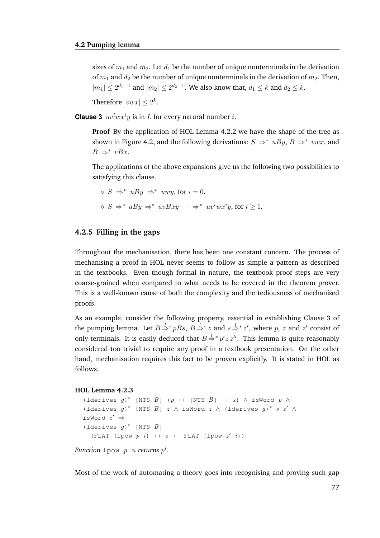sizes of  $m_1$  and  $m_2$ . Let  $d_1$  be the number of unique nonterminals in the derivation of  $m_1$  and  $d_2$  be the number of unique nonterminals in the derivation of  $m_2$ . Then,  $|m_1| \leq 2^{d_1-1}$  and  $|m_2| \leq 2^{d_2-1}$ . We also know that,  $d_1 \leq k$  and  $d_2 \leq k$ .

Therefore  $|vwx| \leq 2^k$ .

**Clause 3**  $uv^iwx^i y$  is in L for every natural number *i*.

**Proof** By the application of HOL Lemma 4.2.2 we have the shape of the tree as shown in Figure 4.2, and the following derivations:  $S \Rightarrow^* uBy, B \Rightarrow^* vwx$ , and  $B \Rightarrow^* vBx$ .

The applications of the above expansions give us the following two possibilities to satisfying this clause.

$$
\diamond S \Rightarrow^* uBy \Rightarrow^* uwy, \text{ for } i = 0.
$$
  

$$
\diamond S \Rightarrow^* uBy \Rightarrow^* uvBxy \dots \Rightarrow^* uv^iwx^iy, \text{ for } i \ge 1
$$

#### **4.2.5 Filling in the gaps**

Throughout the mechanisation, there has been one constant concern. The process of mechanising a proof in HOL never seems to follow as simple a pattern as described in the textbooks. Even though formal in nature, the textbook proof steps are very coarse-grained when compared to what needs to be covered in the theorem prover. This is a well-known cause of both the complexity and the tediousness of mechanised proofs.

As an example, consider the following property, essential in establishing Clause 3 of the pumping lemma. Let  $B \stackrel{l}{\Rightarrow} {}^*pBs$ ,  $B \stackrel{l}{\Rightarrow} {}^*z$  and  $s \stackrel{l}{\Rightarrow} {}^*z'$ , where  $p$ ,  $z$  and  $z'$  consist of only terminals. It is easily deduced that  $B \stackrel{l}{\Rightarrow} {^*} p^i z \, z'^i$ . This lemma is quite reasonably considered too trivial to require any proof in a textbook presentation. On the other hand, mechanisation requires this fact to be proven explicitly. It is stated in HOL as follows.

#### **HOL Lemma 4.2.3**

```
(lderives g)* [NTS B] (p ++ [NTS B] ++ s) \wedge isWord p \wedge(lderives g)* [NTS B] z \wedge isWord z \wedge (lderives g)* s z' \wedgeisWord z' \Rightarrow(lderives g)<sup>*</sup> [NTS B]
  (FLAT (1pow p i) ++ z ++ FLAT (1pow z' i))
```
*Function* 1 pow p n returns  $p^i$ .

Most of the work of automating a theory goes into recognising and proving such gap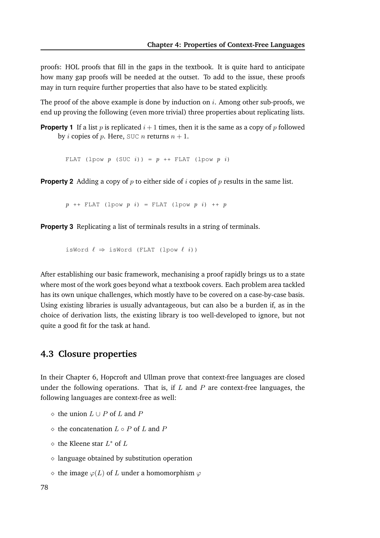proofs: HOL proofs that fill in the gaps in the textbook. It is quite hard to anticipate how many gap proofs will be needed at the outset. To add to the issue, these proofs may in turn require further properties that also have to be stated explicitly.

The proof of the above example is done by induction on  $i$ . Among other sub-proofs, we end up proving the following (even more trivial) three properties about replicating lists.

**Property 1** If a list p is replicated  $i + 1$  times, then it is the same as a copy of p followed by *i* copies of *p*. Here, SUC *n* returns  $n + 1$ .

FLAT (lpow  $p$  (SUC  $i$ )) =  $p$  ++ FLAT (lpow  $p$   $i$ )

**Property 2** Adding a copy of  $p$  to either side of  $i$  copies of  $p$  results in the same list.

 $p$  ++ FLAT (lpow  $p$  i) = FLAT (lpow  $p$  i) ++  $p$ 

**Property 3** Replicating a list of terminals results in a string of terminals.

isWord  $\ell \Rightarrow i$ sWord (FLAT (lpow  $\ell$  *i*))

After establishing our basic framework, mechanising a proof rapidly brings us to a state where most of the work goes beyond what a textbook covers. Each problem area tackled has its own unique challenges, which mostly have to be covered on a case-by-case basis. Using existing libraries is usually advantageous, but can also be a burden if, as in the choice of derivation lists, the existing library is too well-developed to ignore, but not quite a good fit for the task at hand.

#### **4.3 Closure properties**

In their Chapter 6, Hopcroft and Ullman prove that context-free languages are closed under the following operations. That is, if  $L$  and  $P$  are context-free languages, the following languages are context-free as well:

- $\diamond$  the union  $L \cup P$  of  $L$  and  $P$
- $\diamond$  the concatenation  $L \circ P$  of  $L$  and  $P$
- $\diamond$  the Kleene star  $L^*$  of  $L$
- $\diamond$  language obtained by substitution operation
- $\Diamond$  the image  $\varphi(L)$  of L under a homomorphism  $\varphi$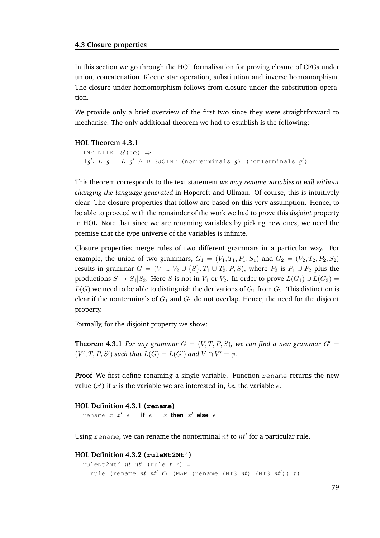In this section we go through the HOL formalisation for proving closure of CFGs under union, concatenation, Kleene star operation, substitution and inverse homomorphism. The closure under homomorphism follows from closure under the substitution operation.

We provide only a brief overview of the first two since they were straightforward to mechanise. The only additional theorem we had to establish is the following:

#### **HOL Theorem 4.3.1**

```
INFINITE \mathcal{U}(:\alpha) \Rightarrow\exists g'. L g = L g' \land \text{DISJOINT} (nonTerminals g) (nonTerminals g')
```
This theorem corresponds to the text statement *we may rename variables at will without changing the language generated* in Hopcroft and Ullman. Of course, this is intuitively clear. The closure properties that follow are based on this very assumption. Hence, to be able to proceed with the remainder of the work we had to prove this *disjoint* property in HOL. Note that since we are renaming variables by picking new ones, we need the premise that the type universe of the variables is infinite.

Closure properties merge rules of two different grammars in a particular way. For example, the union of two grammars,  $G_1 = (V_1, T_1, P_1, S_1)$  and  $G_2 = (V_2, T_2, P_2, S_2)$ results in grammar  $G = (V_1 \cup V_2 \cup \{S\}, T_1 \cup T_2, P, S)$ , where  $P_3$  is  $P_1 \cup P_2$  plus the productions  $S \to S_1|S_2$ . Here S is not in  $V_1$  or  $V_2$ . In order to prove  $L(G_1) \cup L(G_2)$  =  $L(G)$  we need to be able to distinguish the derivations of  $G_1$  from  $G_2$ . This distinction is clear if the nonterminals of  $G_1$  and  $G_2$  do not overlap. Hence, the need for the disjoint property.

Formally, for the disjoint property we show:

**Theorem 4.3.1** *For any grammar*  $G = (V, T, P, S)$ *, we can find a new grammar*  $G' =$  $(V', T, P, S')$  such that  $L(G) = L(G')$  and  $V \cap V' = \phi$ .

**Proof** We first define renaming a single variable. Function rename returns the new value  $(x')$  if x is the variable we are interested in, *i.e.* the variable  $e$ .

```
HOL Definition 4.3.1 (rename)
  r = r and r \cdot r' = r if r = r then r' else r
```
Using rename, we can rename the nonterminal  $nt$  to  $nt'$  for a particular rule.

```
HOL Definition 4.3.2 (ruleNt2Nt')
  ruleNt2Nt' nt nt' (rule \ell r) =
    rule (rename nt nt' \ell) (MAP (rename (NTS nt) (NTS nt')) r)
```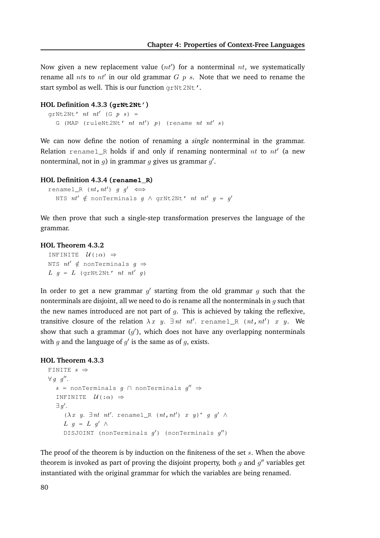Now given a new replacement value  $(nt')$  for a nonterminal  $nt$ , we systematically rename all  $nts$  to  $nt'$  in our old grammar  $G$   $p$   $s$ . Note that we need to rename the start symbol as well. This is our function grNt2Nt'.

#### **HOL Definition 4.3.3 (grNt2Nt')**

```
grNt2Nt' nt nt' (G p s) =
  G (MAP (ruleNt2Nt' nt nt') p) (rename nt nt' s)
```
We can now define the notion of renaming a *single* nonterminal in the grammar. Relation rename $1_R$  holds if and only if renaming nonterminal  $nt$  to  $nt'$  (a new nonterminal, not in  $g$ ) in grammar  $g$  gives us grammar  $g'$ .

#### **HOL Definition 4.3.4 (rename1\_R)**

```
renamel_R (nt, nt') g q' \iffNTS nt' \notin nonTerminals g \wedge grNt2Nt' nt nt' g = g'
```
We then prove that such a single-step transformation preserves the language of the grammar.

#### **HOL Theorem 4.3.2**

INFINITE  $\mathcal{U}$ (: $\alpha$ )  $\Rightarrow$ NTS  $nt' \notin$  nonTerminals  $g \Rightarrow$  $L g = L$  (grNt2Nt' nt nt' g)

In order to get a new grammar  $g'$  starting from the old grammar  $g$  such that the nonterminals are disjoint, all we need to do is rename all the nonterminals in  $q$  such that the new names introduced are not part of  $q$ . This is achieved by taking the reflexive, transitive closure of the relation  $\lambda x$  y.  $\exists$  nt nt'. rename1\_R (nt, nt') x y. We show that such a grammar  $(g')$ , which does not have any overlapping nonterminals with  $g$  and the language of  $g'$  is the same as of  $g$ , exists.

#### **HOL Theorem 4.3.3**

```
FINITE s \Rightarrow\forall g \ g''.
   s = nonTerminals g \cap nonTerminals g'' \RightarrowINFINITE \mathcal{U} (: \alpha) \Rightarrow\exists g'.(\lambda x \ y. \ \exists nt \ nt'. \ \mathtt{renamel\_R} \ \ (nt, nt') \ \ x \ \ y)^* \ \ g \ \ g' \ \ \landL g = L g' \wedgeDISJOINT (nonTerminals g') (nonTerminals g'')
```
The proof of the theorem is by induction on the finiteness of the set  $s$ . When the above theorem is invoked as part of proving the disjoint property, both  $g$  and  $g''$  variables get instantiated with the original grammar for which the variables are being renamed.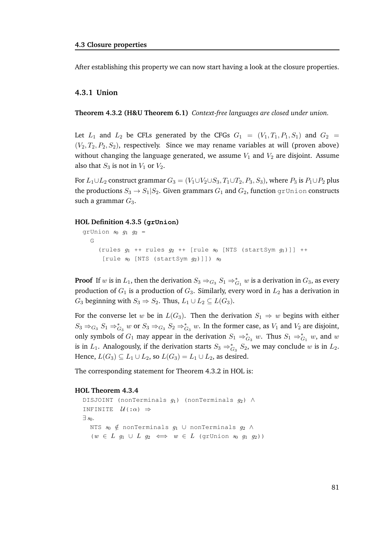After establishing this property we can now start having a look at the closure properties.

#### **4.3.1 Union**

**Theorem 4.3.2 (H&U Theorem 6.1)** *Context-free languages are closed under union.*

Let  $L_1$  and  $L_2$  be CFLs generated by the CFGs  $G_1 = (V_1, T_1, P_1, S_1)$  and  $G_2 =$  $(V_2, T_2, P_2, S_2)$ , respectively. Since we may rename variables at will (proven above) without changing the language generated, we assume  $V_1$  and  $V_2$  are disjoint. Assume also that  $S_3$  is not in  $V_1$  or  $V_2$ .

For  $L_1 \cup L_2$  construct grammar  $G_3 = (V_1 \cup V_2 \cup S_3, T_1 \cup T_2, P_3, S_3)$ , where  $P_3$  is  $P_1 \cup P_2$  plus the productions  $S_3 \to S_1 | S_2$ . Given grammars  $G_1$  and  $G_2$ , function grUnion constructs such a grammar  $G_3$ .

#### **HOL Definition 4.3.5 (grUnion)**

```
grUnion s_0 g_1 g_2 =
  G
    (rules q_1 ++ rules q_2 ++ [rule s_0 [NTS (startSym q_1)]] ++
     [rule s_0 [NTS (startSym g_2)]]) s_0
```
**Proof** If w is in  $L_1$ , then the derivation  $S_3 \Rightarrow_{G_3} S_1 \Rightarrow_{G_1}^* w$  is a derivation in  $G_3$ , as every production of  $G_1$  is a production of  $G_3$ . Similarly, every word in  $L_2$  has a derivation in  $G_3$  beginning with  $S_3 \Rightarrow S_2$ . Thus,  $L_1 \cup L_2 \subseteq L(G_3)$ .

For the converse let w be in  $L(G_3)$ . Then the derivation  $S_1 \Rightarrow w$  begins with either  $S_3 \Rightarrow_{G_3} S_1 \Rightarrow_{G_3}^* w$  or  $S_3 \Rightarrow_{G_3} S_2 \Rightarrow_{G_3}^* w$ . In the former case, as  $V_1$  and  $V_2$  are disjoint, only symbols of  $G_1$  may appear in the derivation  $S_1 \Rightarrow_{G_3}^* w$ . Thus  $S_1 \Rightarrow_{G_1}^* w$ , and w is in  $L_1$ . Analogously, if the derivation starts  $S_3 \Rightarrow_{G_3}^* S_2$ , we may conclude w is in  $L_2$ . Hence,  $L(G_3) \subseteq L_1 \cup L_2$ , so  $L(G_3) = L_1 \cup L_2$ , as desired.

The corresponding statement for Theorem 4.3.2 in HOL is:

```
DISJOINT (nonTerminals g_1) (nonTerminals g_2) \wedgeINFINITE \mathcal{U} (: \alpha) \Rightarrow\exists s_0.
   NTS s_0 \notin nonTerminals g_1 ∪ nonTerminals g_2 \land(w \in L \quad g_1 \cup L \quad g_2 \iff w \in L \quad (\text{grUnion} \quad s_0 \quad g_1 \quad g_2))
```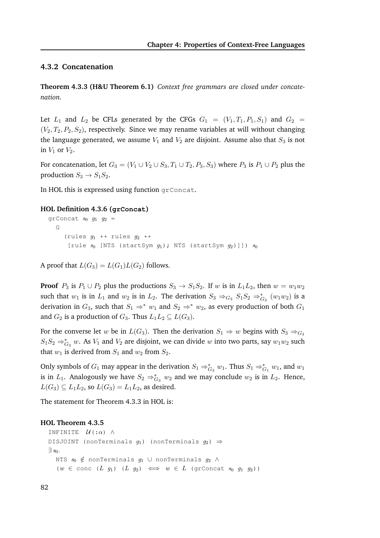#### **4.3.2 Concatenation**

**Theorem 4.3.3 (H&U Theorem 6.1)** *Context free grammars are closed under concatenation.*

Let  $L_1$  and  $L_2$  be CFLs generated by the CFGs  $G_1 = (V_1, T_1, P_1, S_1)$  and  $G_2$  $(V_2, T_2, P_2, S_2)$ , respectively. Since we may rename variables at will without changing the language generated, we assume  $V_1$  and  $V_2$  are disjoint. Assume also that  $S_3$  is not in  $V_1$  or  $V_2$ .

For concatenation, let  $G_3 = (V_1 \cup V_2 \cup S_3, T_1 \cup T_2, P_3, S_3)$  where  $P_3$  is  $P_1 \cup P_2$  plus the production  $S_3 \rightarrow S_1S_2$ .

In HOL this is expressed using function grConcat.

#### **HOL Definition 4.3.6 (grConcat)**

```
grConcat s_0 g_1 g_2 =
  G
    (rules g_1 ++ rules g_2 ++
     [rule s_0 [NTS (startSym q_1); NTS (startSym q_2)]]) s_0
```
A proof that  $L(G_3) = L(G_1)L(G_2)$  follows.

**Proof**  $P_3$  is  $P_1 \cup P_2$  plus the productions  $S_3 \rightarrow S_1S_2$ . If w is in  $L_1L_2$ , then  $w = w_1w_2$ such that  $w_1$  is in  $L_1$  and  $w_2$  is in  $L_2$ . The derivation  $S_3 \Rightarrow_{G_3} S_1S_2 \Rightarrow_{G_3}^* (w_1w_2)$  is a derivation in  $G_3$ , such that  $S_1 \Rightarrow^* w_1$  and  $S_2 \Rightarrow^* w_2$ , as every production of both  $G_1$ and  $G_2$  is a production of  $G_3$ . Thus  $L_1L_2 \subseteq L(G_3)$ .

For the converse let w be in  $L(G_3)$ . Then the derivation  $S_1 \Rightarrow w$  begins with  $S_3 \Rightarrow_{G_3}$  $S_1S_2 \Rightarrow_{G_3}^* w$ . As  $V_1$  and  $V_2$  are disjoint, we can divide w into two parts, say  $w_1w_2$  such that  $w_1$  is derived from  $S_1$  and  $w_2$  from  $S_2$ .

Only symbols of  $G_1$  may appear in the derivation  $S_1 \Rightarrow_{G_3}^* w_1$ . Thus  $S_1 \Rightarrow_{G_1}^* w_1$ , and  $w_1$ is in  $L_1$ . Analogously we have  $S_2 \Rightarrow_{G_3}^* w_2$  and we may conclude  $w_2$  is in  $L_2$ . Hence,  $L(G_3) \subseteq L_1L_2$ , so  $L(G_3) = L_1L_2$ , as desired.

The statement for Theorem 4.3.3 in HOL is:

```
INFINITE \mathcal{U}(:\alpha) ∧
DISJOINT (nonTerminals g_1) (nonTerminals g_2) \Rightarrow\exists s_0.
  NTS s_0 \notin nonTerminals g_1 ∪ nonTerminals g_2 \land(w \in \text{conc } (L g_1) (L g_2) \iff w \in L (grConcat s_0 g_1 g_2))
```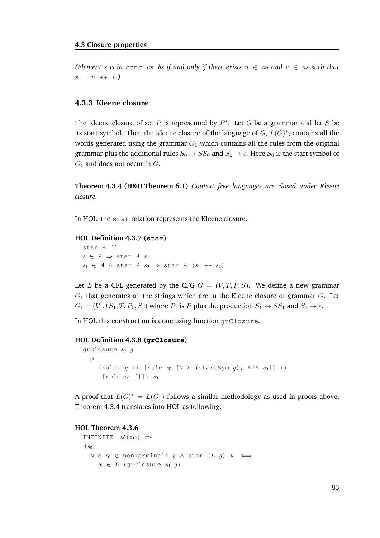*(Element s is in conc as bs if and only if there exists*  $u \in as$  *and*  $v \in as$  *such that*  $s = u + v.$ 

#### **4.3.3 Kleene closure**

The Kleene closure of set P is represented by  $P^*$ . Let G be a grammar and let S be its start symbol. Then the Kleene closure of the language of  $G$ ,  $L(G)^*$ , contains all the words generated using the grammar  $G_1$  which contains all the rules from the original grammar plus the additional rules  $S_0 \rightarrow SS_0$  and  $S_0 \rightarrow \epsilon$ . Here  $S_0$  is the start symbol of  $G_1$  and does not occur in  $G$ .

**Theorem 4.3.4 (H&U Theorem 6.1)** *Context free languages are closed under Kleene closure.*

In HOL, the star relation represents the Kleene closure.

#### **HOL Definition 4.3.7 (star)**

star A []  $s \in A \Rightarrow$  star A s  $s_1 \in A \land$  star  $A$   $s_2 \Rightarrow$  star  $A$   $(s_1 + s_2)$ 

Let L be a CFL generated by the CFG  $G = (V, T, P, S)$ . We define a new grammar  $G_1$  that generates all the strings which are in the Kleene closure of grammar  $G$ . Let  $G_1 = (V \cup S_1, T, P_1, S_1)$  where  $P_1$  is P plus the production  $S_1 \rightarrow SS_1$  and  $S_1 \rightarrow \epsilon$ .

In HOL this construction is done using function grClosure.

#### **HOL Definition 4.3.8 (grClosure)**

```
qrClosure s_0 q =
  G
    (rules q ++ [rule s_0 [NTS (startSym q); NTS s_0]] ++
     [rule s_0 []]) s_0
```
A proof that  $L(G)^* = L(G_1)$  follows a similar methodology as used in proofs above. Theorem 4.3.4 translates into HOL as following:

```
INFINITE \mathcal{U}(:\alpha) \Rightarrow\exists s_0.
   NTS s_0 \notin \text{nonTerminals } g \wedge \text{star } (L g) w \iffw \in L (grClosure s_0 g)
```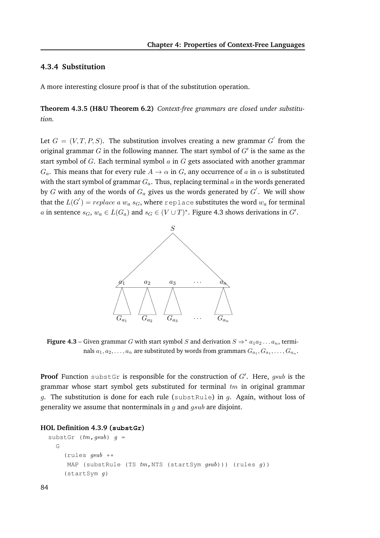#### **4.3.4 Substitution**

A more interesting closure proof is that of the substitution operation.

**Theorem 4.3.5 (H&U Theorem 6.2)** *Context-free grammars are closed under substitution.*

Let  $G = (V, T, P, S)$ . The substitution involves creating a new grammar  $G'$  from the original grammar  $G$  in the following manner. The start symbol of  $G'$  is the same as the start symbol of  $G$ . Each terminal symbol  $a$  in  $G$  gets associated with another grammar  $G_a$ . This means that for every rule  $A \to \alpha$  in G, any occurrence of a in  $\alpha$  is substituted with the start symbol of grammar  $G_a$ . Thus, replacing terminal  $a$  in the words generated by  $G$  with any of the words of  $G_a$  gives us the words generated by  $G^{'}.$  We will show that the  $L(G^{'}) = replace\; a\; w_{a}\; s_{G},$  where  ${\rm replace}$  substitutes the word  $w_{a}$  for terminal a in sentence  $s_G$ ,  $w_a \in L(G_a)$  and  $s_G \in (V \cup T)^*$ . Figure 4.3 shows derivations in  $G'$ .



**Figure 4.3** – Given grammar G with start symbol S and derivation  $S \Rightarrow^* a_1 a_2 \dots a_n$ , terminals  $a_1,a_2,\ldots,a_n$  are substituted by words from grammars  $G_{a_1},G_{a_1},\ldots,G_{a_n}.$ 

Proof Function substGr is responsible for the construction of G'. Here, gsub is the grammar whose start symbol gets substituted for terminal  $tm$  in original grammar g. The substitution is done for each rule (substRule) in g. Again, without loss of generality we assume that nonterminals in  $q$  and  $qsub$  are disjoint.

#### **HOL Definition 4.3.9 (substGr)**

```
substGr (tm, gsub) q =G
    (rules qsub ++
     MAP (substRule (TS tm,NTS (startSym qsub))) (rules q))
    (startSym g)
```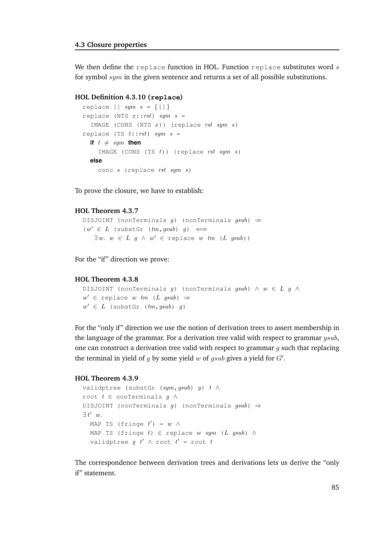We then define the replace function in HOL. Function replace substitutes word  $s$ for symbol  $sym$  in the given sentence and returns a set of all possible substitutions.

#### **HOL Definition 4.3.10 (replace)**

```
replace [] sym s = \{[] \}replace (NTS x::rst) sym s =IMAGE (CONS (NTS x)) (replace rst sym s)
replace (TS t::rst) sym s =if t \neq sym then
    IMAGE (CONS (TS t)) (replace rst sym s)
  else
    conc s (replace rst sym s)
```
To prove the closure, we have to establish:

#### **HOL Theorem 4.3.7**

```
DISJOINT (nonTerminals g) (nonTerminals gsub) \Rightarrow(w'\;\in\;L\;\;(\texttt{subst}\;\;(\mathit{tm},\mathit{gsub})\;\;\mathit{g})\;\;\Longleftrightarrow\;\;\exists w. w \in L \ g \land w' \in \text{replace} \ w \ tm \ (L \ gsub))
```
For the "if" direction we prove:

#### **HOL Theorem 4.3.8**

```
DISJOINT (nonTerminals g) (nonTerminals gsub) \land w \in L g \landw' \in replace w tm (L gsub) \Rightarroww' \in L (substGr (tm,gsub) g)
```
For the "only if" direction we use the notion of derivation trees to assert membership in the language of the grammar. For a derivation tree valid with respect to grammar  $qsub$ , one can construct a derivation tree valid with respect to grammar  $q$  such that replacing the terminal in yield of  $g$  by some yield  $w$  of  $gsub$  gives a yield for  $G'$ .

#### **HOL Theorem 4.3.9**

```
validptree (substGr (sym, qsub) q) t \wedgeroot t \in nonTerminals q \wedgeDISJOINT (nonTerminals g) (nonTerminals gsub) \Rightarrow\exists t' \ w.MAP TS (fringe t') = w \wedgeMAP TS (fringe t) ∈ replace w sym (L gsub) \wedgevalidptree g t' \wedge root t' = root t
```
The correspondence between derivation trees and derivations lets us derive the "only if" statement.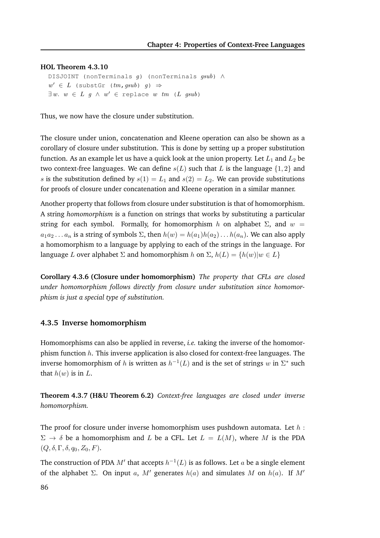#### **HOL Theorem 4.3.10**

DISJOINT (nonTerminals g) (nonTerminals gsub) ∧  $w' \in L$  (substGr ( $tm,gsub$ )  $g$ )  $\Rightarrow$  $\exists w. w \in L \ g \land w' \in \text{replace} \ w \ tm \ (L \ gsub)$ 

Thus, we now have the closure under substitution.

The closure under union, concatenation and Kleene operation can also be shown as a corollary of closure under substitution. This is done by setting up a proper substitution function. As an example let us have a quick look at the union property. Let  $L_1$  and  $L_2$  be two context-free languages. We can define  $s(L)$  such that L is the language  $\{1,2\}$  and s is the substitution defined by  $s(1) = L_1$  and  $s(2) = L_2$ . We can provide substitutions for proofs of closure under concatenation and Kleene operation in a similar manner.

Another property that follows from closure under substitution is that of homomorphism. A string *homomorphism* is a function on strings that works by substituting a particular string for each symbol. Formally, for homomorphism h on alphabet  $\Sigma$ , and  $w =$  $a_1a_2... a_n$  is a string of symbols  $\Sigma$ , then  $h(w) = h(a_1)h(a_2)...h(a_n)$ . We can also apply a homomorphism to a language by applying to each of the strings in the language. For language L over alphabet  $\Sigma$  and homomorphism h on  $\Sigma$ ,  $h(L) = \{h(w)|w \in L\}$ 

**Corollary 4.3.6 (Closure under homomorphism)** *The property that CFLs are closed under homomorphism follows directly from closure under substitution since homomorphism is just a special type of substitution.*

#### **4.3.5 Inverse homomorphism**

Homomorphisms can also be applied in reverse, *i.e.* taking the inverse of the homomorphism function  $h$ . This inverse application is also closed for context-free languages. The inverse homomorphism of  $h$  is written as  $h^{-1}(L)$  and is the set of strings  $w$  in  $\Sigma^*$  such that  $h(w)$  is in  $L$ .

**Theorem 4.3.7 (H&U Theorem 6.2)** *Context-free languages are closed under inverse homomorphism.*

The proof for closure under inverse homomorphism uses pushdown automata. Let  $h$ :  $\Sigma \to \delta$  be a homomorphism and L be a CFL. Let  $L = L(M)$ , where M is the PDA  $(Q, \delta, \Gamma, \delta, q_0, Z_0, F).$ 

The construction of PDA  $M'$  that accepts  $h^{-1}(L)$  is as follows. Let  $a$  be a single element of the alphabet  $\Sigma$ . On input a, M' generates  $h(a)$  and simulates M on  $h(a)$ . If M'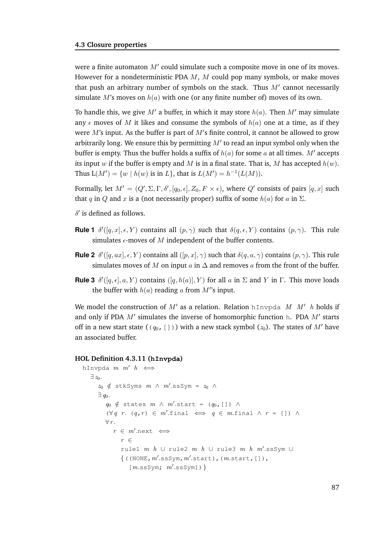were a finite automaton  $M'$  could simulate such a composite move in one of its moves. However for a nondeterministic PDA  $M$ ,  $M$  could pop many symbols, or make moves that push an arbitrary number of symbols on the stack. Thus  $M'$  cannot necessarily simulate M's moves on  $h(a)$  with one (or any finite number of) moves of its own.

To handle this, we give M' a buffer, in which it may store  $h(a)$ . Then M' may simulate any  $\epsilon$  moves of M it likes and consume the symbols of  $h(a)$  one at a time, as if they were  $M$ 's input. As the buffer is part of  $M$ 's finite control, it cannot be allowed to grow arbitrarily long. We ensure this by permitting  $M'$  to read an input symbol only when the buffer is empty. Thus the buffer holds a suffix of  $h(a)$  for some a at all times. M' accepts its input w if the buffer is empty and M is in a final state. That is, M has accepted  $h(w)$ . Thus  $L(M') = \{w \mid h(w) \text{ is in } L\}$ , that is  $L(M') = h^{-1}(L(M)).$ 

Formally, let  $M'=(Q',\Sigma,\Gamma,\delta',[q_0,\epsilon],Z_0,F\times\epsilon)$ , where  $Q'$  consists of pairs  $[q,x]$  such that q in Q and x is a (not necessarily proper) suffix of some  $h(a)$  for  $a$  in  $\Sigma$ .

- $\delta'$  is defined as follows.
- **Rule 1**  $\delta'([q, x], \epsilon, Y)$  contains all  $(p, \gamma)$  such that  $\delta(q, \epsilon, Y)$  contains  $(p, \gamma)$ . This rule simulates  $\epsilon$ -moves of M independent of the buffer contents.
- **Rule 2**  $\delta'([q, ax], \epsilon, Y)$  contains all  $([p, x], \gamma)$  such that  $\delta(q, a, \gamma)$  contains  $(p, \gamma)$ . This rule simulates moves of M on input a in  $\Delta$  and removes a from the front of the buffer.
- **Rule 3**  $\delta'([q, \epsilon], a, Y)$  contains  $([q, h(a)], Y)$  for all a in  $\Sigma$  and Y in  $\Gamma$ . This move loads the buffer with  $h(a)$  reading a from  $M$ ''s input.

We model the construction of  $M'$  as a relation. Relation hInvpda  $M M'$  h holds if and only if PDA  $M'$  simulates the inverse of homomorphic function h. PDA  $M'$  starts off in a new start state (( $q_0$ , [])) with a new stack symbol ( $z_0$ ). The states of M' have an associated buffer.

#### **HOL Definition 4.3.11 (hInvpda)**

```
hInvpda m \, m' \, h \iff\exists z_0.
       z_0 \notin stkSyms m \wedge m'.ssSym = z_0 \wedge\exists q_0.
          q_0 \notin states m \wedge m'.start = (q_0, []) \wedge(∀q r. (q, r) ∈ m'.final \iff q ∈ m.final \land r = []) \land\forall r.
             r \in m'.\text{next} \iffr ∈
                rule1 m h \cup rule2 m h \cup rule3 m h m'.ssSym \cup\{((\texttt{NONE}, m'.\texttt{ssSym}, m'.\texttt{start}), (m.\texttt{start},[]),[\,m.\texttt{ssSym};\ \ m'.\texttt{ssSym}]\,)\,\}
```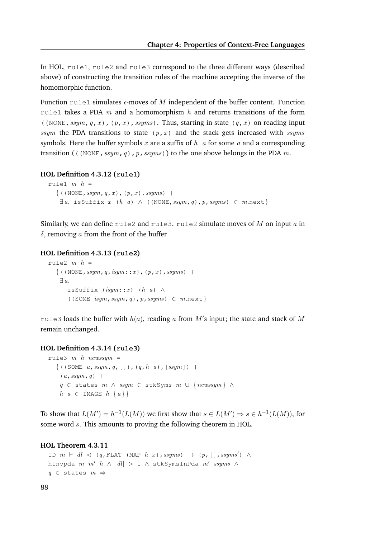In HOL, rule1, rule2 and rule3 correspond to the three different ways (described above) of constructing the transition rules of the machine accepting the inverse of the homomorphic function.

Function rule1 simulates  $\epsilon$ -moves of M independent of the buffer content. Function rule1 takes a PDA m and a homomorphism h and returns transitions of the form ((NONE, ssym, q, x), (p, x), ssyms). Thus, starting in state (q, x) on reading input ssym the PDA transitions to state  $(p, x)$  and the stack gets increased with ssyms symbols. Here the buffer symbols x are a suffix of  $h \, a$  for some  $a$  and a corresponding transition (((NONE, ssym, q), p, ssyms)) to the one above belongs in the PDA m.

#### **HOL Definition 4.3.12 (rule1)**

```
rule1 m h =\{((\text{NONE},\text{ssym},q,x), (p,x),\text{ssyms})\}\\exists a. isSuffix x (h a) \wedge ((NONE, ssym, q), p, ssyms) \in m.next}
```
Similarly, we can define rule2 and rule3. rule2 simulate moves of M on input a in  $\delta$ , removing a from the front of the buffer

#### **HOL Definition 4.3.13 (rule2)**

```
rule2 m h =\{((\text{NONE},\text{ssym},q,\text{isym}::x), (p,x),\text{ssyms})\}\∃ a.
       isSuffix (isym::x) (h a) \wedge((SOME isym, ssym, q), p, ssyms) \in m.next}
```
rule3 loads the buffer with  $h(a)$ , reading  $a$  from  $M'$ s input; the state and stack of  $M$ remain unchanged.

#### **HOL Definition 4.3.14 (rule3)**

```
rule3 m h newssym =
  \{((SOME a, ssym, q, []), (q, h, a), [ssym]) \mid(a,ssym,q) |
   q ∈ states m ∧ ssym ∈ stkSyms m ∪ {newssym } ∧
   h \ a \in \text{IMAGE} \ h \ \{a\}\}\
```
To show that  $L(M') = h^{-1}(L(M))$  we first show that  $s \in L(M') \Rightarrow s \in h^{-1}(L(M))$ , for some word s. This amounts to proving the following theorem in HOL.

```
ID m \vdash dl \lhd (q, FLAT (MAP h x), ssyms) \rightarrow (p, [], ssyms') \landhInvpda m m' h \wedge |dl| > 1 \wedge stkSymsInPda m' ssyms \wedgeq \in states m \Rightarrow
```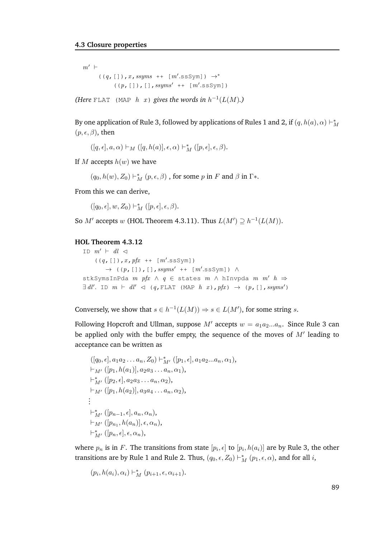$m'$  ⊢  $((q, [])$ , x, ssyms ++ [m'.ssSym])  $\rightarrow^*$  $((p, []), []$ , ssyms' ++  $[m'.ssSym]$ )

*(Here* FLAT (MAP  $h(x)$  *gives the words in*  $h^{-1}(L(M))$ *.)* 

By one application of Rule 3, followed by applications of Rules  $1$  and  $2$ , if  $(q, h(a), \alpha) \vdash^*_\Lambda$ M  $(p, \epsilon, \beta)$ , then

 $([q, \epsilon], a, \alpha) \vdash_M ([q, h(a)], \epsilon, \alpha) \vdash_M^* ([p, \epsilon], \epsilon, \beta).$ 

If M accepts  $h(w)$  we have

 $(q_0,h(w),Z_0)\vdash_M^*(p,\epsilon,\beta)$  , for some  $p$  in  $F$  and  $\beta$  in  $\Gamma*.$ 

From this we can derive,

 $([q_0,\epsilon], w, Z_0) \vdash_M^* ([p,\epsilon], \epsilon, \beta).$ 

So  $M'$  accepts w (HOL Theorem 4.3.11). Thus  $L(M') \supseteq h^{-1}(L(M))$ .

#### **HOL Theorem 4.3.12**

ID  $m'$  ⊢ dl  $\lhd$  $((q, [])$ ,  $x$ ,  $pfx$  ++  $[m'.ssSym])$  $\rightarrow$  ((p,[]),[],ssyms' ++ [m'.ssSym])  $\wedge$ stkSymsInPda  $m$  pfx  $\land$   $q \in$  states  $m \land$  hInvpda  $m m'$   $h \Rightarrow$  $\exists dl'.$  ID  $m \vdash dl' \lhd (q, \text{FLAT} (\text{MAP } h x), pfx) \rightarrow (p, []$ , ssyms')

Conversely, we show that  $s \in h^{-1}(L(M)) \Rightarrow s \in L(M')$ , for some string s.

Following Hopcroft and Ullman, suppose M' accepts  $w = a_1 a_2 ... a_n$ . Since Rule 3 can be applied only with the buffer empty, the sequence of the moves of  $M'$  leading to acceptance can be written as

 $([q_0, \epsilon], a_1 a_2 \ldots a_n, Z_0) \vdash^*_{M'} ([p_1, \epsilon], a_1 a_2 \ldots a_n, \alpha_1),$  $\vdash_{M'} ([p_1, h(a_1)], a_2a_3 \ldots a_n, \alpha_1),$  $\vdash^*_{M'} ([p_2, \epsilon], a_2 a_3 \ldots a_n, \alpha_2),$  $\vdash_{M'} ([p_1, h(a_2)], a_3 a_4 \ldots a_n, \alpha_2),$ . . .  $\vdash^*_{M'}([p_{n-1},\epsilon],a_n,\alpha_n),$  $\vdash_{M'} ([p_{n_1}, h(a_n)], \epsilon, \alpha_n),$  $\vdash^*_{M'}([p_n,\epsilon],\epsilon,\alpha_n),$ 

where  $p_n$  is in  $F.$  The transitions from state  $[p_i,\epsilon]$  to  $[p_i,h(a_i)]$  are by Rule 3, the other transitions are by Rule 1 and Rule 2. Thus,  $(q_0, \epsilon, Z_0) \vdash_M^* (p_1, \epsilon, \alpha)$ , and for all  $i$ ,

$$
(p_i, h(a_i), \alpha_i) \vdash_M^* (p_{i+1}, \epsilon, \alpha_{i+1}).
$$

89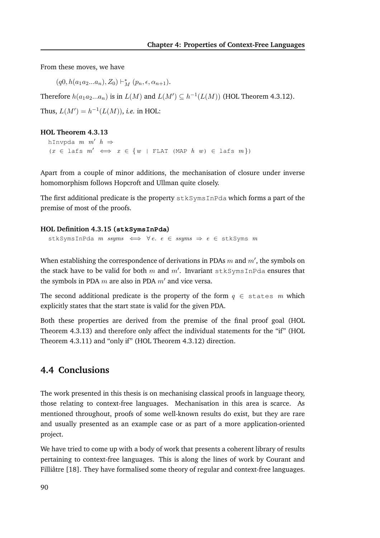From these moves, we have

 $(q0, h(a_1a_2...a_n), Z_0) \vdash_M^* (p_n, \epsilon, \alpha_{n+1}).$ 

Therefore  $h(a_1a_2...a_n)$  is in  $L(M)$  and  $L(M') \subseteq h^{-1}(L(M))$  (HOL Theorem 4.3.12).

Thus,  $L(M') = h^{-1}(L(M))$ , *i.e.* in HOL:

#### **HOL Theorem 4.3.13**

hInvpda  $m \, m' \, h \Rightarrow$  $(x \in \text{lafs } m' \iff x \in \{w \mid \text{FLAT } (\text{MAP } h w) \in \text{lafs } m\})$ 

Apart from a couple of minor additions, the mechanisation of closure under inverse homomorphism follows Hopcroft and Ullman quite closely.

The first additional predicate is the property stkSymsInPda which forms a part of the premise of most of the proofs.

#### **HOL Definition 4.3.15 (stkSymsInPda)**

stkSymsInPda m ssyms  $\iff \forall e. e \in \textit{ssyms} \Rightarrow e \in \textit{stkSyms m}$ 

When establishing the correspondence of derivations in PDAs  $m$  and  $m^{\prime}$ , the symbols on the stack have to be valid for both  $m$  and  $m'$ . Invariant  $\texttt{stkSymsInPda}$  ensures that the symbols in PDA  $m$  are also in PDA  $m'$  and vice versa.

The second additional predicate is the property of the form  $q \in$  states m which explicitly states that the start state is valid for the given PDA.

Both these properties are derived from the premise of the final proof goal (HOL Theorem 4.3.13) and therefore only affect the individual statements for the "if" (HOL Theorem 4.3.11) and "only if" (HOL Theorem 4.3.12) direction.

#### **4.4 Conclusions**

The work presented in this thesis is on mechanising classical proofs in language theory, those relating to context-free languages. Mechanisation in this area is scarce. As mentioned throughout, proofs of some well-known results do exist, but they are rare and usually presented as an example case or as part of a more application-oriented project.

We have tried to come up with a body of work that presents a coherent library of results pertaining to context-free languages. This is along the lines of work by Courant and Filliâtre [18]. They have formalised some theory of regular and context-free languages.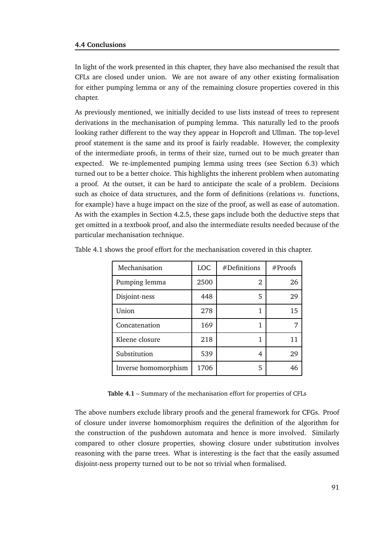#### **4.4 Conclusions**

In light of the work presented in this chapter, they have also mechanised the result that CFLs are closed under union. We are not aware of any other existing formalisation for either pumping lemma or any of the remaining closure properties covered in this chapter.

As previously mentioned, we initially decided to use lists instead of trees to represent derivations in the mechanisation of pumping lemma. This naturally led to the proofs looking rather different to the way they appear in Hopcroft and Ullman. The top-level proof statement is the same and its proof is fairly readable. However, the complexity of the intermediate proofs, in terms of their size, turned out to be much greater than expected. We re-implemented pumping lemma using trees (see Section 6.3) which turned out to be a better choice. This highlights the inherent problem when automating a proof. At the outset, it can be hard to anticipate the scale of a problem. Decisions such as choice of data structures, and the form of definitions (relations *vs.* functions, for example) have a huge impact on the size of the proof, as well as ease of automation. As with the examples in Section 4.2.5, these gaps include both the deductive steps that get omitted in a textbook proof, and also the intermediate results needed because of the particular mechanisation technique.

| Mechanisation        | <b>LOC</b> | #Definitions | #Proofs |
|----------------------|------------|--------------|---------|
| Pumping lemma        | 2500       | 2            | 26      |
| Disjoint-ness        | 448        | 5            | 29      |
| Union                | 278        | 1            | 15      |
| Concatenation        | 169        |              |         |
| Kleene closure       | 218        |              |         |
| Substitution         | 539        | 4            | 29      |
| Inverse homomorphism | 1706       | 5            | 46      |

Table 4.1 shows the proof effort for the mechanisation covered in this chapter.

**Table 4.1** – Summary of the mechanisation effort for properties of CFLs

The above numbers exclude library proofs and the general framework for CFGs. Proof of closure under inverse homomorphism requires the definition of the algorithm for the construction of the pushdown automata and hence is more involved. Similarly compared to other closure properties, showing closure under substitution involves reasoning with the parse trees. What is interesting is the fact that the easily assumed disjoint-ness property turned out to be not so trivial when formalised.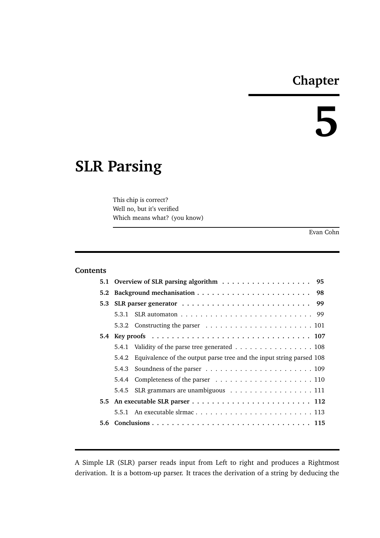# **Chapter**

# **5**

# **SLR Parsing**

This chip is correct? Well no, but it's verified Which means what? (you know)

Evan Cohn

#### **Contents**

| 5.1 Overview of SLR parsing algorithm 95 |                                                                            |  |  |
|------------------------------------------|----------------------------------------------------------------------------|--|--|
|                                          |                                                                            |  |  |
|                                          |                                                                            |  |  |
|                                          |                                                                            |  |  |
|                                          |                                                                            |  |  |
|                                          |                                                                            |  |  |
|                                          | 5.4.1 Validity of the parse tree generated 108                             |  |  |
|                                          | 5.4.2 Equivalence of the output parse tree and the input string parsed 108 |  |  |
|                                          |                                                                            |  |  |
|                                          |                                                                            |  |  |
|                                          | 5.4.5 SLR grammars are unambiguous 111                                     |  |  |
|                                          |                                                                            |  |  |
|                                          |                                                                            |  |  |
|                                          |                                                                            |  |  |

A Simple LR (SLR) parser reads input from Left to right and produces a Rightmost derivation. It is a bottom-up parser. It traces the derivation of a string by deducing the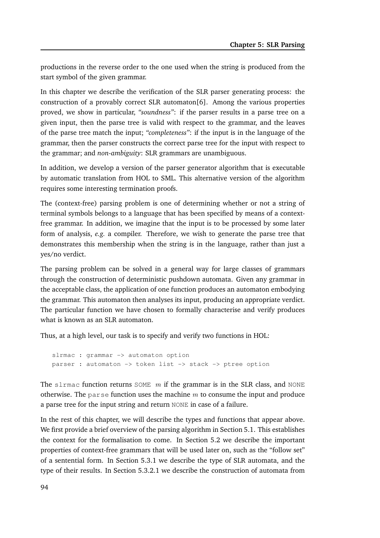productions in the reverse order to the one used when the string is produced from the start symbol of the given grammar.

In this chapter we describe the verification of the SLR parser generating process: the construction of a provably correct SLR automaton[6]. Among the various properties proved, we show in particular, *"soundness"*: if the parser results in a parse tree on a given input, then the parse tree is valid with respect to the grammar, and the leaves of the parse tree match the input; *"completeness"*: if the input is in the language of the grammar, then the parser constructs the correct parse tree for the input with respect to the grammar; and *non-ambiguity*: SLR grammars are unambiguous.

In addition, we develop a version of the parser generator algorithm that is executable by automatic translation from HOL to SML. This alternative version of the algorithm requires some interesting termination proofs.

The (context-free) parsing problem is one of determining whether or not a string of terminal symbols belongs to a language that has been specified by means of a contextfree grammar. In addition, we imagine that the input is to be processed by some later form of analysis, *e.g.* a compiler. Therefore, we wish to generate the parse tree that demonstrates this membership when the string is in the language, rather than just a yes/no verdict.

The parsing problem can be solved in a general way for large classes of grammars through the construction of deterministic pushdown automata. Given any grammar in the acceptable class, the application of one function produces an automaton embodying the grammar. This automaton then analyses its input, producing an appropriate verdict. The particular function we have chosen to formally characterise and verify produces what is known as an SLR automaton.

Thus, at a high level, our task is to specify and verify two functions in HOL:

slrmac : grammar -> automaton option parser : automaton -> token list -> stack -> ptree option

The slrmac function returns SOME  $m$  if the grammar is in the SLR class, and NONE otherwise. The parse function uses the machine  $m$  to consume the input and produce a parse tree for the input string and return NONE in case of a failure.

In the rest of this chapter, we will describe the types and functions that appear above. We first provide a brief overview of the parsing algorithm in Section 5.1. This establishes the context for the formalisation to come. In Section 5.2 we describe the important properties of context-free grammars that will be used later on, such as the "follow set" of a sentential form. In Section 5.3.1 we describe the type of SLR automata, and the type of their results. In Section 5.3.2.1 we describe the construction of automata from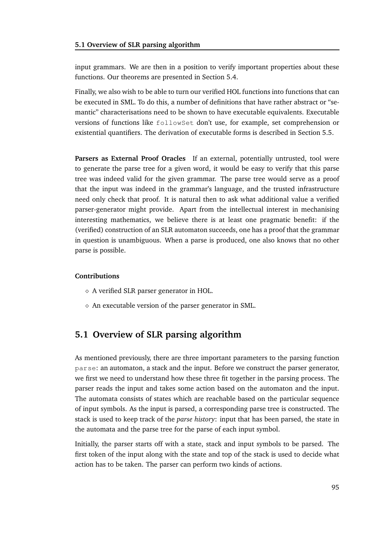input grammars. We are then in a position to verify important properties about these functions. Our theorems are presented in Section 5.4.

Finally, we also wish to be able to turn our verified HOL functions into functions that can be executed in SML. To do this, a number of definitions that have rather abstract or "semantic" characterisations need to be shown to have executable equivalents. Executable versions of functions like followSet don't use, for example, set comprehension or existential quantifiers. The derivation of executable forms is described in Section 5.5.

**Parsers as External Proof Oracles** If an external, potentially untrusted, tool were to generate the parse tree for a given word, it would be easy to verify that this parse tree was indeed valid for the given grammar. The parse tree would serve as a proof that the input was indeed in the grammar's language, and the trusted infrastructure need only check that proof. It is natural then to ask what additional value a verified parser-generator might provide. Apart from the intellectual interest in mechanising interesting mathematics, we believe there is at least one pragmatic benefit: if the (verified) construction of an SLR automaton succeeds, one has a proof that the grammar in question is unambiguous. When a parse is produced, one also knows that no other parse is possible.

#### **Contributions**

- ⋄ A verified SLR parser generator in HOL.
- $\diamond$  An executable version of the parser generator in SML.

## **5.1 Overview of SLR parsing algorithm**

As mentioned previously, there are three important parameters to the parsing function parse: an automaton, a stack and the input. Before we construct the parser generator, we first we need to understand how these three fit together in the parsing process. The parser reads the input and takes some action based on the automaton and the input. The automata consists of states which are reachable based on the particular sequence of input symbols. As the input is parsed, a corresponding parse tree is constructed. The stack is used to keep track of the *parse history*: input that has been parsed, the state in the automata and the parse tree for the parse of each input symbol.

Initially, the parser starts off with a state, stack and input symbols to be parsed. The first token of the input along with the state and top of the stack is used to decide what action has to be taken. The parser can perform two kinds of actions.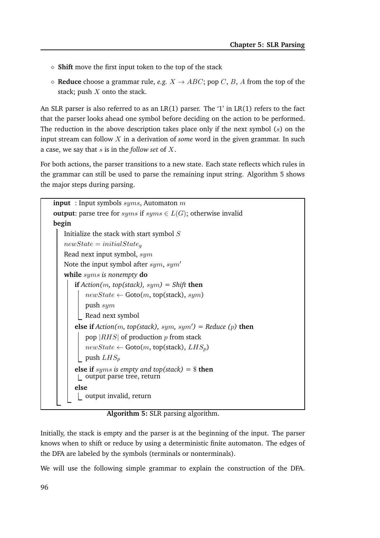- ⋄ **Shift** move the first input token to the top of the stack
- $\Diamond$  **Reduce** choose a grammar rule, *e.g.*  $X \rightarrow ABC$ ; pop C, B, A from the top of the stack; push  $X$  onto the stack.

An SLR parser is also referred to as an LR(1) parser. The '1' in LR(1) refers to the fact that the parser looks ahead one symbol before deciding on the action to be performed. The reduction in the above description takes place only if the next symbol  $(s)$  on the input stream can follow X in a derivation of *some* word in the given grammar. In such a case, we say that s is in the *follow set* of X.

For both actions, the parser transitions to a new state. Each state reflects which rules in the grammar can still be used to parse the remaining input string. Algorithm 5 shows the major steps during parsing.

| <b>input</b> : Input symbols $syms$ , Automaton m                                |  |  |  |  |
|----------------------------------------------------------------------------------|--|--|--|--|
| <b>output:</b> parse tree for <i>syms</i> if $syms \in L(G)$ ; otherwise invalid |  |  |  |  |
| begin                                                                            |  |  |  |  |
| Initialize the stack with start symbol $S$                                       |  |  |  |  |
| $newState = initialState_q$                                                      |  |  |  |  |
| Read next input symbol, sym                                                      |  |  |  |  |
| Note the input symbol after $sym$ , $sym'$                                       |  |  |  |  |
| while $syms$ is nonempty do                                                      |  |  |  |  |
| <b>if</b> Action( <i>m</i> , top(stack), $sym$ ) = Shift <b>then</b>             |  |  |  |  |
| $newState \leftarrow \text{Goto}(m, \text{top}(\text{stack}), sym)$              |  |  |  |  |
| push $sym$                                                                       |  |  |  |  |
| Read next symbol                                                                 |  |  |  |  |
| else if $Action(m, top (stack), sym, sym') = Reduce(p)$ then                     |  |  |  |  |
| pop $ RHS $ of production p from stack                                           |  |  |  |  |
| $newState \leftarrow \text{Goto}(m, \text{top}(\text{stack}), LHS_p)$            |  |  |  |  |
| push $LHS_p$                                                                     |  |  |  |  |
| <b>else if</b> syms is empty and top(stack) = $\text{\$}$ then                   |  |  |  |  |
| output parse tree, return                                                        |  |  |  |  |
| else                                                                             |  |  |  |  |
| output invalid, return                                                           |  |  |  |  |

**Algorithm 5:** SLR parsing algorithm.

Initially, the stack is empty and the parser is at the beginning of the input. The parser knows when to shift or reduce by using a deterministic finite automaton. The edges of the DFA are labeled by the symbols (terminals or nonterminals).

We will use the following simple grammar to explain the construction of the DFA.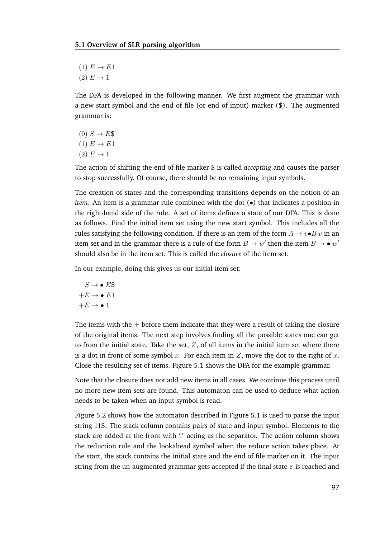- $(1) E \rightarrow E1$
- $(2) E \rightarrow 1$

The DFA is developed in the following manner. We first augment the grammar with a new start symbol and the end of file (or end of input) marker (\$). The augmented grammar is:

- $(0)$   $S \rightarrow E$ \$
- $(1) E \rightarrow E1$
- $(2) E \rightarrow 1$

The action of shifting the end of file marker \$ is called *accepting* and causes the parser to stop successfully. Of course, there should be no remaining input symbols.

The creation of states and the corresponding transitions depends on the notion of an *item*. An item is a grammar rule combined with the dot  $(\bullet)$  that indicates a position in the right-hand side of the rule. A set of items defines a state of our DFA. This is done as follows. Find the initial item set using the new start symbol. This includes all the rules satisfying the following condition. If there is an item of the form  $A \rightarrow v \bullet Bw$  in an item set and in the grammar there is a rule of the form  $B \to w'$  then the item  $B \to \bullet w'$ should also be in the item set. This is called the *closure* of the item set.

In our example, doing this gives us our initial item set:

$$
S \rightarrow \bullet E\$\n+ E \rightarrow \bullet E1\n+ E \rightarrow \bullet 1
$$

The items with the  $+$  before them indicate that they were a result of taking the closure of the original items. The next step involves finding all the possible states one can get to from the initial state. Take the set,  $Z$ , of all items in the initial item set where there is a dot in front of some symbol x. For each item in  $Z$ , move the dot to the right of x. Close the resulting set of items. Figure 5.1 shows the DFA for the example grammar.

Note that the closure does not add new items in all cases. We continue this process until no more new item sets are found. This automaton can be used to deduce what action needs to be taken when an input symbol is read.

Figure 5.2 shows how the automaton described in Figure 5.1 is used to parse the input string 11\$. The stack column contains pairs of state and input symbol. Elements to the stack are added at the front with ':' acting as the separator. The action column shows the reduction rule and the lookahead symbol when the reduce action takes place. At the start, the stack contains the initial state and the end of file marker on it. The input string from the un-augmented grammar gets accepted if the final state  $F$  is reached and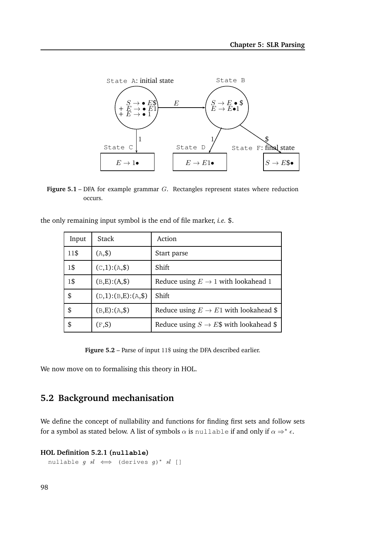

**Figure 5.1** – DFA for example grammar G. Rectangles represent states where reduction occurs.

| Input | Stack                | Action                                             |
|-------|----------------------|----------------------------------------------------|
| 11\$  | $(A,\$)$             | Start parse                                        |
| 1\$   | $(C,1)$ : (A,\$)     | Shift                                              |
| 1\$   | $(B,E):(A,\$)$       | Reduce using $E \rightarrow 1$ with lookahead 1    |
| \$    | $(D,1):(B,E):(A,\$)$ | Shift                                              |
| \$    | $(B,E):(A,\$)$       | Reduce using $E \to E1$ with lookahead \$          |
| \$    | (F,S)                | Reduce using $S \rightarrow E\$ with lookahead $\$ |

the only remaining input symbol is the end of file marker, *i.e.* \$.

Figure 5.2 – Parse of input 11\$ using the DFA described earlier.

We now move on to formalising this theory in HOL.

# **5.2 Background mechanisation**

We define the concept of nullability and functions for finding first sets and follow sets for a symbol as stated below. A list of symbols  $\alpha$  is nullable if and only if  $\alpha \Rightarrow^* \epsilon$ .

**HOL Definition 5.2.1 (nullable)**

nullable  $g$   $sl \iff$  (derives  $g)^*$   $sl$  []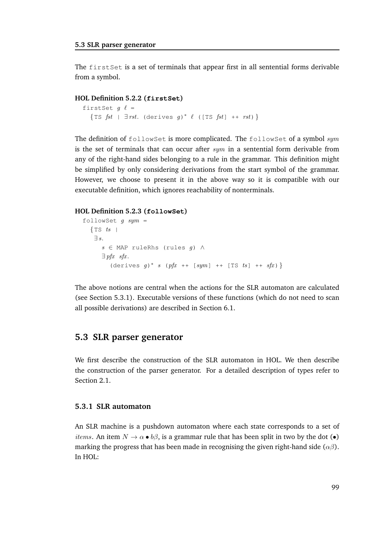The firstSet is a set of terminals that appear first in all sentential forms derivable from a symbol.

#### **HOL Definition 5.2.2 (firstSet)**

```
firstSet g \ell ={TS fst | \existsrst. (derives g)* \ell ([TS fst] ++ rst)}
```
The definition of followSet is more complicated. The followSet of a symbol  $sym$ is the set of terminals that can occur after  $sym$  in a sentential form derivable from any of the right-hand sides belonging to a rule in the grammar. This definition might be simplified by only considering derivations from the start symbol of the grammar. However, we choose to present it in the above way so it is compatible with our executable definition, which ignores reachability of nonterminals.

#### **HOL Definition 5.2.3 (followSet)**

```
followSet q \; sym =\{\text{TS }ts \}∃ s.
      s ∈ MAP ruleRhs (rules g) ∧
      \exists pfx sfx.
         (derives g)* s (pfx ++ [sym] ++ [TS ts] ++ sfx) }
```
The above notions are central when the actions for the SLR automaton are calculated (see Section 5.3.1). Executable versions of these functions (which do not need to scan all possible derivations) are described in Section 6.1.

#### **5.3 SLR parser generator**

We first describe the construction of the SLR automaton in HOL. We then describe the construction of the parser generator. For a detailed description of types refer to Section 2.1.

#### **5.3.1 SLR automaton**

An SLR machine is a pushdown automaton where each state corresponds to a set of *items.* An item  $N \to \alpha \bullet b\beta$ , is a grammar rule that has been split in two by the dot  $\bullet$ marking the progress that has been made in recognising the given right-hand side ( $\alpha\beta$ ). In HOL: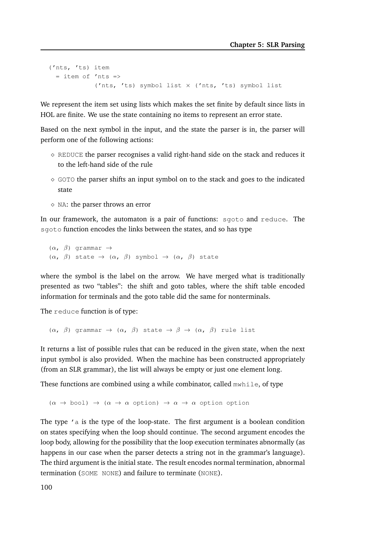```
('nts, 'ts) item
 = item of 'nts =>
            ('nts, 'ts) symbol list × ('nts, 'ts) symbol list
```
We represent the item set using lists which makes the set finite by default since lists in HOL are finite. We use the state containing no items to represent an error state.

Based on the next symbol in the input, and the state the parser is in, the parser will perform one of the following actions:

- $\diamond$  REDUCE the parser recognises a valid right-hand side on the stack and reduces it to the left-hand side of the rule
- $\diamond$  GOTO the parser shifts an input symbol on to the stack and goes to the indicated state
- ⋄ NA: the parser throws an error

In our framework, the automaton is a pair of functions: sgoto and reduce. The sgoto function encodes the links between the states, and so has type

 $(\alpha, \beta)$  grammar  $\rightarrow$  $(\alpha, \beta)$  state  $\rightarrow$   $(\alpha, \beta)$  symbol  $\rightarrow$   $(\alpha, \beta)$  state

where the symbol is the label on the arrow. We have merged what is traditionally presented as two "tables": the shift and goto tables, where the shift table encoded information for terminals and the goto table did the same for nonterminals.

The reduce function is of type:

 $(\alpha, \beta)$  grammar  $\rightarrow$   $(\alpha, \beta)$  state  $\rightarrow \beta \rightarrow (\alpha, \beta)$  rule list

It returns a list of possible rules that can be reduced in the given state, when the next input symbol is also provided. When the machine has been constructed appropriately (from an SLR grammar), the list will always be empty or just one element long.

These functions are combined using a while combinator, called  $mwhile$ , of type

 $(\alpha \rightarrow \text{bool}) \rightarrow (\alpha \rightarrow \alpha \text{ option}) \rightarrow \alpha \rightarrow \alpha \text{ option}$ 

The type  $\prime$  a is the type of the loop-state. The first argument is a boolean condition on states specifying when the loop should continue. The second argument encodes the loop body, allowing for the possibility that the loop execution terminates abnormally (as happens in our case when the parser detects a string not in the grammar's language). The third argument is the initial state. The result encodes normal termination, abnormal termination (SOME NONE) and failure to terminate (NONE).

100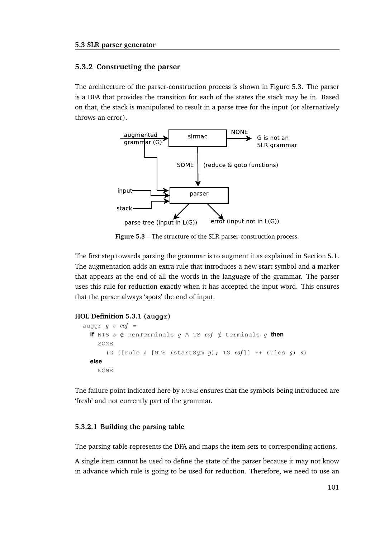#### **5.3.2 Constructing the parser**

The architecture of the parser-construction process is shown in Figure 5.3. The parser is a DFA that provides the transition for each of the states the stack may be in. Based on that, the stack is manipulated to result in a parse tree for the input (or alternatively throws an error).



**Figure 5.3** – The structure of the SLR parser-construction process.

The first step towards parsing the grammar is to augment it as explained in Section 5.1. The augmentation adds an extra rule that introduces a new start symbol and a marker that appears at the end of all the words in the language of the grammar. The parser uses this rule for reduction exactly when it has accepted the input word. This ensures that the parser always 'spots' the end of input.

#### **HOL Definition 5.3.1 (auggr)**

```
auggr g s eof =
  if NTS s \notin nonTerminals g \wedge TS \operatorname{cof} \notin terminals g then
     SOME
        (G ([rule s [NTS (startSym g); TS eof]] ++ rules g) s)
  else
     NONE
```
The failure point indicated here by NONE ensures that the symbols being introduced are 'fresh' and not currently part of the grammar.

#### **5.3.2.1 Building the parsing table**

The parsing table represents the DFA and maps the item sets to corresponding actions.

A single item cannot be used to define the state of the parser because it may not know in advance which rule is going to be used for reduction. Therefore, we need to use an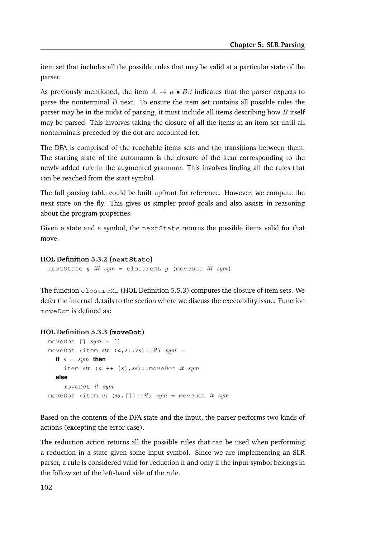item set that includes all the possible rules that may be valid at a particular state of the parser.

As previously mentioned, the item  $A \to \alpha \bullet B\beta$  indicates that the parser expects to parse the nonterminal  $B$  next. To ensure the item set contains all possible rules the parser may be in the midst of parsing, it must include all items describing how  $B$  itself may be parsed. This involves taking the closure of all the items in an item set until all nonterminals preceded by the dot are accounted for.

The DFA is comprised of the reachable items sets and the transitions between them. The starting state of the automaton is the closure of the item corresponding to the newly added rule in the augmented grammar. This involves finding all the rules that can be reached from the start symbol.

The full parsing table could be built upfront for reference. However, we compute the next state on the fly. This gives us simpler proof goals and also assists in reasoning about the program properties.

Given a state and a symbol, the nextState returns the possible items valid for that move.

#### **HOL Definition 5.3.2 (nextState)**

nextState g itl sym = closureML g (moveDot itl sym)

The function closureML (HOL Definition 5.5.3) computes the closure of item sets. We defer the internal details to the section where we discuss the exectability issue. Function moveDot is defined as:

#### **HOL Definition 5.3.3 (moveDot)**

```
moveDot [ ] sym = [ ]moveDot (item str (a, s::ss)::it) sym =if s = sym then
    item str (a ++ [s], ss):: moveDot it sym
  else
    moveDot it sym
moveDot (item v_4 (v_8, [])::it) sym = moveDot it sym
```
Based on the contents of the DFA state and the input, the parser performs two kinds of actions (excepting the error case).

The reduction action returns all the possible rules that can be used when performing a reduction in a state given some input symbol. Since we are implementing an SLR parser, a rule is considered valid for reduction if and only if the input symbol belongs in the follow set of the left-hand side of the rule.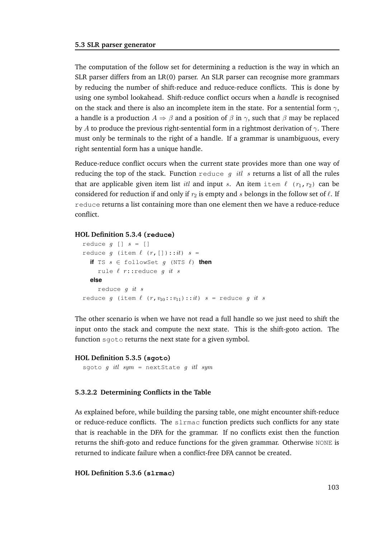The computation of the follow set for determining a reduction is the way in which an SLR parser differs from an LR(0) parser. An SLR parser can recognise more grammars by reducing the number of shift-reduce and reduce-reduce conflicts. This is done by using one symbol lookahead. Shift-reduce conflict occurs when a *handle* is recognised on the stack and there is also an incomplete item in the state. For a sentential form  $\gamma$ , a handle is a production  $A \Rightarrow \beta$  and a position of  $\beta$  in  $\gamma$ , such that  $\beta$  may be replaced by A to produce the previous right-sentential form in a rightmost derivation of  $\gamma$ . There must only be terminals to the right of a handle. If a grammar is unambiguous, every right sentential form has a unique handle.

Reduce-reduce conflict occurs when the current state provides more than one way of reducing the top of the stack. Function reduce q itl s returns a list of all the rules that are applicable given item list *itl* and input s. An item item  $\ell$  ( $r_1, r_2$ ) can be considered for reduction if and only if  $r_2$  is empty and s belongs in the follow set of  $\ell$ . If reduce returns a list containing more than one element then we have a reduce-reduce conflict.

#### **HOL Definition 5.3.4 (reduce)**

```
reduce g [] s = 1]
reduce g (item \ell (r, []) : : it) s =if TS s \in \text{followSet } g (NTS \ell) then
     rule \ell r:: reduce g it selse
     reduce g it s
reduce g (item \ell (r, v_{10}: :v_{11})::it) s = reduce g it s
```
The other scenario is when we have not read a full handle so we just need to shift the input onto the stack and compute the next state. This is the shift-goto action. The function sgoto returns the next state for a given symbol.

#### **HOL Definition 5.3.5 (sgoto)**

sgoto g itl sym = nextState g itl sym

#### **5.3.2.2 Determining Conflicts in the Table**

As explained before, while building the parsing table, one might encounter shift-reduce or reduce-reduce conflicts. The slrmac function predicts such conflicts for any state that is reachable in the DFA for the grammar. If no conflicts exist then the function returns the shift-goto and reduce functions for the given grammar. Otherwise NONE is returned to indicate failure when a conflict-free DFA cannot be created.

#### **HOL Definition 5.3.6 (slrmac)**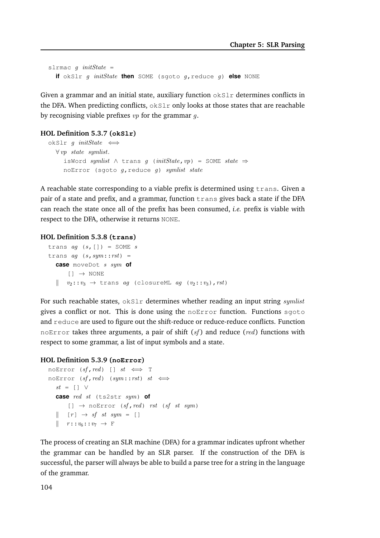```
slrmac q initState =
  if okSlr g initState then SOME (sgoto g,reduce g) else NONE
```
Given a grammar and an initial state, auxiliary function  $\partial kS \Gamma$  determines conflicts in the DFA. When predicting conflicts,  $\alpha kS1r$  only looks at those states that are reachable by recognising viable prefixes  $vp$  for the grammar q.

#### **HOL Definition 5.3.7 (okSlr)**

```
okSlr q initState \iff\forall vy state symlist.
     isWord symlist ∧ trans g (initState, vp) = SOME state \RightarrownoError (sgoto g, reduce g) symlist state
```
A reachable state corresponding to a viable prefix is determined using trans. Given a pair of a state and prefix, and a grammar, function trans gives back a state if the DFA can reach the state once all of the prefix has been consumed, *i.e.* prefix is viable with respect to the DFA, otherwise it returns NONE.

#### **HOL Definition 5.3.8 (trans)**

```
trans ag(s, [] = SOME strans ag (s, sym:rst) =
  case moveDot s sym of
      [] \rightarrow NONE
  \parallel v_2: v_3 \rightarrow trans ag (closureML ag (v_2: v_3), rst)
```
For such reachable states,  $okSlr$  determines whether reading an input string *symlist* gives a conflict or not. This is done using the  $noError$  function. Functions sgoto and reduce are used to figure out the shift-reduce or reduce-reduce conflicts. Function noError takes three arguments, a pair of shift  $(sf)$  and reduce (red) functions with respect to some grammar, a list of input symbols and a state.

#### **HOL Definition 5.3.9 (noError)**

```
noError (sf, red) [] st \iff TnoError (sf, red) (sym::rst) st \iffst = [] \veecase red st (ts2str sym) of
       [] \rightarrow noError (sf, red) rst (sf st sym)
  \parallel [r] \rightarrow sf st sym = []
  \parallel r::v_6::v_7 \rightarrow \mathbb{F}
```
The process of creating an SLR machine (DFA) for a grammar indicates upfront whether the grammar can be handled by an SLR parser. If the construction of the DFA is successful, the parser will always be able to build a parse tree for a string in the language of the grammar.

104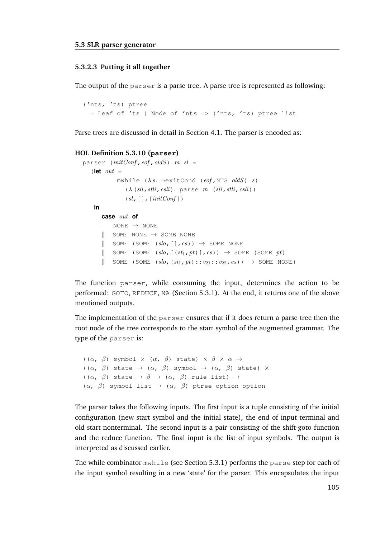#### **5.3.2.3 Putting it all together**

The output of the parser is a parse tree. A parse tree is represented as following:

```
('nts, 'ts) ptree
 = Leaf of 'ts | Node of 'nts => ('nts, 'ts) ptree list
```
Parse trees are discussed in detail in Section 4.1. The parser is encoded as:

#### **HOL Definition 5.3.10 (parser)**

```
parser (intConf, eof, oldS) m sl =
             mwhile (\lambda s. \neg \text{exitCond} (eof, NTS oldS) s)(\lambda(sli,stli,csli). parse m (sli,stli,csli))
                (sl, [ ] , [initConf ] )in
       case out of
           NONE \rightarrow NONE
       \parallel SOME NONE \rightarrow SOME NONE
       \parallel SOME (SOME (slo, [], cs)) \rightarrow SOME NONE
       K SOME (SOME (slo, [s_1, pt], cs)) \rightarrow SOME (SOME pt)
       \parallel SOME (SOME (slo,(st<sub>1</sub>, pt)::v_{21}::v_{22}, cs)) \rightarrow SOME NONE)
```
The function parser, while consuming the input, determines the action to be performed: GOTO, REDUCE, NA (Section 5.3.1). At the end, it returns one of the above mentioned outputs.

The implementation of the parser ensures that if it does return a parse tree then the root node of the tree corresponds to the start symbol of the augmented grammar. The type of the parser is:

```
((\alpha, \beta) symbol \times (\alpha, \beta) state) \times \beta \times \alpha \rightarrow((\alpha, \beta) state \rightarrow (\alpha, \beta) symbol \rightarrow (\alpha, \beta) state) \times((\alpha, \beta) state \rightarrow \beta \rightarrow (\alpha, \beta) rule list) \rightarrow(\alpha, \beta) symbol list \rightarrow (\alpha, \beta) ptree option option
```
The parser takes the following inputs. The first input is a tuple consisting of the initial configuration (new start symbol and the initial state), the end of input terminal and old start nonterminal. The second input is a pair consisting of the shift-goto function and the reduce function. The final input is the list of input symbols. The output is interpreted as discussed earlier.

The while combinator  $mwhile$  (see Section 5.3.1) performs the parse step for each of the input symbol resulting in a new 'state' for the parser. This encapsulates the input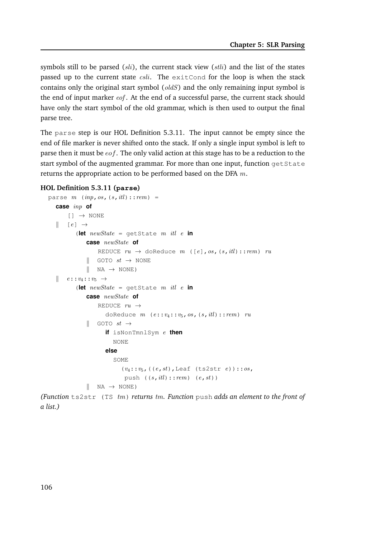symbols still to be parsed  $(sli)$ , the current stack view  $(sli)$  and the list of the states passed up to the current state  $c\overline{s}li$ . The exitCond for the loop is when the stack contains only the original start symbol (oldS) and the only remaining input symbol is the end of input marker  $eof$ . At the end of a successful parse, the current stack should have only the start symbol of the old grammar, which is then used to output the final parse tree.

The parse step is our HOL Definition 5.3.11. The input cannot be empty since the end of file marker is never shifted onto the stack. If only a single input symbol is left to parse then it must be  $eof$ . The only valid action at this stage has to be a reduction to the start symbol of the augmented grammar. For more than one input, function get State returns the appropriate action to be performed based on the DFA  $m$ .

#### **HOL Definition 5.3.11 (parse)**

```
parse m \ (inp, os, (s, itl)::rem) =case inp of
       [ ] \rightarrow NONE
   \parallel [e] \rightarrow(let newState = qetstate \ m \ itl \ e \ incase newState of
                    REDUCE ru \rightarrow doReduce m ([e], os, (s, itl):: rem) ru
               \parallel GOTO st \rightarrow NONE
               \parallel NA \rightarrow NONE)
   \parallel e::v_4::v_5 \rightarrow(let newState = getState \t m \text{ } itl \t e \text{ } incase newState of
                    REDUCE ru \rightarrowdoReduce m (e::v_4::v_5, os, (s, itl)::rem) ru
               \parallel GOTO st \rightarrowif isNonTmnlSym e then
                          NONE
                       else
                          SOME
                              (v_4::v_5, ((e, st), \text{Leaf } (ts2str e)): : os,push ((s, itl)::rem) (e, st))
               \parallel NA \rightarrow NONE)
```
*(Function* ts2str (TS tm) *returns* tm*. Function* push *adds an element to the front of a list.)*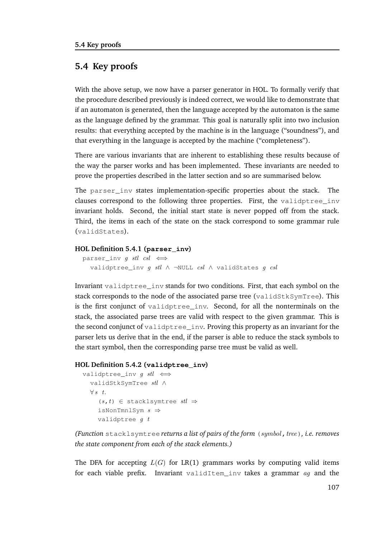# **5.4 Key proofs**

With the above setup, we now have a parser generator in HOL. To formally verify that the procedure described previously is indeed correct, we would like to demonstrate that if an automaton is generated, then the language accepted by the automaton is the same as the language defined by the grammar. This goal is naturally split into two inclusion results: that everything accepted by the machine is in the language ("soundness"), and that everything in the language is accepted by the machine ("completeness").

There are various invariants that are inherent to establishing these results because of the way the parser works and has been implemented. These invariants are needed to prove the properties described in the latter section and so are summarised below.

The parser inv states implementation-specific properties about the stack. The clauses correspond to the following three properties. First, the validptree\_inv invariant holds. Second, the initial start state is never popped off from the stack. Third, the items in each of the state on the stack correspond to some grammar rule (validStates).

#### **HOL Definition 5.4.1 (parser\_inv)**

```
parser_inv g stl csl \iffvalidptree inv q stl ∧ ¬NULL csl ∧ validStates q csl
```
Invariant validptree\_inv stands for two conditions. First, that each symbol on the stack corresponds to the node of the associated parse tree (validStkSymTree). This is the first conjunct of validptree inv. Second, for all the nonterminals on the stack, the associated parse trees are valid with respect to the given grammar. This is the second conjunct of validptree\_inv. Proving this property as an invariant for the parser lets us derive that in the end, if the parser is able to reduce the stack symbols to the start symbol, then the corresponding parse tree must be valid as well.

#### **HOL Definition 5.4.2 (validptree\_inv)**

```
validptree_inv g \, stl \iffvalidStkSymTree stl ∧
  \forall s \; t.(s, t) \in stacklsymtree stl \RightarrowisNonTmnlSym s \Rightarrowvalidptree q t
```
*(Function stacklsymtree returns a list of pairs of the form (symbol, tree), i.e. removes the state component from each of the stack elements.)*

The DFA for accepting  $L(G)$  for LR(1) grammars works by computing valid items for each viable prefix. Invariant validItem\_inv takes a grammar  $ag$  and the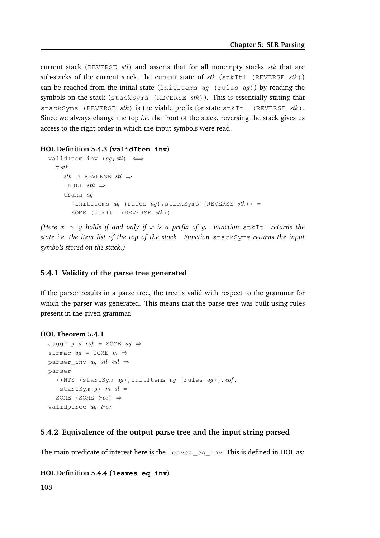current stack (REVERSE  $\,$  stl) and asserts that for all nonempty stacks  $\,$ stk that are sub-stacks of the current stack, the current state of  $stk$  (stkItl (REVERSE  $stk$ )) can be reached from the initial state (initItems  $aq$  (rules  $aq$ )) by reading the symbols on the stack (stackSyms (REVERSE  $stk$ )). This is essentially stating that stackSyms (REVERSE  $stk$ ) is the viable prefix for state stkItl (REVERSE  $stk$ ). Since we always change the top *i.e.* the front of the stack, reversing the stack gives us access to the right order in which the input symbols were read.

#### **HOL Definition 5.4.3 (validItem\_inv)**

```
validItem_inv (ag, stl) \iff\forall stk.
     stk \preceq REVERSE stl \Rightarrow\neg \text{NULL} stk \Rightarrowtrans ag
        (initItems ag (rules ag), stackSyms (REVERSE stk)) =
        SOME (stkItl (REVERSE stk))
```
*(Here*  $x \preceq y$  holds if and only if x is a prefix of y. Function stkItl returns the *state i.e. the item list of the top of the stack. Function* stackSyms *returns the input symbols stored on the stack.)*

#### **5.4.1 Validity of the parse tree generated**

If the parser results in a parse tree, the tree is valid with respect to the grammar for which the parser was generated. This means that the parse tree was built using rules present in the given grammar.

#### **HOL Theorem 5.4.1**

```
auggr g s eof = SOME ag \Rightarrowslrmac ag = SOME m \Rightarrowparser_inv ag stl csl \Rightarrowparser
  ((NTS (startSym ag), initItems ag (rules ag)), eof,
   startSym q) m sl =
  SOME (SOME tree) \Rightarrowvalidptree ag tree
```
#### **5.4.2 Equivalence of the output parse tree and the input string parsed**

The main predicate of interest here is the leaves\_eq\_inv. This is defined in HOL as:

#### **HOL Definition 5.4.4 (leaves\_eq\_inv)**

108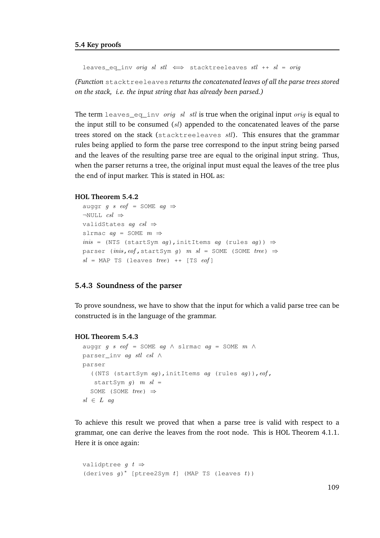leaves\_eq\_inv orig sl stl  $\iff$  stacktreeleaves stl ++ sl = orig

*(Function* stacktreeleaves *returns the concatenated leaves of all the parse trees stored on the stack, i.e. the input string that has already been parsed.)*

The term leaves equal orig sl stl is true when the original input orig is equal to the input still to be consumed  $(sl)$  appended to the concatenated leaves of the parse trees stored on the stack (stacktreeleaves  $\mathit{stl}$ ). This ensures that the grammar rules being applied to form the parse tree correspond to the input string being parsed and the leaves of the resulting parse tree are equal to the original input string. Thus, when the parser returns a tree, the original input must equal the leaves of the tree plus the end of input marker. This is stated in HOL as:

```
HOL Theorem 5.4.2
```

```
auggr g s eof = SOME ag \Rightarrow\neg \text{NULL} \quad \text{csl} \RightarrowvalidStates ag csl \Rightarrowslrmac ag = SOME m \Rightarrowinis = (NTS (startSym ag), initItems ag (rules ag)) ⇒
parser (inis, eof, startSym q) m sl = SOME (SOME tree) \Rightarrowsl = MAP TS (leaves tree) ++ [TS eof]
```
#### **5.4.3 Soundness of the parser**

To prove soundness, we have to show that the input for which a valid parse tree can be constructed is in the language of the grammar.

#### **HOL Theorem 5.4.3**

```
auggr g s eof = SOME ag \land slrmac ag = SOME m \landparser_inv ag stl csl ∧
parser
  ((NTS (startSym ag), initItems ag (rules ag)), eof,
  startSym q) m sl =
  SOME (SOME tree) \Rightarrowsl \in L ag
```
To achieve this result we proved that when a parse tree is valid with respect to a grammar, one can derive the leaves from the root node. This is HOL Theorem 4.1.1. Here it is once again:

```
validptree q \, t \Rightarrow(derives g)* [ptree2Sym t] (MAP TS (leaves t))
```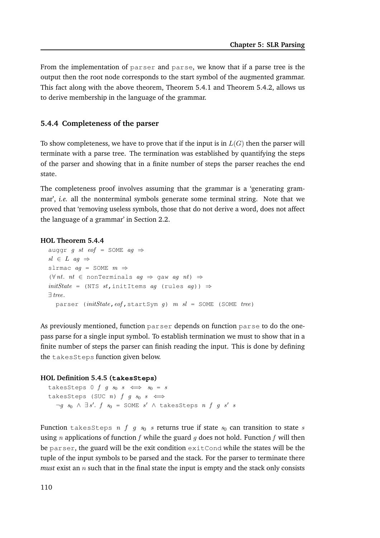From the implementation of parser and parse, we know that if a parse tree is the output then the root node corresponds to the start symbol of the augmented grammar. This fact along with the above theorem, Theorem 5.4.1 and Theorem 5.4.2, allows us to derive membership in the language of the grammar.

#### **5.4.4 Completeness of the parser**

To show completeness, we have to prove that if the input is in  $L(G)$  then the parser will terminate with a parse tree. The termination was established by quantifying the steps of the parser and showing that in a finite number of steps the parser reaches the end state.

The completeness proof involves assuming that the grammar is a 'generating grammar', *i.e.* all the nonterminal symbols generate some terminal string. Note that we proved that 'removing useless symbols, those that do not derive a word, does not affect the language of a grammar' in Section 2.2.

#### **HOL Theorem 5.4.4**

```
auggr g st eof = SOME ag \Rightarrowsl \in L ag \Rightarrowslrmac ag = SOME m \Rightarrow(\forall nt. nt \in nonTerminals aq \Rightarrow gaw aq nt) \RightarrowinitState = (NTS st, initItems ag (rules ag)) ⇒∃ tree.
  parser (initState, eof, startSym g) m sl = SOME (SOME tree)
```
As previously mentioned, function parser depends on function parse to do the onepass parse for a single input symbol. To establish termination we must to show that in a finite number of steps the parser can finish reading the input. This is done by defining the takesSteps function given below.

#### **HOL Definition 5.4.5 (takesSteps)**

```
takesSteps 0 f g s_0 s \iff s_0 = stakesSteps (SUC n) f q s_0 s \iff\neg g s<sub>0</sub> \land \exists s'. f s<sub>0</sub> = SOME s' \land takesSteps n f g s' s
```
Function takesSteps n f g  $s_0$  s returns true if state  $s_0$  can transition to state s using *n* applications of function *f* while the guard *q* does not hold. Function *f* will then be  $\beta$ arser, the guard will be the exit condition exit Cond while the states will be the tuple of the input symbols to be parsed and the stack. For the parser to terminate there *must* exist an  $n$  such that in the final state the input is empty and the stack only consists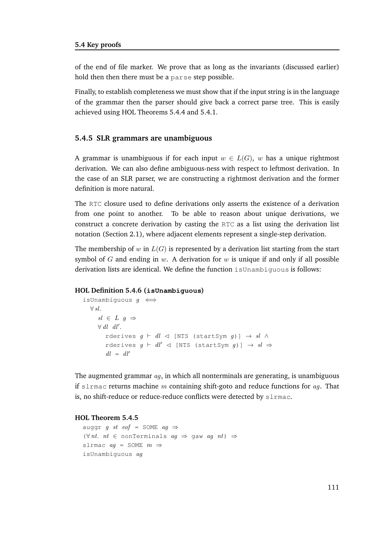of the end of file marker. We prove that as long as the invariants (discussed earlier) hold then then there must be a parse step possible.

Finally, to establish completeness we must show that if the input string is in the language of the grammar then the parser should give back a correct parse tree. This is easily achieved using HOL Theorems 5.4.4 and 5.4.1.

#### **5.4.5 SLR grammars are unambiguous**

A grammar is unambiguous if for each input  $w \in L(G)$ , w has a unique rightmost derivation. We can also define ambiguous-ness with respect to leftmost derivation. In the case of an SLR parser, we are constructing a rightmost derivation and the former definition is more natural.

The RTC closure used to define derivations only asserts the existence of a derivation from one point to another. To be able to reason about unique derivations, we construct a concrete derivation by casting the RTC as a list using the derivation list notation (Section 2.1), where adjacent elements represent a single-step derivation.

The membership of w in  $L(G)$  is represented by a derivation list starting from the start symbol of G and ending in w. A derivation for  $w$  is unique if and only if all possible derivation lists are identical. We define the function isUnambiguous is follows:

#### **HOL Definition 5.4.6 (isUnambiguous)**

```
isUnambiguous g \iff\forall sl.
      sl \in L \quad g \Rightarrow\forall dl' dl'.
         rderives q \vdash dl \lhd [NTS (startSym q)] \rightarrow sl \landrderives g \vdash dl' \lhd [NTS (startSym g)] \rightarrow sl \Rightarrowdl = dl'
```
The augmented grammar  $aq$ , in which all nonterminals are generating, is unambiguous if slrmac returns machine m containing shift-goto and reduce functions for  $ag$ . That is, no shift-reduce or reduce-reduce conflicts were detected by slrmac.

#### **HOL Theorem 5.4.5**

```
auggr g st eof = SOME ag \Rightarrow(\forall nt. nt \in nonTerminals aq \Rightarrow gaw aq nt) \Rightarrowslrmac aq = SOME m \RightarrowisUnambiguous ag
```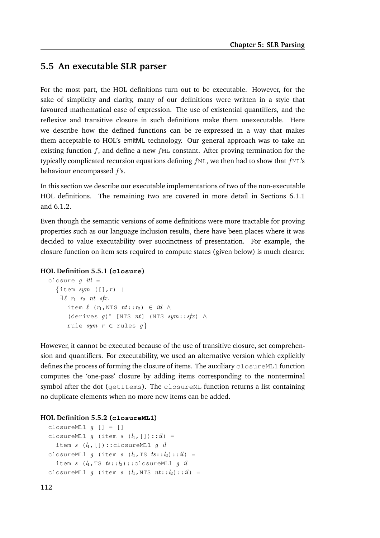## **5.5 An executable SLR parser**

For the most part, the HOL definitions turn out to be executable. However, for the sake of simplicity and clarity, many of our definitions were written in a style that favoured mathematical ease of expression. The use of existential quantifiers, and the reflexive and transitive closure in such definitions make them unexecutable. Here we describe how the defined functions can be re-expressed in a way that makes them acceptable to HOL's emitML technology. Our general approach was to take an existing function  $f$ , and define a new  $f$ ML constant. After proving termination for the typically complicated recursion equations defining  $fML$ , we then had to show that  $fML$ 's behaviour encompassed f's.

In this section we describe our executable implementations of two of the non-executable HOL definitions. The remaining two are covered in more detail in Sections 6.1.1 and 6.1.2.

Even though the semantic versions of some definitions were more tractable for proving properties such as our language inclusion results, there have been places where it was decided to value executability over succinctness of presentation. For example, the closure function on item sets required to compute states (given below) is much clearer.

#### **HOL Definition 5.5.1 (closure)**

```
closure q itl =
   \{\text{item} sym (\lbrack, r) \rbrack\exists \ell \; r_1 \; r_2 \; nt \; sfx.item \ell (r_1, NTS nt: r_2) \in itl \wedge(derives g)* [NTS nt] (NTS sym::sfx) ∧
       rule sym r \in \text{rules } g
```
However, it cannot be executed because of the use of transitive closure, set comprehension and quantifiers. For executability, we used an alternative version which explicitly defines the process of forming the closure of items. The auxiliary closureML1 function computes the 'one-pass' closure by adding items corresponding to the nonterminal symbol after the dot (getItems). The closureML function returns a list containing no duplicate elements when no more new items can be added.

#### **HOL Definition 5.5.2 (closureML1)**

```
closureML1 g [] = []
closureML1 g (item s (l_1, [])::il) =
  item s (l_1, [])::closureML1 g ilclosureML1 g (item s (l_1, TS \ ts: : l_2) :: il) =item s (l_1, TS \ ts: : l_2)::closureML1 g il
closureML1 g (item s (l_1, NTS nt::l_2)::il) =
```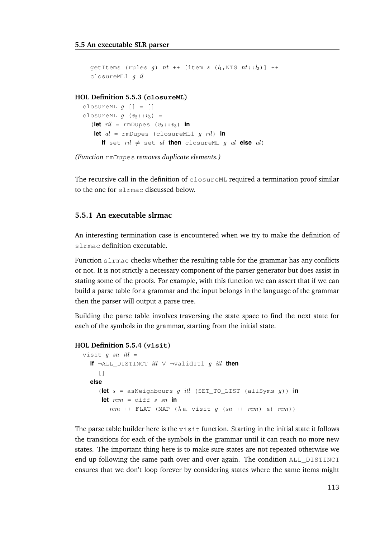```
getItems (rules q) nt ++ [item s (l_1, NTS nt::l_2)] ++
closureML1 g il
```
#### **HOL Definition 5.5.3 (closureML)**

```
closureML g [] = []
closureML q (v_2: : v_3) =(let ril = rmDupes (v_2: : v_3) in
   let al = rmDupes (closureML1 g ril) in
      if set ril \neq set al then closureML g al else al)
```
*(Function* rmDupes *removes duplicate elements.)*

The recursive call in the definition of  $\text{closureML}$  required a termination proof similar to the one for slrmac discussed below.

#### **5.5.1 An executable slrmac**

An interesting termination case is encountered when we try to make the definition of slrmac definition executable.

Function slrmac checks whether the resulting table for the grammar has any conflicts or not. It is not strictly a necessary component of the parser generator but does assist in stating some of the proofs. For example, with this function we can assert that if we can build a parse table for a grammar and the input belongs in the language of the grammar then the parser will output a parse tree.

Building the parse table involves traversing the state space to find the next state for each of the symbols in the grammar, starting from the initial state.

#### **HOL Definition 5.5.4 (visit)**

```
visit q sn itl =
  if ¬ALL_DISTINCT itl ∨ ¬validItl g itl then
     []
  else
     (let s = asNeighbours g itl (SET_TO_LIST (allSyms g)) in
     let rem = diff \, s \, sn \, inrem ++ FLAT (MAP (\lambda a. visit g (sn ++ rem) a) rem))
```
The parse table builder here is the visit function. Starting in the initial state it follows the transitions for each of the symbols in the grammar until it can reach no more new states. The important thing here is to make sure states are not repeated otherwise we end up following the same path over and over again. The condition ALL\_DISTINCT ensures that we don't loop forever by considering states where the same items might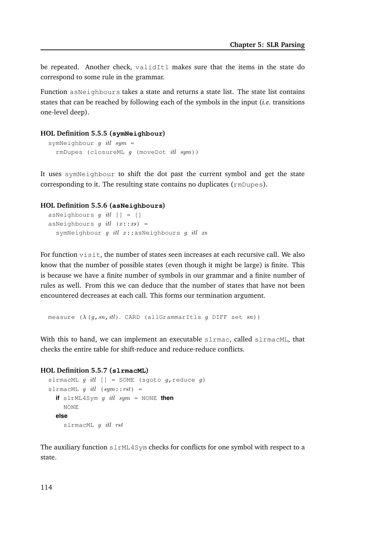be repeated. Another check, validItl makes sure that the items in the state do correspond to some rule in the grammar.

Function asNeighbours takes a state and returns a state list. The state list contains states that can be reached by following each of the symbols in the input (*i.e.* transitions one-level deep).

#### **HOL Definition 5.5.5 (symNeighbour)**

```
symNeighbour g itl sym =
  rmDupes (closureML q (moveDot itl sym))
```
It uses symNeighbour to shift the dot past the current symbol and get the state corresponding to it. The resulting state contains no duplicates (rmDupes).

#### **HOL Definition 5.5.6 (asNeighbours)**

```
asNeighbours q itl | = |asNeighbours g itl (x::xs) =
  symNeighbour g itl x::asNeighbours g itl xs
```
For function visit, the number of states seen increases at each recursive call. We also know that the number of possible states (even though it might be large) is finite. This is because we have a finite number of symbols in our grammar and a finite number of rules as well. From this we can deduce that the number of states that have not been encountered decreases at each call. This forms our termination argument.

measure  $(\lambda (q, sn, itl))$ . CARD (allGrammarItls g DIFF set sn))

With this to hand, we can implement an executable slrmac, called slrmacML, that checks the entire table for shift-reduce and reduce-reduce conflicts.

#### **HOL Definition 5.5.7 (slrmacML)**

```
slrmacML g itl [] = SOME (sgoto g, reduce g)
slrmacML q itl (sym::rst) =
  if slrML4Sym g itl sym = NONE then
    NONE
  else
    slrmacML g itl rst
```
The auxiliary function slrML4Sym checks for conflicts for one symbol with respect to a state.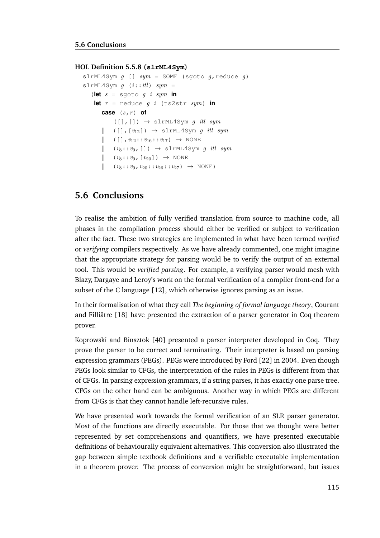#### **HOL Definition 5.5.8 (slrML4Sym)**

```
slrML4Sym g [] sym = SOME (sgoto g, reduce g)
slrML4Sym q (i::itl) sym =
   (let s = sgoto g i sym in
    let r = reduce q i (ts2str sym) in
       case (s,r) of
            ([], []) \rightarrow slrML4Sym g itl sym
       \parallel ([],[v_{12}]) \rightarrow slrML4Sym g itl sym
       \| ([], v_{12}::v_{16}::v_{17}\) \rightarrow NONE
       \parallel (v_8::v_9, []) \rightarrow slrML4Sym g itl sym
       \parallel (v_8::v_9, [v_{20}]) \rightarrow \text{NONE}\parallel (v_8::v_9, v_{20}::v_{26}::v_{27}) \rightarrow \text{NONE}
```
# **5.6 Conclusions**

To realise the ambition of fully verified translation from source to machine code, all phases in the compilation process should either be verified or subject to verification after the fact. These two strategies are implemented in what have been termed *verified* or *verifying* compilers respectively. As we have already commented, one might imagine that the appropriate strategy for parsing would be to verify the output of an external tool. This would be *verified parsing*. For example, a verifying parser would mesh with Blazy, Dargaye and Leroy's work on the formal verification of a compiler front-end for a subset of the C language [12], which otherwise ignores parsing as an issue.

In their formalisation of what they call *The beginning of formal language theory*, Courant and Filliâtre [18] have presented the extraction of a parser generator in Coq theorem prover.

Koprowski and Binsztok [40] presented a parser interpreter developed in Coq. They prove the parser to be correct and terminating. Their interpreter is based on parsing expression grammars (PEGs). PEGs were introduced by Ford [22] in 2004. Even though PEGs look similar to CFGs, the interpretation of the rules in PEGs is different from that of CFGs. In parsing expression grammars, if a string parses, it has exactly one parse tree. CFGs on the other hand can be ambiguous. Another way in which PEGs are different from CFGs is that they cannot handle left-recursive rules.

We have presented work towards the formal verification of an SLR parser generator. Most of the functions are directly executable. For those that we thought were better represented by set comprehensions and quantifiers, we have presented executable definitions of behaviourally equivalent alternatives. This conversion also illustrated the gap between simple textbook definitions and a verifiable executable implementation in a theorem prover. The process of conversion might be straightforward, but issues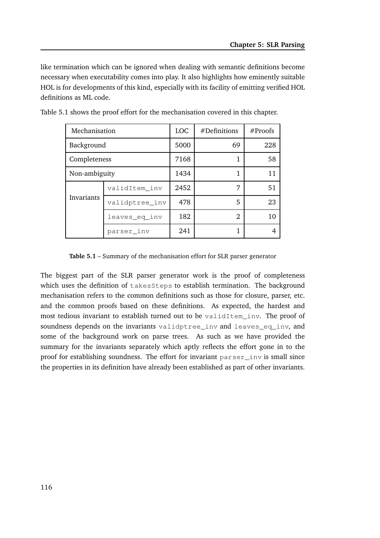like termination which can be ignored when dealing with semantic definitions become necessary when executability comes into play. It also highlights how eminently suitable HOL is for developments of this kind, especially with its facility of emitting verified HOL definitions as ML code.

| Mechanisation |                | <b>LOC</b> | $#$ Definitions | #Proofs |
|---------------|----------------|------------|-----------------|---------|
| Background    |                | 5000       | 69              | 228     |
| Completeness  |                | 7168       | 1               | 58      |
| Non-ambiguity |                | 1434       | 1               | 11      |
|               | validItem inv  | 2452       | 7               | 51      |
| Invariants    | validptree_inv | 478        | 5               | 23      |
|               | leaves_eq_inv  | 182        | 2               | 10      |
|               | parser inv     | 241        | 1               |         |

Table 5.1 shows the proof effort for the mechanisation covered in this chapter.

**Table 5.1** – Summary of the mechanisation effort for SLR parser generator

The biggest part of the SLR parser generator work is the proof of completeness which uses the definition of takesSteps to establish termination. The background mechanisation refers to the common definitions such as those for closure, parser, etc. and the common proofs based on these definitions. As expected, the hardest and most tedious invariant to establish turned out to be validItem\_inv. The proof of soundness depends on the invariants validptree inv and leaves eq inv, and some of the background work on parse trees. As such as we have provided the summary for the invariants separately which aptly reflects the effort gone in to the proof for establishing soundness. The effort for invariant parser\_inv is small since the properties in its definition have already been established as part of other invariants.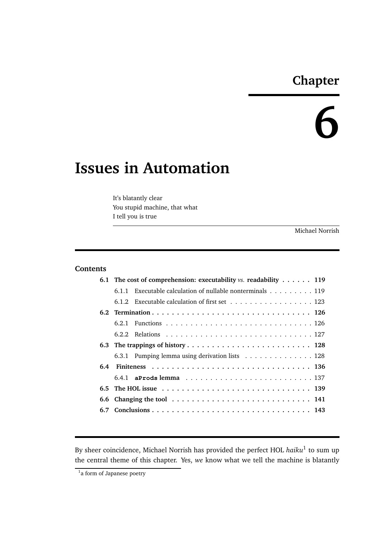# **Chapter**

# **6**

# **Issues in Automation**

It's blatantly clear You stupid machine, that what I tell you is true

Michael Norrish

#### **Contents**

|     | 6.1 The cost of comprehension: executability $vs.$ readability $\dots$ 119         |  |  |  |  |
|-----|------------------------------------------------------------------------------------|--|--|--|--|
|     | Executable calculation of nullable nonterminals $\dots \dots \dots \dots$<br>6.1.1 |  |  |  |  |
|     | 6.1.2 Executable calculation of first set 123                                      |  |  |  |  |
|     |                                                                                    |  |  |  |  |
|     |                                                                                    |  |  |  |  |
|     |                                                                                    |  |  |  |  |
|     |                                                                                    |  |  |  |  |
|     | 6.3.1 Pumping lemma using derivation lists 128                                     |  |  |  |  |
| 6.4 |                                                                                    |  |  |  |  |
|     |                                                                                    |  |  |  |  |
|     |                                                                                    |  |  |  |  |
|     |                                                                                    |  |  |  |  |
|     |                                                                                    |  |  |  |  |

By sheer coincidence, Michael Norrish has provided the perfect HOL *haiku*<sup>1</sup> to sum up the central theme of this chapter. Yes, *we* know what we tell the machine is blatantly

<sup>&</sup>lt;sup>1</sup>a form of Japanese poetry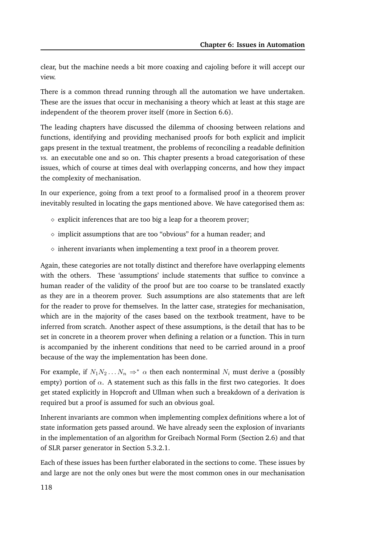clear, but the machine needs a bit more coaxing and cajoling before it will accept our view.

There is a common thread running through all the automation we have undertaken. These are the issues that occur in mechanising a theory which at least at this stage are independent of the theorem prover itself (more in Section 6.6).

The leading chapters have discussed the dilemma of choosing between relations and functions, identifying and providing mechanised proofs for both explicit and implicit gaps present in the textual treatment, the problems of reconciling a readable definition *vs.* an executable one and so on. This chapter presents a broad categorisation of these issues, which of course at times deal with overlapping concerns, and how they impact the complexity of mechanisation.

In our experience, going from a text proof to a formalised proof in a theorem prover inevitably resulted in locating the gaps mentioned above. We have categorised them as:

- $\diamond$  explicit inferences that are too big a leap for a theorem prover;
- $\diamond$  implicit assumptions that are too "obvious" for a human reader; and
- $\diamond$  inherent invariants when implementing a text proof in a theorem prover.

Again, these categories are not totally distinct and therefore have overlapping elements with the others. These 'assumptions' include statements that suffice to convince a human reader of the validity of the proof but are too coarse to be translated exactly as they are in a theorem prover. Such assumptions are also statements that are left for the reader to prove for themselves. In the latter case, strategies for mechanisation, which are in the majority of the cases based on the textbook treatment, have to be inferred from scratch. Another aspect of these assumptions, is the detail that has to be set in concrete in a theorem prover when defining a relation or a function. This in turn is accompanied by the inherent conditions that need to be carried around in a proof because of the way the implementation has been done.

For example, if  $N_1N_2...N_n \Rightarrow^* \alpha$  then each nonterminal  $N_i$  must derive a (possibly empty) portion of  $\alpha$ . A statement such as this falls in the first two categories. It does get stated explicitly in Hopcroft and Ullman when such a breakdown of a derivation is required but a proof is assumed for such an obvious goal.

Inherent invariants are common when implementing complex definitions where a lot of state information gets passed around. We have already seen the explosion of invariants in the implementation of an algorithm for Greibach Normal Form (Section 2.6) and that of SLR parser generator in Section 5.3.2.1.

Each of these issues has been further elaborated in the sections to come. These issues by and large are not the only ones but were the most common ones in our mechanisation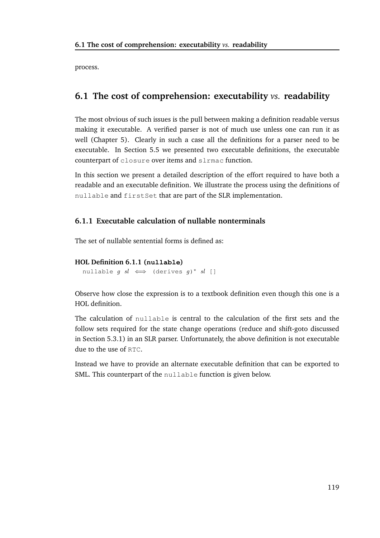process.

# **6.1 The cost of comprehension: executability** *vs.* **readability**

The most obvious of such issues is the pull between making a definition readable versus making it executable. A verified parser is not of much use unless one can run it as well (Chapter 5). Clearly in such a case all the definitions for a parser need to be executable. In Section 5.5 we presented two executable definitions, the executable counterpart of closure over items and slrmac function.

In this section we present a detailed description of the effort required to have both a readable and an executable definition. We illustrate the process using the definitions of nullable and firstSet that are part of the SLR implementation.

## **6.1.1 Executable calculation of nullable nonterminals**

The set of nullable sentential forms is defined as:

### **HOL Definition 6.1.1 (nullable)**

nullable  $g$   $sl \iff$  (derives  $g)^*$   $sl$  []

Observe how close the expression is to a textbook definition even though this one is a HOL definition.

The calculation of nullable is central to the calculation of the first sets and the follow sets required for the state change operations (reduce and shift-goto discussed in Section 5.3.1) in an SLR parser. Unfortunately, the above definition is not executable due to the use of RTC.

Instead we have to provide an alternate executable definition that can be exported to SML. This counterpart of the nullable function is given below.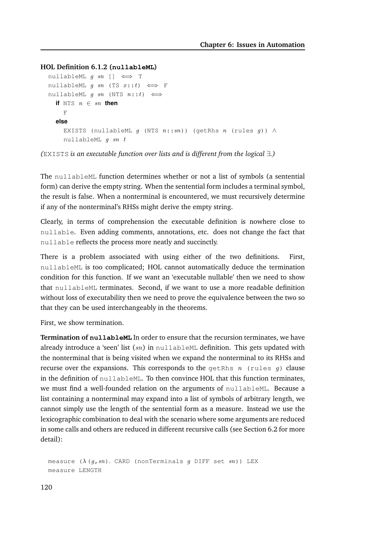#### **HOL Definition 6.1.2 (nullableML)**

```
nullableML g \; sn \; [] \iff TnullableML q sn (TS x::t) \iff F
nullableML q sn (NTS n::t) \iffif NTS n \in sn then
    F
  else
    EXISTS (nullableML q (NTS n::sn)) (qetRhs n (rules q)) \wedgenullableML g sn t
```
*(*EXISTS *is an executable function over lists and is different from the logical* ∃*.)*

The nullableML function determines whether or not a list of symbols (a sentential form) can derive the empty string. When the sentential form includes a terminal symbol, the result is false. When a nonterminal is encountered, we must recursively determine if any of the nonterminal's RHSs might derive the empty string.

Clearly, in terms of comprehension the executable definition is nowhere close to nullable. Even adding comments, annotations, etc. does not change the fact that nullable reflects the process more neatly and succinctly.

There is a problem associated with using either of the two definitions. First, nullableML is too complicated; HOL cannot automatically deduce the termination condition for this function. If we want an 'executable nullable' then we need to show that nullableML terminates. Second, if we want to use a more readable definition without loss of executability then we need to prove the equivalence between the two so that they can be used interchangeably in the theorems.

First, we show termination.

**Termination of nullableML** In order to ensure that the recursion terminates, we have already introduce a 'seen' list  $(sn)$  in nullableML definition. This gets updated with the nonterminal that is being visited when we expand the nonterminal to its RHSs and recurse over the expansions. This corresponds to the getRhs  $n$  (rules  $q$ ) clause in the definition of nullableML. To then convince HOL that this function terminates, we must find a well-founded relation on the arguments of nullableML. Because a list containing a nonterminal may expand into a list of symbols of arbitrary length, we cannot simply use the length of the sentential form as a measure. Instead we use the lexicographic combination to deal with the scenario where some arguments are reduced in some calls and others are reduced in different recursive calls (see Section 6.2 for more detail):

measure  $(\lambda (g, sn))$ . CARD (nonTerminals g DIFF set sn)) LEX measure LENGTH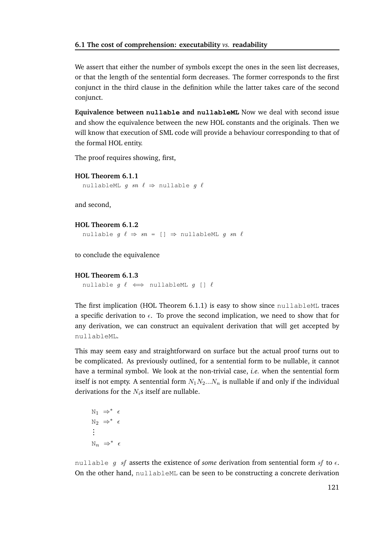We assert that either the number of symbols except the ones in the seen list decreases, or that the length of the sentential form decreases. The former corresponds to the first conjunct in the third clause in the definition while the latter takes care of the second conjunct.

**Equivalence between nullable and nullableML** Now we deal with second issue and show the equivalence between the new HOL constants and the originals. Then we will know that execution of SML code will provide a behaviour corresponding to that of the formal HOL entity.

The proof requires showing, first,

```
HOL Theorem 6.1.1
```
nullableML q sn  $\ell \Rightarrow$  nullable q  $\ell$ 

and second,

```
HOL Theorem 6.1.2
```
nullable  $g \ell \Rightarrow sn = [] \Rightarrow nullableML g sn \ell$ 

to conclude the equivalence

#### **HOL Theorem 6.1.3**

```
nullable g \ell \iff nullableML g \restriction \ell
```
The first implication (HOL Theorem 6.1.1) is easy to show since nullableML traces a specific derivation to  $\epsilon$ . To prove the second implication, we need to show that for any derivation, we can construct an equivalent derivation that will get accepted by nullableML.

This may seem easy and straightforward on surface but the actual proof turns out to be complicated. As previously outlined, for a sentential form to be nullable, it cannot have a terminal symbol. We look at the non-trivial case, *i.e.* when the sentential form itself is not empty. A sentential form  $N_1N_2...N_n$  is nullable if and only if the individual derivations for the  $N_i$ s itself are nullable.

 $N_1 \Rightarrow^* \epsilon$  $N_2 \Rightarrow^* \epsilon$ ...  $\mathbb{N}_n \Rightarrow^* \epsilon$ 

nullable g sf asserts the existence of *some* derivation from sentential form sf to  $\epsilon$ . On the other hand, nullableML can be seen to be constructing a concrete derivation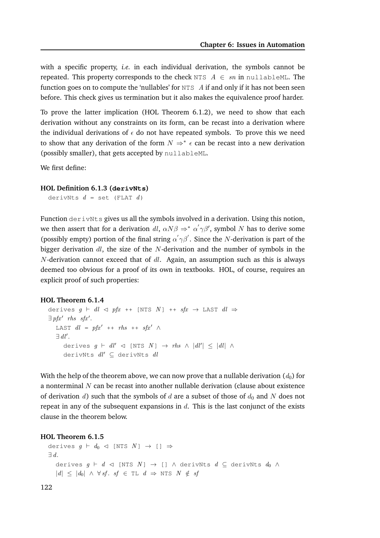with a specific property, *i.e.* in each individual derivation, the symbols cannot be repeated. This property corresponds to the check NTS  $A \in sn$  in nullableML. The function goes on to compute the 'nullables' for  $NTS$   $A$  if and only if it has not been seen before. This check gives us termination but it also makes the equivalence proof harder.

To prove the latter implication (HOL Theorem 6.1.2), we need to show that each derivation without any constraints on its form, can be recast into a derivation where the individual derivations of  $\epsilon$  do not have repeated symbols. To prove this we need to show that any derivation of the form  $N \Rightarrow^* \epsilon$  can be recast into a new derivation (possibly smaller), that gets accepted by nullableML.

We first define:

#### **HOL Definition 6.1.3 (derivNts)**

derivNts  $d = \text{set}$  (FLAT  $d$ )

Function derivNts gives us all the symbols involved in a derivation. Using this notion, we then assert that for a derivation  $dl$ ,  $\alpha N \beta \Rightarrow^* \alpha' \gamma \beta'$ , symbol  $N$  has to derive some (possibly empty) portion of the final string  $\alpha' \gamma \beta'$ . Since the N-derivation is part of the bigger derivation  $dl$ , the size of the N-derivation and the number of symbols in the  $N$ -derivation cannot exceed that of  $dl$ . Again, an assumption such as this is always deemed too obvious for a proof of its own in textbooks. HOL, of course, requires an explicit proof of such properties:

#### **HOL Theorem 6.1.4**

```
derives g ⊢ dl \lhd pfx ++ [NTS N] ++ sfx \rightarrow LAST dl \Rightarrow\exists pfx' rhs sfx'.
   LAST dl = pfx' ++ rhs ++ sfx' \wedge\exists dl'.
      derives g \vdash dl' \lhd [NTS \ N] \rightarrow rhs \ \land \ |dl'| \leq |dl| \ \landderivNts dl' \subseteq derivNts dl
```
With the help of the theorem above, we can now prove that a nullable derivation  $(d_0)$  for a nonterminal  $N$  can be recast into another nullable derivation (clause about existence of derivation d) such that the symbols of d are a subset of those of  $d_0$  and N does not repeat in any of the subsequent expansions in  $d$ . This is the last conjunct of the exists clause in the theorem below.

#### **HOL Theorem 6.1.5**

```
derives g ⊢ d_0 ⊲ [NTS N] \rightarrow [] \Rightarrow∃ d.
    derives g \vdash d \vartriangleleft [NTS \ N] \rightarrow [] \wedge derivNts d \subseteq derivNts d_0 \wedge|d| \leq |d_0| \wedge \forall s f. \; sf \in \mathcal{TL} \; d \Rightarrow \mathcal{NTS} \; N \notin sf
```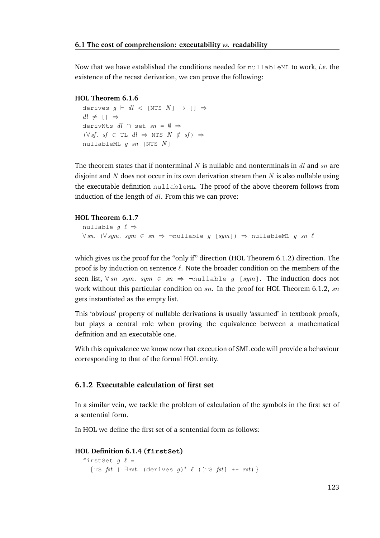Now that we have established the conditions needed for nullableML to work, *i.e.* the existence of the recast derivation, we can prove the following:

#### **HOL Theorem 6.1.6**

derives  $q$  ⊢ dl  $\lhd$  [NTS  $N$ ]  $\rightarrow$  []  $\Rightarrow$  $dl \neq \Box \Rightarrow$ derivNts  $dl \cap$  set  $sn = \emptyset \Rightarrow$  $(\forall s f. s f \in \mathcal{I} \cup dl \Rightarrow \mathbb{N} \mathcal{I} \leq N \notin sf) \Rightarrow$ nullableML  $q$  sn [NTS  $N$ ]

The theorem states that if nonterminal N is nullable and nonterminals in dl and  $sn$  are disjoint and N does not occur in its own derivation stream then  $N$  is also nullable using the executable definition nullableML. The proof of the above theorem follows from induction of the length of  $dl$ . From this we can prove:

#### **HOL Theorem 6.1.7**

```
nullable q \ell \Rightarrow\forall sn. (\forall sym. sym \in sn \Rightarrow \neg \text{nullable } q \text{ [sym]}) \Rightarrow nullableML q sn \ell
```
which gives us the proof for the "only if" direction (HOL Theorem 6.1.2) direction. The proof is by induction on sentence  $\ell$ . Note the broader condition on the members of the seen list,  $\forall sn \; sym. \; sym \in sn \Rightarrow \neg nulltable \; q \; [sym].$  The induction does not work without this particular condition on  $sn$ . In the proof for HOL Theorem 6.1.2,  $sn$ gets instantiated as the empty list.

This 'obvious' property of nullable derivations is usually 'assumed' in textbook proofs, but plays a central role when proving the equivalence between a mathematical definition and an executable one.

With this equivalence we know now that execution of SML code will provide a behaviour corresponding to that of the formal HOL entity.

#### **6.1.2 Executable calculation of first set**

In a similar vein, we tackle the problem of calculation of the symbols in the first set of a sentential form.

In HOL we define the first set of a sentential form as follows:

#### **HOL Definition 6.1.4 (firstSet)**

```
firstSet q \ell ={TS fst | \existsrst. (derives g)* \ell ([TS fst] ++ rst)}
```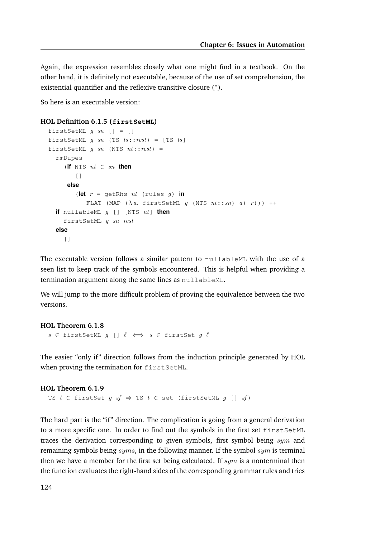Again, the expression resembles closely what one might find in a textbook. On the other hand, it is definitely not executable, because of the use of set comprehension, the existential quantifier and the reflexive transitive closure (\*).

So here is an executable version:

```
HOL Definition 6.1.5 (firstSetML)
```

```
firstSetML g sn [] = []
firstSetML g sn (TS ts::rest) = [TS ts]
firstSetML g sn (NTS nt::rest) =
  rmDupes
     (\textbf{if } N \text{ is } nt \in sn \textbf{ then})\lceil]
      else
         (let r = getRhs nt (rules g) in
            FLAT (MAP (\lambda a. firstSetML g (NTS nt::sn) a) r))) ++
  if nullableML g [] [NTS nt] then
     firstSetML g sn rest
  else
     \lceil]
```
The executable version follows a similar pattern to nullableML with the use of a seen list to keep track of the symbols encountered. This is helpful when providing a termination argument along the same lines as nullableML.

We will jump to the more difficult problem of proving the equivalence between the two versions.

#### **HOL Theorem 6.1.8**  $s \in$  firstSetML  $g$  []  $\ell \iff s \in$  firstSet  $g \ell$

The easier "only if" direction follows from the induction principle generated by HOL when proving the termination for firstSetML.

```
HOL Theorem 6.1.9
  TS t \in firstSet g \text{ } sf \Rightarrow TS t \in set (firstSetML g [] sf)
```
The hard part is the "if" direction. The complication is going from a general derivation to a more specific one. In order to find out the symbols in the first set firstSetML traces the derivation corresponding to given symbols, first symbol being  $sym$  and remaining symbols being  $syms$ , in the following manner. If the symbol  $sym$  is terminal then we have a member for the first set being calculated. If  $sym$  is a nonterminal then the function evaluates the right-hand sides of the corresponding grammar rules and tries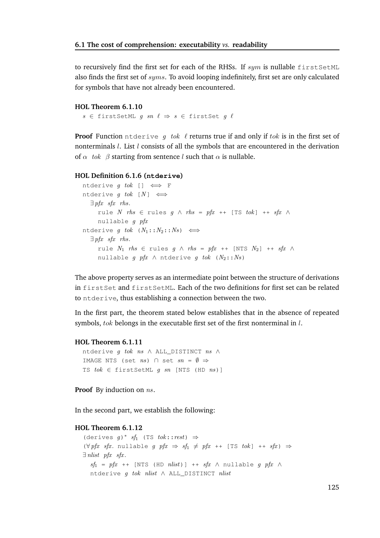to recursively find the first set for each of the RHSs. If  $sum$  is nullable  $firstSetML$ also finds the first set of syms. To avoid looping indefinitely, first set are only calculated for symbols that have not already been encountered.

#### **HOL Theorem 6.1.10**

 $s \in$  firstSetML q  $sn \ell \Rightarrow s \in$  firstSet q  $\ell$ 

**Proof** Function ntderive g tok l returns true if and only if tok is in the first set of nonterminals  $l$ . List  $l$  consists of all the symbols that are encountered in the derivation of  $\alpha$  tok  $\beta$  starting from sentence l such that  $\alpha$  is nullable.

#### **HOL Definition 6.1.6 (ntderive)**

```
ntderive g tok [] \iff F
ntderive g tok [N] \iff\exists pfx sfx rhs.
      rule N rhs ∈ rules g \wedge \mathit{rhs} = \mathit{pfx} + [TS \mathit{tok}] + f\mathit{fx} \wedgenullable g pfx
ntderive g tok (N_1: : N_2: : N_s) \iff\exists pfx sfx rhs.
      rule N_1 rhs ∈ rules g \wedge \mathit{rhs} = \mathit{pfx} ++ [NTS N_2] ++ \mathit{sfx} \wedgenullable g pfx \land ntderive g tok (N_2: : N_s)
```
The above property serves as an intermediate point between the structure of derivations in firstSet and firstSetML. Each of the two definitions for first set can be related to ntderive, thus establishing a connection between the two.

In the first part, the theorem stated below establishes that in the absence of repeated symbols, tok belongs in the executable first set of the first nonterminal in l.

#### **HOL Theorem 6.1.11**

```
ntderive g tok ns \land ALL_DISTINCT ns \landIMAGE NTS (set ns) \cap set sn = \emptyset \RightarrowTS tok \in \text{firstSetML } g \text{ sn } [\text{NTS } (\text{HD } ns)]
```
**Proof** By induction on ns.

In the second part, we establish the following:

#### **HOL Theorem 6.1.12**

```
(derives g)* sf_1 (TS tok::rest) \Rightarrow(\forall pfx \; sfx. \; nullable \; q \; pfx \Rightarrow sf_1 \neq pfx + [TS \; tok] + f *sfx) \Rightarrow\exists nlist pfx sfx.
  sf_1 = pfx + [NTS (HD \; nlist)] + sfx \wedge nullable g \; pfx \wedgentderive q tok nlist \land ALL DISTINCT nlist
```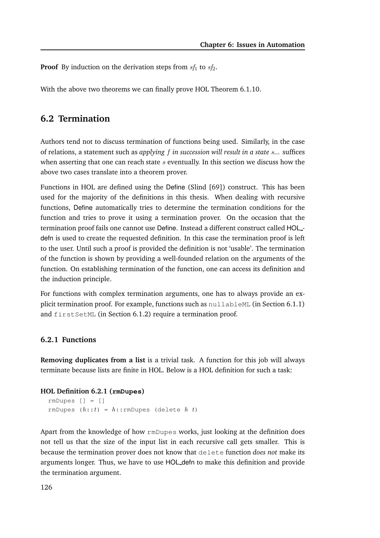**Proof** By induction on the derivation steps from  $sf_1$  to  $sf_2$ .

With the above two theorems we can finally prove HOL Theorem 6.1.10.

## **6.2 Termination**

Authors tend not to discuss termination of functions being used. Similarly, in the case of relations, a statement such as *applying* f *in succession will result in a state* s*...* suffices when asserting that one can reach state  $s$  eventually. In this section we discuss how the above two cases translate into a theorem prover.

Functions in HOL are defined using the Define (Slind [69]) construct. This has been used for the majority of the definitions in this thesis. When dealing with recursive functions, Define automatically tries to determine the termination conditions for the function and tries to prove it using a termination prover. On the occasion that the termination proof fails one cannot use Define. Instead a different construct called HOLdefn is used to create the requested definition. In this case the termination proof is left to the user. Until such a proof is provided the definition is not 'usable'. The termination of the function is shown by providing a well-founded relation on the arguments of the function. On establishing termination of the function, one can access its definition and the induction principle.

For functions with complex termination arguments, one has to always provide an explicit termination proof. For example, functions such as nullableML (in Section 6.1.1) and firstSetML (in Section 6.1.2) require a termination proof.

#### **6.2.1 Functions**

**Removing duplicates from a list** is a trivial task. A function for this job will always terminate because lists are finite in HOL. Below is a HOL definition for such a task:

#### **HOL Definition 6.2.1 (rmDupes)**

```
rmDupes [] = []
rmDupes (h::t) = h::rmDupes (delete h t)
```
Apart from the knowledge of how rmDupes works, just looking at the definition does not tell us that the size of the input list in each recursive call gets smaller. This is because the termination prover does not know that delete function *does not* make its arguments longer. Thus, we have to use HOL defn to make this definition and provide the termination argument.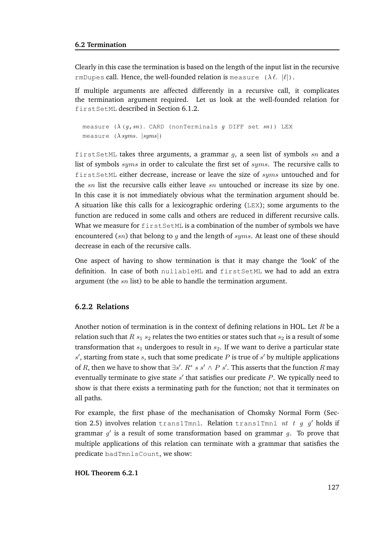Clearly in this case the termination is based on the length of the input list in the recursive rmDupes call. Hence, the well-founded relation is measure  $(\lambda \ell, |\ell|)$ .

If multiple arguments are affected differently in a recursive call, it complicates the termination argument required. Let us look at the well-founded relation for firstSetML described in Section 6.1.2.

```
measure (\lambda (g, sn)). CARD (nonTerminals g DIFF set sn)) LEX
measure (\lambda \, syms. \, |syms|)
```
firstSetML takes three arguments, a grammar  $q$ , a seen list of symbols  $sn$  and a list of symbols  $syms$  in order to calculate the first set of  $syms$ . The recursive calls to firstSetML either decrease, increase or leave the size of syms untouched and for the  $sn$  list the recursive calls either leave  $sn$  untouched or increase its size by one. In this case it is not immediately obvious what the termination argument should be. A situation like this calls for a lexicographic ordering (LEX); some arguments to the function are reduced in some calls and others are reduced in different recursive calls. What we measure for  $firstSetML$  is a combination of the number of symbols we have encountered  $(sn)$  that belong to q and the length of syms. At least one of these should decrease in each of the recursive calls.

One aspect of having to show termination is that it may change the 'look' of the definition. In case of both nullableML and firstSetML we had to add an extra argument (the sn list) to be able to handle the termination argument.

#### **6.2.2 Relations**

Another notion of termination is in the context of defining relations in HOL. Let  $R$  be a relation such that R  $s_1$   $s_2$  relates the two entities or states such that  $s_2$  is a result of some transformation that  $s_1$  undergoes to result in  $s_2$ . If we want to derive a particular state s', starting from state s, such that some predicate P is true of s' by multiple applications of R, then we have to show that  $\exists s'. R^* \ s \ s' \land P \ s'.$  This asserts that the function R may eventually terminate to give state  $s'$  that satisfies our predicate  $P$ . We typically need to show is that there exists a terminating path for the function; not that it terminates on all paths.

For example, the first phase of the mechanisation of Chomsky Normal Form (Section 2.5) involves relation trans1Tmnl. Relation trans1Tmnl nt t q q' holds if grammar  $g'$  is a result of some transformation based on grammar  $g$ . To prove that multiple applications of this relation can terminate with a grammar that satisfies the predicate badTmnlsCount, we show:

#### **HOL Theorem 6.2.1**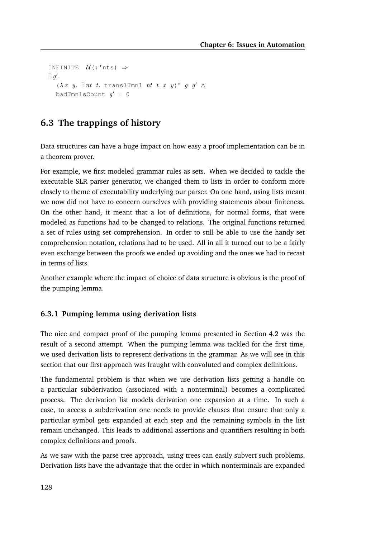```
INFINITE \mathcal{U}(:'nts) \Rightarrow\exists g'.(\lambda x \ y. \ \exists nt \ t. \ \text{trans1Tmm1} \ nt \ t \ x \ y)^* \ g \ g' \ \wedgebadTmnlsCount g' = 0
```
# **6.3 The trappings of history**

Data structures can have a huge impact on how easy a proof implementation can be in a theorem prover.

For example, we first modeled grammar rules as sets. When we decided to tackle the executable SLR parser generator, we changed them to lists in order to conform more closely to theme of executability underlying our parser. On one hand, using lists meant we now did not have to concern ourselves with providing statements about finiteness. On the other hand, it meant that a lot of definitions, for normal forms, that were modeled as functions had to be changed to relations. The original functions returned a set of rules using set comprehension. In order to still be able to use the handy set comprehension notation, relations had to be used. All in all it turned out to be a fairly even exchange between the proofs we ended up avoiding and the ones we had to recast in terms of lists.

Another example where the impact of choice of data structure is obvious is the proof of the pumping lemma.

### **6.3.1 Pumping lemma using derivation lists**

The nice and compact proof of the pumping lemma presented in Section 4.2 was the result of a second attempt. When the pumping lemma was tackled for the first time, we used derivation lists to represent derivations in the grammar. As we will see in this section that our first approach was fraught with convoluted and complex definitions.

The fundamental problem is that when we use derivation lists getting a handle on a particular subderivation (associated with a nonterminal) becomes a complicated process. The derivation list models derivation one expansion at a time. In such a case, to access a subderivation one needs to provide clauses that ensure that only a particular symbol gets expanded at each step and the remaining symbols in the list remain unchanged. This leads to additional assertions and quantifiers resulting in both complex definitions and proofs.

As we saw with the parse tree approach, using trees can easily subvert such problems. Derivation lists have the advantage that the order in which nonterminals are expanded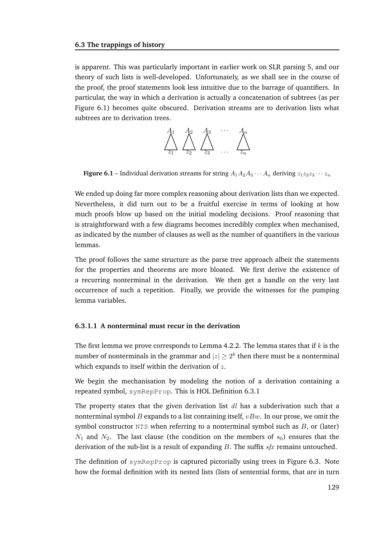is apparent. This was particularly important in earlier work on SLR parsing 5, and our theory of such lists is well-developed. Unfortunately, as we shall see in the course of the proof, the proof statements look less intuitive due to the barrage of quantifiers. In particular, the way in which a derivation is actually a concatenation of subtrees (as per Figure 6.1) becomes quite obscured. Derivation streams are to derivation lists what subtrees are to derivation trees.



**Figure 6.1** – Individual derivation streams for string  $A_1A_2A_3\cdots A_n$  deriving  $z_1z_2z_3\cdots z_n$ 

We ended up doing far more complex reasoning about derivation lists than we expected. Nevertheless, it did turn out to be a fruitful exercise in terms of looking at how much proofs blow up based on the initial modeling decisions. Proof reasoning that is straightforward with a few diagrams becomes incredibly complex when mechanised, as indicated by the number of clauses as well as the number of quantifiers in the various lemmas.

The proof follows the same structure as the parse tree approach albeit the statements for the properties and theorems are more bloated. We first derive the existence of a recurring nonterminal in the derivation. We then get a handle on the very last occurrence of such a repetition. Finally, we provide the witnesses for the pumping lemma variables.

#### **6.3.1.1 A nonterminal must recur in the derivation**

The first lemma we prove corresponds to Lemma 4.2.2. The lemma states that if  $k$  is the number of nonterminals in the grammar and  $|z|\geq 2^k$  then there must be a nonterminal which expands to itself within the derivation of  $z$ .

We begin the mechanisation by modeling the notion of a derivation containing a repeated symbol, symRepProp. This is HOL Definition 6.3.1

The property states that the given derivation list  $dl$  has a subderivation such that a nonterminal symbol B expands to a list containing itself,  $vBw$ . In our prose, we omit the symbol constructor NTS when referring to a nonterminal symbol such as  $B$ , or (later)  $N_1$  and  $N_2$ . The last clause (the condition on the members of  $s_0$ ) ensures that the derivation of the sub-list is a result of expanding  $B$ . The suffix  $sfx$  remains untouched.

The definition of symRepProp is captured pictorially using trees in Figure 6.3. Note how the formal definition with its nested lists (lists of sentential forms, that are in turn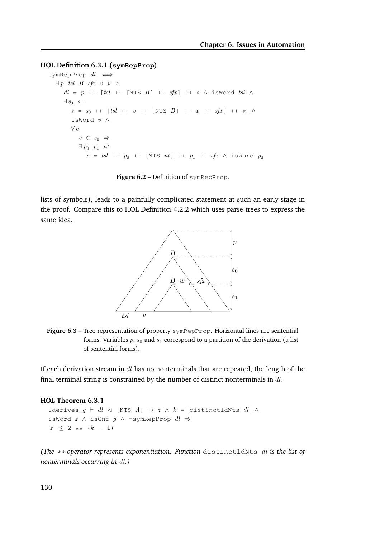#### **HOL Definition 6.3.1 (symRepProp)**

```
symRepProp dl \iff\exists p tsl B sfx v w s.
     dl = p + [tsl + [NTS B] + f s f x] + s \wedge isWordtsl \wedge\exists s_0 s<sub>1</sub>.
        s = s_0 + [tsl + v + [NTS B] + w + sfx] + s_1 \wedgeisWord v ∧
       ∀ e.
          e \in s_0 \Rightarrow\exists p_0 p_1 nt.
             e = tsl + p_0 + t [NTS nt] ++ p_1 + sfx \wedge isWord p_0
```
**Figure 6.2** – Definition of symRepProp.

lists of symbols), leads to a painfully complicated statement at such an early stage in the proof. Compare this to HOL Definition 4.2.2 which uses parse trees to express the same idea.



**Figure 6.3** – Tree representation of property symRepProp. Horizontal lines are sentential forms. Variables  $p$ ,  $s_0$  and  $s_1$  correspond to a partition of the derivation (a list of sentential forms).

If each derivation stream in  $dl$  has no nonterminals that are repeated, the length of the final terminal string is constrained by the number of distinct nonterminals in  $dl$ .

#### **HOL Theorem 6.3.1**

```
lderives g \vdash dl \lhd [NTS A] \rightarrow z \land k = |distinctldNts dl \landisWord z \wedge isCnf g \wedge \negsymRepProp dl \Rightarrow|z| \leq 2 \star \star (k - 1)
```
*(The* \*\* *operator represents exponentiation. Function* distinctldNts dl *is the list of nonterminals occurring in* dl*.)*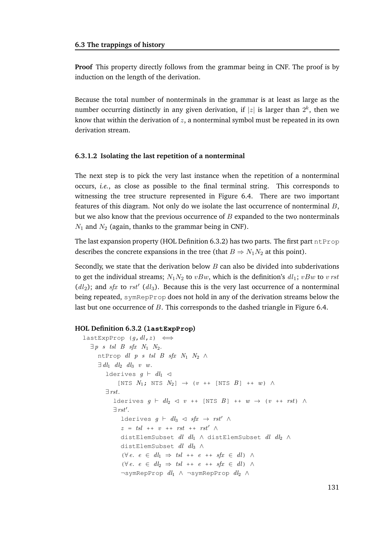**Proof** This property directly follows from the grammar being in CNF. The proof is by induction on the length of the derivation.

Because the total number of nonterminals in the grammar is at least as large as the number occurring distinctly in any given derivation, if  $|z|$  is larger than  $2^k$ , then we know that within the derivation of  $z$ , a nonterminal symbol must be repeated in its own derivation stream.

#### **6.3.1.2 Isolating the last repetition of a nonterminal**

The next step is to pick the very last instance when the repetition of a nonterminal occurs, *i.e.*, as close as possible to the final terminal string. This corresponds to witnessing the tree structure represented in Figure 6.4. There are two important features of this diagram. Not only do we isolate the last occurrence of nonterminal  $B$ , but we also know that the previous occurrence of  $B$  expanded to the two nonterminals  $N_1$  and  $N_2$  (again, thanks to the grammar being in CNF).

The last expansion property (HOL Definition 6.3.2) has two parts. The first part  $n$ t Prop describes the concrete expansions in the tree (that  $B \Rightarrow N_1N_2$  at this point).

Secondly, we state that the derivation below  $B$  can also be divided into subderivations to get the individual streams;  $N_1N_2$  to  $vBw$ , which is the definition's  $dl_1$ ;  $vBw$  to  $v$  rst  $(dl_2)$ ; and sfx to rst'  $(dl_3)$ . Because this is the very last occurrence of a nonterminal being repeated, symRepProp does not hold in any of the derivation streams below the last but one occurrence of B. This corresponds to the dashed triangle in Figure 6.4.

#### **HOL Definition 6.3.2 (lastExpProp)**

```
lastExpProp (g, dl, z) \iff\exists p \ s \ tsl \ B \ sfx \ N_1 \ N_2.ntProp dl p s tsl B sfx N_1 N_2 \wedge\exists dl_1 dl<sub>2</sub> dl<sub>3</sub> v w.
         lderives g \vdash dl_1 \lhd[NTS N_1; NTS N_2] \rightarrow (v ++ [NTS B] ++ w) \land∃ rst.
            lderives g \vdash dl_2 \triangleleft v + [NTS \ B] ++ w \rightarrow (v + + rst) \ \wedge\exists \;rst'.lderives g \vdash dl_3 \triangleleft sfx \rightarrow rst' \landz = tsl ++ v ++ rst ++ rst' \wedgedistElemSubset dl dl_1 \wedge distElemSubset dl dl_2 \wedgedistElemSubset dl dl3 ∧
                (\forall e. e \in dl_1 \Rightarrow tsl + e + t st \in dl) \land(\forall e. e \in dl_2 \Rightarrow tsl + e + sfx \in dl) \land¬symRepProp dl1 ∧ ¬symRepProp dl2 ∧
```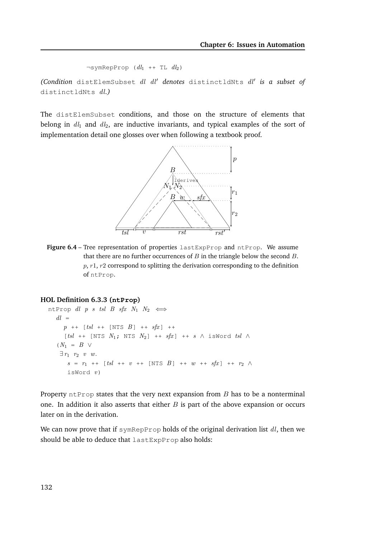```
\negsymRepProp (dl_1 ++ TL dl_2)
```
*(Condition* distElemSubset dl dl′ *denotes* distinctldNts dl′ *is a subset of* distinctldNts dl*.)*

The distElemSubset conditions, and those on the structure of elements that belong in  $dl_1$  and  $dl_2$ , are inductive invariants, and typical examples of the sort of implementation detail one glosses over when following a textbook proof.



**Figure 6.4** – Tree representation of properties lastExpProp and ntProp. We assume that there are no further occurrences of  $B$  in the triangle below the second  $B$ .  $p, r1, r2$  correspond to splitting the derivation corresponding to the definition of ntProp.

#### **HOL Definition 6.3.3 (ntProp)**

```
ntProp dl p s tsl B sfx N_1 N_2 \leftrightarrowdl =p ++ [tsl ++ [NTS B] ++ sfx] ++
     [tsl + [NTS N_1; NTS N_2] + f s f x] + f s N_1 is Word tsl N_2(N_1 = B \vee\exists r_1 \quad r_2 \quad v \quad w.s = r_1 + [tsl + v + [NTS B] + w + sfx] + r_2 \wedgeisWord v)
```
Property ntProp states that the very next expansion from  $B$  has to be a nonterminal one. In addition it also asserts that either  $B$  is part of the above expansion or occurs later on in the derivation.

We can now prove that if symRepProp holds of the original derivation list  $dl$ , then we should be able to deduce that lastExpProp also holds: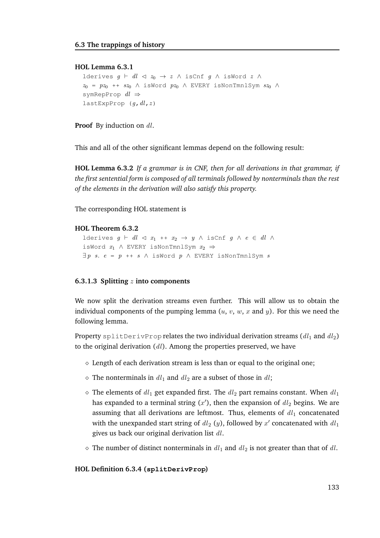#### **HOL Lemma 6.3.1**

```
lderives g \vdash dl \lhd z_0 \rightarrow z \land \text{isCnf } g \land \text{isWord } z \land zz_0 = pz_0 ++ sz_0 \wedge isWord pz_0 \wedge EVERY isNonTmnlSym sz_0 \wedgesymRepProp dl \RightarrowlastExpProp (q, dl, z)
```
**Proof** By induction on dl.

This and all of the other significant lemmas depend on the following result:

**HOL Lemma 6.3.2** *If a grammar is in CNF, then for all derivations in that grammar, if the first sentential form is composed of all terminals followed by nonterminals than the rest of the elements in the derivation will also satisfy this property.*

The corresponding HOL statement is

#### **HOL Theorem 6.3.2**

```
lderives g \vdash dl \lhd x_1 + x_2 \rightarrow y \land \text{isCnf } g \land e \in dl \landisWord x_1 ∧ EVERY isNonTmnlSym x_2 ⇒
\exists p \ s. \ e = p \ +\ + \ s \ \wedge \ \text{isWord} \ p \ \wedge \ \text{EVERT} \ \text{isNonTmnlSym} \ s
```
#### **6.3.1.3 Splitting** z **into components**

We now split the derivation streams even further. This will allow us to obtain the individual components of the pumping lemma  $(u, v, w, x$  and y). For this we need the following lemma.

Property splitDerivProp relates the two individual derivation streams ( $dl_1$  and  $dl_2$ ) to the original derivation  $(d)$ . Among the properties preserved, we have

- $\Diamond$  Length of each derivation stream is less than or equal to the original one;
- $\Diamond$  The nonterminals in  $dl_1$  and  $dl_2$  are a subset of those in  $dl$ ;
- $\Diamond$  The elements of  $dl_1$  get expanded first. The  $dl_2$  part remains constant. When  $dl_1$ has expanded to a terminal string  $(x')$ , then the expansion of  $dl_2$  begins. We are assuming that all derivations are leftmost. Thus, elements of  $dl_1$  concatenated with the unexpanded start string of  $dl_2(y)$ , followed by  $x'$  concatenated with  $dl_1$ gives us back our original derivation list  $dl$ .
- $\Diamond$  The number of distinct nonterminals in  $dl_1$  and  $dl_2$  is not greater than that of dl.

#### **HOL Definition 6.3.4 (splitDerivProp)**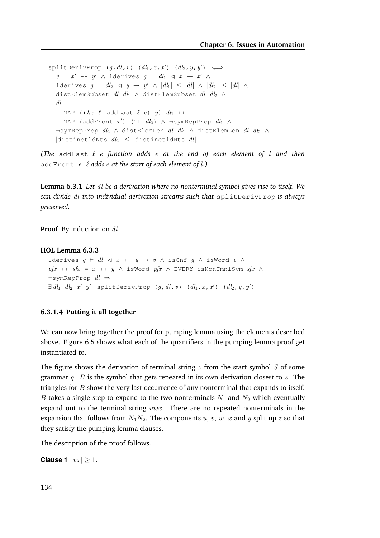$split$ DerivProp  $(g, dl, v)$   $dl_1, x, x')$   $dl_2, y, y') \iff$  $v = x' + y' \wedge$  lderives  $g \vdash dl_1 \vartriangleleft x \rightarrow x' \wedge$ lderives  $g \vdash dl_2 \triangleleft y \rightarrow y' \wedge |dl_1| \leq |dl| \wedge |dl_2| \leq |dl| \wedge$ distElemSubset  $dl$   $dl_1$  ∧ distElemSubset  $dl$   $dl_2$  ∧  $dl =$ MAP (( $\lambda e \ell$ . addLast  $\ell e$ ) y)  $dl_1$  ++ MAP (addFront  $x'$ ) (TL  $dl_2$ )  $\wedge$  ¬symRepProp  $dl_1$   $\wedge$ ¬symRepProp  $dl_2 \wedge$  distElemLen  $dl$   $dl_1 \wedge$  distElemLen  $dl$   $dl_2 \wedge$ |distinctldNts  $dl_2$ | < |distinctldNts  $dl$ |

*(The* addLast ℓ e *function adds* e *at the end of each element of* l *and then* addFront e ℓ *adds* e *at the start of each element of* l*.)*

**Lemma 6.3.1** *Let* dl *be a derivation where no nonterminal symbol gives rise to itself. We can divide* dl *into individual derivation streams such that* splitDerivProp *is always preserved.*

**Proof** By induction on dl.

#### **HOL Lemma 6.3.3**

```
lderives g \vdash dl \lhd x + y \rightarrow v \land \text{isCnf } g \land \text{isWord } v \land \text{...}pfx ++ sfx = x ++ y \land isWord pfx \land EVERY isNonTmnlSym sfx \land\negsymRepProp dl \Rightarrow\exists dl_1 \ dl_2 \ x' \ y'. \ \text{splitsDerivProp} \ (g, dl, v) \ (dl_1, x, x') \ (dl_2, y, y')
```
#### **6.3.1.4 Putting it all together**

We can now bring together the proof for pumping lemma using the elements described above. Figure 6.5 shows what each of the quantifiers in the pumping lemma proof get instantiated to.

The figure shows the derivation of terminal string  $z$  from the start symbol  $S$  of some grammar  $g$ . B is the symbol that gets repeated in its own derivation closest to z. The triangles for  $B$  show the very last occurrence of any nonterminal that expands to itself. B takes a single step to expand to the two nonterminals  $N_1$  and  $N_2$  which eventually expand out to the terminal string  $vwx$ . There are no repeated nonterminals in the expansion that follows from  $N_1N_2$ . The components u, v, w, x and y split up z so that they satisfy the pumping lemma clauses.

The description of the proof follows.

**Clause 1**  $|vx| \geq 1$ .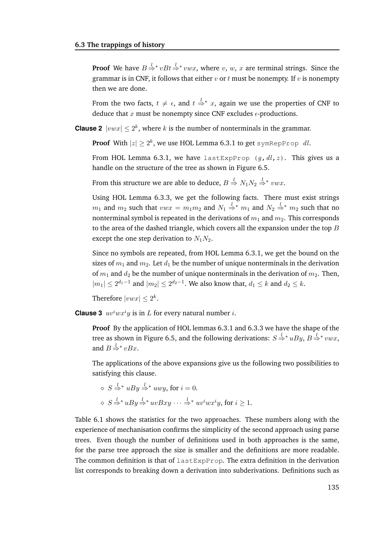**Proof** We have  $B \stackrel{l}{\Rightarrow} vBt \stackrel{l}{\Rightarrow} vwx$ , where v, w, x are terminal strings. Since the grammar is in CNF, it follows that either  $v$  or  $t$  must be nonempty. If  $v$  is nonempty then we are done.

From the two facts,  $t \neq \epsilon$ , and  $t \stackrel{l}{\Rightarrow} x$ , again we use the properties of CNF to deduce that  $x$  must be nonempty since CNF excludes  $\epsilon$ -productions.

**Clause 2**  $|vwx| \leq 2^k$ , where k is the number of nonterminals in the grammar.

**Proof** With  $|z| \ge 2^k$ , we use HOL Lemma 6.3.1 to get symRepProp dl.

From HOL Lemma 6.3.1, we have lastExpProp  $(q, dl, z)$ . This gives us a handle on the structure of the tree as shown in Figure 6.5.

From this structure we are able to deduce,  $B \stackrel{l}{\Rightarrow} N_1 N_2 \stackrel{l}{\Rightarrow} * vwx.$ 

Using HOL Lemma 6.3.3, we get the following facts. There must exist strings  $m_1$  and  $m_2$  such that  $vwx = m_1m_2$  and  $N_1 \stackrel{l}{\Rightarrow}^* m_1$  and  $N_2 \stackrel{l}{\Rightarrow}^* m_2$  such that no nonterminal symbol is repeated in the derivations of  $m_1$  and  $m_2$ . This corresponds to the area of the dashed triangle, which covers all the expansion under the top  $B$ except the one step derivation to  $N_1N_2$ .

Since no symbols are repeated, from HOL Lemma 6.3.1, we get the bound on the sizes of  $m_1$  and  $m_2$ . Let  $d_1$  be the number of unique nonterminals in the derivation of  $m_1$  and  $d_2$  be the number of unique nonterminals in the derivation of  $m_2$ . Then,  $|m_1| \leq 2^{d_1-1}$  and  $|m_2| \leq 2^{d_2-1}$ . We also know that,  $d_1 \leq k$  and  $d_2 \leq k$ .

Therefore  $|vwx| \leq 2^k$ .

**Clause 3**  $uv^iwx^iy$  is in  $L$  for every natural number  $i$ .

**Proof** By the application of HOL lemmas 6.3.1 and 6.3.3 we have the shape of the tree as shown in Figure 6.5, and the following derivations:  $S \stackrel{l}{\Rightarrow} uBy, B \stackrel{l}{\Rightarrow} vwx$ , and  $B \stackrel{l}{\Rightarrow} vBx$ .

The applications of the above expansions give us the following two possibilities to satisfying this clause.

$$
\diamond S \stackrel{l}{\Rightarrow}^* uBy \stackrel{l}{\Rightarrow}^* uwy, \text{ for } i = 0.
$$
  

$$
\diamond S \stackrel{l}{\Rightarrow}^* uBy \stackrel{l}{\Rightarrow}^* uvBxy \cdots \stackrel{l}{\Rightarrow}^* uv^iwx^iy, \text{ for } i \ge 1.
$$

Table 6.1 shows the statistics for the two approaches. These numbers along with the experience of mechanisation confirms the simplicity of the second approach using parse trees. Even though the number of definitions used in both approaches is the same, for the parse tree approach the size is smaller and the definitions are more readable. The common definition is that of lastExpProp. The extra definition in the derivation list corresponds to breaking down a derivation into subderivations. Definitions such as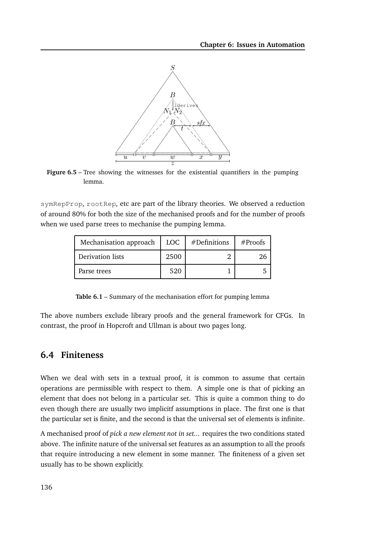

Figure 6.5 – Tree showing the witnesses for the existential quantifiers in the pumping lemma.

symRepProp, rootRep, etc are part of the library theories. We observed a reduction of around 80% for both the size of the mechanised proofs and for the number of proofs when we used parse trees to mechanise the pumping lemma.

| Mechanisation approach | LOC. | $#$ Definitions | #Proofs |  |
|------------------------|------|-----------------|---------|--|
| Derivation lists       | 2500 |                 |         |  |
| Parse trees            | 520  |                 |         |  |

**Table 6.1** – Summary of the mechanisation effort for pumping lemma

The above numbers exclude library proofs and the general framework for CFGs. In contrast, the proof in Hopcroft and Ullman is about two pages long.

# **6.4 Finiteness**

When we deal with sets in a textual proof, it is common to assume that certain operations are permissible with respect to them. A simple one is that of picking an element that does not belong in a particular set. This is quite a common thing to do even though there are usually two implicitf assumptions in place. The first one is that the particular set is finite, and the second is that the universal set of elements is infinite.

A mechanised proof of *pick a new element not in set...* requires the two conditions stated above. The infinite nature of the universal set features as an assumption to all the proofs that require introducing a new element in some manner. The finiteness of a given set usually has to be shown explicitly.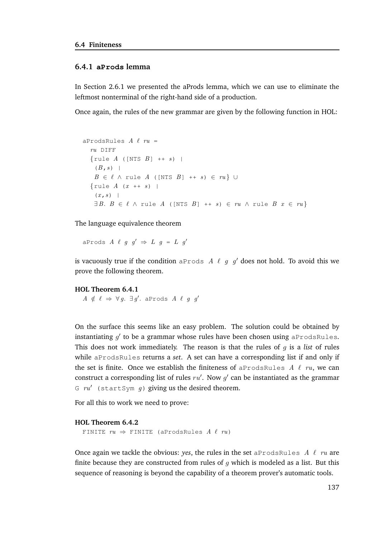#### **6.4.1 aProds lemma**

In Section 2.6.1 we presented the aProds lemma, which we can use to eliminate the leftmost nonterminal of the right-hand side of a production.

Once again, the rules of the new grammar are given by the following function in HOL:

```
aProdsRules A \ell ru =ru DIFF
  \{rule A (\lfloor NTS B \rfloor + + s) \rfloor \}(B, s) |
    B \in \ell \wedge rule A ([NTS B] ++ s) \in \ell \vee\{rule A(x++)s\}(x, s) |
    \exists B. B \in \ell \land rule A ([NTS B] ++ s) \in ru \land rule B x \in ru}
```
The language equivalence theorem

aProds  $A \ell g g' \Rightarrow L g = L g'$ 

is vacuously true if the condition aProds A  $\ell$  g  $g'$  does not hold. To avoid this we prove the following theorem.

#### **HOL Theorem 6.4.1**

 $A \notin \ell \Rightarrow \forall g. \exists g'. \text{ aProds } A \ell g g'$ 

On the surface this seems like an easy problem. The solution could be obtained by instantiating  $g'$  to be a grammar whose rules have been chosen using <code>aProdsRules.</code> This does not work immediately. The reason is that the rules of  $q$  is a *list* of rules while aProdsRules returns a *set*. A set can have a corresponding list if and only if the set is finite. Once we establish the finiteness of aProdsRules A  $\ell$  ru, we can construct a corresponding list of rules  $ru'$ . Now  $g'$  can be instantiated as the grammar G  $ru'$  (startSym q) giving us the desired theorem.

For all this to work we need to prove:

```
HOL Theorem 6.4.2
```

```
FINITE ru \Rightarrow FINITE (aProdsRules A \ell ru)
```
Once again we tackle the obvious: *yes*, the rules in the set aProdsRules  $\Lambda \ell$  ru are finite because they are constructed from rules of  $g$  which is modeled as a list. But this sequence of reasoning is beyond the capability of a theorem prover's automatic tools.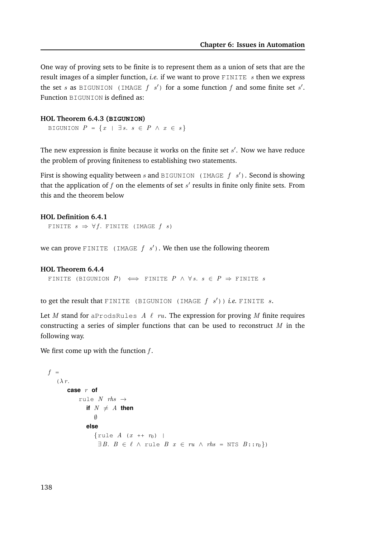One way of proving sets to be finite is to represent them as a union of sets that are the result images of a simpler function, *i.e.* if we want to prove  $\text{FINITE } s$  then we express the set s as BIGUNION (IMAGE f s') for a some function f and some finite set s'. Function BIGUNION is defined as:

#### **HOL Theorem 6.4.3 (BIGUNION)**

BIGUNION  $P = \{x \mid \exists s. \; s \in P \; \wedge \; x \in s\}$ 

The new expression is finite because it works on the finite set  $s'$ . Now we have reduce the problem of proving finiteness to establishing two statements.

First is showing equality between s and BIGUNION (IMAGE  $f$  s'). Second is showing that the application of  $f$  on the elements of set  $s'$  results in finite only finite sets. From this and the theorem below

```
HOL Definition 6.4.1
  FINITE s \Rightarrow \forall f. FINITE (IMAGE f(s))
```
we can prove FINITE (IMAGE  $f \, s'$ ). We then use the following theorem

```
HOL Theorem 6.4.4
```

```
FINITE (BIGUNION P) \iff FINITE P \land \forall s. s \in P \Rightarrow FINITE s
```
to get the result that FINITE (BIGUNION (IMAGE  $f$   $s'$ )) *i.e.* FINITE  $s$ .

Let M stand for aProdsRules A  $\ell$  ru. The expression for proving M finite requires constructing a series of simpler functions that can be used to reconstruct  $M$  in the following way.

We first come up with the function  $f$ .

```
f =(\lambda r).
        case r of
             rule N rhs \rightarrowif N \neq A then
                    \emptysetelse
                    {rule A(x + r_0) |
                      \exists B. B \in \ell \land rule B \ x \in ru \land \mathit{rhs} = \text{NTS } B :: r_0})
```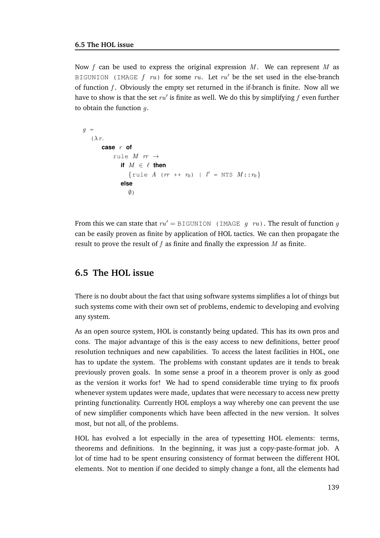Now f can be used to express the original expression  $M$ . We can represent M as BIGUNION (IMAGE  $f$  ru) for some ru. Let ru' be the set used in the else-branch of function  $f$ . Obviously the empty set returned in the if-branch is finite. Now all we have to show is that the set  $ru'$  is finite as well. We do this by simplifying  $f$  even further to obtain the function  $q$ .

```
q =(\lambda r)case r of
           rule M rr \rightarrowif M \in \ell then
                  {rule A (rr + r_0) | l' = NTS M :: r_0}
              else
                 \emptyset
```
From this we can state that  $ru' = \text{BIGUNION}$  (IMAGE q ru). The result of function q can be easily proven as finite by application of HOL tactics. We can then propagate the result to prove the result of  $f$  as finite and finally the expression  $M$  as finite.

## **6.5 The HOL issue**

There is no doubt about the fact that using software systems simplifies a lot of things but such systems come with their own set of problems, endemic to developing and evolving any system.

As an open source system, HOL is constantly being updated. This has its own pros and cons. The major advantage of this is the easy access to new definitions, better proof resolution techniques and new capabilities. To access the latest facilities in HOL, one has to update the system. The problems with constant updates are it tends to break previously proven goals. In some sense a proof in a theorem prover is only as good as the version it works for! We had to spend considerable time trying to fix proofs whenever system updates were made, updates that were necessary to access new pretty printing functionality. Currently HOL employs a way whereby one can prevent the use of new simplifier components which have been affected in the new version. It solves most, but not all, of the problems.

HOL has evolved a lot especially in the area of typesetting HOL elements: terms, theorems and definitions. In the beginning, it was just a copy-paste-format job. A lot of time had to be spent ensuring consistency of format between the different HOL elements. Not to mention if one decided to simply change a font, all the elements had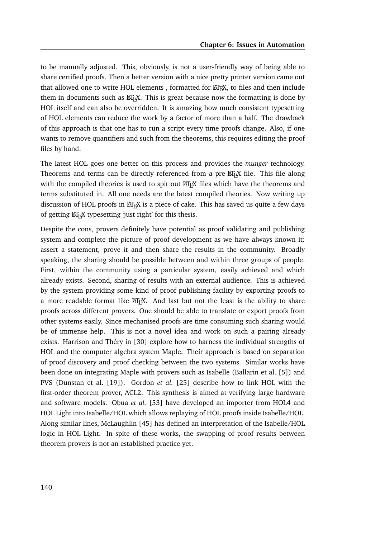to be manually adjusted. This, obviously, is not a user-friendly way of being able to share certified proofs. Then a better version with a nice pretty printer version came out that allowed one to write HOL elements, formatted for ETFX, to files and then include them in documents such as ET<sub>E</sub>X. This is great because now the formatting is done by HOL itself and can also be overridden. It is amazing how much consistent typesetting of HOL elements can reduce the work by a factor of more than a half. The drawback of this approach is that one has to run a script every time proofs change. Also, if one wants to remove quantifiers and such from the theorems, this requires editing the proof files by hand.

The latest HOL goes one better on this process and provides the *munger* technology. Theorems and terms can be directly referenced from a pre-LATEX file. This file along with the compiled theories is used to spit out ETEX files which have the theorems and terms substituted in. All one needs are the latest compiled theories. Now writing up discussion of HOL proofs in ETEX is a piece of cake. This has saved us quite a few days of getting  $\Delta T$ <sub>EX</sub> typesetting 'just right' for this thesis.

Despite the cons, provers definitely have potential as proof validating and publishing system and complete the picture of proof development as we have always known it: assert a statement, prove it and then share the results in the community. Broadly speaking, the sharing should be possible between and within three groups of people. First, within the community using a particular system, easily achieved and which already exists. Second, sharing of results with an external audience. This is achieved by the system providing some kind of proof publishing facility by exporting proofs to a more readable format like ETEX. And last but not the least is the ability to share proofs across different provers. One should be able to translate or export proofs from other systems easily. Since mechanised proofs are time consuming such sharing would be of immense help. This is not a novel idea and work on such a pairing already exists. Harrison and Théry in [30] explore how to harness the individual strengths of HOL and the computer algebra system Maple. Their approach is based on separation of proof discovery and proof checking between the two systems. Similar works have been done on integrating Maple with provers such as Isabelle (Ballarin et al. [5]) and PVS (Dunstan et al. [19]). Gordon *et al.* [25] describe how to link HOL with the first-order theorem prover, ACL2. This synthesis is aimed at verifying large hardware and software models. Obua *et al.* [53] have developed an importer from HOL4 and HOL Light into Isabelle/HOL which allows replaying of HOL proofs inside Isabelle/HOL. Along similar lines, McLaughlin [45] has defined an interpretation of the Isabelle/HOL logic in HOL Light. In spite of these works, the swapping of proof results between theorem provers is not an established practice yet.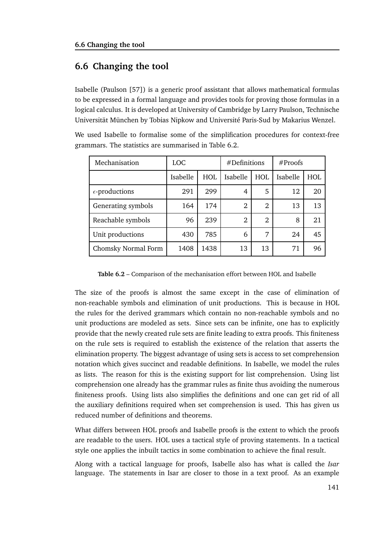# **6.6 Changing the tool**

Isabelle (Paulson [57]) is a generic proof assistant that allows mathematical formulas to be expressed in a formal language and provides tools for proving those formulas in a logical calculus. It is developed at University of Cambridge by Larry Paulson, Technische Universität München by Tobias Nipkow and Université Paris-Sud by Makarius Wenzel.

We used Isabelle to formalise some of the simplification procedures for context-free grammars. The statistics are summarised in Table 6.2.

| Mechanisation           | LOC.     |            | #Definitions   |                | #Proofs  |     |
|-------------------------|----------|------------|----------------|----------------|----------|-----|
|                         | Isabelle | <b>HOL</b> | Isabelle       | <b>HOL</b>     | Isabelle | HOL |
| $\epsilon$ -productions | 291      | 299        | 4              | 5              | 12       | 20  |
| Generating symbols      | 164      | 174        | $\overline{2}$ | 2              | 13       | 13  |
| Reachable symbols       | 96       | 239        | $\overline{2}$ | $\mathfrak{D}$ | 8        | 21  |
| Unit productions        | 430      | 785        | 6              | 7              | 24       | 45  |
| Chomsky Normal Form     | 1408     | 1438       | 13             | 13             | 71       | 96  |

**Table 6.2** – Comparison of the mechanisation effort between HOL and Isabelle

The size of the proofs is almost the same except in the case of elimination of non-reachable symbols and elimination of unit productions. This is because in HOL the rules for the derived grammars which contain no non-reachable symbols and no unit productions are modeled as sets. Since sets can be infinite, one has to explicitly provide that the newly created rule sets are finite leading to extra proofs. This finiteness on the rule sets is required to establish the existence of the relation that asserts the elimination property. The biggest advantage of using sets is access to set comprehension notation which gives succinct and readable definitions. In Isabelle, we model the rules as lists. The reason for this is the existing support for list comprehension. Using list comprehension one already has the grammar rules as finite thus avoiding the numerous finiteness proofs. Using lists also simplifies the definitions and one can get rid of all the auxiliary definitions required when set comprehension is used. This has given us reduced number of definitions and theorems.

What differs between HOL proofs and Isabelle proofs is the extent to which the proofs are readable to the users. HOL uses a tactical style of proving statements. In a tactical style one applies the inbuilt tactics in some combination to achieve the final result.

Along with a tactical language for proofs, Isabelle also has what is called the *Isar* language. The statements in Isar are closer to those in a text proof. As an example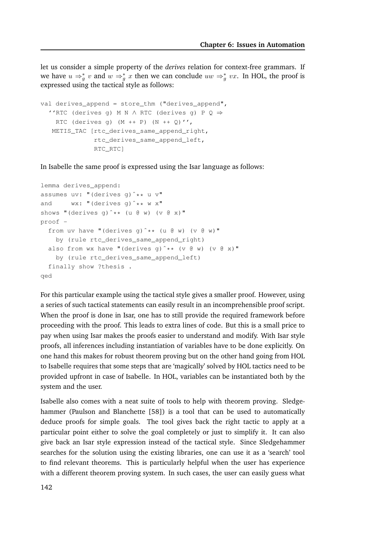let us consider a simple property of the *derives* relation for context-free grammars. If we have  $u \Rightarrow_{g}^{*} v$  and  $w \Rightarrow_{g}^{*} x$  then we can conclude  $uw \Rightarrow_{g}^{*} vx$ . In HOL, the proof is expressed using the tactical style as follows:

```
val derives_append = store_thm ("derives_append",
  ''RTC (derives g) M N ∧ RTC (derives g) P Q ⇒
   RTC (derives q) (M + + P) (N + + Q)',
  METIS TAC [rtc_derives_same_append_right,
              rtc_derives_same_append_left,
              RTC_RTC]
```
In Isabelle the same proof is expressed using the Isar language as follows:

```
lemma derives_append:
assumes uv: "(derives g)ˆ** u v"
and wx: "(derives q)^** w x"
shows "(derives q)^** (u @ w) (v @ x)"
proof -
  from uv have "(derives q)^** (u @ w) (v @ w)"
   by (rule rtc_derives_same_append_right)
  also from wx have "(derives q)^** (v @ w) (v @ x)"
   by (rule rtc_derives_same_append_left)
  finally show ?thesis .
qed
```
For this particular example using the tactical style gives a smaller proof. However, using a series of such tactical statements can easily result in an incomprehensible proof script. When the proof is done in Isar, one has to still provide the required framework before proceeding with the proof. This leads to extra lines of code. But this is a small price to pay when using Isar makes the proofs easier to understand and modify. With Isar style proofs, all inferences including instantiation of variables have to be done explicitly. On one hand this makes for robust theorem proving but on the other hand going from HOL to Isabelle requires that some steps that are 'magically' solved by HOL tactics need to be provided upfront in case of Isabelle. In HOL, variables can be instantiated both by the system and the user.

Isabelle also comes with a neat suite of tools to help with theorem proving. Sledgehammer (Paulson and Blanchette [58]) is a tool that can be used to automatically deduce proofs for simple goals. The tool gives back the right tactic to apply at a particular point either to solve the goal completely or just to simplify it. It can also give back an Isar style expression instead of the tactical style. Since Sledgehammer searches for the solution using the existing libraries, one can use it as a 'search' tool to find relevant theorems. This is particularly helpful when the user has experience with a different theorem proving system. In such cases, the user can easily guess what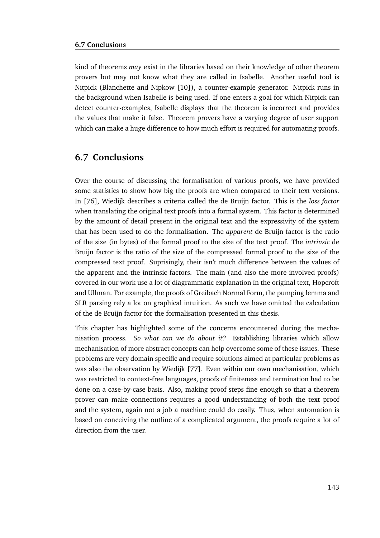kind of theorems *may* exist in the libraries based on their knowledge of other theorem provers but may not know what they are called in Isabelle. Another useful tool is Nitpick (Blanchette and Nipkow [10]), a counter-example generator. Nitpick runs in the background when Isabelle is being used. If one enters a goal for which Nitpick can detect counter-examples, Isabelle displays that the theorem is incorrect and provides the values that make it false. Theorem provers have a varying degree of user support which can make a huge difference to how much effort is required for automating proofs.

### **6.7 Conclusions**

Over the course of discussing the formalisation of various proofs, we have provided some statistics to show how big the proofs are when compared to their text versions. In [76], Wiedijk describes a criteria called the de Bruijn factor. This is the *loss factor* when translating the original text proofs into a formal system. This factor is determined by the amount of detail present in the original text and the expressivity of the system that has been used to do the formalisation. The *apparent* de Bruijn factor is the ratio of the size (in bytes) of the formal proof to the size of the text proof. The *intrinsic* de Bruijn factor is the ratio of the size of the compressed formal proof to the size of the compressed text proof. Suprisingly, their isn't much difference between the values of the apparent and the intrinsic factors. The main (and also the more involved proofs) covered in our work use a lot of diagrammatic explanation in the original text, Hopcroft and Ullman. For example, the proofs of Greibach Normal Form, the pumping lemma and SLR parsing rely a lot on graphical intuition. As such we have omitted the calculation of the de Bruijn factor for the formalisation presented in this thesis.

This chapter has highlighted some of the concerns encountered during the mechanisation process. *So what can we do about it?* Establishing libraries which allow mechanisation of more abstract concepts can help overcome some of these issues. These problems are very domain specific and require solutions aimed at particular problems as was also the observation by Wiedijk [77]. Even within our own mechanisation, which was restricted to context-free languages, proofs of finiteness and termination had to be done on a case-by-case basis. Also, making proof steps fine enough so that a theorem prover can make connections requires a good understanding of both the text proof and the system, again not a job a machine could do easily. Thus, when automation is based on conceiving the outline of a complicated argument, the proofs require a lot of direction from the user.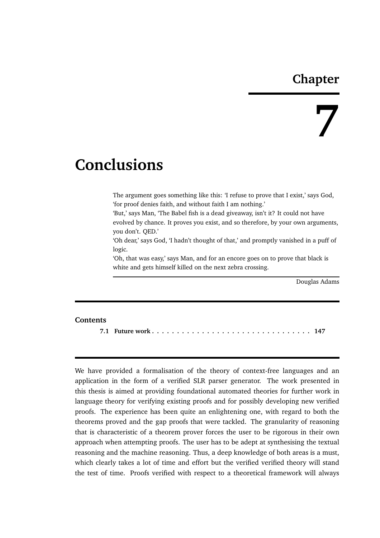# **Chapter**

# **7**

# **Conclusions**

The argument goes something like this: 'I refuse to prove that I exist,' says God, 'for proof denies faith, and without faith I am nothing.'

'But,' says Man, 'The Babel fish is a dead giveaway, isn't it? It could not have evolved by chance. It proves you exist, and so therefore, by your own arguments, you don't. QED.'

'Oh dear,' says God, 'I hadn't thought of that,' and promptly vanished in a puff of logic.

'Oh, that was easy,' says Man, and for an encore goes on to prove that black is white and gets himself killed on the next zebra crossing.

Douglas Adams

#### **Contents**

**7.1 Future work . . . . . . . . . . . . . . . . . . . . . . . . . . . . . . . . 147**

We have provided a formalisation of the theory of context-free languages and an application in the form of a verified SLR parser generator. The work presented in this thesis is aimed at providing foundational automated theories for further work in language theory for verifying existing proofs and for possibly developing new verified proofs. The experience has been quite an enlightening one, with regard to both the theorems proved and the gap proofs that were tackled. The granularity of reasoning that is characteristic of a theorem prover forces the user to be rigorous in their own approach when attempting proofs. The user has to be adept at synthesising the textual reasoning and the machine reasoning. Thus, a deep knowledge of both areas is a must, which clearly takes a lot of time and effort but the verified verified theory will stand the test of time. Proofs verified with respect to a theoretical framework will always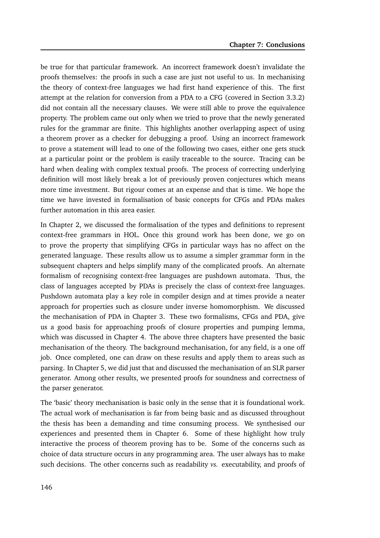be true for that particular framework. An incorrect framework doesn't invalidate the proofs themselves: the proofs in such a case are just not useful to us. In mechanising the theory of context-free languages we had first hand experience of this. The first attempt at the relation for conversion from a PDA to a CFG (covered in Section 3.3.2) did not contain all the necessary clauses. We were still able to prove the equivalence property. The problem came out only when we tried to prove that the newly generated rules for the grammar are finite. This highlights another overlapping aspect of using a theorem prover as a checker for debugging a proof. Using an incorrect framework to prove a statement will lead to one of the following two cases, either one gets stuck at a particular point or the problem is easily traceable to the source. Tracing can be hard when dealing with complex textual proofs. The process of correcting underlying definition will most likely break a lot of previously proven conjectures which means more time investment. But rigour comes at an expense and that is time. We hope the time we have invested in formalisation of basic concepts for CFGs and PDAs makes further automation in this area easier.

In Chapter 2, we discussed the formalisation of the types and definitions to represent context-free grammars in HOL. Once this ground work has been done, we go on to prove the property that simplifying CFGs in particular ways has no affect on the generated language. These results allow us to assume a simpler grammar form in the subsequent chapters and helps simplify many of the complicated proofs. An alternate formalism of recognising context-free languages are pushdown automata. Thus, the class of languages accepted by PDAs is precisely the class of context-free languages. Pushdown automata play a key role in compiler design and at times provide a neater approach for properties such as closure under inverse homomorphism. We discussed the mechanisation of PDA in Chapter 3. These two formalisms, CFGs and PDA, give us a good basis for approaching proofs of closure properties and pumping lemma, which was discussed in Chapter 4. The above three chapters have presented the basic mechanisation of the theory. The background mechanisation, for any field, is a one off job. Once completed, one can draw on these results and apply them to areas such as parsing. In Chapter 5, we did just that and discussed the mechanisation of an SLR parser generator. Among other results, we presented proofs for soundness and correctness of the parser generator.

The 'basic' theory mechanisation is basic only in the sense that it is foundational work. The actual work of mechanisation is far from being basic and as discussed throughout the thesis has been a demanding and time consuming process. We synthesised our experiences and presented them in Chapter 6. Some of these highlight how truly interactive the process of theorem proving has to be. Some of the concerns such as choice of data structure occurs in any programming area. The user always has to make such decisions. The other concerns such as readability *vs.* executability, and proofs of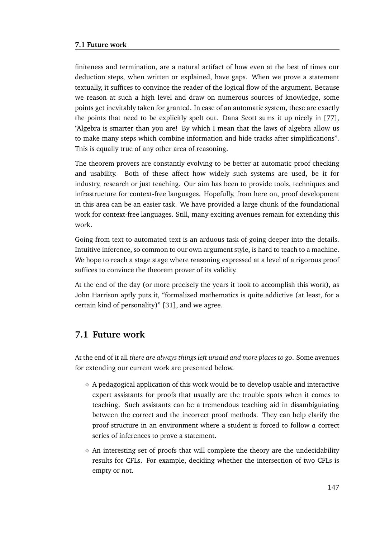#### **7.1 Future work**

finiteness and termination, are a natural artifact of how even at the best of times our deduction steps, when written or explained, have gaps. When we prove a statement textually, it suffices to convince the reader of the logical flow of the argument. Because we reason at such a high level and draw on numerous sources of knowledge, some points get inevitably taken for granted. In case of an automatic system, these are exactly the points that need to be explicitly spelt out. Dana Scott sums it up nicely in [77], "Algebra is smarter than you are! By which I mean that the laws of algebra allow us to make many steps which combine information and hide tracks after simplifications". This is equally true of any other area of reasoning.

The theorem provers are constantly evolving to be better at automatic proof checking and usability. Both of these affect how widely such systems are used, be it for industry, research or just teaching. Our aim has been to provide tools, techniques and infrastructure for context-free languages. Hopefully, from here on, proof development in this area can be an easier task. We have provided a large chunk of the foundational work for context-free languages. Still, many exciting avenues remain for extending this work.

Going from text to automated text is an arduous task of going deeper into the details. Intuitive inference, so common to our own argument style, is hard to teach to a machine. We hope to reach a stage stage where reasoning expressed at a level of a rigorous proof suffices to convince the theorem prover of its validity.

At the end of the day (or more precisely the years it took to accomplish this work), as John Harrison aptly puts it, "formalized mathematics is quite addictive (at least, for a certain kind of personality)" [31], and we agree.

# **7.1 Future work**

At the end of it all *there are always things left unsaid and more places to go*. Some avenues for extending our current work are presented below.

- $\Diamond$  A pedagogical application of this work would be to develop usable and interactive expert assistants for proofs that usually are the trouble spots when it comes to teaching. Such assistants can be a tremendous teaching aid in disambiguiating between the correct and the incorrect proof methods. They can help clarify the proof structure in an environment where a student is forced to follow *a* correct series of inferences to prove a statement.
- $\diamond$  An interesting set of proofs that will complete the theory are the undecidability results for CFLs. For example, deciding whether the intersection of two CFLs is empty or not.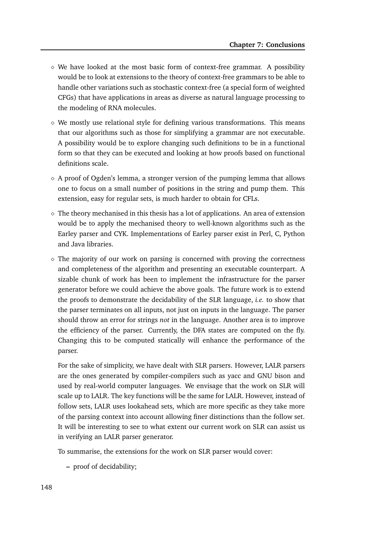- $\diamond$  We have looked at the most basic form of context-free grammar. A possibility would be to look at extensions to the theory of context-free grammars to be able to handle other variations such as stochastic context-free (a special form of weighted CFGs) that have applications in areas as diverse as natural language processing to the modeling of RNA molecules.
- $\diamond$  We mostly use relational style for defining various transformations. This means that our algorithms such as those for simplifying a grammar are not executable. A possibility would be to explore changing such definitions to be in a functional form so that they can be executed and looking at how proofs based on functional definitions scale.
- $\Diamond$  A proof of Ogden's lemma, a stronger version of the pumping lemma that allows one to focus on a small number of positions in the string and pump them. This extension, easy for regular sets, is much harder to obtain for CFLs.
- $\Diamond$  The theory mechanised in this thesis has a lot of applications. An area of extension would be to apply the mechanised theory to well-known algorithms such as the Earley parser and CYK. Implementations of Earley parser exist in Perl, C, Python and Java libraries.
- $\diamond$  The majority of our work on parsing is concerned with proving the correctness and completeness of the algorithm and presenting an executable counterpart. A sizable chunk of work has been to implement the infrastructure for the parser generator before we could achieve the above goals. The future work is to extend the proofs to demonstrate the decidability of the SLR language, *i.e.* to show that the parser terminates on all inputs, not just on inputs in the language. The parser should throw an error for strings *not* in the language. Another area is to improve the efficiency of the parser. Currently, the DFA states are computed on the fly. Changing this to be computed statically will enhance the performance of the parser.

For the sake of simplicity, we have dealt with SLR parsers. However, LALR parsers are the ones generated by compiler-compilers such as yacc and GNU bison and used by real-world computer languages. We envisage that the work on SLR will scale up to LALR. The key functions will be the same for LALR. However, instead of follow sets, LALR uses lookahead sets, which are more specific as they take more of the parsing context into account allowing finer distinctions than the follow set. It will be interesting to see to what extent our current work on SLR can assist us in verifying an LALR parser generator.

To summarise, the extensions for the work on SLR parser would cover:

**–** proof of decidability;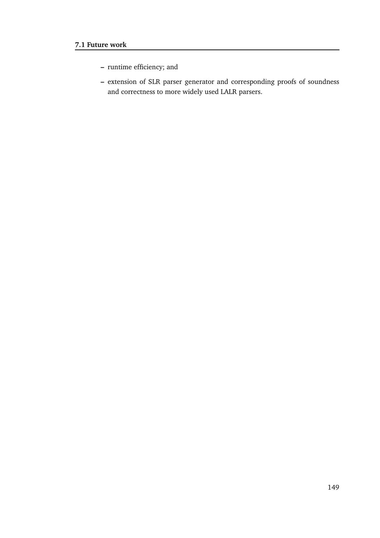- **–** runtime efficiency; and
- **–** extension of SLR parser generator and corresponding proofs of soundness and correctness to more widely used LALR parsers.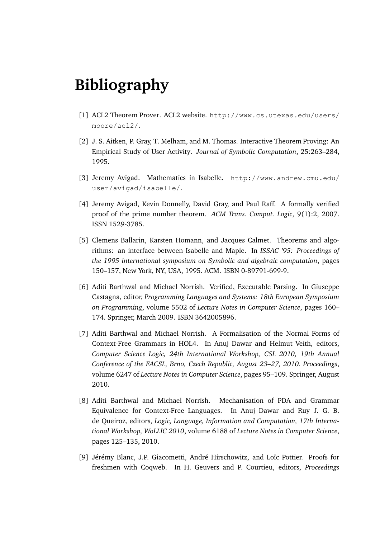# **Bibliography**

- [1] ACL2 Theorem Prover. ACL2 website. http://www.cs.utexas.edu/users/ moore/acl2/.
- [2] J. S. Aitken, P. Gray, T. Melham, and M. Thomas. Interactive Theorem Proving: An Empirical Study of User Activity. *Journal of Symbolic Computation*, 25:263–284, 1995.
- [3] Jeremy Avigad. Mathematics in Isabelle. http://www.andrew.cmu.edu/ user/avigad/isabelle/.
- [4] Jeremy Avigad, Kevin Donnelly, David Gray, and Paul Raff. A formally verified proof of the prime number theorem. *ACM Trans. Comput. Logic*, 9(1):2, 2007. ISSN 1529-3785.
- [5] Clemens Ballarin, Karsten Homann, and Jacques Calmet. Theorems and algorithms: an interface between Isabelle and Maple. In *ISSAC '95: Proceedings of the 1995 international symposium on Symbolic and algebraic computation*, pages 150–157, New York, NY, USA, 1995. ACM. ISBN 0-89791-699-9.
- [6] Aditi Barthwal and Michael Norrish. Verified, Executable Parsing. In Giuseppe Castagna, editor, *Programming Languages and Systems: 18th European Symposium on Programming*, volume 5502 of *Lecture Notes in Computer Science*, pages 160– 174. Springer, March 2009. ISBN 3642005896.
- [7] Aditi Barthwal and Michael Norrish. A Formalisation of the Normal Forms of Context-Free Grammars in HOL4. In Anuj Dawar and Helmut Veith, editors, *Computer Science Logic, 24th International Workshop, CSL 2010, 19th Annual Conference of the EACSL, Brno, Czech Republic, August 23–27, 2010. Proceedings*, volume 6247 of *Lecture Notes in Computer Science*, pages 95–109. Springer, August 2010.
- [8] Aditi Barthwal and Michael Norrish. Mechanisation of PDA and Grammar Equivalence for Context-Free Languages. In Anuj Dawar and Ruy J. G. B. de Queiroz, editors, *Logic, Language, Information and Computation, 17th International Workshop, WoLLIC 2010*, volume 6188 of *Lecture Notes in Computer Science*, pages 125–135, 2010.
- [9] Jérémy Blanc, J.P. Giacometti, André Hirschowitz, and Loïc Pottier. Proofs for freshmen with Coqweb. In H. Geuvers and P. Courtieu, editors, *Proceedings*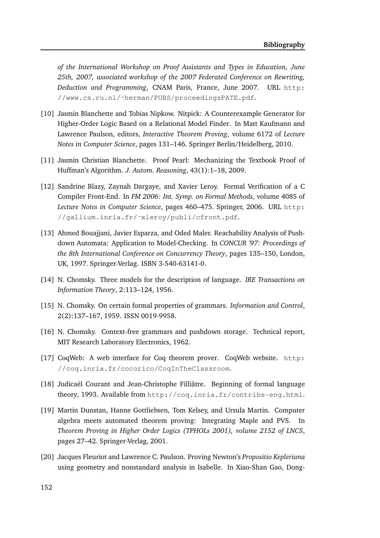*of the International Workshop on Proof Assistants and Types in Education, June 25th, 2007, associated workshop of the 2007 Federated Conference on Rewriting, Deduction and Programming*, CNAM Paris, France, June 2007. URL http: //www.cs.ru.nl/˜herman/PUBS/proceedingsPATE.pdf.

- [10] Jasmin Blanchette and Tobias Nipkow. Nitpick: A Counterexample Generator for Higher-Order Logic Based on a Relational Model Finder. In Matt Kaufmann and Lawrence Paulson, editors, *Interactive Theorem Proving*, volume 6172 of *Lecture Notes in Computer Science*, pages 131–146. Springer Berlin/Heidelberg, 2010.
- [11] Jasmin Christian Blanchette. Proof Pearl: Mechanizing the Textbook Proof of Huffman's Algorithm. *J. Autom. Reasoning*, 43(1):1–18, 2009.
- [12] Sandrine Blazy, Zaynah Dargaye, and Xavier Leroy. Formal Verification of a C Compiler Front-End. In *FM 2006: Int. Symp. on Formal Methods*, volume 4085 of *Lecture Notes in Computer Science*, pages 460–475. Springer, 2006. URL http: //gallium.inria.fr/˜xleroy/publi/cfront.pdf.
- [13] Ahmed Bouajjani, Javier Esparza, and Oded Maler. Reachability Analysis of Pushdown Automata: Application to Model-Checking. In *CONCUR '97: Proceedings of the 8th International Conference on Concurrency Theory*, pages 135–150, London, UK, 1997. Springer-Verlag. ISBN 3-540-63141-0.
- [14] N. Chomsky. Three models for the description of language. *IRE Transactions on Information Theory*, 2:113–124, 1956.
- [15] N. Chomsky. On certain formal properties of grammars. *Information and Control*, 2(2):137–167, 1959. ISSN 0019-9958.
- [16] N. Chomsky. Context-free grammars and pushdown storage. Technical report, MIT Research Laboratory Electronics, 1962.
- [17] CoqWeb: A web interface for Coq theorem prover. CoqWeb website. http: //coq.inria.fr/cocorico/CoqInTheClassroom.
- [18] Judicaël Courant and Jean-Christophe Filliâtre. Beginning of formal language theory, 1993. Available from http://coq.inria.fr/contribs-eng.html.
- [19] Martin Dunstan, Hanne Gottliebsen, Tom Kelsey, and Ursula Martin. Computer algebra meets automated theorem proving: Integrating Maple and PVS. In *Theorem Proving in Higher Order Logics (TPHOLs 2001), volume 2152 of LNCS*, pages 27–42. Springer-Verlag, 2001.
- [20] Jacques Fleuriot and Lawrence C. Paulson. Proving Newton's *Propositio Kepleriana* using geometry and nonstandard analysis in Isabelle. In Xiao-Shan Gao, Dong-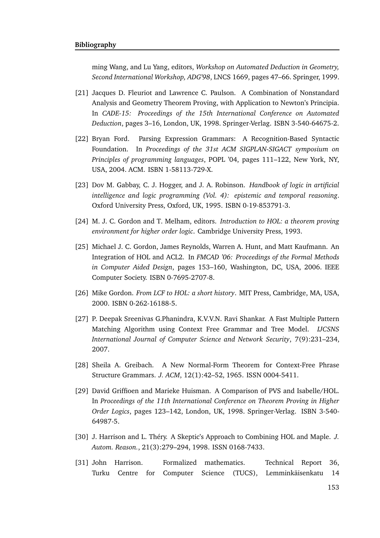ming Wang, and Lu Yang, editors, *Workshop on Automated Deduction in Geometry, Second International Workshop, ADG'98*, LNCS 1669, pages 47–66. Springer, 1999.

- [21] Jacques D. Fleuriot and Lawrence C. Paulson. A Combination of Nonstandard Analysis and Geometry Theorem Proving, with Application to Newton's Principia. In *CADE-15: Proceedings of the 15th International Conference on Automated Deduction*, pages 3–16, London, UK, 1998. Springer-Verlag. ISBN 3-540-64675-2.
- [22] Bryan Ford. Parsing Expression Grammars: A Recognition-Based Syntactic Foundation. In *Proceedings of the 31st ACM SIGPLAN-SIGACT symposium on Principles of programming languages*, POPL '04, pages 111–122, New York, NY, USA, 2004. ACM. ISBN 1-58113-729-X.
- [23] Dov M. Gabbay, C. J. Hogger, and J. A. Robinson. *Handbook of logic in artificial intelligence and logic programming (Vol. 4): epistemic and temporal reasoning*. Oxford University Press, Oxford, UK, 1995. ISBN 0-19-853791-3.
- [24] M. J. C. Gordon and T. Melham, editors. *Introduction to HOL: a theorem proving environment for higher order logic*. Cambridge University Press, 1993.
- [25] Michael J. C. Gordon, James Reynolds, Warren A. Hunt, and Matt Kaufmann. An Integration of HOL and ACL2. In *FMCAD '06: Proceedings of the Formal Methods in Computer Aided Design*, pages 153–160, Washington, DC, USA, 2006. IEEE Computer Society. ISBN 0-7695-2707-8.
- [26] Mike Gordon. *From LCF to HOL: a short history*. MIT Press, Cambridge, MA, USA, 2000. ISBN 0-262-16188-5.
- [27] P. Deepak Sreenivas G.Phanindra, K.V.V.N. Ravi Shankar. A Fast Multiple Pattern Matching Algorithm using Context Free Grammar and Tree Model. *IJCSNS International Journal of Computer Science and Network Security*, 7(9):231–234, 2007.
- [28] Sheila A. Greibach. A New Normal-Form Theorem for Context-Free Phrase Structure Grammars. *J. ACM*, 12(1):42–52, 1965. ISSN 0004-5411.
- [29] David Griffioen and Marieke Huisman. A Comparison of PVS and Isabelle/HOL. In *Proceedings of the 11th International Conference on Theorem Proving in Higher Order Logics*, pages 123–142, London, UK, 1998. Springer-Verlag. ISBN 3-540- 64987-5.
- [30] J. Harrison and L. Théry. A Skeptic's Approach to Combining HOL and Maple. *J. Autom. Reason.*, 21(3):279–294, 1998. ISSN 0168-7433.
- [31] John Harrison. Formalized mathematics. Technical Report 36, Turku Centre for Computer Science (TUCS), Lemminkäisenkatu 14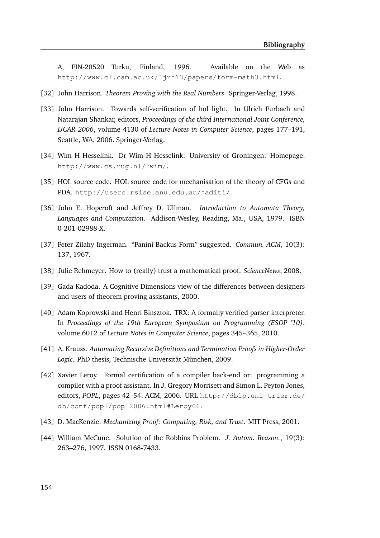A, FIN-20520 Turku, Finland, 1996. Available on the Web as http://www.cl.cam.ac.uk/˜jrh13/papers/form-math3.html.

- [32] John Harrison. *Theorem Proving with the Real Numbers*. Springer-Verlag, 1998.
- [33] John Harrison. Towards self-verification of hol light. In Ulrich Furbach and Natarajan Shankar, editors, *Proceedings of the third International Joint Conference, IJCAR 2006*, volume 4130 of *Lecture Notes in Computer Science*, pages 177–191, Seattle, WA, 2006. Springer-Verlag.
- [34] Wim H Hesselink. Dr Wim H Hesselink: University of Groningen: Homepage. http://www.cs.rug.nl/˜wim/.
- [35] HOL source code. HOL source code for mechanisation of the theory of CFGs and PDA. http://users.rsise.anu.edu.au/˜aditi/.
- [36] John E. Hopcroft and Jeffrey D. Ullman. *Introduction to Automata Theory, Languages and Computation*. Addison-Wesley, Reading, Ma., USA, 1979. ISBN 0-201-02988-X.
- [37] Peter Zilahy Ingerman. "Panini-Backus Form" suggested. *Commun. ACM*, 10(3): 137, 1967.
- [38] Julie Rehmeyer. How to (really) trust a mathematical proof. *ScienceNews*, 2008.
- [39] Gada Kadoda. A Cognitive Dimensions view of the differences between designers and users of theorem proving assistants, 2000.
- [40] Adam Koprowski and Henri Binsztok. TRX: A formally verified parser interpreter. In *Proceedings of the 19th European Symposium on Programming (ESOP '10)*, volume 6012 of *Lecture Notes in Computer Science*, pages 345–365, 2010.
- [41] A. Krauss. *Automating Recursive Definitions and Termination Proofs in Higher-Order* Logic. PhD thesis, Technische Universität München, 2009.
- [42] Xavier Leroy. Formal certification of a compiler back-end or: programming a compiler with a proof assistant. In J. Gregory Morrisett and Simon L. Peyton Jones, editors, *POPL*, pages 42–54. ACM, 2006. URL http://dblp.uni-trier.de/ db/conf/popl/popl2006.html#Leroy06.
- [43] D. MacKenzie. *Mechanizing Proof: Computing, Risk, and Trust*. MIT Press, 2001.
- [44] William McCune. Solution of the Robbins Problem. *J. Autom. Reason.*, 19(3): 263–276, 1997. ISSN 0168-7433.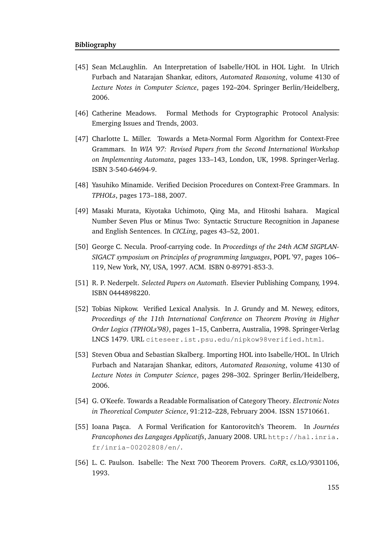- [45] Sean McLaughlin. An Interpretation of Isabelle/HOL in HOL Light. In Ulrich Furbach and Natarajan Shankar, editors, *Automated Reasoning*, volume 4130 of *Lecture Notes in Computer Science*, pages 192–204. Springer Berlin/Heidelberg, 2006.
- [46] Catherine Meadows. Formal Methods for Cryptographic Protocol Analysis: Emerging Issues and Trends, 2003.
- [47] Charlotte L. Miller. Towards a Meta-Normal Form Algorithm for Context-Free Grammars. In *WIA '97: Revised Papers from the Second International Workshop on Implementing Automata*, pages 133–143, London, UK, 1998. Springer-Verlag. ISBN 3-540-64694-9.
- [48] Yasuhiko Minamide. Verified Decision Procedures on Context-Free Grammars. In *TPHOLs*, pages 173–188, 2007.
- [49] Masaki Murata, Kiyotaka Uchimoto, Qing Ma, and Hitoshi Isahara. Magical Number Seven Plus or Minus Two: Syntactic Structure Recognition in Japanese and English Sentences. In *CICLing*, pages 43–52, 2001.
- [50] George C. Necula. Proof-carrying code. In *Proceedings of the 24th ACM SIGPLAN-SIGACT symposium on Principles of programming languages*, POPL '97, pages 106– 119, New York, NY, USA, 1997. ACM. ISBN 0-89791-853-3.
- [51] R. P. Nederpelt. *Selected Papers on Automath*. Elsevier Publishing Company, 1994. ISBN 0444898220.
- [52] Tobias Nipkow. Verified Lexical Analysis. In J. Grundy and M. Newey, editors, *Proceedings of the 11th International Conference on Theorem Proving in Higher Order Logics (TPHOLs'98)*, pages 1–15, Canberra, Australia, 1998. Springer-Verlag LNCS 1479. URL citeseer.ist.psu.edu/nipkow98verified.html.
- [53] Steven Obua and Sebastian Skalberg. Importing HOL into Isabelle/HOL. In Ulrich Furbach and Natarajan Shankar, editors, *Automated Reasoning*, volume 4130 of *Lecture Notes in Computer Science*, pages 298–302. Springer Berlin/Heidelberg, 2006.
- [54] G. O'Keefe. Towards a Readable Formalisation of Category Theory. *Electronic Notes in Theoretical Computer Science*, 91:212–228, February 2004. ISSN 15710661.
- [55] Ioana Paşca. A Formal Verification for Kantorovitch's Theorem. In *Journées Francophones des Langages Applicatifs*, January 2008. URL http://hal.inria. fr/inria-00202808/en/.
- [56] L. C. Paulson. Isabelle: The Next 700 Theorem Provers. *CoRR*, cs.LO/9301106, 1993.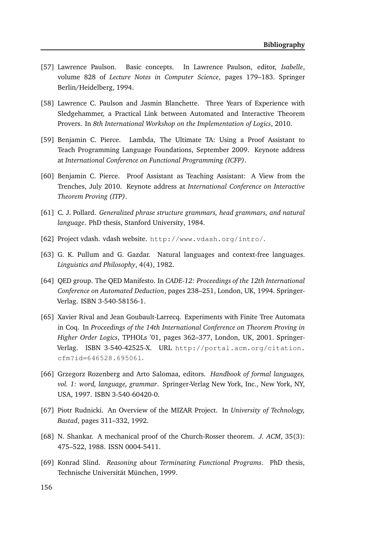- [57] Lawrence Paulson. Basic concepts. In Lawrence Paulson, editor, *Isabelle*, volume 828 of *Lecture Notes in Computer Science*, pages 179–183. Springer Berlin/Heidelberg, 1994.
- [58] Lawrence C. Paulson and Jasmin Blanchette. Three Years of Experience with Sledgehammer, a Practical Link between Automated and Interactive Theorem Provers. In *8th International Workshop on the Implementation of Logics*, 2010.
- [59] Benjamin C. Pierce. Lambda, The Ultimate TA: Using a Proof Assistant to Teach Programming Language Foundations, September 2009. Keynote address at *International Conference on Functional Programming (ICFP)*.
- [60] Benjamin C. Pierce. Proof Assistant as Teaching Assistant: A View from the Trenches, July 2010. Keynote address at *International Conference on Interactive Theorem Proving (ITP)*.
- [61] C. J. Pollard. *Generalized phrase structure grammars, head grammars, and natural language*. PhD thesis, Stanford University, 1984.
- [62] Project vdash. vdash website. http://www.vdash.org/intro/.
- [63] G. K. Pullum and G. Gazdar. Natural languages and context-free languages. *Linguistics and Philosophy*, 4(4), 1982.
- [64] QED group. The QED Manifesto. In *CADE-12: Proceedings of the 12th International Conference on Automated Deduction*, pages 238–251, London, UK, 1994. Springer-Verlag. ISBN 3-540-58156-1.
- [65] Xavier Rival and Jean Goubault-Larrecq. Experiments with Finite Tree Automata in Coq. In *Proceedings of the 14th International Conference on Theorem Proving in Higher Order Logics*, TPHOLs '01, pages 362–377, London, UK, 2001. Springer-Verlag. ISBN 3-540-42525-X. URL http://portal.acm.org/citation. cfm?id=646528.695061.
- [66] Grzegorz Rozenberg and Arto Salomaa, editors. *Handbook of formal languages, vol. 1: word, language, grammar*. Springer-Verlag New York, Inc., New York, NY, USA, 1997. ISBN 3-540-60420-0.
- [67] Piotr Rudnicki. An Overview of the MIZAR Project. In *University of Technology, Bastad*, pages 311–332, 1992.
- [68] N. Shankar. A mechanical proof of the Church-Rosser theorem. *J. ACM*, 35(3): 475–522, 1988. ISSN 0004-5411.
- [69] Konrad Slind. *Reasoning about Terminating Functional Programs*. PhD thesis, Technische Universität München, 1999.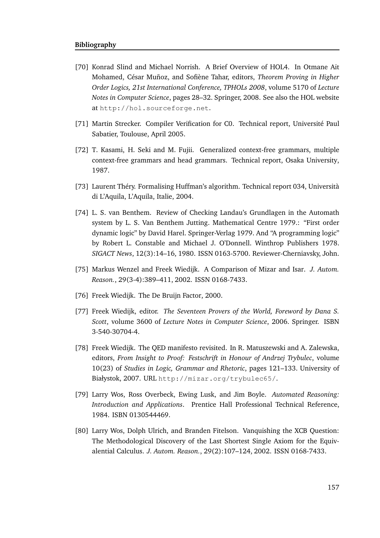#### **Bibliography**

- [70] Konrad Slind and Michael Norrish. A Brief Overview of HOL4. In Otmane Ait Mohamed, César Muñoz, and Sofiène Tahar, editors, *Theorem Proving in Higher Order Logics, 21st International Conference, TPHOLs 2008*, volume 5170 of *Lecture Notes in Computer Science*, pages 28–32. Springer, 2008. See also the HOL website at http://hol.sourceforge.net.
- [71] Martin Strecker. Compiler Verification for C0. Technical report, Université Paul Sabatier, Toulouse, April 2005.
- [72] T. Kasami, H. Seki and M. Fujii. Generalized context-free grammars, multiple context-free grammars and head grammars. Technical report, Osaka University, 1987.
- [73] Laurent Théry. Formalising Huffman's algorithm. Technical report 034, Università di L'Aquila, L'Aquila, Italie, 2004.
- [74] L. S. van Benthem. Review of Checking Landau's Grundlagen in the Automath system by L. S. Van Benthem Jutting. Mathematical Centre 1979.: "First order dynamic logic" by David Harel. Springer-Verlag 1979. And "A programming logic" by Robert L. Constable and Michael J. O'Donnell. Winthrop Publishers 1978. *SIGACT News*, 12(3):14–16, 1980. ISSN 0163-5700. Reviewer-Cherniavsky, John.
- [75] Markus Wenzel and Freek Wiedijk. A Comparison of Mizar and Isar. *J. Autom. Reason.*, 29(3-4):389–411, 2002. ISSN 0168-7433.
- [76] Freek Wiedijk. The De Bruijn Factor, 2000.
- [77] Freek Wiedijk, editor. *The Seventeen Provers of the World, Foreword by Dana S. Scott*, volume 3600 of *Lecture Notes in Computer Science*, 2006. Springer. ISBN 3-540-30704-4.
- [78] Freek Wiedijk. The QED manifesto revisited. In R. Matuszewski and A. Zalewska, editors, *From Insight to Proof: Festschrift in Honour of Andrzej Trybulec*, volume 10(23) of *Studies in Logic, Grammar and Rhetoric*, pages 121–133. University of Białystok, 2007. URL http://mizar.org/trybulec65/.
- [79] Larry Wos, Ross Overbeck, Ewing Lusk, and Jim Boyle. *Automated Reasoning: Introduction and Applications*. Prentice Hall Professional Technical Reference, 1984. ISBN 0130544469.
- [80] Larry Wos, Dolph Ulrich, and Branden Fitelson. Vanquishing the XCB Question: The Methodological Discovery of the Last Shortest Single Axiom for the Equivalential Calculus. *J. Autom. Reason.*, 29(2):107–124, 2002. ISSN 0168-7433.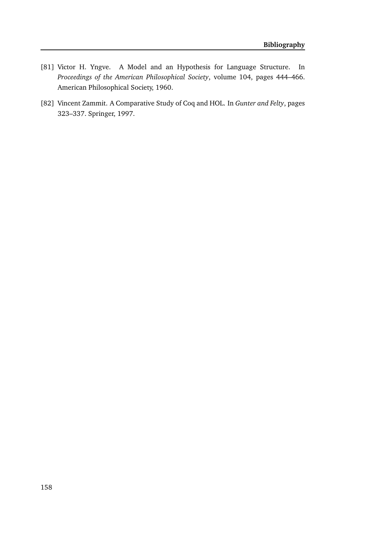- [81] Victor H. Yngve. A Model and an Hypothesis for Language Structure. In *Proceedings of the American Philosophical Society*, volume 104, pages 444–466. American Philosophical Society, 1960.
- [82] Vincent Zammit. A Comparative Study of Coq and HOL. In *Gunter and Felty*, pages 323–337. Springer, 1997.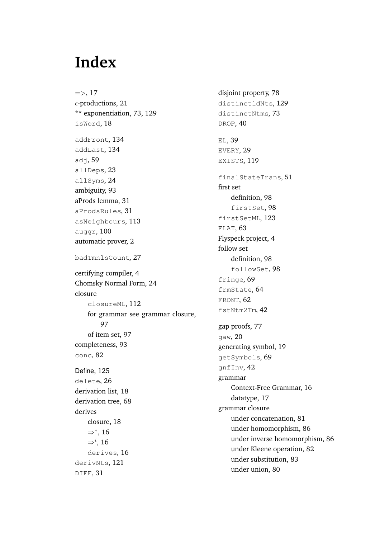# **Index**

 $\Rightarrow$ , 17  $\epsilon$ -productions, 21 \*\* exponentiation, 73, 129 isWord, 18 addFront, 134 addLast, 134  $ad<sub>1</sub>$ , 59 allDeps, 23 allSyms, 24 ambiguity, 93 aProds lemma, 31 aProdsRules, 31 asNeighbours, 113 auggr, 100 automatic prover, 2 badTmnlsCount, 27 certifying compiler, 4 Chomsky Normal Form, 24 closure closureML, 112 for grammar see grammar closure, 97 of item set, 97 completeness, 93 conc, 82 Define, 125 delete, 26 derivation list, 18 derivation tree, 68 derives closure, 18 ⇒∗ , 16  $\Rightarrow i$ , 16 derives, 16 derivNts, 121 DIFF, 31

disjoint property, 78 distinctldNts, 129 distinctNtms, 73 DROP, 40 EL, 39 EVERY, 29 EXISTS, 119 finalStateTrans, 51 first set definition, 98 firstSet, 98 firstSetML, 123 FLAT, 63 Flyspeck project, 4 follow set definition, 98 followSet, 98 fringe, 69 frmState, 64 FRONT, 62 fstNtm2Tm, 42 gap proofs, 77 gaw, 20 generating symbol, 19 getSymbols, 69 gnfInv, 42 grammar Context-Free Grammar, 16 datatype, 17 grammar closure under concatenation, 81 under homomorphism, 86 under inverse homomorphism, 86 under Kleene operation, 82 under substitution, 83 under union, 80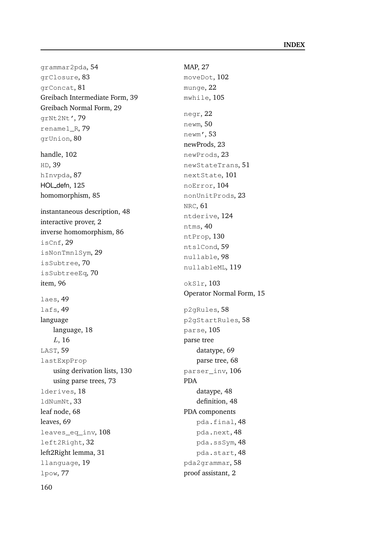grammar2pda, 54 grClosure, 83 grConcat, 81 Greibach Intermediate Form, 39 Greibach Normal Form, 29 grNt2Nt', 79 rename1\_R, 79 grUnion, 80 handle, 102 HD, 39 hInvpda, 87 HOL defn, 125 homomorphism, 85 instantaneous description, 48 interactive prover, 2 inverse homomorphism, 86 isCnf, 29 isNonTmnlSym, 29 isSubtree, 70 isSubtreeEq, 70 item, 96 laes, 49 lafs, 49 language language, 18 L, 16 LAST, 59 lastExpProp using derivation lists, 130 using parse trees, 73 lderives, 18 ldNumNt, 33 leaf node, 68 leaves, 69 leaves\_eq\_inv, 108 left2Right, 32 left2Right lemma, 31 llanguage, 19 lpow, 77

MAP, 27 moveDot, 102 munge, 22 mwhile, 105 negr, 22 newm, 50 newm', 53 newProds, 23 newProds, 23 newStateTrans, 51 nextState, 101 noError, 104 nonUnitProds, 23 NRC, 61 ntderive, 124 ntms, 40 ntProp, 130 ntslCond, 59 nullable, 98 nullableML, 119 okSlr, 103 Operator Normal Form, 15 p2gRules, 58 p2gStartRules, 58 parse, 105 parse tree datatype, 69 parse tree, 68 parser\_inv, 106 PDA dataype, 48 definition, 48 PDA components pda.final, 48 pda.next, 48 pda.ssSym, 48 pda.start, 48 pda2grammar, 58 proof assistant, 2